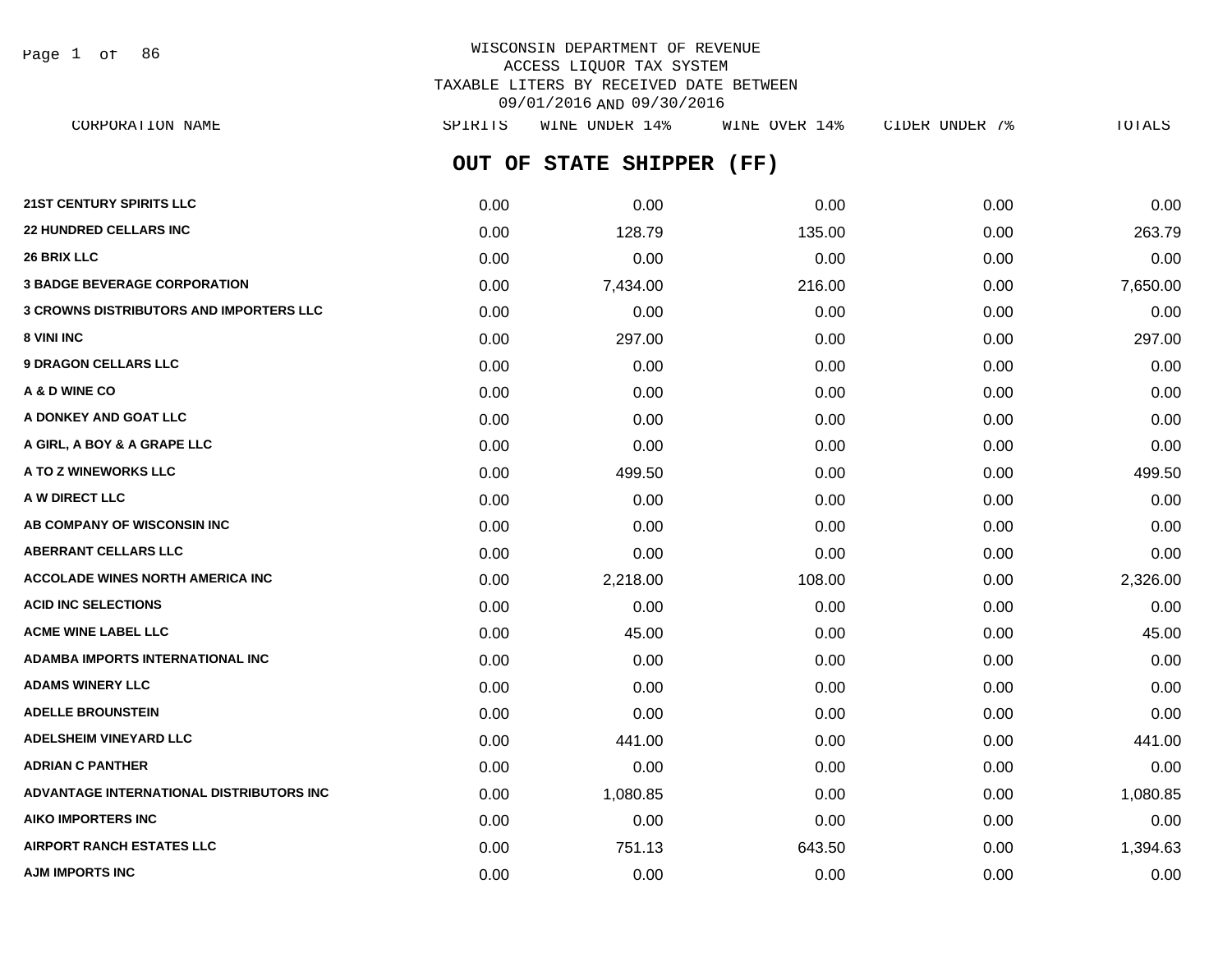Page 1 of 86

# WISCONSIN DEPARTMENT OF REVENUE ACCESS LIQUOR TAX SYSTEM TAXABLE LITERS BY RECEIVED DATE BETWEEN 09/01/2016 AND 09/30/2016

**OUT OF STATE SHIPPER (FF) 21ST CENTURY SPIRITS LLC** 0.00 0.00 0.00 0.00 0.00 **22 HUNDRED CELLARS INC** 0.00 128.79 135.00 0.00 263.79 **26 BRIX LLC** 0.00 0.00 0.00 0.00 0.00 **3 BADGE BEVERAGE CORPORATION** 0.00 7,434.00 216.00 0.00 7,650.00 **3 CROWNS DISTRIBUTORS AND IMPORTERS LLC** 0.00 0.00 0.00 0.00 0.00 **8 VINI INC** 297.00 **0.00 297.00 0.00 0.00 0.00 0.00 0.00 0.00 297.00 9 DRAGON CELLARS LLC** 0.00 0.00 0.00 0.00 0.00 **A & D WINE CO** 0.00 0.00 0.00 0.00 0.00 **A DONKEY AND GOAT LLC**  $\begin{array}{ccc} 0.00 & 0.00 & 0.00 & 0.00 & 0.00 & 0.00 \end{array}$ **A GIRL, A BOY & A GRAPE LLC** 0.00 0.00 0.00 0.00 0.00 **A TO Z WINEWORKS LLC** 0.00 499.50 0.00 0.00 499.50 **A W DIRECT LLC** 0.00 0.00 0.00 0.00 0.00 **AB COMPANY OF WISCONSIN INC**  $0.00$   $0.00$   $0.00$   $0.00$   $0.00$   $0.00$   $0.00$   $0.00$   $0.00$   $0.00$   $0.00$   $0.00$   $0.00$   $0.00$   $0.00$   $0.00$   $0.00$   $0.00$   $0.00$   $0.00$   $0.00$   $0.00$   $0.00$   $0.00$   $0.00$   $0.00$   $0.00$   $0.$ CORPORATION NAME SPIRITS WINE UNDER 14% WINE OVER 14% CIDER UNDER 7% TOTALS

**ABERRANT CELLARS LLC** 0.00 0.00 0.00 0.00 0.00 **ACCOLADE WINES NORTH AMERICA INC** 0.00 2,218.00 108.00 0.00 2,326.00 **ACID INC SELECTIONS** 0.00 0.00 0.00 0.00 0.00 **ACME WINE LABEL LLC** 0.00 45.00 0.00 0.00 45.00 **ADAMBA IMPORTS INTERNATIONAL INC** 0.00 0.00 0.00 0.00 0.00 **ADAMS WINERY LLC** 0.00 0.00 0.00 0.00 0.00 **ADELLE BROUNSTEIN** 0.00 0.00 0.00 0.00 0.00 **ADELSHEIM VINEYARD LLC** 0.00 441.00 0.00 0.00 441.00 **ADRIAN C PANTHER** 0.00 0.00 0.00 0.00 0.00 **ADVANTAGE INTERNATIONAL DISTRIBUTORS INC** 0.00 1,080.85 0.00 0.00 1,080.85 **AIKO IMPORTERS INC** 0.00 0.00 0.00 0.00 0.00

**AIRPORT RANCH ESTATES LLC** 0.00 751.13 643.50 0.00 1,394.63 **AJM IMPORTS INC** 0.00 0.00 0.00 0.00 0.00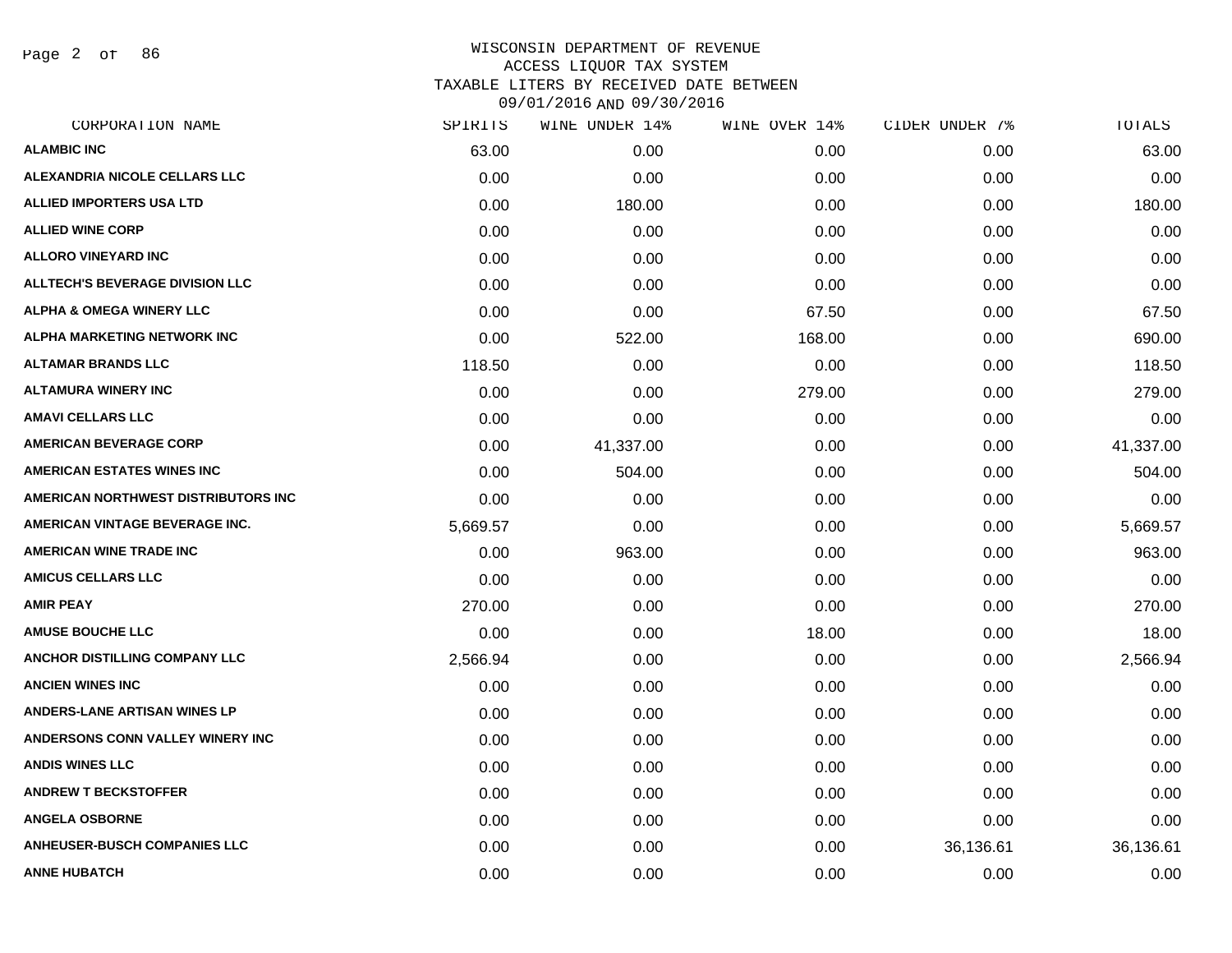Page 2 of 86

| SPIRITS  | WINE UNDER 14% | WINE OVER 14% | CIDER UNDER 7% | <b>TOTALS</b> |
|----------|----------------|---------------|----------------|---------------|
| 63.00    | 0.00           | 0.00          | 0.00           | 63.00         |
| 0.00     | 0.00           | 0.00          | 0.00           | 0.00          |
| 0.00     | 180.00         | 0.00          | 0.00           | 180.00        |
| 0.00     | 0.00           | 0.00          | 0.00           | 0.00          |
| 0.00     | 0.00           | 0.00          | 0.00           | 0.00          |
| 0.00     | 0.00           | 0.00          | 0.00           | 0.00          |
| 0.00     | 0.00           | 67.50         | 0.00           | 67.50         |
| 0.00     | 522.00         | 168.00        | 0.00           | 690.00        |
| 118.50   | 0.00           | 0.00          | 0.00           | 118.50        |
| 0.00     | 0.00           | 279.00        | 0.00           | 279.00        |
| 0.00     | 0.00           | 0.00          | 0.00           | 0.00          |
| 0.00     | 41,337.00      | 0.00          | 0.00           | 41,337.00     |
| 0.00     | 504.00         | 0.00          | 0.00           | 504.00        |
| 0.00     | 0.00           | 0.00          | 0.00           | 0.00          |
| 5,669.57 | 0.00           | 0.00          | 0.00           | 5,669.57      |
| 0.00     | 963.00         | 0.00          | 0.00           | 963.00        |
| 0.00     | 0.00           | 0.00          | 0.00           | 0.00          |
| 270.00   | 0.00           | 0.00          | 0.00           | 270.00        |
| 0.00     | 0.00           | 18.00         | 0.00           | 18.00         |
| 2,566.94 | 0.00           | 0.00          | 0.00           | 2,566.94      |
| 0.00     | 0.00           | 0.00          | 0.00           | 0.00          |
| 0.00     | 0.00           | 0.00          | 0.00           | 0.00          |
| 0.00     | 0.00           | 0.00          | 0.00           | 0.00          |
| 0.00     | 0.00           | 0.00          | 0.00           | 0.00          |
| 0.00     | 0.00           | 0.00          | 0.00           | 0.00          |
| 0.00     | 0.00           | 0.00          | 0.00           | 0.00          |
| 0.00     | 0.00           | 0.00          | 36,136.61      | 36,136.61     |
| 0.00     | 0.00           | 0.00          | 0.00           | 0.00          |
|          |                |               |                |               |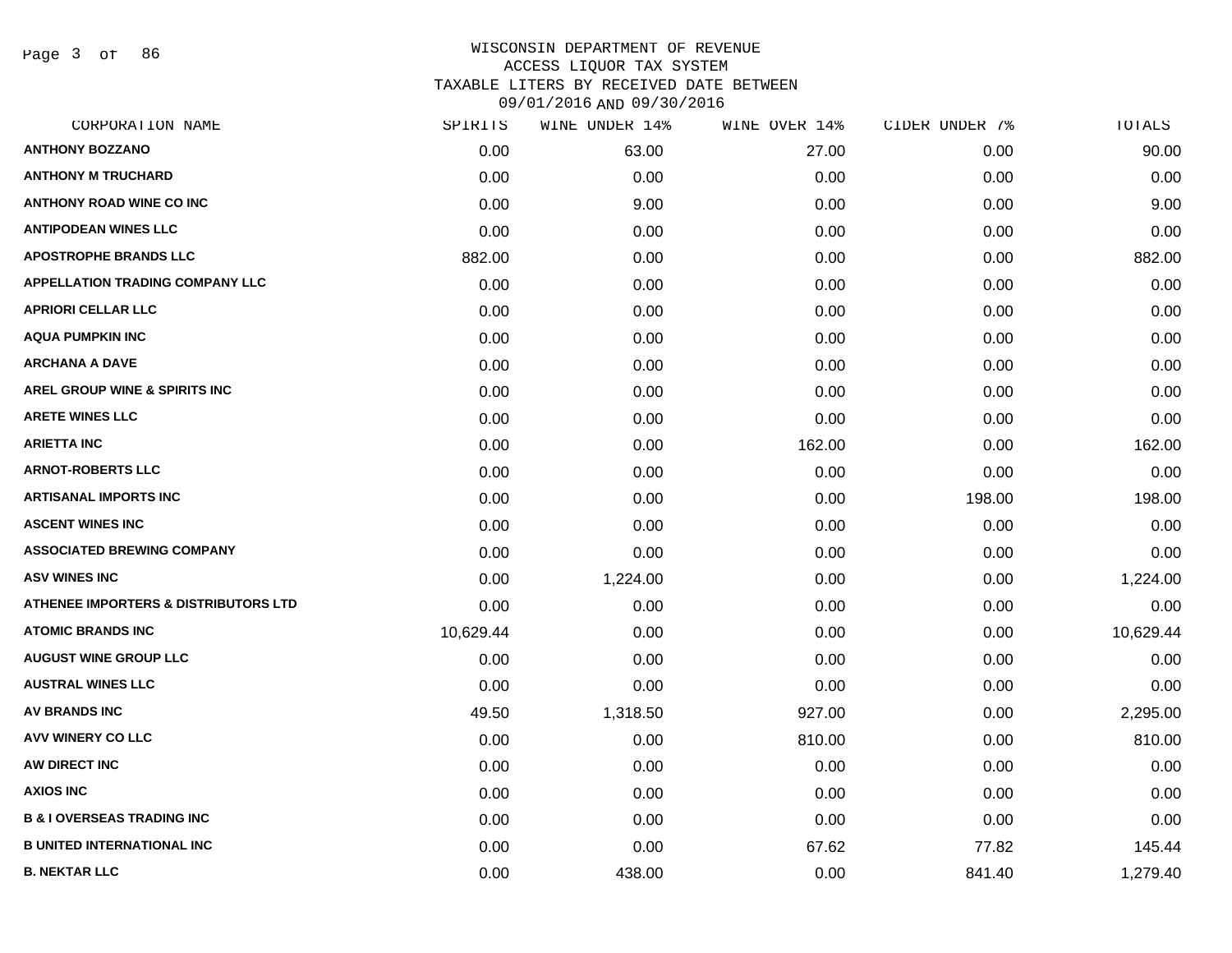Page 3 of 86

| CORPORATION NAME                                | SPIRITS   | WINE UNDER 14% | WINE OVER 14% | CIDER UNDER 7% | TOTALS    |
|-------------------------------------------------|-----------|----------------|---------------|----------------|-----------|
| <b>ANTHONY BOZZANO</b>                          | 0.00      | 63.00          | 27.00         | 0.00           | 90.00     |
| <b>ANTHONY M TRUCHARD</b>                       | 0.00      | 0.00           | 0.00          | 0.00           | 0.00      |
| <b>ANTHONY ROAD WINE CO INC</b>                 | 0.00      | 9.00           | 0.00          | 0.00           | 9.00      |
| <b>ANTIPODEAN WINES LLC</b>                     | 0.00      | 0.00           | 0.00          | 0.00           | 0.00      |
| <b>APOSTROPHE BRANDS LLC</b>                    | 882.00    | 0.00           | 0.00          | 0.00           | 882.00    |
| <b>APPELLATION TRADING COMPANY LLC</b>          | 0.00      | 0.00           | 0.00          | 0.00           | 0.00      |
| <b>APRIORI CELLAR LLC</b>                       | 0.00      | 0.00           | 0.00          | 0.00           | 0.00      |
| <b>AQUA PUMPKIN INC</b>                         | 0.00      | 0.00           | 0.00          | 0.00           | 0.00      |
| <b>ARCHANA A DAVE</b>                           | 0.00      | 0.00           | 0.00          | 0.00           | 0.00      |
| AREL GROUP WINE & SPIRITS INC                   | 0.00      | 0.00           | 0.00          | 0.00           | 0.00      |
| <b>ARETE WINES LLC</b>                          | 0.00      | 0.00           | 0.00          | 0.00           | 0.00      |
| <b>ARIETTA INC</b>                              | 0.00      | 0.00           | 162.00        | 0.00           | 162.00    |
| <b>ARNOT-ROBERTS LLC</b>                        | 0.00      | 0.00           | 0.00          | 0.00           | 0.00      |
| ARTISANAL IMPORTS INC                           | 0.00      | 0.00           | 0.00          | 198.00         | 198.00    |
| <b>ASCENT WINES INC</b>                         | 0.00      | 0.00           | 0.00          | 0.00           | 0.00      |
| <b>ASSOCIATED BREWING COMPANY</b>               | 0.00      | 0.00           | 0.00          | 0.00           | 0.00      |
| <b>ASV WINES INC</b>                            | 0.00      | 1,224.00       | 0.00          | 0.00           | 1,224.00  |
| <b>ATHENEE IMPORTERS &amp; DISTRIBUTORS LTD</b> | 0.00      | 0.00           | 0.00          | 0.00           | 0.00      |
| <b>ATOMIC BRANDS INC</b>                        | 10,629.44 | 0.00           | 0.00          | 0.00           | 10,629.44 |
| <b>AUGUST WINE GROUP LLC</b>                    | 0.00      | 0.00           | 0.00          | 0.00           | 0.00      |
| <b>AUSTRAL WINES LLC</b>                        | 0.00      | 0.00           | 0.00          | 0.00           | 0.00      |
| <b>AV BRANDS INC</b>                            | 49.50     | 1,318.50       | 927.00        | 0.00           | 2,295.00  |
| AVV WINERY CO LLC                               | 0.00      | 0.00           | 810.00        | 0.00           | 810.00    |
| AW DIRECT INC                                   | 0.00      | 0.00           | 0.00          | 0.00           | 0.00      |
| <b>AXIOS INC</b>                                | 0.00      | 0.00           | 0.00          | 0.00           | 0.00      |
| <b>B &amp; I OVERSEAS TRADING INC</b>           | 0.00      | 0.00           | 0.00          | 0.00           | 0.00      |
| <b>B UNITED INTERNATIONAL INC</b>               | 0.00      | 0.00           | 67.62         | 77.82          | 145.44    |
| <b>B. NEKTAR LLC</b>                            | 0.00      | 438.00         | 0.00          | 841.40         | 1,279.40  |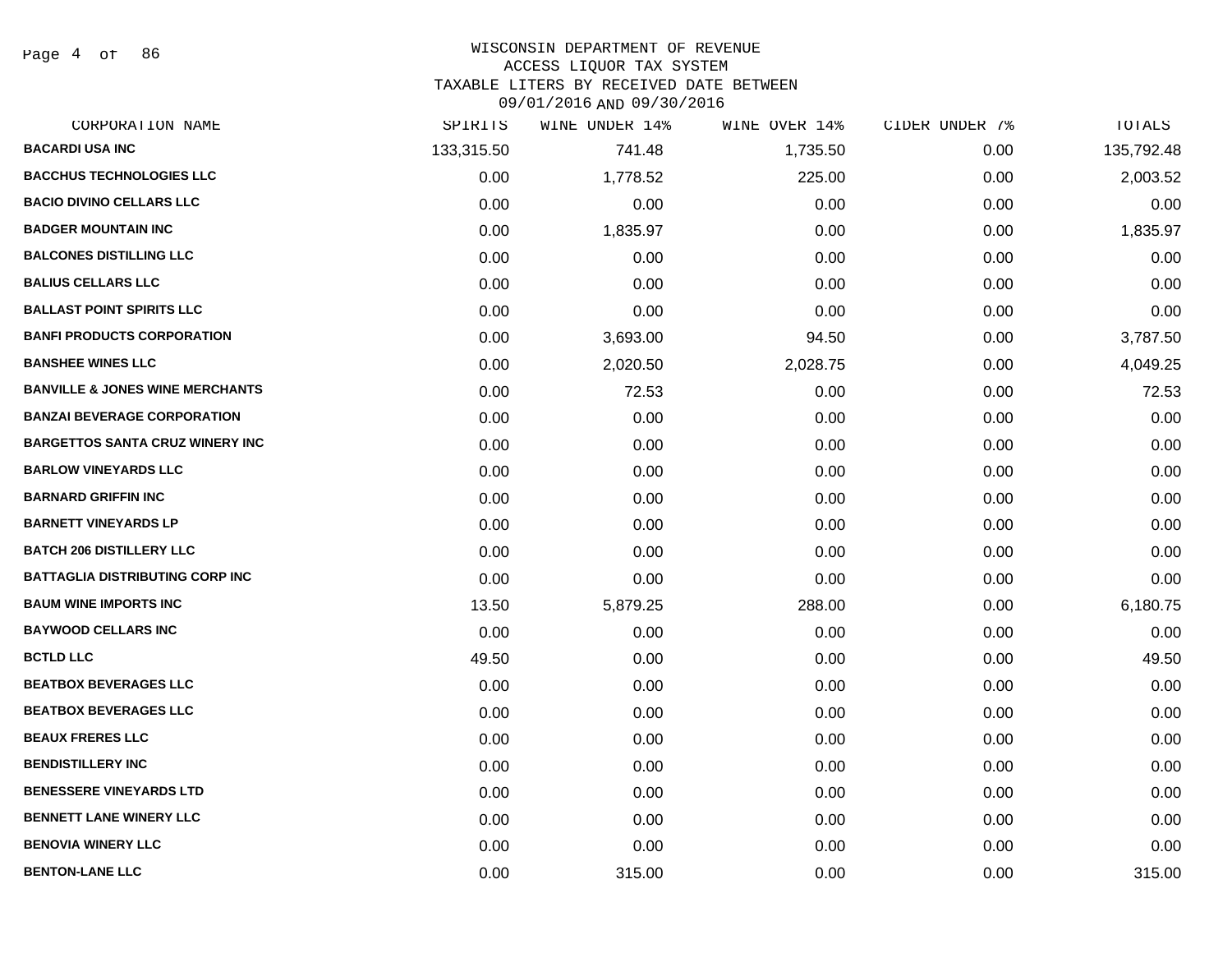Page 4 of 86

#### WISCONSIN DEPARTMENT OF REVENUE

#### ACCESS LIQUOR TAX SYSTEM

TAXABLE LITERS BY RECEIVED DATE BETWEEN

| CORPORATION NAME                           | SPIRITS    | WINE UNDER 14% | WINE OVER 14% | CIDER UNDER 7% | TOTALS     |
|--------------------------------------------|------------|----------------|---------------|----------------|------------|
| <b>BACARDI USA INC</b>                     | 133,315.50 | 741.48         | 1,735.50      | 0.00           | 135,792.48 |
| <b>BACCHUS TECHNOLOGIES LLC</b>            | 0.00       | 1,778.52       | 225.00        | 0.00           | 2,003.52   |
| <b>BACIO DIVINO CELLARS LLC</b>            | 0.00       | 0.00           | 0.00          | 0.00           | 0.00       |
| <b>BADGER MOUNTAIN INC</b>                 | 0.00       | 1,835.97       | 0.00          | 0.00           | 1,835.97   |
| <b>BALCONES DISTILLING LLC</b>             | 0.00       | 0.00           | 0.00          | 0.00           | 0.00       |
| <b>BALIUS CELLARS LLC</b>                  | 0.00       | 0.00           | 0.00          | 0.00           | 0.00       |
| <b>BALLAST POINT SPIRITS LLC</b>           | 0.00       | 0.00           | 0.00          | 0.00           | 0.00       |
| <b>BANFI PRODUCTS CORPORATION</b>          | 0.00       | 3,693.00       | 94.50         | 0.00           | 3,787.50   |
| <b>BANSHEE WINES LLC</b>                   | 0.00       | 2,020.50       | 2,028.75      | 0.00           | 4,049.25   |
| <b>BANVILLE &amp; JONES WINE MERCHANTS</b> | 0.00       | 72.53          | 0.00          | 0.00           | 72.53      |
| <b>BANZAI BEVERAGE CORPORATION</b>         | 0.00       | 0.00           | 0.00          | 0.00           | 0.00       |
| <b>BARGETTOS SANTA CRUZ WINERY INC</b>     | 0.00       | 0.00           | 0.00          | 0.00           | 0.00       |
| <b>BARLOW VINEYARDS LLC</b>                | 0.00       | 0.00           | 0.00          | 0.00           | 0.00       |
| <b>BARNARD GRIFFIN INC</b>                 | 0.00       | 0.00           | 0.00          | 0.00           | 0.00       |
| <b>BARNETT VINEYARDS LP</b>                | 0.00       | 0.00           | 0.00          | 0.00           | 0.00       |
| <b>BATCH 206 DISTILLERY LLC</b>            | 0.00       | 0.00           | 0.00          | 0.00           | 0.00       |
| <b>BATTAGLIA DISTRIBUTING CORP INC</b>     | 0.00       | 0.00           | 0.00          | 0.00           | 0.00       |
| <b>BAUM WINE IMPORTS INC</b>               | 13.50      | 5,879.25       | 288.00        | 0.00           | 6,180.75   |
| <b>BAYWOOD CELLARS INC</b>                 | 0.00       | 0.00           | 0.00          | 0.00           | 0.00       |
| <b>BCTLD LLC</b>                           | 49.50      | 0.00           | 0.00          | 0.00           | 49.50      |
| <b>BEATBOX BEVERAGES LLC</b>               | 0.00       | 0.00           | 0.00          | 0.00           | 0.00       |
| <b>BEATBOX BEVERAGES LLC</b>               | 0.00       | 0.00           | 0.00          | 0.00           | 0.00       |
| <b>BEAUX FRERES LLC</b>                    | 0.00       | 0.00           | 0.00          | 0.00           | 0.00       |
| <b>BENDISTILLERY INC</b>                   | 0.00       | 0.00           | 0.00          | 0.00           | 0.00       |
| <b>BENESSERE VINEYARDS LTD</b>             | 0.00       | 0.00           | 0.00          | 0.00           | 0.00       |
| <b>BENNETT LANE WINERY LLC</b>             | 0.00       | 0.00           | 0.00          | 0.00           | 0.00       |
| <b>BENOVIA WINERY LLC</b>                  | 0.00       | 0.00           | 0.00          | 0.00           | 0.00       |
| <b>BENTON-LANE LLC</b>                     | 0.00       | 315.00         | 0.00          | 0.00           | 315.00     |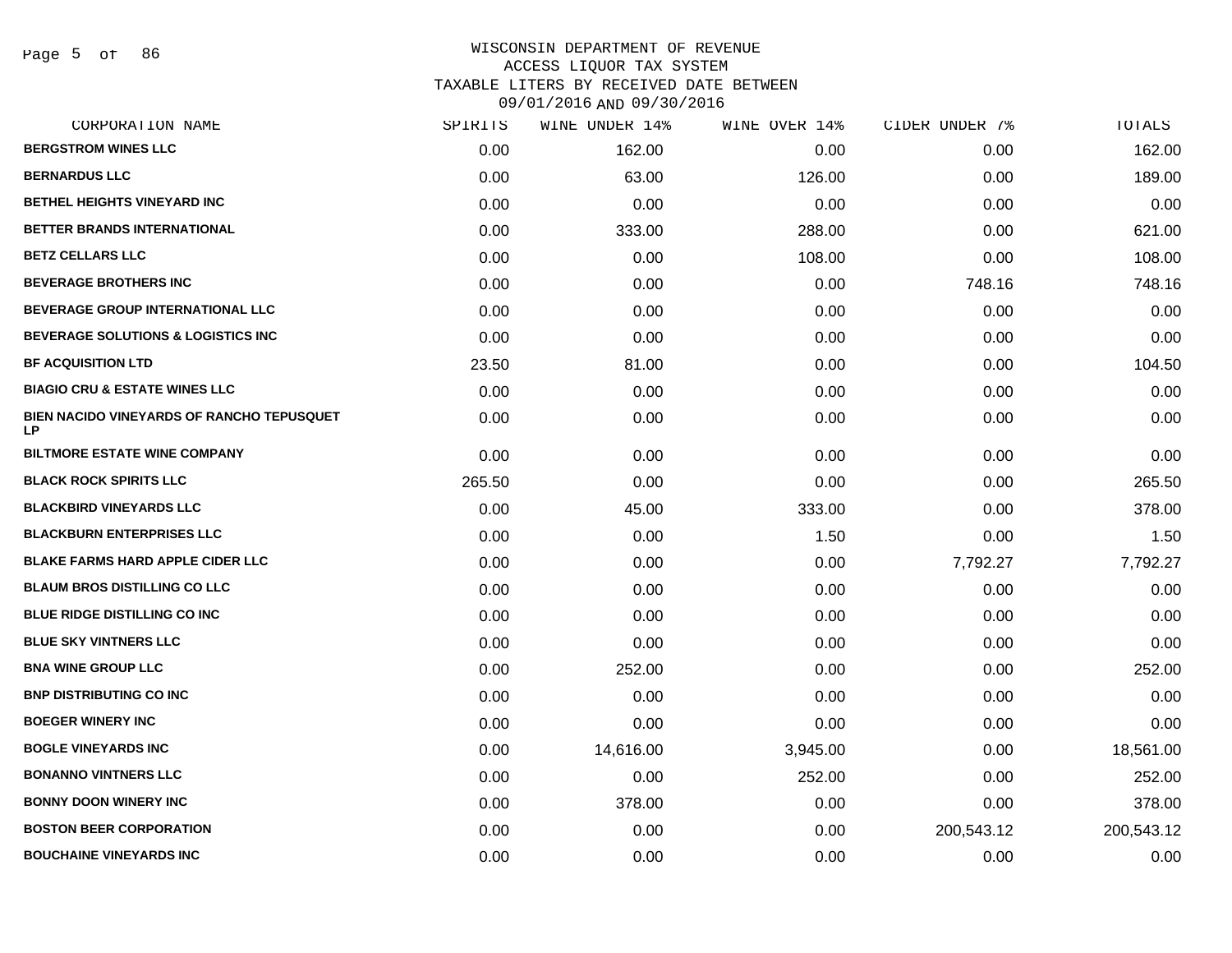| CORPORATION NAME                                 | SPIRITS | WINE UNDER 14% | WINE OVER 14% | CIDER UNDER 7% | TOTALS     |
|--------------------------------------------------|---------|----------------|---------------|----------------|------------|
| <b>BERGSTROM WINES LLC</b>                       | 0.00    | 162.00         | 0.00          | 0.00           | 162.00     |
| <b>BERNARDUS LLC</b>                             | 0.00    | 63.00          | 126.00        | 0.00           | 189.00     |
| BETHEL HEIGHTS VINEYARD INC                      | 0.00    | 0.00           | 0.00          | 0.00           | 0.00       |
| BETTER BRANDS INTERNATIONAL                      | 0.00    | 333.00         | 288.00        | 0.00           | 621.00     |
| <b>BETZ CELLARS LLC</b>                          | 0.00    | 0.00           | 108.00        | 0.00           | 108.00     |
| <b>BEVERAGE BROTHERS INC</b>                     | 0.00    | 0.00           | 0.00          | 748.16         | 748.16     |
| <b>BEVERAGE GROUP INTERNATIONAL LLC</b>          | 0.00    | 0.00           | 0.00          | 0.00           | 0.00       |
| BEVERAGE SOLUTIONS & LOGISTICS INC               | 0.00    | 0.00           | 0.00          | 0.00           | 0.00       |
| <b>BF ACQUISITION LTD</b>                        | 23.50   | 81.00          | 0.00          | 0.00           | 104.50     |
| <b>BIAGIO CRU &amp; ESTATE WINES LLC</b>         | 0.00    | 0.00           | 0.00          | 0.00           | 0.00       |
| BIEN NACIDO VINEYARDS OF RANCHO TEPUSQUET<br>LP. | 0.00    | 0.00           | 0.00          | 0.00           | 0.00       |
| <b>BILTMORE ESTATE WINE COMPANY</b>              | 0.00    | 0.00           | 0.00          | 0.00           | 0.00       |
| <b>BLACK ROCK SPIRITS LLC</b>                    | 265.50  | 0.00           | 0.00          | 0.00           | 265.50     |
| <b>BLACKBIRD VINEYARDS LLC</b>                   | 0.00    | 45.00          | 333.00        | 0.00           | 378.00     |
| <b>BLACKBURN ENTERPRISES LLC</b>                 | 0.00    | 0.00           | 1.50          | 0.00           | 1.50       |
| <b>BLAKE FARMS HARD APPLE CIDER LLC</b>          | 0.00    | 0.00           | 0.00          | 7,792.27       | 7,792.27   |
| <b>BLAUM BROS DISTILLING CO LLC</b>              | 0.00    | 0.00           | 0.00          | 0.00           | 0.00       |
| <b>BLUE RIDGE DISTILLING CO INC</b>              | 0.00    | 0.00           | 0.00          | 0.00           | 0.00       |
| <b>BLUE SKY VINTNERS LLC</b>                     | 0.00    | 0.00           | 0.00          | 0.00           | 0.00       |
| <b>BNA WINE GROUP LLC</b>                        | 0.00    | 252.00         | 0.00          | 0.00           | 252.00     |
| <b>BNP DISTRIBUTING CO INC</b>                   | 0.00    | 0.00           | 0.00          | 0.00           | 0.00       |
| <b>BOEGER WINERY INC</b>                         | 0.00    | 0.00           | 0.00          | 0.00           | 0.00       |
| <b>BOGLE VINEYARDS INC</b>                       | 0.00    | 14,616.00      | 3,945.00      | 0.00           | 18,561.00  |
| <b>BONANNO VINTNERS LLC</b>                      | 0.00    | 0.00           | 252.00        | 0.00           | 252.00     |
| <b>BONNY DOON WINERY INC</b>                     | 0.00    | 378.00         | 0.00          | 0.00           | 378.00     |
| <b>BOSTON BEER CORPORATION</b>                   | 0.00    | 0.00           | 0.00          | 200,543.12     | 200,543.12 |
| <b>BOUCHAINE VINEYARDS INC</b>                   | 0.00    | 0.00           | 0.00          | 0.00           | 0.00       |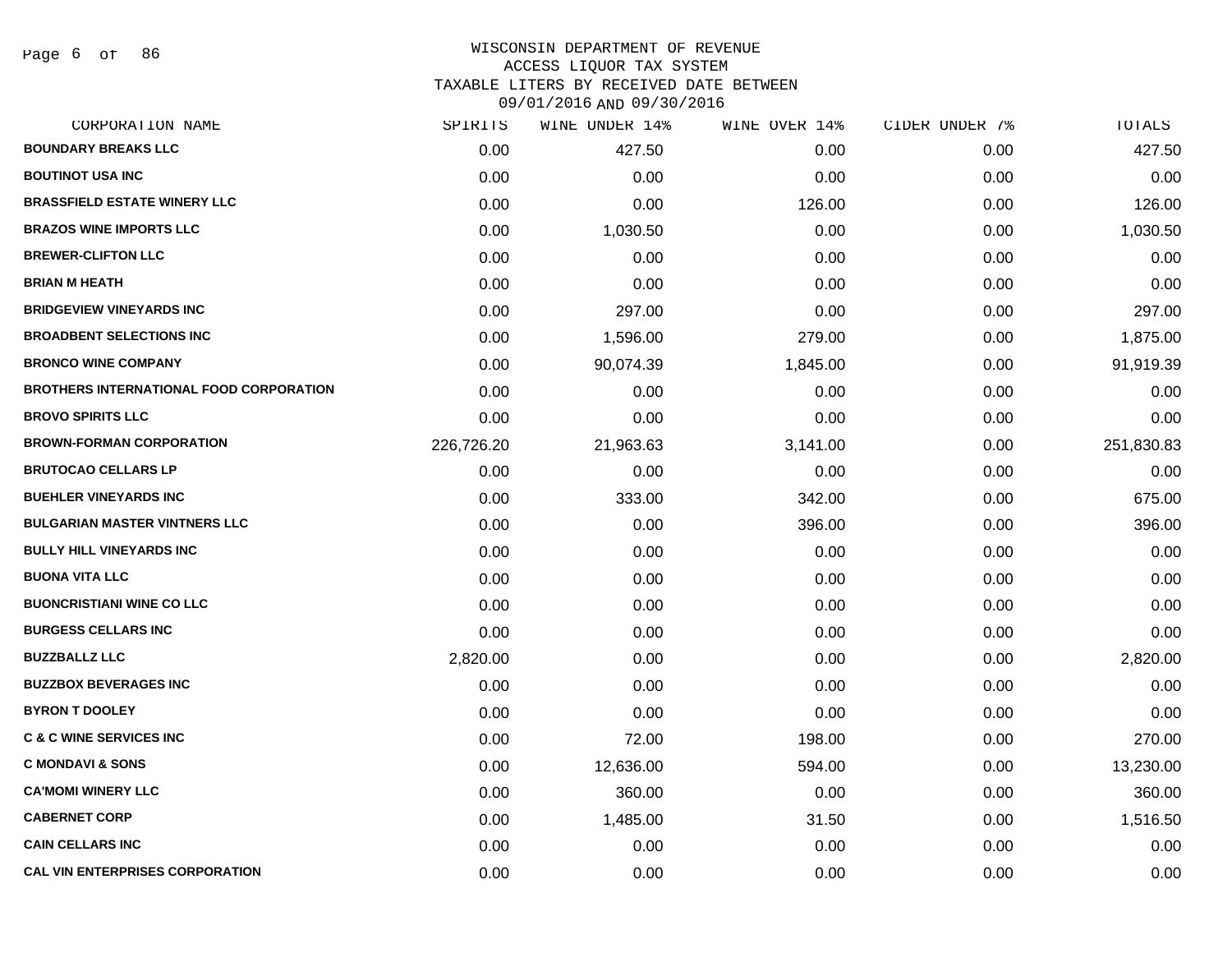Page 6 of 86

# WISCONSIN DEPARTMENT OF REVENUE ACCESS LIQUOR TAX SYSTEM TAXABLE LITERS BY RECEIVED DATE BETWEEN

| CORPORATION NAME                               | SPIRITS    | WINE UNDER 14% | WINE OVER 14% | CIDER UNDER 7% | TOTALS     |
|------------------------------------------------|------------|----------------|---------------|----------------|------------|
| <b>BOUNDARY BREAKS LLC</b>                     | 0.00       | 427.50         | 0.00          | 0.00           | 427.50     |
| <b>BOUTINOT USA INC</b>                        | 0.00       | 0.00           | 0.00          | 0.00           | 0.00       |
| <b>BRASSFIELD ESTATE WINERY LLC</b>            | 0.00       | 0.00           | 126.00        | 0.00           | 126.00     |
| <b>BRAZOS WINE IMPORTS LLC</b>                 | 0.00       | 1,030.50       | 0.00          | 0.00           | 1,030.50   |
| <b>BREWER-CLIFTON LLC</b>                      | 0.00       | 0.00           | 0.00          | 0.00           | 0.00       |
| <b>BRIAN M HEATH</b>                           | 0.00       | 0.00           | 0.00          | 0.00           | 0.00       |
| <b>BRIDGEVIEW VINEYARDS INC</b>                | 0.00       | 297.00         | 0.00          | 0.00           | 297.00     |
| <b>BROADBENT SELECTIONS INC</b>                | 0.00       | 1,596.00       | 279.00        | 0.00           | 1,875.00   |
| <b>BRONCO WINE COMPANY</b>                     | 0.00       | 90,074.39      | 1,845.00      | 0.00           | 91,919.39  |
| <b>BROTHERS INTERNATIONAL FOOD CORPORATION</b> | 0.00       | 0.00           | 0.00          | 0.00           | 0.00       |
| <b>BROVO SPIRITS LLC</b>                       | 0.00       | 0.00           | 0.00          | 0.00           | 0.00       |
| <b>BROWN-FORMAN CORPORATION</b>                | 226,726.20 | 21,963.63      | 3,141.00      | 0.00           | 251,830.83 |
| <b>BRUTOCAO CELLARS LP</b>                     | 0.00       | 0.00           | 0.00          | 0.00           | 0.00       |
| <b>BUEHLER VINEYARDS INC</b>                   | 0.00       | 333.00         | 342.00        | 0.00           | 675.00     |
| <b>BULGARIAN MASTER VINTNERS LLC</b>           | 0.00       | 0.00           | 396.00        | 0.00           | 396.00     |
| <b>BULLY HILL VINEYARDS INC</b>                | 0.00       | 0.00           | 0.00          | 0.00           | 0.00       |
| <b>BUONA VITA LLC</b>                          | 0.00       | 0.00           | 0.00          | 0.00           | 0.00       |
| <b>BUONCRISTIANI WINE CO LLC</b>               | 0.00       | 0.00           | 0.00          | 0.00           | 0.00       |
| <b>BURGESS CELLARS INC</b>                     | 0.00       | 0.00           | 0.00          | 0.00           | 0.00       |
| <b>BUZZBALLZ LLC</b>                           | 2,820.00   | 0.00           | 0.00          | 0.00           | 2,820.00   |
| <b>BUZZBOX BEVERAGES INC</b>                   | 0.00       | 0.00           | 0.00          | 0.00           | 0.00       |
| <b>BYRON T DOOLEY</b>                          | 0.00       | 0.00           | 0.00          | 0.00           | 0.00       |
| <b>C &amp; C WINE SERVICES INC</b>             | 0.00       | 72.00          | 198.00        | 0.00           | 270.00     |
| <b>C MONDAVI &amp; SONS</b>                    | 0.00       | 12,636.00      | 594.00        | 0.00           | 13,230.00  |
| <b>CA'MOMI WINERY LLC</b>                      | 0.00       | 360.00         | 0.00          | 0.00           | 360.00     |
| <b>CABERNET CORP</b>                           | 0.00       | 1,485.00       | 31.50         | 0.00           | 1,516.50   |
| <b>CAIN CELLARS INC</b>                        | 0.00       | 0.00           | 0.00          | 0.00           | 0.00       |
| <b>CAL VIN ENTERPRISES CORPORATION</b>         | 0.00       | 0.00           | 0.00          | 0.00           | 0.00       |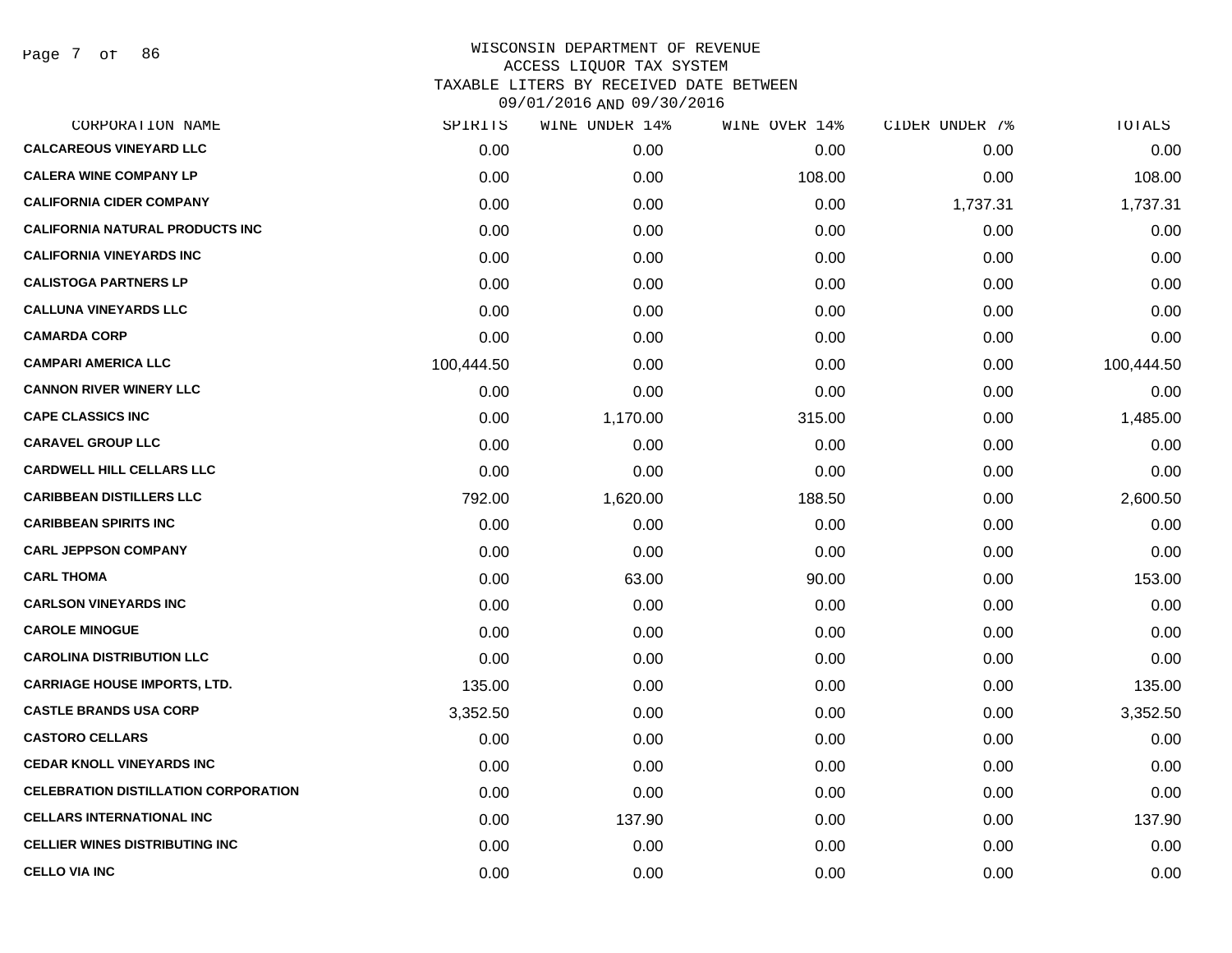Page 7 of 86

| CORPORATION NAME                            | SPIRITS    | WINE UNDER 14% | WINE OVER 14% | CIDER UNDER 7% | TOTALS     |
|---------------------------------------------|------------|----------------|---------------|----------------|------------|
| <b>CALCAREOUS VINEYARD LLC</b>              | 0.00       | 0.00           | 0.00          | 0.00           | 0.00       |
| <b>CALERA WINE COMPANY LP</b>               | 0.00       | 0.00           | 108.00        | 0.00           | 108.00     |
| <b>CALIFORNIA CIDER COMPANY</b>             | 0.00       | 0.00           | 0.00          | 1,737.31       | 1,737.31   |
| <b>CALIFORNIA NATURAL PRODUCTS INC</b>      | 0.00       | 0.00           | 0.00          | 0.00           | 0.00       |
| <b>CALIFORNIA VINEYARDS INC</b>             | 0.00       | 0.00           | 0.00          | 0.00           | 0.00       |
| <b>CALISTOGA PARTNERS LP</b>                | 0.00       | 0.00           | 0.00          | 0.00           | 0.00       |
| <b>CALLUNA VINEYARDS LLC</b>                | 0.00       | 0.00           | 0.00          | 0.00           | 0.00       |
| <b>CAMARDA CORP</b>                         | 0.00       | 0.00           | 0.00          | 0.00           | 0.00       |
| <b>CAMPARI AMERICA LLC</b>                  | 100,444.50 | 0.00           | 0.00          | 0.00           | 100,444.50 |
| <b>CANNON RIVER WINERY LLC</b>              | 0.00       | 0.00           | 0.00          | 0.00           | 0.00       |
| <b>CAPE CLASSICS INC</b>                    | 0.00       | 1,170.00       | 315.00        | 0.00           | 1,485.00   |
| <b>CARAVEL GROUP LLC</b>                    | 0.00       | 0.00           | 0.00          | 0.00           | 0.00       |
| <b>CARDWELL HILL CELLARS LLC</b>            | 0.00       | 0.00           | 0.00          | 0.00           | 0.00       |
| <b>CARIBBEAN DISTILLERS LLC</b>             | 792.00     | 1,620.00       | 188.50        | 0.00           | 2,600.50   |
| <b>CARIBBEAN SPIRITS INC</b>                | 0.00       | 0.00           | 0.00          | 0.00           | 0.00       |
| <b>CARL JEPPSON COMPANY</b>                 | 0.00       | 0.00           | 0.00          | 0.00           | 0.00       |
| <b>CARL THOMA</b>                           | 0.00       | 63.00          | 90.00         | 0.00           | 153.00     |
| <b>CARLSON VINEYARDS INC</b>                | 0.00       | 0.00           | 0.00          | 0.00           | 0.00       |
| <b>CAROLE MINOGUE</b>                       | 0.00       | 0.00           | 0.00          | 0.00           | 0.00       |
| <b>CAROLINA DISTRIBUTION LLC</b>            | 0.00       | 0.00           | 0.00          | 0.00           | 0.00       |
| <b>CARRIAGE HOUSE IMPORTS, LTD.</b>         | 135.00     | 0.00           | 0.00          | 0.00           | 135.00     |
| <b>CASTLE BRANDS USA CORP</b>               | 3,352.50   | 0.00           | 0.00          | 0.00           | 3,352.50   |
| <b>CASTORO CELLARS</b>                      | 0.00       | 0.00           | 0.00          | 0.00           | 0.00       |
| <b>CEDAR KNOLL VINEYARDS INC</b>            | 0.00       | 0.00           | 0.00          | 0.00           | 0.00       |
| <b>CELEBRATION DISTILLATION CORPORATION</b> | 0.00       | 0.00           | 0.00          | 0.00           | 0.00       |
| <b>CELLARS INTERNATIONAL INC</b>            | 0.00       | 137.90         | 0.00          | 0.00           | 137.90     |
| <b>CELLIER WINES DISTRIBUTING INC</b>       | 0.00       | 0.00           | 0.00          | 0.00           | 0.00       |
| <b>CELLO VIA INC</b>                        | 0.00       | 0.00           | 0.00          | 0.00           | 0.00       |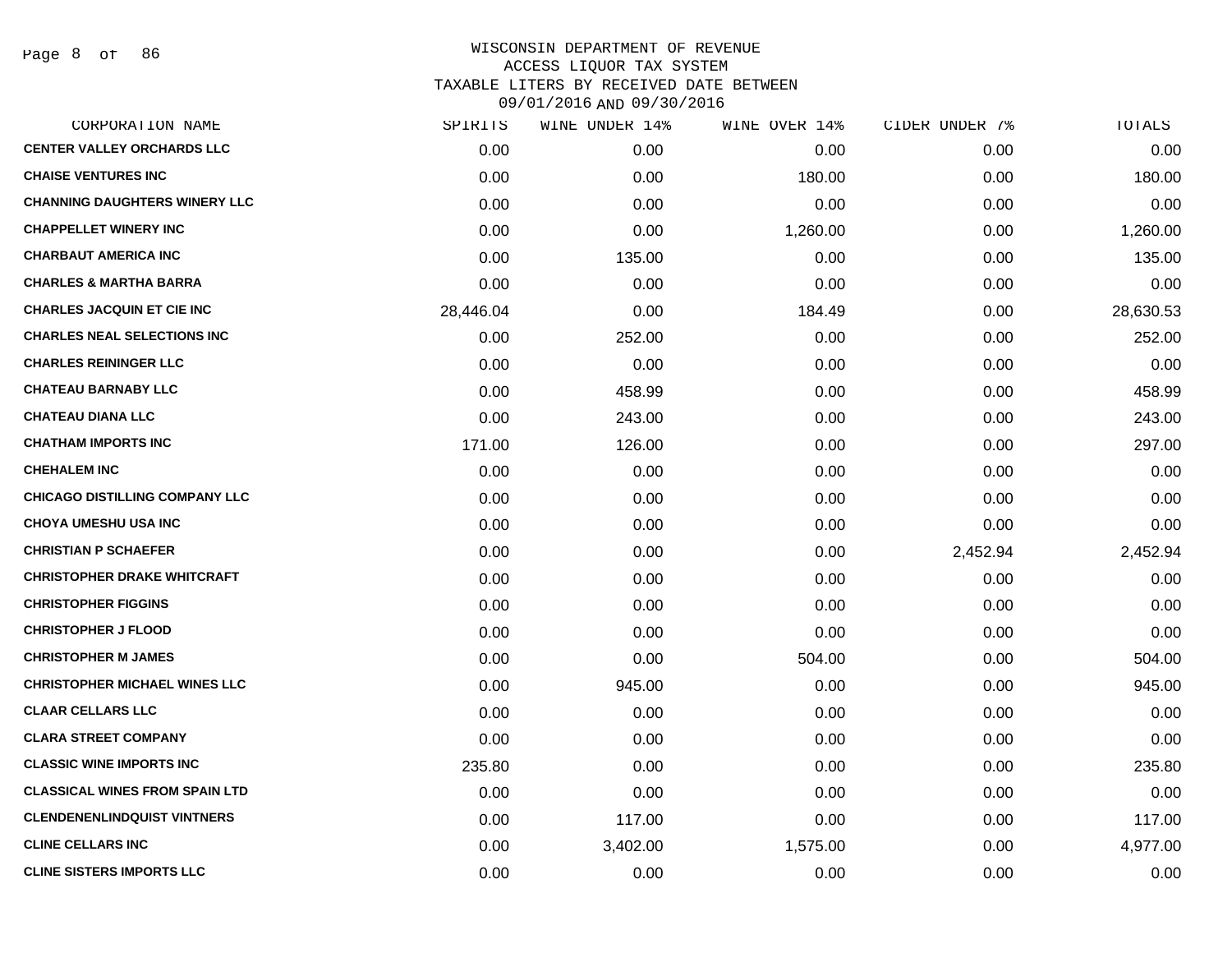Page 8 of 86

| CORPORATION NAME                      | SPIRITS   | WINE UNDER 14% | WINE OVER 14% | CIDER UNDER 7% | TOTALS    |
|---------------------------------------|-----------|----------------|---------------|----------------|-----------|
| <b>CENTER VALLEY ORCHARDS LLC</b>     | 0.00      | 0.00           | 0.00          | 0.00           | 0.00      |
| <b>CHAISE VENTURES INC</b>            | 0.00      | 0.00           | 180.00        | 0.00           | 180.00    |
| <b>CHANNING DAUGHTERS WINERY LLC</b>  | 0.00      | 0.00           | 0.00          | 0.00           | 0.00      |
| <b>CHAPPELLET WINERY INC</b>          | 0.00      | 0.00           | 1,260.00      | 0.00           | 1,260.00  |
| <b>CHARBAUT AMERICA INC</b>           | 0.00      | 135.00         | 0.00          | 0.00           | 135.00    |
| <b>CHARLES &amp; MARTHA BARRA</b>     | 0.00      | 0.00           | 0.00          | 0.00           | 0.00      |
| <b>CHARLES JACQUIN ET CIE INC</b>     | 28,446.04 | 0.00           | 184.49        | 0.00           | 28,630.53 |
| <b>CHARLES NEAL SELECTIONS INC</b>    | 0.00      | 252.00         | 0.00          | 0.00           | 252.00    |
| <b>CHARLES REININGER LLC</b>          | 0.00      | 0.00           | 0.00          | 0.00           | 0.00      |
| <b>CHATEAU BARNABY LLC</b>            | 0.00      | 458.99         | 0.00          | 0.00           | 458.99    |
| <b>CHATEAU DIANA LLC</b>              | 0.00      | 243.00         | 0.00          | 0.00           | 243.00    |
| <b>CHATHAM IMPORTS INC</b>            | 171.00    | 126.00         | 0.00          | 0.00           | 297.00    |
| <b>CHEHALEM INC</b>                   | 0.00      | 0.00           | 0.00          | 0.00           | 0.00      |
| <b>CHICAGO DISTILLING COMPANY LLC</b> | 0.00      | 0.00           | 0.00          | 0.00           | 0.00      |
| <b>CHOYA UMESHU USA INC</b>           | 0.00      | 0.00           | 0.00          | 0.00           | 0.00      |
| <b>CHRISTIAN P SCHAEFER</b>           | 0.00      | 0.00           | 0.00          | 2,452.94       | 2,452.94  |
| <b>CHRISTOPHER DRAKE WHITCRAFT</b>    | 0.00      | 0.00           | 0.00          | 0.00           | 0.00      |
| <b>CHRISTOPHER FIGGINS</b>            | 0.00      | 0.00           | 0.00          | 0.00           | 0.00      |
| <b>CHRISTOPHER J FLOOD</b>            | 0.00      | 0.00           | 0.00          | 0.00           | 0.00      |
| <b>CHRISTOPHER M JAMES</b>            | 0.00      | 0.00           | 504.00        | 0.00           | 504.00    |
| <b>CHRISTOPHER MICHAEL WINES LLC</b>  | 0.00      | 945.00         | 0.00          | 0.00           | 945.00    |
| <b>CLAAR CELLARS LLC</b>              | 0.00      | 0.00           | 0.00          | 0.00           | 0.00      |
| <b>CLARA STREET COMPANY</b>           | 0.00      | 0.00           | 0.00          | 0.00           | 0.00      |
| <b>CLASSIC WINE IMPORTS INC</b>       | 235.80    | 0.00           | 0.00          | 0.00           | 235.80    |
| <b>CLASSICAL WINES FROM SPAIN LTD</b> | 0.00      | 0.00           | 0.00          | 0.00           | 0.00      |
| <b>CLENDENENLINDQUIST VINTNERS</b>    | 0.00      | 117.00         | 0.00          | 0.00           | 117.00    |
| <b>CLINE CELLARS INC</b>              | 0.00      | 3,402.00       | 1,575.00      | 0.00           | 4,977.00  |
| <b>CLINE SISTERS IMPORTS LLC</b>      | 0.00      | 0.00           | 0.00          | 0.00           | 0.00      |
|                                       |           |                |               |                |           |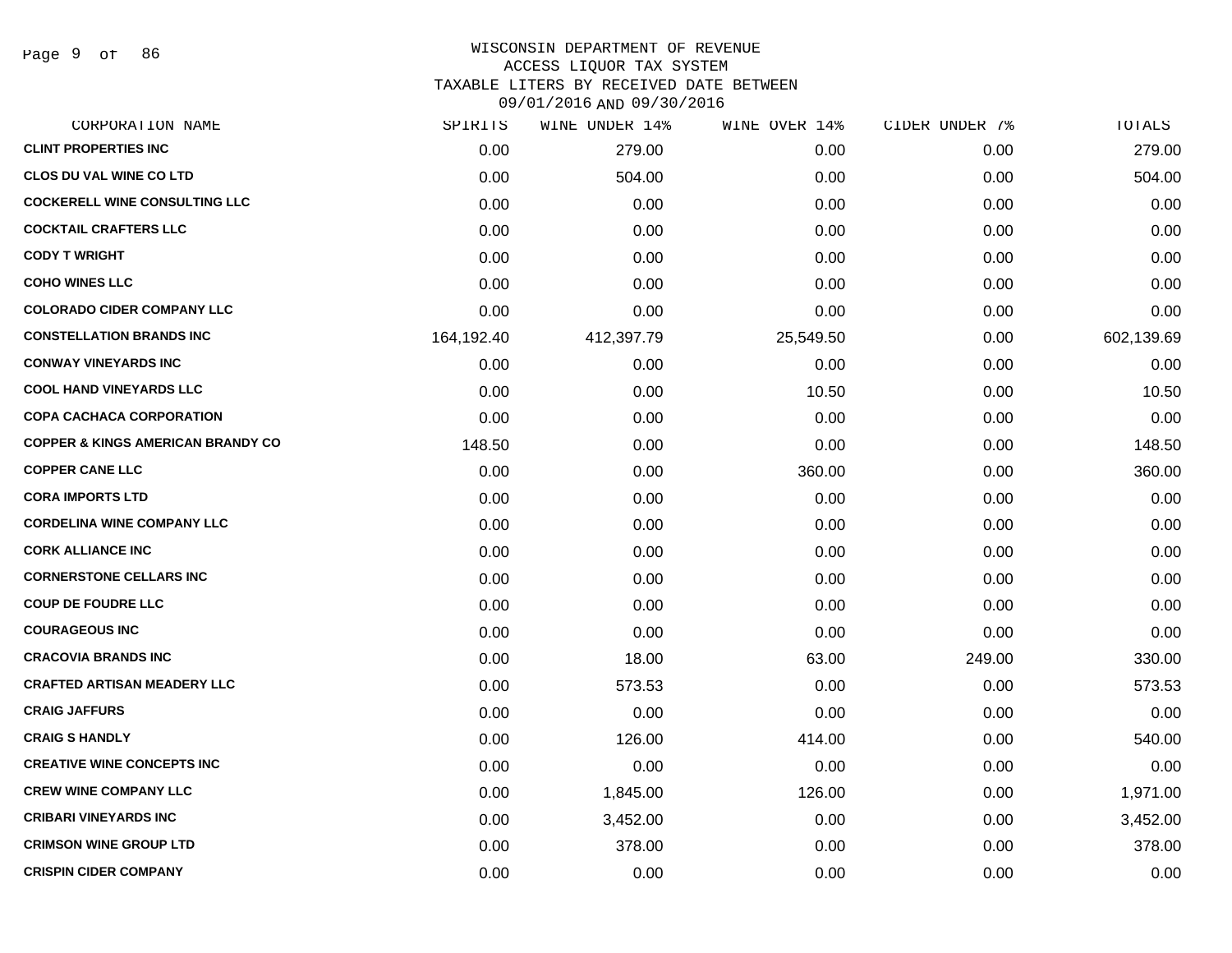Page 9 of 86

#### WISCONSIN DEPARTMENT OF REVENUE ACCESS LIQUOR TAX SYSTEM

TAXABLE LITERS BY RECEIVED DATE BETWEEN

| CORPORATION NAME                             | SPIRITS    | WINE UNDER 14% | WINE OVER 14% | CIDER UNDER 7% | TOTALS     |
|----------------------------------------------|------------|----------------|---------------|----------------|------------|
| <b>CLINT PROPERTIES INC</b>                  | 0.00       | 279.00         | 0.00          | 0.00           | 279.00     |
| <b>CLOS DU VAL WINE CO LTD</b>               | 0.00       | 504.00         | 0.00          | 0.00           | 504.00     |
| <b>COCKERELL WINE CONSULTING LLC</b>         | 0.00       | 0.00           | 0.00          | 0.00           | 0.00       |
| <b>COCKTAIL CRAFTERS LLC</b>                 | 0.00       | 0.00           | 0.00          | 0.00           | 0.00       |
| <b>CODY T WRIGHT</b>                         | 0.00       | 0.00           | 0.00          | 0.00           | 0.00       |
| <b>COHO WINES LLC</b>                        | 0.00       | 0.00           | 0.00          | 0.00           | 0.00       |
| <b>COLORADO CIDER COMPANY LLC</b>            | 0.00       | 0.00           | 0.00          | 0.00           | 0.00       |
| <b>CONSTELLATION BRANDS INC</b>              | 164,192.40 | 412,397.79     | 25,549.50     | 0.00           | 602,139.69 |
| <b>CONWAY VINEYARDS INC</b>                  | 0.00       | 0.00           | 0.00          | 0.00           | 0.00       |
| <b>COOL HAND VINEYARDS LLC</b>               | 0.00       | 0.00           | 10.50         | 0.00           | 10.50      |
| <b>COPA CACHACA CORPORATION</b>              | 0.00       | 0.00           | 0.00          | 0.00           | 0.00       |
| <b>COPPER &amp; KINGS AMERICAN BRANDY CO</b> | 148.50     | 0.00           | 0.00          | 0.00           | 148.50     |
| <b>COPPER CANE LLC</b>                       | 0.00       | 0.00           | 360.00        | 0.00           | 360.00     |
| <b>CORA IMPORTS LTD</b>                      | 0.00       | 0.00           | 0.00          | 0.00           | 0.00       |
| <b>CORDELINA WINE COMPANY LLC</b>            | 0.00       | 0.00           | 0.00          | 0.00           | 0.00       |
| <b>CORK ALLIANCE INC</b>                     | 0.00       | 0.00           | 0.00          | 0.00           | 0.00       |
| <b>CORNERSTONE CELLARS INC</b>               | 0.00       | 0.00           | 0.00          | 0.00           | 0.00       |
| <b>COUP DE FOUDRE LLC</b>                    | 0.00       | 0.00           | 0.00          | 0.00           | 0.00       |
| <b>COURAGEOUS INC</b>                        | 0.00       | 0.00           | 0.00          | 0.00           | 0.00       |
| <b>CRACOVIA BRANDS INC</b>                   | 0.00       | 18.00          | 63.00         | 249.00         | 330.00     |
| <b>CRAFTED ARTISAN MEADERY LLC</b>           | 0.00       | 573.53         | 0.00          | 0.00           | 573.53     |
| <b>CRAIG JAFFURS</b>                         | 0.00       | 0.00           | 0.00          | 0.00           | 0.00       |
| <b>CRAIG S HANDLY</b>                        | 0.00       | 126.00         | 414.00        | 0.00           | 540.00     |
| <b>CREATIVE WINE CONCEPTS INC</b>            | 0.00       | 0.00           | 0.00          | 0.00           | 0.00       |
| <b>CREW WINE COMPANY LLC</b>                 | 0.00       | 1,845.00       | 126.00        | 0.00           | 1,971.00   |
| <b>CRIBARI VINEYARDS INC</b>                 | 0.00       | 3,452.00       | 0.00          | 0.00           | 3,452.00   |
| <b>CRIMSON WINE GROUP LTD</b>                | 0.00       | 378.00         | 0.00          | 0.00           | 378.00     |
| <b>CRISPIN CIDER COMPANY</b>                 | 0.00       | 0.00           | 0.00          | 0.00           | 0.00       |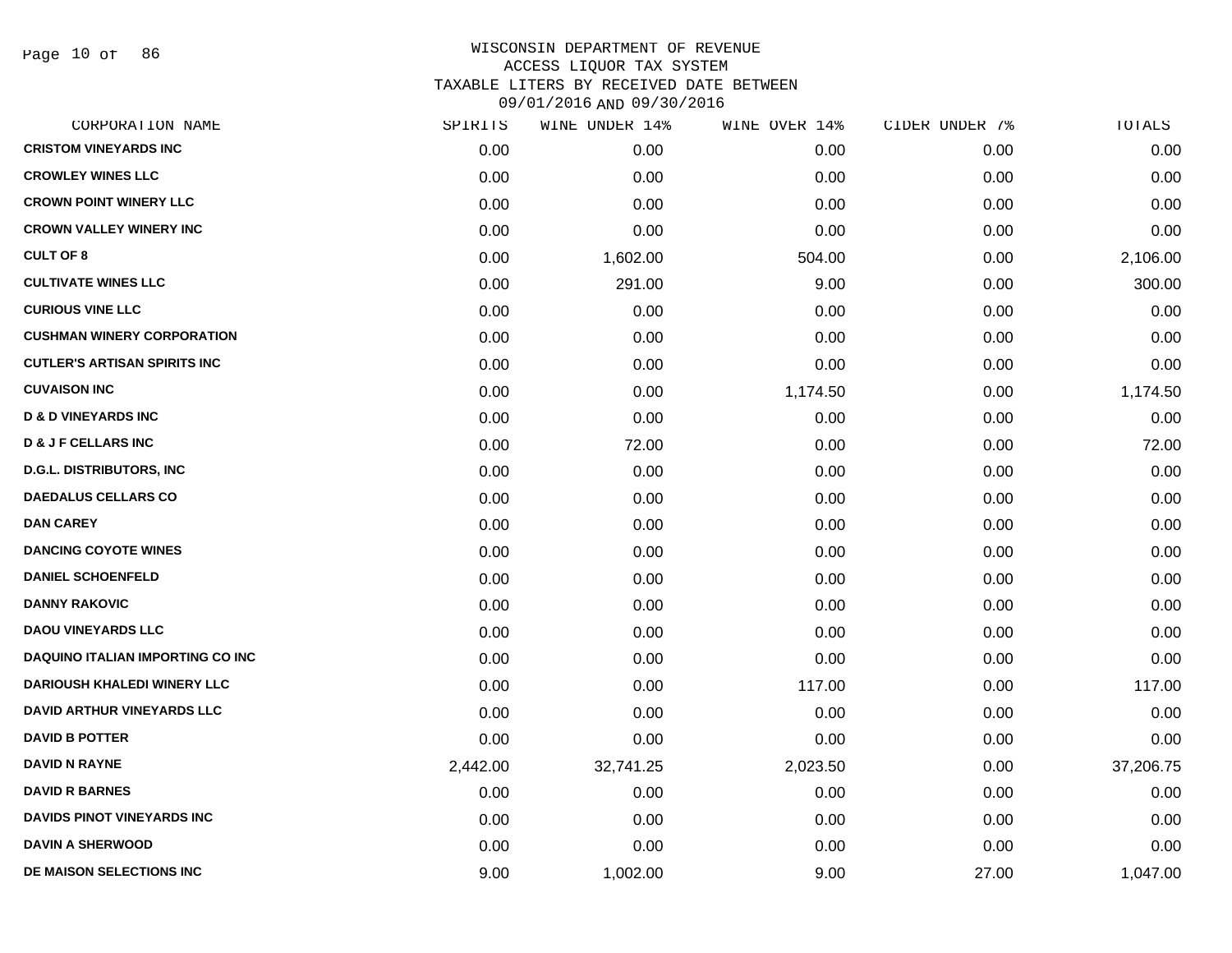Page 10 of 86

| CORPORATION NAME                        | SPIRITS  | WINE UNDER 14% | WINE OVER 14% | CIDER UNDER 7% | TOTALS    |
|-----------------------------------------|----------|----------------|---------------|----------------|-----------|
| <b>CRISTOM VINEYARDS INC</b>            | 0.00     | 0.00           | 0.00          | 0.00           | 0.00      |
| <b>CROWLEY WINES LLC</b>                | 0.00     | 0.00           | 0.00          | 0.00           | 0.00      |
| <b>CROWN POINT WINERY LLC</b>           | 0.00     | 0.00           | 0.00          | 0.00           | 0.00      |
| <b>CROWN VALLEY WINERY INC</b>          | 0.00     | 0.00           | 0.00          | 0.00           | 0.00      |
| <b>CULT OF 8</b>                        | 0.00     | 1,602.00       | 504.00        | 0.00           | 2,106.00  |
| <b>CULTIVATE WINES LLC</b>              | 0.00     | 291.00         | 9.00          | 0.00           | 300.00    |
| <b>CURIOUS VINE LLC</b>                 | 0.00     | 0.00           | 0.00          | 0.00           | 0.00      |
| <b>CUSHMAN WINERY CORPORATION</b>       | 0.00     | 0.00           | 0.00          | 0.00           | 0.00      |
| <b>CUTLER'S ARTISAN SPIRITS INC</b>     | 0.00     | 0.00           | 0.00          | 0.00           | 0.00      |
| <b>CUVAISON INC</b>                     | 0.00     | 0.00           | 1,174.50      | 0.00           | 1,174.50  |
| <b>D &amp; D VINEYARDS INC</b>          | 0.00     | 0.00           | 0.00          | 0.00           | 0.00      |
| <b>D &amp; J F CELLARS INC</b>          | 0.00     | 72.00          | 0.00          | 0.00           | 72.00     |
| <b>D.G.L. DISTRIBUTORS, INC</b>         | 0.00     | 0.00           | 0.00          | 0.00           | 0.00      |
| <b>DAEDALUS CELLARS CO</b>              | 0.00     | 0.00           | 0.00          | 0.00           | 0.00      |
| <b>DAN CAREY</b>                        | 0.00     | 0.00           | 0.00          | 0.00           | 0.00      |
| <b>DANCING COYOTE WINES</b>             | 0.00     | 0.00           | 0.00          | 0.00           | 0.00      |
| <b>DANIEL SCHOENFELD</b>                | 0.00     | 0.00           | 0.00          | 0.00           | 0.00      |
| <b>DANNY RAKOVIC</b>                    | 0.00     | 0.00           | 0.00          | 0.00           | 0.00      |
| <b>DAOU VINEYARDS LLC</b>               | 0.00     | 0.00           | 0.00          | 0.00           | 0.00      |
| <b>DAQUINO ITALIAN IMPORTING CO INC</b> | 0.00     | 0.00           | 0.00          | 0.00           | 0.00      |
| <b>DARIOUSH KHALEDI WINERY LLC</b>      | 0.00     | 0.00           | 117.00        | 0.00           | 117.00    |
| DAVID ARTHUR VINEYARDS LLC              | 0.00     | 0.00           | 0.00          | 0.00           | 0.00      |
| <b>DAVID B POTTER</b>                   | 0.00     | 0.00           | 0.00          | 0.00           | 0.00      |
| <b>DAVID N RAYNE</b>                    | 2,442.00 | 32,741.25      | 2,023.50      | 0.00           | 37,206.75 |
| <b>DAVID R BARNES</b>                   | 0.00     | 0.00           | 0.00          | 0.00           | 0.00      |
| <b>DAVIDS PINOT VINEYARDS INC</b>       | 0.00     | 0.00           | 0.00          | 0.00           | 0.00      |
| <b>DAVIN A SHERWOOD</b>                 | 0.00     | 0.00           | 0.00          | 0.00           | 0.00      |
| DE MAISON SELECTIONS INC                | 9.00     | 1,002.00       | 9.00          | 27.00          | 1,047.00  |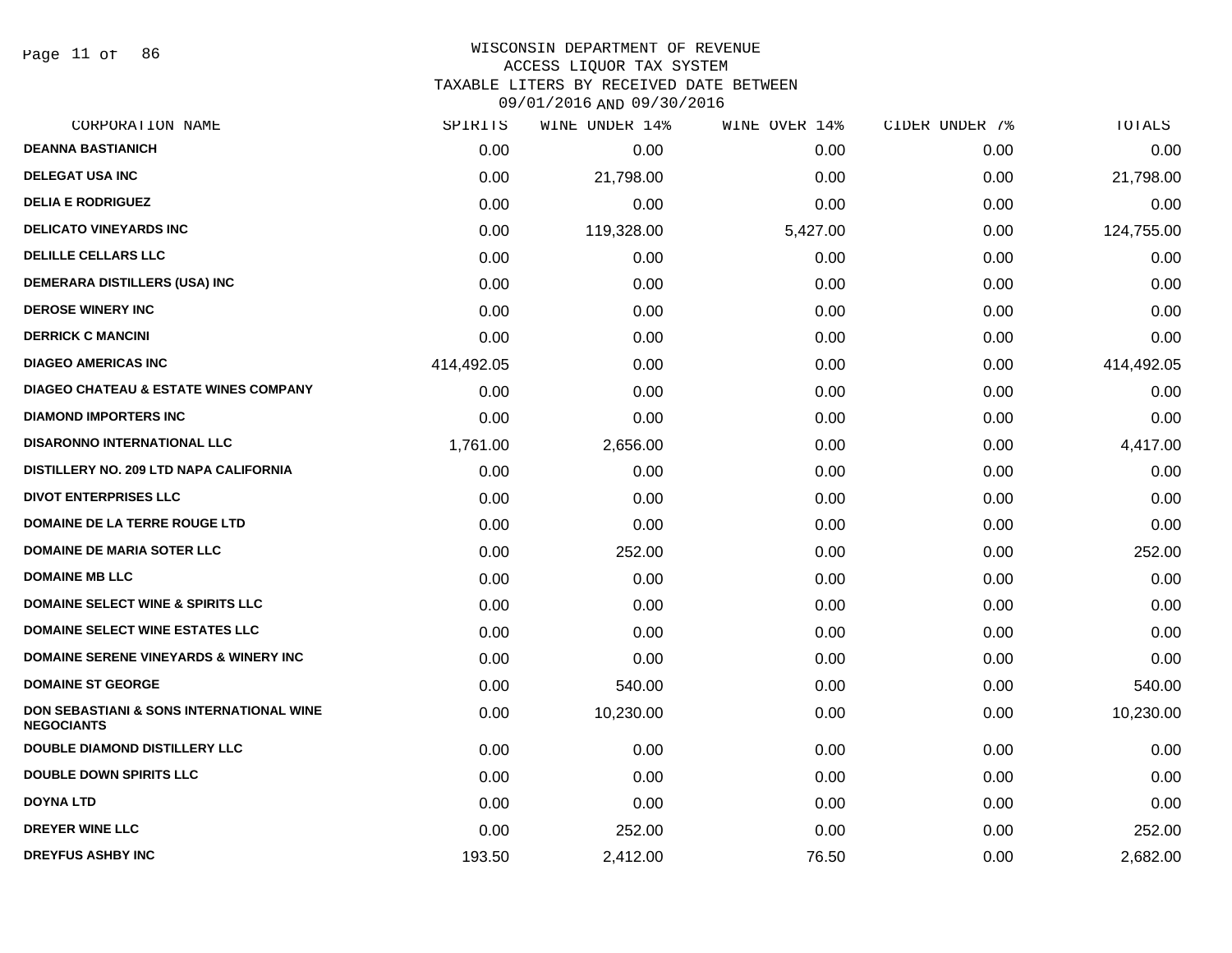Page 11 of 86

#### WISCONSIN DEPARTMENT OF REVENUE ACCESS LIQUOR TAX SYSTEM

TAXABLE LITERS BY RECEIVED DATE BETWEEN

| CORPORATION NAME                                                         | SPIRITS    | WINE UNDER 14% | WINE OVER 14% | CIDER UNDER 7% | TOTALS     |
|--------------------------------------------------------------------------|------------|----------------|---------------|----------------|------------|
| <b>DEANNA BASTIANICH</b>                                                 | 0.00       | 0.00           | 0.00          | 0.00           | 0.00       |
| <b>DELEGAT USA INC</b>                                                   | 0.00       | 21,798.00      | 0.00          | 0.00           | 21,798.00  |
| <b>DELIA E RODRIGUEZ</b>                                                 | 0.00       | 0.00           | 0.00          | 0.00           | 0.00       |
| <b>DELICATO VINEYARDS INC</b>                                            | 0.00       | 119,328.00     | 5,427.00      | 0.00           | 124,755.00 |
| <b>DELILLE CELLARS LLC</b>                                               | 0.00       | 0.00           | 0.00          | 0.00           | 0.00       |
| DEMERARA DISTILLERS (USA) INC                                            | 0.00       | 0.00           | 0.00          | 0.00           | 0.00       |
| <b>DEROSE WINERY INC</b>                                                 | 0.00       | 0.00           | 0.00          | 0.00           | 0.00       |
| <b>DERRICK C MANCINI</b>                                                 | 0.00       | 0.00           | 0.00          | 0.00           | 0.00       |
| <b>DIAGEO AMERICAS INC</b>                                               | 414,492.05 | 0.00           | 0.00          | 0.00           | 414,492.05 |
| <b>DIAGEO CHATEAU &amp; ESTATE WINES COMPANY</b>                         | 0.00       | 0.00           | 0.00          | 0.00           | 0.00       |
| <b>DIAMOND IMPORTERS INC</b>                                             | 0.00       | 0.00           | 0.00          | 0.00           | 0.00       |
| <b>DISARONNO INTERNATIONAL LLC</b>                                       | 1,761.00   | 2,656.00       | 0.00          | 0.00           | 4,417.00   |
| DISTILLERY NO. 209 LTD NAPA CALIFORNIA                                   | 0.00       | 0.00           | 0.00          | 0.00           | 0.00       |
| <b>DIVOT ENTERPRISES LLC</b>                                             | 0.00       | 0.00           | 0.00          | 0.00           | 0.00       |
| <b>DOMAINE DE LA TERRE ROUGE LTD</b>                                     | 0.00       | 0.00           | 0.00          | 0.00           | 0.00       |
| DOMAINE DE MARIA SOTER LLC                                               | 0.00       | 252.00         | 0.00          | 0.00           | 252.00     |
| <b>DOMAINE MB LLC</b>                                                    | 0.00       | 0.00           | 0.00          | 0.00           | 0.00       |
| <b>DOMAINE SELECT WINE &amp; SPIRITS LLC</b>                             | 0.00       | 0.00           | 0.00          | 0.00           | 0.00       |
| <b>DOMAINE SELECT WINE ESTATES LLC</b>                                   | 0.00       | 0.00           | 0.00          | 0.00           | 0.00       |
| <b>DOMAINE SERENE VINEYARDS &amp; WINERY INC</b>                         | 0.00       | 0.00           | 0.00          | 0.00           | 0.00       |
| <b>DOMAINE ST GEORGE</b>                                                 | 0.00       | 540.00         | 0.00          | 0.00           | 540.00     |
| <b>DON SEBASTIANI &amp; SONS INTERNATIONAL WINE</b><br><b>NEGOCIANTS</b> | 0.00       | 10,230.00      | 0.00          | 0.00           | 10,230.00  |
| <b>DOUBLE DIAMOND DISTILLERY LLC</b>                                     | 0.00       | 0.00           | 0.00          | 0.00           | 0.00       |
| <b>DOUBLE DOWN SPIRITS LLC</b>                                           | 0.00       | 0.00           | 0.00          | 0.00           | 0.00       |
| <b>DOYNA LTD</b>                                                         | 0.00       | 0.00           | 0.00          | 0.00           | 0.00       |
| <b>DREYER WINE LLC</b>                                                   | 0.00       | 252.00         | 0.00          | 0.00           | 252.00     |
| <b>DREYFUS ASHBY INC</b>                                                 | 193.50     | 2,412.00       | 76.50         | 0.00           | 2,682.00   |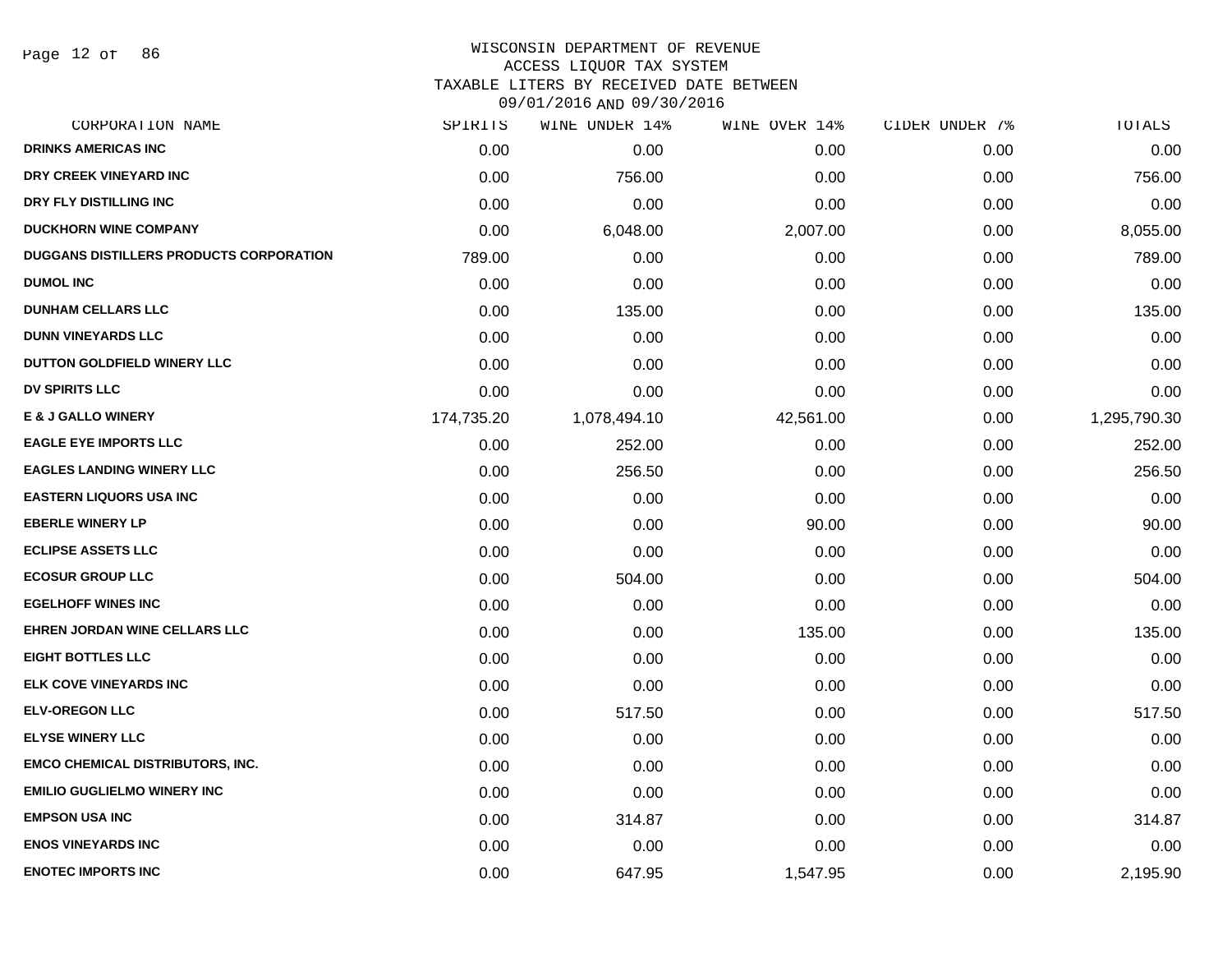Page 12 of 86

# WISCONSIN DEPARTMENT OF REVENUE

ACCESS LIQUOR TAX SYSTEM

TAXABLE LITERS BY RECEIVED DATE BETWEEN

| CORPORATION NAME                        | SPIRITS    | WINE UNDER 14% | WINE OVER 14% | CIDER UNDER 7% | TOTALS       |
|-----------------------------------------|------------|----------------|---------------|----------------|--------------|
| <b>DRINKS AMERICAS INC</b>              | 0.00       | 0.00           | 0.00          | 0.00           | 0.00         |
| DRY CREEK VINEYARD INC                  | 0.00       | 756.00         | 0.00          | 0.00           | 756.00       |
| DRY FLY DISTILLING INC                  | 0.00       | 0.00           | 0.00          | 0.00           | 0.00         |
| <b>DUCKHORN WINE COMPANY</b>            | 0.00       | 6,048.00       | 2,007.00      | 0.00           | 8,055.00     |
| DUGGANS DISTILLERS PRODUCTS CORPORATION | 789.00     | 0.00           | 0.00          | 0.00           | 789.00       |
| <b>DUMOL INC</b>                        | 0.00       | 0.00           | 0.00          | 0.00           | 0.00         |
| <b>DUNHAM CELLARS LLC</b>               | 0.00       | 135.00         | 0.00          | 0.00           | 135.00       |
| <b>DUNN VINEYARDS LLC</b>               | 0.00       | 0.00           | 0.00          | 0.00           | 0.00         |
| DUTTON GOLDFIELD WINERY LLC             | 0.00       | 0.00           | 0.00          | 0.00           | 0.00         |
| <b>DV SPIRITS LLC</b>                   | 0.00       | 0.00           | 0.00          | 0.00           | 0.00         |
| <b>E &amp; J GALLO WINERY</b>           | 174,735.20 | 1,078,494.10   | 42,561.00     | 0.00           | 1,295,790.30 |
| <b>EAGLE EYE IMPORTS LLC</b>            | 0.00       | 252.00         | 0.00          | 0.00           | 252.00       |
| <b>EAGLES LANDING WINERY LLC</b>        | 0.00       | 256.50         | 0.00          | 0.00           | 256.50       |
| <b>EASTERN LIQUORS USA INC</b>          | 0.00       | 0.00           | 0.00          | 0.00           | 0.00         |
| <b>EBERLE WINERY LP</b>                 | 0.00       | 0.00           | 90.00         | 0.00           | 90.00        |
| <b>ECLIPSE ASSETS LLC</b>               | 0.00       | 0.00           | 0.00          | 0.00           | 0.00         |
| <b>ECOSUR GROUP LLC</b>                 | 0.00       | 504.00         | 0.00          | 0.00           | 504.00       |
| <b>EGELHOFF WINES INC</b>               | 0.00       | 0.00           | 0.00          | 0.00           | 0.00         |
| EHREN JORDAN WINE CELLARS LLC           | 0.00       | 0.00           | 135.00        | 0.00           | 135.00       |
| <b>EIGHT BOTTLES LLC</b>                | 0.00       | 0.00           | 0.00          | 0.00           | 0.00         |
| ELK COVE VINEYARDS INC                  | 0.00       | 0.00           | 0.00          | 0.00           | 0.00         |
| <b>ELV-OREGON LLC</b>                   | 0.00       | 517.50         | 0.00          | 0.00           | 517.50       |
| <b>ELYSE WINERY LLC</b>                 | 0.00       | 0.00           | 0.00          | 0.00           | 0.00         |
| <b>EMCO CHEMICAL DISTRIBUTORS, INC.</b> | 0.00       | 0.00           | 0.00          | 0.00           | 0.00         |
| <b>EMILIO GUGLIELMO WINERY INC</b>      | 0.00       | 0.00           | 0.00          | 0.00           | 0.00         |
| <b>EMPSON USA INC</b>                   | 0.00       | 314.87         | 0.00          | 0.00           | 314.87       |
| <b>ENOS VINEYARDS INC</b>               | 0.00       | 0.00           | 0.00          | 0.00           | 0.00         |
| <b>ENOTEC IMPORTS INC</b>               | 0.00       | 647.95         | 1,547.95      | 0.00           | 2,195.90     |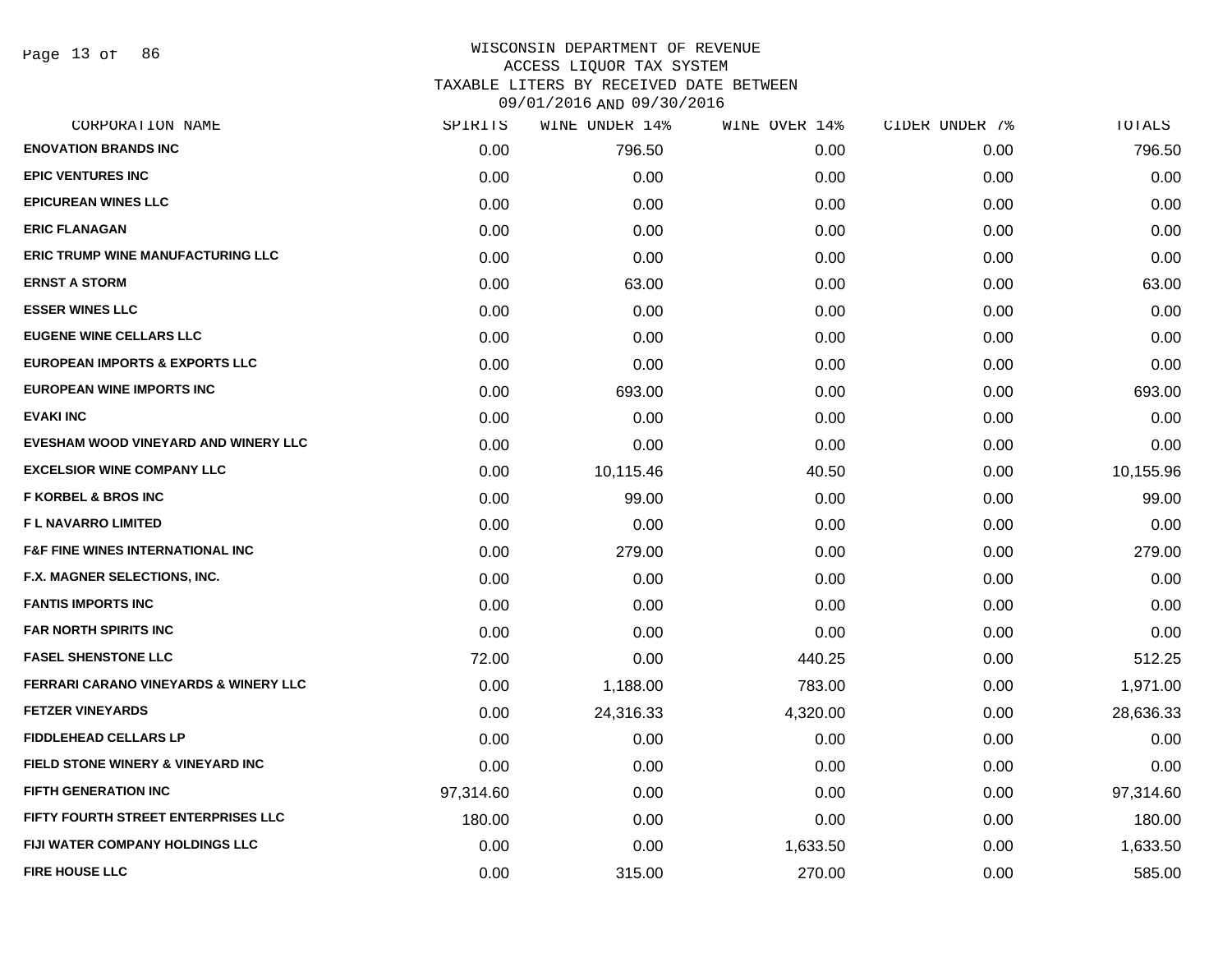| CORPORATION NAME                                 | SPIRITS   | WINE UNDER 14% | WINE OVER 14% | CIDER UNDER 7% | TOTALS    |
|--------------------------------------------------|-----------|----------------|---------------|----------------|-----------|
| <b>ENOVATION BRANDS INC</b>                      | 0.00      | 796.50         | 0.00          | 0.00           | 796.50    |
| <b>EPIC VENTURES INC</b>                         | 0.00      | 0.00           | 0.00          | 0.00           | 0.00      |
| <b>EPICUREAN WINES LLC</b>                       | 0.00      | 0.00           | 0.00          | 0.00           | 0.00      |
| <b>ERIC FLANAGAN</b>                             | 0.00      | 0.00           | 0.00          | 0.00           | 0.00      |
| <b>ERIC TRUMP WINE MANUFACTURING LLC</b>         | 0.00      | 0.00           | 0.00          | 0.00           | 0.00      |
| <b>ERNST A STORM</b>                             | 0.00      | 63.00          | 0.00          | 0.00           | 63.00     |
| <b>ESSER WINES LLC</b>                           | 0.00      | 0.00           | 0.00          | 0.00           | 0.00      |
| <b>EUGENE WINE CELLARS LLC</b>                   | 0.00      | 0.00           | 0.00          | 0.00           | 0.00      |
| <b>EUROPEAN IMPORTS &amp; EXPORTS LLC</b>        | 0.00      | 0.00           | 0.00          | 0.00           | 0.00      |
| <b>EUROPEAN WINE IMPORTS INC</b>                 | 0.00      | 693.00         | 0.00          | 0.00           | 693.00    |
| <b>EVAKI INC</b>                                 | 0.00      | 0.00           | 0.00          | 0.00           | 0.00      |
| EVESHAM WOOD VINEYARD AND WINERY LLC             | 0.00      | 0.00           | 0.00          | 0.00           | 0.00      |
| <b>EXCELSIOR WINE COMPANY LLC</b>                | 0.00      | 10,115.46      | 40.50         | 0.00           | 10,155.96 |
| <b>F KORBEL &amp; BROS INC</b>                   | 0.00      | 99.00          | 0.00          | 0.00           | 99.00     |
| <b>FL NAVARRO LIMITED</b>                        | 0.00      | 0.00           | 0.00          | 0.00           | 0.00      |
| <b>F&amp;F FINE WINES INTERNATIONAL INC</b>      | 0.00      | 279.00         | 0.00          | 0.00           | 279.00    |
| <b>F.X. MAGNER SELECTIONS, INC.</b>              | 0.00      | 0.00           | 0.00          | 0.00           | 0.00      |
| <b>FANTIS IMPORTS INC</b>                        | 0.00      | 0.00           | 0.00          | 0.00           | 0.00      |
| <b>FAR NORTH SPIRITS INC</b>                     | 0.00      | 0.00           | 0.00          | 0.00           | 0.00      |
| <b>FASEL SHENSTONE LLC</b>                       | 72.00     | 0.00           | 440.25        | 0.00           | 512.25    |
| <b>FERRARI CARANO VINEYARDS &amp; WINERY LLC</b> | 0.00      | 1,188.00       | 783.00        | 0.00           | 1,971.00  |
| <b>FETZER VINEYARDS</b>                          | 0.00      | 24,316.33      | 4,320.00      | 0.00           | 28,636.33 |
| <b>FIDDLEHEAD CELLARS LP</b>                     | 0.00      | 0.00           | 0.00          | 0.00           | 0.00      |
| <b>FIELD STONE WINERY &amp; VINEYARD INC</b>     | 0.00      | 0.00           | 0.00          | 0.00           | 0.00      |
| <b>FIFTH GENERATION INC</b>                      | 97,314.60 | 0.00           | 0.00          | 0.00           | 97,314.60 |
| FIFTY FOURTH STREET ENTERPRISES LLC              | 180.00    | 0.00           | 0.00          | 0.00           | 180.00    |
| <b>FIJI WATER COMPANY HOLDINGS LLC</b>           | 0.00      | 0.00           | 1,633.50      | 0.00           | 1,633.50  |
| <b>FIRE HOUSE LLC</b>                            | 0.00      | 315.00         | 270.00        | 0.00           | 585.00    |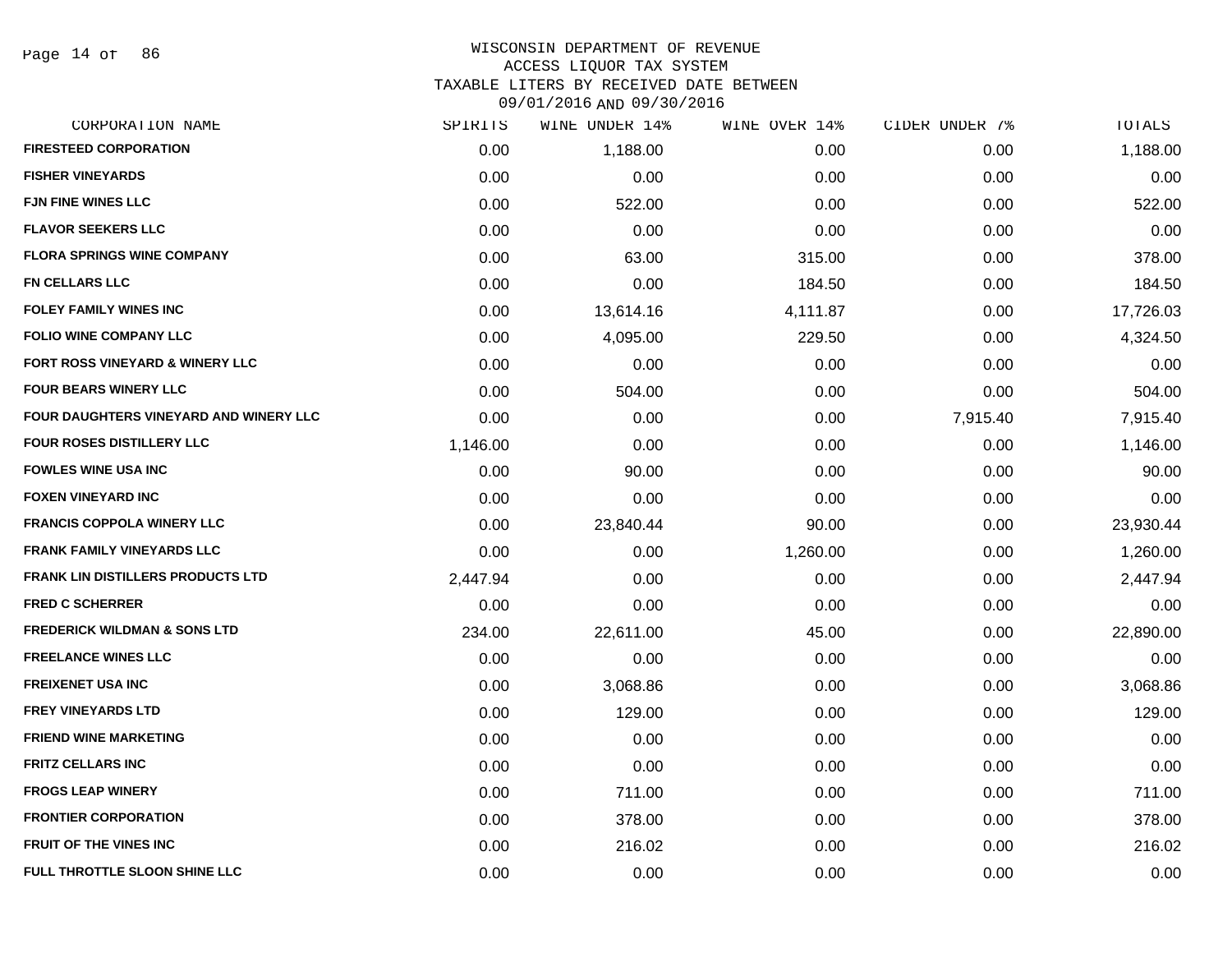#### WISCONSIN DEPARTMENT OF REVENUE ACCESS LIQUOR TAX SYSTEM TAXABLE LITERS BY RECEIVED DATE BETWEEN

| CORPORATION NAME                         | SPIRITS  | WINE UNDER 14% | WINE OVER 14% | CIDER UNDER 7% | TOTALS    |
|------------------------------------------|----------|----------------|---------------|----------------|-----------|
| <b>FIRESTEED CORPORATION</b>             | 0.00     | 1,188.00       | 0.00          | 0.00           | 1,188.00  |
| <b>FISHER VINEYARDS</b>                  | 0.00     | 0.00           | 0.00          | 0.00           | 0.00      |
| <b>FJN FINE WINES LLC</b>                | 0.00     | 522.00         | 0.00          | 0.00           | 522.00    |
| <b>FLAVOR SEEKERS LLC</b>                | 0.00     | 0.00           | 0.00          | 0.00           | 0.00      |
| <b>FLORA SPRINGS WINE COMPANY</b>        | 0.00     | 63.00          | 315.00        | 0.00           | 378.00    |
| <b>FN CELLARS LLC</b>                    | 0.00     | 0.00           | 184.50        | 0.00           | 184.50    |
| <b>FOLEY FAMILY WINES INC</b>            | 0.00     | 13,614.16      | 4,111.87      | 0.00           | 17,726.03 |
| <b>FOLIO WINE COMPANY LLC</b>            | 0.00     | 4,095.00       | 229.50        | 0.00           | 4,324.50  |
| FORT ROSS VINEYARD & WINERY LLC          | 0.00     | 0.00           | 0.00          | 0.00           | 0.00      |
| <b>FOUR BEARS WINERY LLC</b>             | 0.00     | 504.00         | 0.00          | 0.00           | 504.00    |
| FOUR DAUGHTERS VINEYARD AND WINERY LLC   | 0.00     | 0.00           | 0.00          | 7,915.40       | 7,915.40  |
| FOUR ROSES DISTILLERY LLC                | 1,146.00 | 0.00           | 0.00          | 0.00           | 1,146.00  |
| <b>FOWLES WINE USA INC</b>               | 0.00     | 90.00          | 0.00          | 0.00           | 90.00     |
| <b>FOXEN VINEYARD INC</b>                | 0.00     | 0.00           | 0.00          | 0.00           | 0.00      |
| <b>FRANCIS COPPOLA WINERY LLC</b>        | 0.00     | 23,840.44      | 90.00         | 0.00           | 23,930.44 |
| <b>FRANK FAMILY VINEYARDS LLC</b>        | 0.00     | 0.00           | 1,260.00      | 0.00           | 1,260.00  |
| <b>FRANK LIN DISTILLERS PRODUCTS LTD</b> | 2,447.94 | 0.00           | 0.00          | 0.00           | 2,447.94  |
| <b>FRED C SCHERRER</b>                   | 0.00     | 0.00           | 0.00          | 0.00           | 0.00      |
| <b>FREDERICK WILDMAN &amp; SONS LTD</b>  | 234.00   | 22,611.00      | 45.00         | 0.00           | 22,890.00 |
| <b>FREELANCE WINES LLC</b>               | 0.00     | 0.00           | 0.00          | 0.00           | 0.00      |
| <b>FREIXENET USA INC</b>                 | 0.00     | 3,068.86       | 0.00          | 0.00           | 3,068.86  |
| <b>FREY VINEYARDS LTD</b>                | 0.00     | 129.00         | 0.00          | 0.00           | 129.00    |
| <b>FRIEND WINE MARKETING</b>             | 0.00     | 0.00           | 0.00          | 0.00           | 0.00      |
| <b>FRITZ CELLARS INC</b>                 | 0.00     | 0.00           | 0.00          | 0.00           | 0.00      |
| <b>FROGS LEAP WINERY</b>                 | 0.00     | 711.00         | 0.00          | 0.00           | 711.00    |
| <b>FRONTIER CORPORATION</b>              | 0.00     | 378.00         | 0.00          | 0.00           | 378.00    |
| <b>FRUIT OF THE VINES INC</b>            | 0.00     | 216.02         | 0.00          | 0.00           | 216.02    |
| FULL THROTTLE SLOON SHINE LLC            | 0.00     | 0.00           | 0.00          | 0.00           | 0.00      |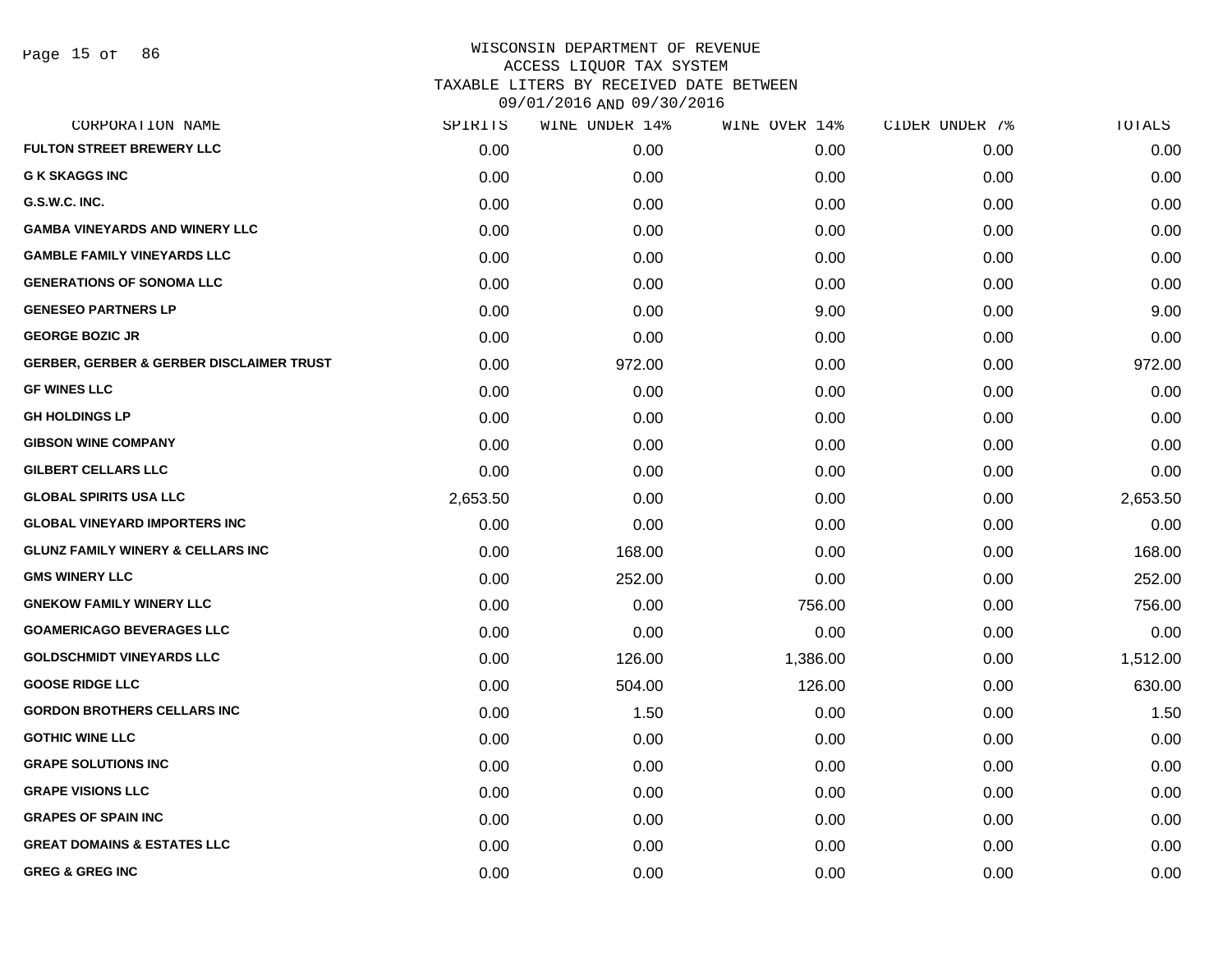| CORPORATION NAME                                    | SPIRITS  | WINE UNDER 14% | WINE OVER 14% | CIDER UNDER 7% | TOTALS   |
|-----------------------------------------------------|----------|----------------|---------------|----------------|----------|
| <b>FULTON STREET BREWERY LLC</b>                    | 0.00     | 0.00           | 0.00          | 0.00           | 0.00     |
| <b>G K SKAGGS INC</b>                               | 0.00     | 0.00           | 0.00          | 0.00           | 0.00     |
| G.S.W.C. INC.                                       | 0.00     | 0.00           | 0.00          | 0.00           | 0.00     |
| <b>GAMBA VINEYARDS AND WINERY LLC</b>               | 0.00     | 0.00           | 0.00          | 0.00           | 0.00     |
| <b>GAMBLE FAMILY VINEYARDS LLC</b>                  | 0.00     | 0.00           | 0.00          | 0.00           | 0.00     |
| <b>GENERATIONS OF SONOMA LLC</b>                    | 0.00     | 0.00           | 0.00          | 0.00           | 0.00     |
| <b>GENESEO PARTNERS LP</b>                          | 0.00     | 0.00           | 9.00          | 0.00           | 9.00     |
| <b>GEORGE BOZIC JR</b>                              | 0.00     | 0.00           | 0.00          | 0.00           | 0.00     |
| <b>GERBER, GERBER &amp; GERBER DISCLAIMER TRUST</b> | 0.00     | 972.00         | 0.00          | 0.00           | 972.00   |
| <b>GF WINES LLC</b>                                 | 0.00     | 0.00           | 0.00          | 0.00           | 0.00     |
| <b>GH HOLDINGS LP</b>                               | 0.00     | 0.00           | 0.00          | 0.00           | 0.00     |
| <b>GIBSON WINE COMPANY</b>                          | 0.00     | 0.00           | 0.00          | 0.00           | 0.00     |
| <b>GILBERT CELLARS LLC</b>                          | 0.00     | 0.00           | 0.00          | 0.00           | 0.00     |
| <b>GLOBAL SPIRITS USA LLC</b>                       | 2,653.50 | 0.00           | 0.00          | 0.00           | 2,653.50 |
| <b>GLOBAL VINEYARD IMPORTERS INC</b>                | 0.00     | 0.00           | 0.00          | 0.00           | 0.00     |
| <b>GLUNZ FAMILY WINERY &amp; CELLARS INC</b>        | 0.00     | 168.00         | 0.00          | 0.00           | 168.00   |
| <b>GMS WINERY LLC</b>                               | 0.00     | 252.00         | 0.00          | 0.00           | 252.00   |
| <b>GNEKOW FAMILY WINERY LLC</b>                     | 0.00     | 0.00           | 756.00        | 0.00           | 756.00   |
| <b>GOAMERICAGO BEVERAGES LLC</b>                    | 0.00     | 0.00           | 0.00          | 0.00           | 0.00     |
| <b>GOLDSCHMIDT VINEYARDS LLC</b>                    | 0.00     | 126.00         | 1,386.00      | 0.00           | 1,512.00 |
| <b>GOOSE RIDGE LLC</b>                              | 0.00     | 504.00         | 126.00        | 0.00           | 630.00   |
| <b>GORDON BROTHERS CELLARS INC</b>                  | 0.00     | 1.50           | 0.00          | 0.00           | 1.50     |
| <b>GOTHIC WINE LLC</b>                              | 0.00     | 0.00           | 0.00          | 0.00           | 0.00     |
| <b>GRAPE SOLUTIONS INC</b>                          | 0.00     | 0.00           | 0.00          | 0.00           | 0.00     |
| <b>GRAPE VISIONS LLC</b>                            | 0.00     | 0.00           | 0.00          | 0.00           | 0.00     |
| <b>GRAPES OF SPAIN INC</b>                          | 0.00     | 0.00           | 0.00          | 0.00           | 0.00     |
| <b>GREAT DOMAINS &amp; ESTATES LLC</b>              | 0.00     | 0.00           | 0.00          | 0.00           | 0.00     |
| <b>GREG &amp; GREG INC</b>                          | 0.00     | 0.00           | 0.00          | 0.00           | 0.00     |
|                                                     |          |                |               |                |          |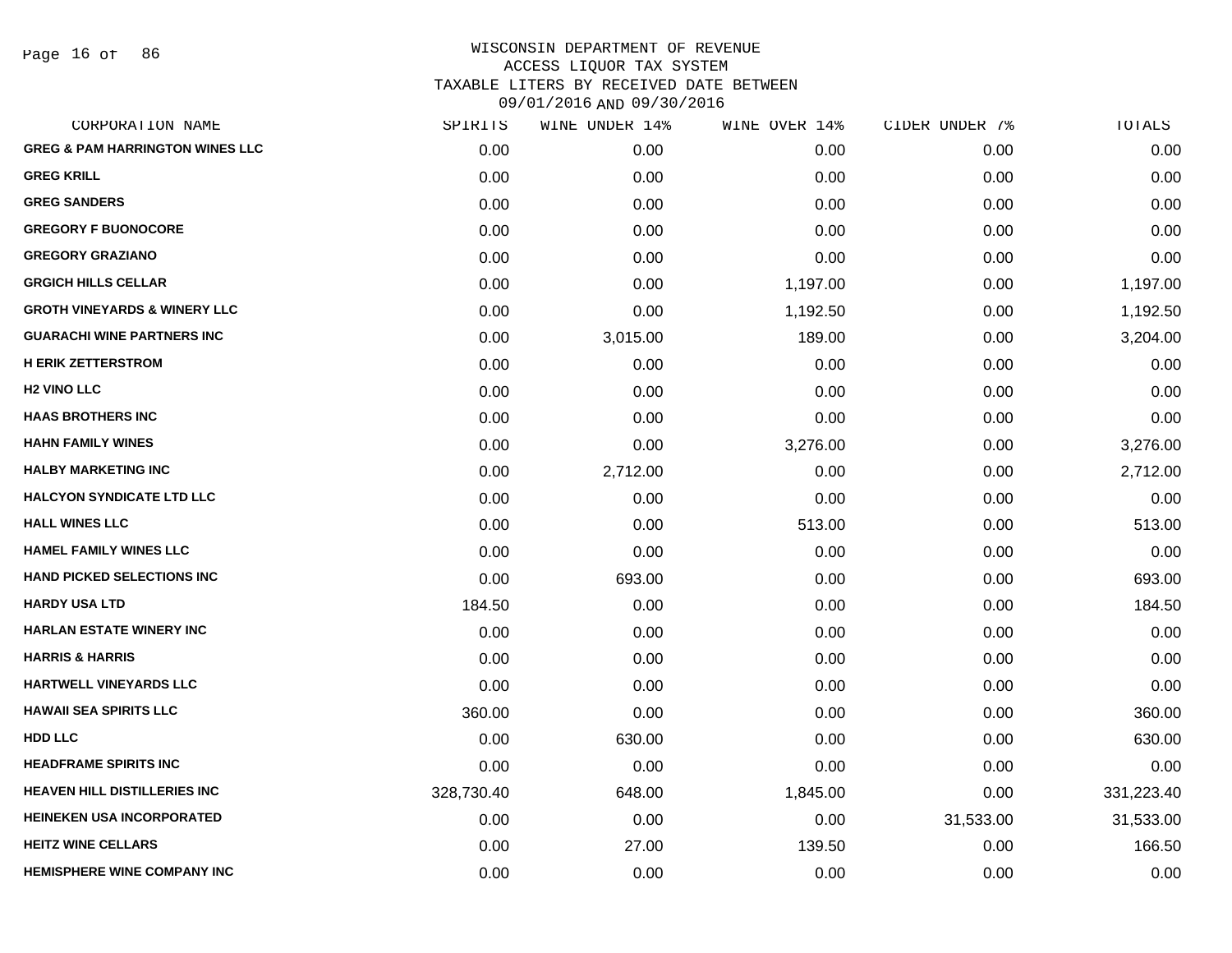Page 16 of 86

| CORPORATION NAME                           | SPIRITS    | WINE UNDER 14% | WINE OVER 14% | CIDER UNDER 7% | TOTALS     |
|--------------------------------------------|------------|----------------|---------------|----------------|------------|
| <b>GREG &amp; PAM HARRINGTON WINES LLC</b> | 0.00       | 0.00           | 0.00          | 0.00           | 0.00       |
| <b>GREG KRILL</b>                          | 0.00       | 0.00           | 0.00          | 0.00           | 0.00       |
| <b>GREG SANDERS</b>                        | 0.00       | 0.00           | 0.00          | 0.00           | 0.00       |
| <b>GREGORY F BUONOCORE</b>                 | 0.00       | 0.00           | 0.00          | 0.00           | 0.00       |
| <b>GREGORY GRAZIANO</b>                    | 0.00       | 0.00           | 0.00          | 0.00           | 0.00       |
| <b>GRGICH HILLS CELLAR</b>                 | 0.00       | 0.00           | 1,197.00      | 0.00           | 1,197.00   |
| <b>GROTH VINEYARDS &amp; WINERY LLC</b>    | 0.00       | 0.00           | 1,192.50      | 0.00           | 1,192.50   |
| <b>GUARACHI WINE PARTNERS INC</b>          | 0.00       | 3,015.00       | 189.00        | 0.00           | 3,204.00   |
| <b>H ERIK ZETTERSTROM</b>                  | 0.00       | 0.00           | 0.00          | 0.00           | 0.00       |
| <b>H2 VINO LLC</b>                         | 0.00       | 0.00           | 0.00          | 0.00           | 0.00       |
| <b>HAAS BROTHERS INC</b>                   | 0.00       | 0.00           | 0.00          | 0.00           | 0.00       |
| <b>HAHN FAMILY WINES</b>                   | 0.00       | 0.00           | 3,276.00      | 0.00           | 3,276.00   |
| <b>HALBY MARKETING INC</b>                 | 0.00       | 2,712.00       | 0.00          | 0.00           | 2,712.00   |
| <b>HALCYON SYNDICATE LTD LLC</b>           | 0.00       | 0.00           | 0.00          | 0.00           | 0.00       |
| <b>HALL WINES LLC</b>                      | 0.00       | 0.00           | 513.00        | 0.00           | 513.00     |
| <b>HAMEL FAMILY WINES LLC</b>              | 0.00       | 0.00           | 0.00          | 0.00           | 0.00       |
| <b>HAND PICKED SELECTIONS INC</b>          | 0.00       | 693.00         | 0.00          | 0.00           | 693.00     |
| <b>HARDY USA LTD</b>                       | 184.50     | 0.00           | 0.00          | 0.00           | 184.50     |
| <b>HARLAN ESTATE WINERY INC</b>            | 0.00       | 0.00           | 0.00          | 0.00           | 0.00       |
| <b>HARRIS &amp; HARRIS</b>                 | 0.00       | 0.00           | 0.00          | 0.00           | 0.00       |
| HARTWELL VINEYARDS LLC                     | 0.00       | 0.00           | 0.00          | 0.00           | 0.00       |
| <b>HAWAII SEA SPIRITS LLC</b>              | 360.00     | 0.00           | 0.00          | 0.00           | 360.00     |
| <b>HDD LLC</b>                             | 0.00       | 630.00         | 0.00          | 0.00           | 630.00     |
| <b>HEADFRAME SPIRITS INC</b>               | 0.00       | 0.00           | 0.00          | 0.00           | 0.00       |
| <b>HEAVEN HILL DISTILLERIES INC</b>        | 328,730.40 | 648.00         | 1,845.00      | 0.00           | 331,223.40 |
| <b>HEINEKEN USA INCORPORATED</b>           | 0.00       | 0.00           | 0.00          | 31,533.00      | 31,533.00  |
| <b>HEITZ WINE CELLARS</b>                  | 0.00       | 27.00          | 139.50        | 0.00           | 166.50     |
| <b>HEMISPHERE WINE COMPANY INC</b>         | 0.00       | 0.00           | 0.00          | 0.00           | 0.00       |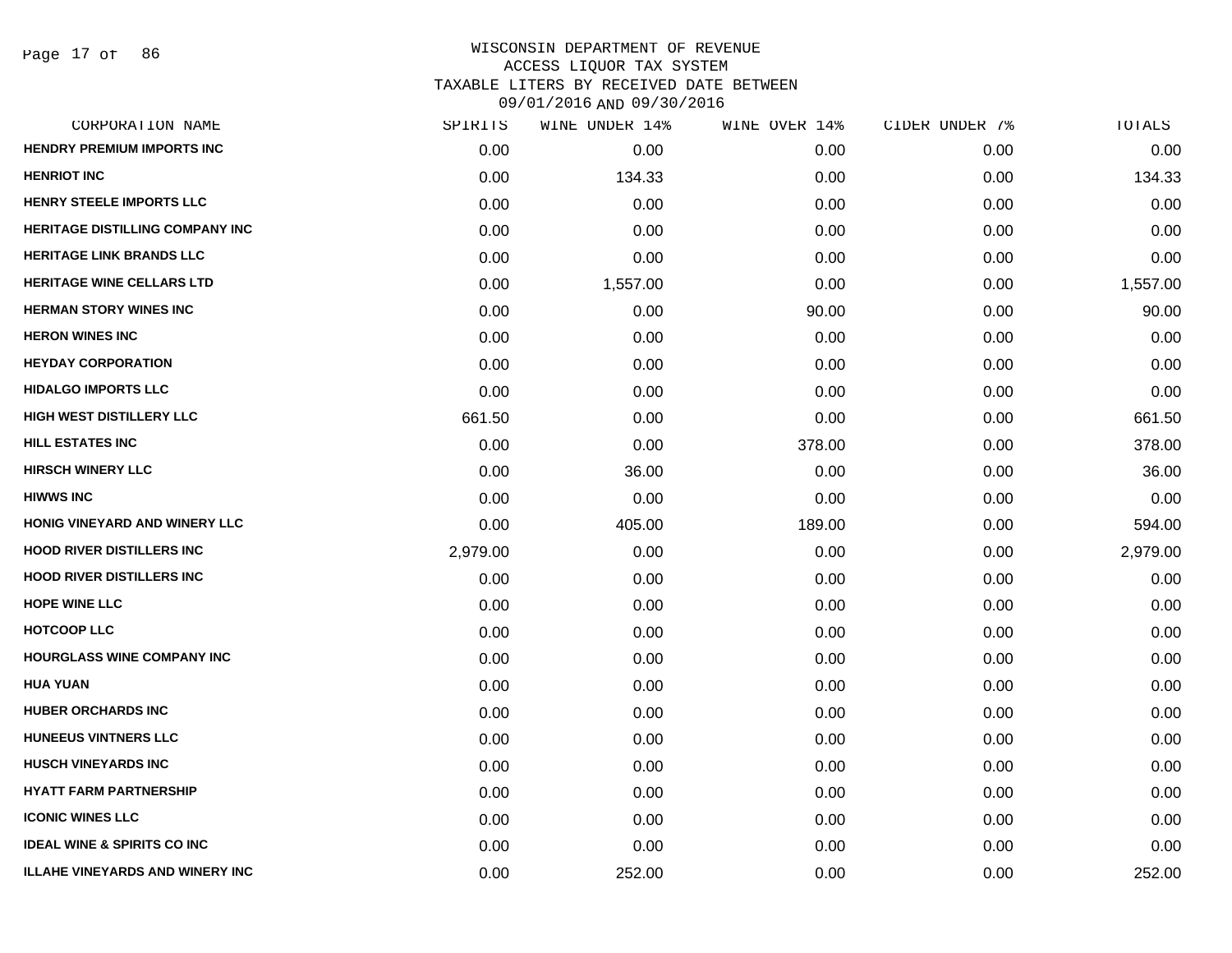| CORPORATION NAME                       | SPIRITS  | WINE UNDER 14% | WINE OVER 14% | CIDER UNDER 7% | TOTALS   |
|----------------------------------------|----------|----------------|---------------|----------------|----------|
| <b>HENDRY PREMIUM IMPORTS INC</b>      | 0.00     | 0.00           | 0.00          | 0.00           | 0.00     |
| <b>HENRIOT INC</b>                     | 0.00     | 134.33         | 0.00          | 0.00           | 134.33   |
| HENRY STEELE IMPORTS LLC               | 0.00     | 0.00           | 0.00          | 0.00           | 0.00     |
| <b>HERITAGE DISTILLING COMPANY INC</b> | 0.00     | 0.00           | 0.00          | 0.00           | 0.00     |
| <b>HERITAGE LINK BRANDS LLC</b>        | 0.00     | 0.00           | 0.00          | 0.00           | 0.00     |
| <b>HERITAGE WINE CELLARS LTD</b>       | 0.00     | 1,557.00       | 0.00          | 0.00           | 1,557.00 |
| <b>HERMAN STORY WINES INC</b>          | 0.00     | 0.00           | 90.00         | 0.00           | 90.00    |
| <b>HERON WINES INC</b>                 | 0.00     | 0.00           | 0.00          | 0.00           | 0.00     |
| <b>HEYDAY CORPORATION</b>              | 0.00     | 0.00           | 0.00          | 0.00           | 0.00     |
| <b>HIDALGO IMPORTS LLC</b>             | 0.00     | 0.00           | 0.00          | 0.00           | 0.00     |
| <b>HIGH WEST DISTILLERY LLC</b>        | 661.50   | 0.00           | 0.00          | 0.00           | 661.50   |
| <b>HILL ESTATES INC</b>                | 0.00     | 0.00           | 378.00        | 0.00           | 378.00   |
| <b>HIRSCH WINERY LLC</b>               | 0.00     | 36.00          | 0.00          | 0.00           | 36.00    |
| <b>HIWWS INC</b>                       | 0.00     | 0.00           | 0.00          | 0.00           | 0.00     |
| HONIG VINEYARD AND WINERY LLC          | 0.00     | 405.00         | 189.00        | 0.00           | 594.00   |
| <b>HOOD RIVER DISTILLERS INC</b>       | 2,979.00 | 0.00           | 0.00          | 0.00           | 2,979.00 |
| <b>HOOD RIVER DISTILLERS INC</b>       | 0.00     | 0.00           | 0.00          | 0.00           | 0.00     |
| <b>HOPE WINE LLC</b>                   | 0.00     | 0.00           | 0.00          | 0.00           | 0.00     |
| <b>HOTCOOP LLC</b>                     | 0.00     | 0.00           | 0.00          | 0.00           | 0.00     |
| <b>HOURGLASS WINE COMPANY INC</b>      | 0.00     | 0.00           | 0.00          | 0.00           | 0.00     |
| <b>HUA YUAN</b>                        | 0.00     | 0.00           | 0.00          | 0.00           | 0.00     |
| <b>HUBER ORCHARDS INC</b>              | 0.00     | 0.00           | 0.00          | 0.00           | 0.00     |
| <b>HUNEEUS VINTNERS LLC</b>            | 0.00     | 0.00           | 0.00          | 0.00           | 0.00     |
| <b>HUSCH VINEYARDS INC</b>             | 0.00     | 0.00           | 0.00          | 0.00           | 0.00     |
| <b>HYATT FARM PARTNERSHIP</b>          | 0.00     | 0.00           | 0.00          | 0.00           | 0.00     |
| <b>ICONIC WINES LLC</b>                | 0.00     | 0.00           | 0.00          | 0.00           | 0.00     |
| <b>IDEAL WINE &amp; SPIRITS CO INC</b> | 0.00     | 0.00           | 0.00          | 0.00           | 0.00     |
| <b>ILLAHE VINEYARDS AND WINERY INC</b> | 0.00     | 252.00         | 0.00          | 0.00           | 252.00   |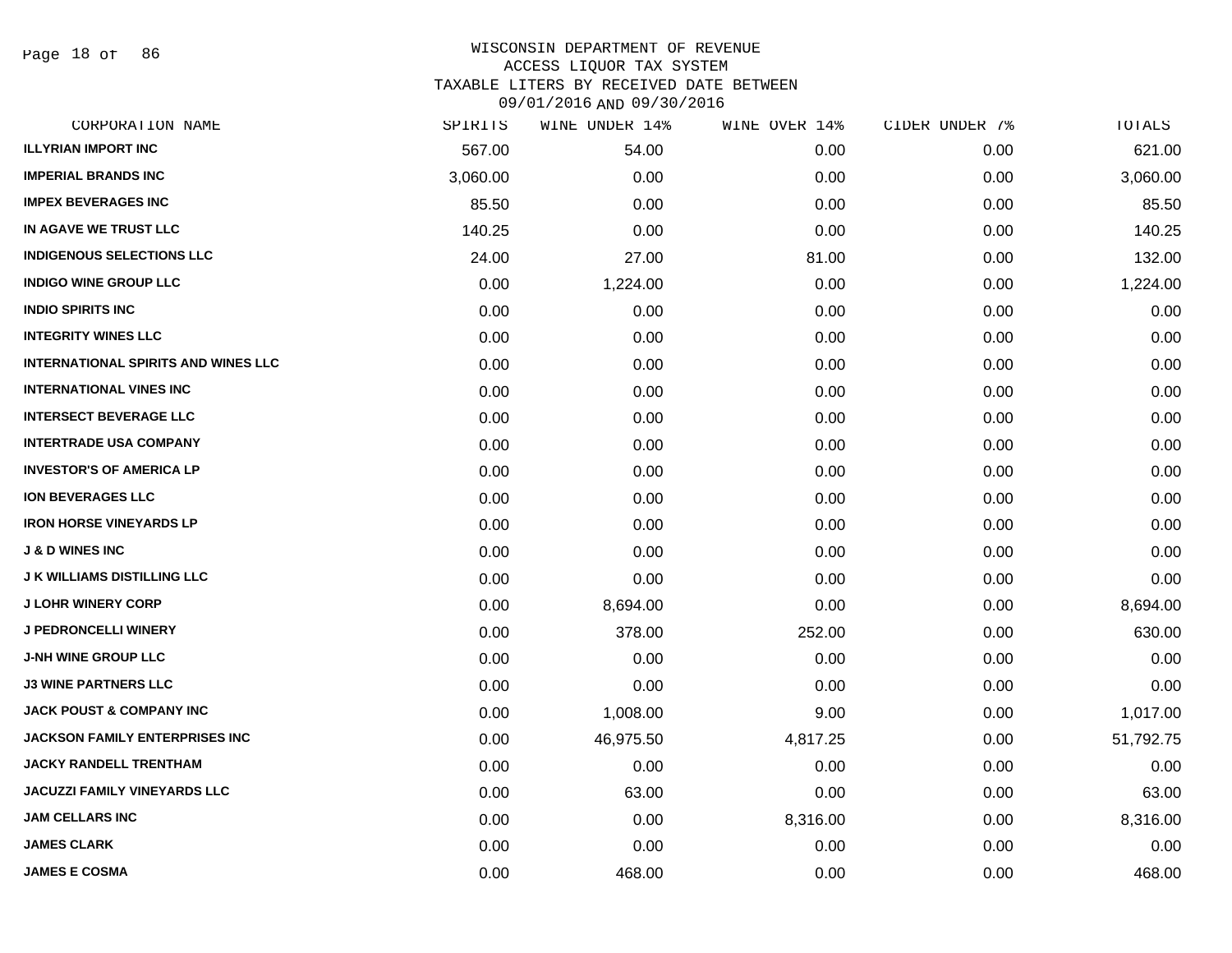Page 18 of 86

| CORPORATION NAME                           | SPIRITS  | WINE UNDER 14% | WINE OVER 14% | CIDER UNDER 7% | TOTALS    |
|--------------------------------------------|----------|----------------|---------------|----------------|-----------|
| <b>ILLYRIAN IMPORT INC</b>                 | 567.00   | 54.00          | 0.00          | 0.00           | 621.00    |
| <b>IMPERIAL BRANDS INC</b>                 | 3,060.00 | 0.00           | 0.00          | 0.00           | 3,060.00  |
| <b>IMPEX BEVERAGES INC</b>                 | 85.50    | 0.00           | 0.00          | 0.00           | 85.50     |
| IN AGAVE WE TRUST LLC                      | 140.25   | 0.00           | 0.00          | 0.00           | 140.25    |
| <b>INDIGENOUS SELECTIONS LLC</b>           | 24.00    | 27.00          | 81.00         | 0.00           | 132.00    |
| <b>INDIGO WINE GROUP LLC</b>               | 0.00     | 1,224.00       | 0.00          | 0.00           | 1,224.00  |
| <b>INDIO SPIRITS INC</b>                   | 0.00     | 0.00           | 0.00          | 0.00           | 0.00      |
| <b>INTEGRITY WINES LLC</b>                 | 0.00     | 0.00           | 0.00          | 0.00           | 0.00      |
| <b>INTERNATIONAL SPIRITS AND WINES LLC</b> | 0.00     | 0.00           | 0.00          | 0.00           | 0.00      |
| <b>INTERNATIONAL VINES INC</b>             | 0.00     | 0.00           | 0.00          | 0.00           | 0.00      |
| <b>INTERSECT BEVERAGE LLC</b>              | 0.00     | 0.00           | 0.00          | 0.00           | 0.00      |
| <b>INTERTRADE USA COMPANY</b>              | 0.00     | 0.00           | 0.00          | 0.00           | 0.00      |
| <b>INVESTOR'S OF AMERICA LP</b>            | 0.00     | 0.00           | 0.00          | 0.00           | 0.00      |
| <b>ION BEVERAGES LLC</b>                   | 0.00     | 0.00           | 0.00          | 0.00           | 0.00      |
| <b>IRON HORSE VINEYARDS LP</b>             | 0.00     | 0.00           | 0.00          | 0.00           | 0.00      |
| <b>J &amp; D WINES INC</b>                 | 0.00     | 0.00           | 0.00          | 0.00           | 0.00      |
| <b>J K WILLIAMS DISTILLING LLC</b>         | 0.00     | 0.00           | 0.00          | 0.00           | 0.00      |
| <b>J LOHR WINERY CORP</b>                  | 0.00     | 8,694.00       | 0.00          | 0.00           | 8,694.00  |
| <b>J PEDRONCELLI WINERY</b>                | 0.00     | 378.00         | 252.00        | 0.00           | 630.00    |
| <b>J-NH WINE GROUP LLC</b>                 | 0.00     | 0.00           | 0.00          | 0.00           | 0.00      |
| <b>J3 WINE PARTNERS LLC</b>                | 0.00     | 0.00           | 0.00          | 0.00           | 0.00      |
| <b>JACK POUST &amp; COMPANY INC</b>        | 0.00     | 1,008.00       | 9.00          | 0.00           | 1,017.00  |
| <b>JACKSON FAMILY ENTERPRISES INC</b>      | 0.00     | 46,975.50      | 4,817.25      | 0.00           | 51,792.75 |
| <b>JACKY RANDELL TRENTHAM</b>              | 0.00     | 0.00           | 0.00          | 0.00           | 0.00      |
| <b>JACUZZI FAMILY VINEYARDS LLC</b>        | 0.00     | 63.00          | 0.00          | 0.00           | 63.00     |
| <b>JAM CELLARS INC</b>                     | 0.00     | 0.00           | 8,316.00      | 0.00           | 8,316.00  |
| <b>JAMES CLARK</b>                         | 0.00     | 0.00           | 0.00          | 0.00           | 0.00      |
| <b>JAMES E COSMA</b>                       | 0.00     | 468.00         | 0.00          | 0.00           | 468.00    |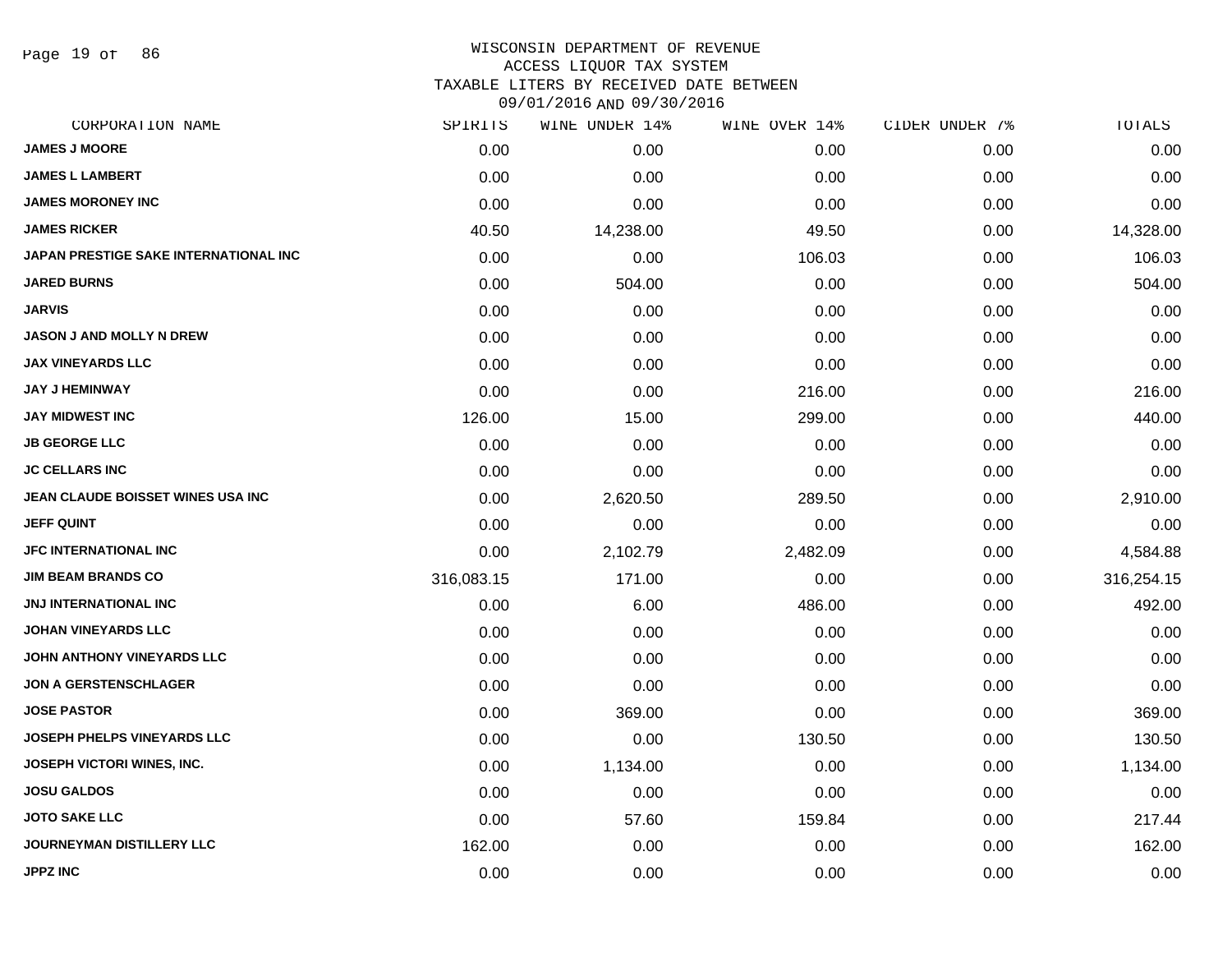Page 19 of 86

#### WISCONSIN DEPARTMENT OF REVENUE ACCESS LIQUOR TAX SYSTEM TAXABLE LITERS BY RECEIVED DATE BETWEEN

| CORPORATION NAME                             | SPIRITS    | WINE UNDER 14% | WINE OVER 14% | CIDER UNDER 7% | TOTALS     |
|----------------------------------------------|------------|----------------|---------------|----------------|------------|
| <b>JAMES J MOORE</b>                         | 0.00       | 0.00           | 0.00          | 0.00           | 0.00       |
| <b>JAMES L LAMBERT</b>                       | 0.00       | 0.00           | 0.00          | 0.00           | 0.00       |
| <b>JAMES MORONEY INC</b>                     | 0.00       | 0.00           | 0.00          | 0.00           | 0.00       |
| <b>JAMES RICKER</b>                          | 40.50      | 14,238.00      | 49.50         | 0.00           | 14,328.00  |
| <b>JAPAN PRESTIGE SAKE INTERNATIONAL INC</b> | 0.00       | 0.00           | 106.03        | 0.00           | 106.03     |
| <b>JARED BURNS</b>                           | 0.00       | 504.00         | 0.00          | 0.00           | 504.00     |
| <b>JARVIS</b>                                | 0.00       | 0.00           | 0.00          | 0.00           | 0.00       |
| <b>JASON J AND MOLLY N DREW</b>              | 0.00       | 0.00           | 0.00          | 0.00           | 0.00       |
| <b>JAX VINEYARDS LLC</b>                     | 0.00       | 0.00           | 0.00          | 0.00           | 0.00       |
| <b>JAY J HEMINWAY</b>                        | 0.00       | 0.00           | 216.00        | 0.00           | 216.00     |
| <b>JAY MIDWEST INC</b>                       | 126.00     | 15.00          | 299.00        | 0.00           | 440.00     |
| <b>JB GEORGE LLC</b>                         | 0.00       | 0.00           | 0.00          | 0.00           | 0.00       |
| <b>JC CELLARS INC</b>                        | 0.00       | 0.00           | 0.00          | 0.00           | 0.00       |
| JEAN CLAUDE BOISSET WINES USA INC            | 0.00       | 2,620.50       | 289.50        | 0.00           | 2,910.00   |
| <b>JEFF QUINT</b>                            | 0.00       | 0.00           | 0.00          | 0.00           | 0.00       |
| <b>JFC INTERNATIONAL INC</b>                 | 0.00       | 2,102.79       | 2,482.09      | 0.00           | 4,584.88   |
| <b>JIM BEAM BRANDS CO</b>                    | 316,083.15 | 171.00         | 0.00          | 0.00           | 316,254.15 |
| JNJ INTERNATIONAL INC                        | 0.00       | 6.00           | 486.00        | 0.00           | 492.00     |
| <b>JOHAN VINEYARDS LLC</b>                   | 0.00       | 0.00           | 0.00          | 0.00           | 0.00       |
| JOHN ANTHONY VINEYARDS LLC                   | 0.00       | 0.00           | 0.00          | 0.00           | 0.00       |
| <b>JON A GERSTENSCHLAGER</b>                 | 0.00       | 0.00           | 0.00          | 0.00           | 0.00       |
| <b>JOSE PASTOR</b>                           | 0.00       | 369.00         | 0.00          | 0.00           | 369.00     |
| JOSEPH PHELPS VINEYARDS LLC                  | 0.00       | 0.00           | 130.50        | 0.00           | 130.50     |
| JOSEPH VICTORI WINES, INC.                   | 0.00       | 1,134.00       | 0.00          | 0.00           | 1,134.00   |
| <b>JOSU GALDOS</b>                           | 0.00       | 0.00           | 0.00          | 0.00           | 0.00       |
| <b>JOTO SAKE LLC</b>                         | 0.00       | 57.60          | 159.84        | 0.00           | 217.44     |
| <b>JOURNEYMAN DISTILLERY LLC</b>             | 162.00     | 0.00           | 0.00          | 0.00           | 162.00     |
| <b>JPPZ INC</b>                              | 0.00       | 0.00           | 0.00          | 0.00           | 0.00       |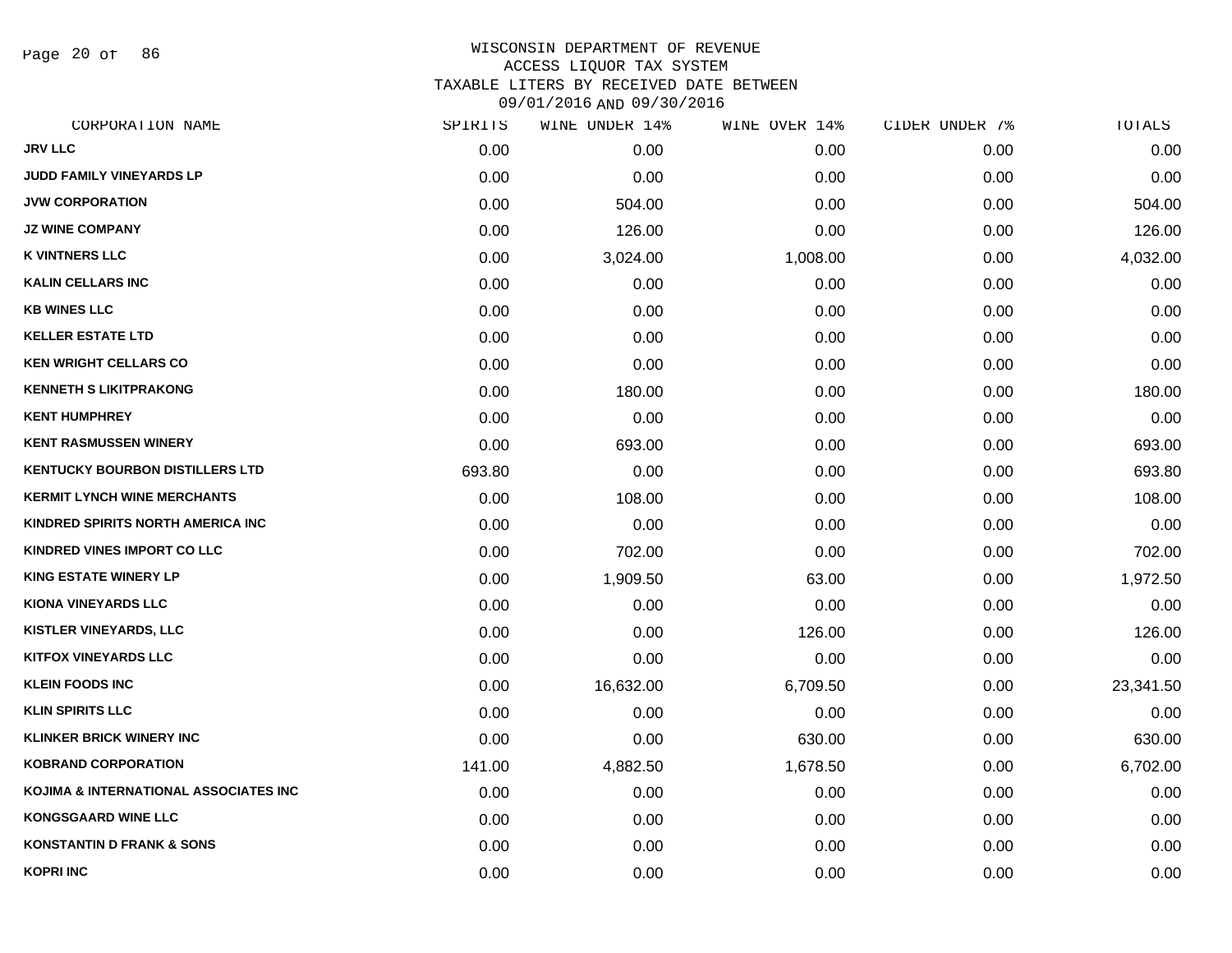Page 20 of 86

| SPIRITS | WINE UNDER 14% | WINE OVER 14% | CIDER UNDER 7% | TOTALS    |
|---------|----------------|---------------|----------------|-----------|
| 0.00    | 0.00           | 0.00          | 0.00           | 0.00      |
| 0.00    | 0.00           | 0.00          | 0.00           | 0.00      |
| 0.00    | 504.00         | 0.00          | 0.00           | 504.00    |
| 0.00    | 126.00         | 0.00          | 0.00           | 126.00    |
| 0.00    | 3,024.00       | 1,008.00      | 0.00           | 4,032.00  |
| 0.00    | 0.00           | 0.00          | 0.00           | 0.00      |
| 0.00    | 0.00           | 0.00          | 0.00           | 0.00      |
| 0.00    | 0.00           | 0.00          | 0.00           | 0.00      |
| 0.00    | 0.00           | 0.00          | 0.00           | 0.00      |
| 0.00    | 180.00         | 0.00          | 0.00           | 180.00    |
| 0.00    | 0.00           | 0.00          | 0.00           | 0.00      |
| 0.00    | 693.00         | 0.00          | 0.00           | 693.00    |
| 693.80  | 0.00           | 0.00          | 0.00           | 693.80    |
| 0.00    | 108.00         | 0.00          | 0.00           | 108.00    |
| 0.00    | 0.00           | 0.00          | 0.00           | 0.00      |
| 0.00    | 702.00         | 0.00          | 0.00           | 702.00    |
| 0.00    | 1,909.50       | 63.00         | 0.00           | 1,972.50  |
| 0.00    | 0.00           | 0.00          | 0.00           | 0.00      |
| 0.00    | 0.00           | 126.00        | 0.00           | 126.00    |
| 0.00    | 0.00           | 0.00          | 0.00           | 0.00      |
| 0.00    | 16,632.00      | 6,709.50      | 0.00           | 23,341.50 |
| 0.00    | 0.00           | 0.00          | 0.00           | 0.00      |
| 0.00    | 0.00           | 630.00        | 0.00           | 630.00    |
| 141.00  | 4,882.50       | 1,678.50      | 0.00           | 6,702.00  |
| 0.00    | 0.00           | 0.00          | 0.00           | 0.00      |
| 0.00    | 0.00           | 0.00          | 0.00           | 0.00      |
| 0.00    | 0.00           | 0.00          | 0.00           | 0.00      |
| 0.00    | 0.00           | 0.00          | 0.00           | 0.00      |
|         |                |               |                |           |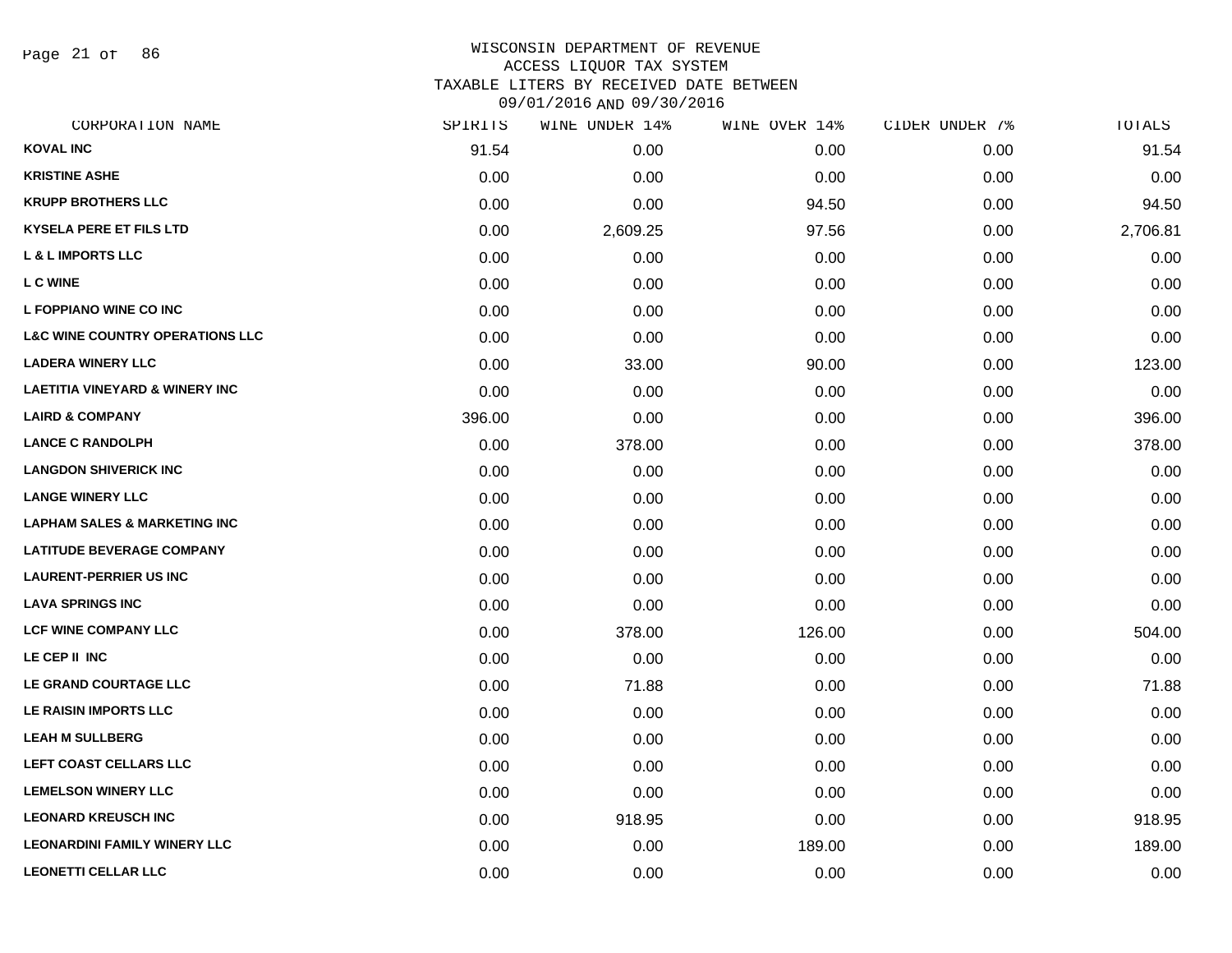Page 21 of 86

| CORPORATION NAME                           | SPIRITS | WINE UNDER 14% | WINE OVER 14% | CIDER UNDER 7% | TOTALS   |
|--------------------------------------------|---------|----------------|---------------|----------------|----------|
| <b>KOVAL INC</b>                           | 91.54   | 0.00           | 0.00          | 0.00           | 91.54    |
| <b>KRISTINE ASHE</b>                       | 0.00    | 0.00           | 0.00          | 0.00           | 0.00     |
| <b>KRUPP BROTHERS LLC</b>                  | 0.00    | 0.00           | 94.50         | 0.00           | 94.50    |
| <b>KYSELA PERE ET FILS LTD</b>             | 0.00    | 2,609.25       | 97.56         | 0.00           | 2,706.81 |
| <b>L &amp; L IMPORTS LLC</b>               | 0.00    | 0.00           | 0.00          | 0.00           | 0.00     |
| <b>L C WINE</b>                            | 0.00    | 0.00           | 0.00          | 0.00           | 0.00     |
| L FOPPIANO WINE CO INC                     | 0.00    | 0.00           | 0.00          | 0.00           | 0.00     |
| <b>L&amp;C WINE COUNTRY OPERATIONS LLC</b> | 0.00    | 0.00           | 0.00          | 0.00           | 0.00     |
| <b>LADERA WINERY LLC</b>                   | 0.00    | 33.00          | 90.00         | 0.00           | 123.00   |
| <b>LAETITIA VINEYARD &amp; WINERY INC</b>  | 0.00    | 0.00           | 0.00          | 0.00           | 0.00     |
| <b>LAIRD &amp; COMPANY</b>                 | 396.00  | 0.00           | 0.00          | 0.00           | 396.00   |
| <b>LANCE C RANDOLPH</b>                    | 0.00    | 378.00         | 0.00          | 0.00           | 378.00   |
| <b>LANGDON SHIVERICK INC</b>               | 0.00    | 0.00           | 0.00          | 0.00           | 0.00     |
| <b>LANGE WINERY LLC</b>                    | 0.00    | 0.00           | 0.00          | 0.00           | 0.00     |
| <b>LAPHAM SALES &amp; MARKETING INC</b>    | 0.00    | 0.00           | 0.00          | 0.00           | 0.00     |
| <b>LATITUDE BEVERAGE COMPANY</b>           | 0.00    | 0.00           | 0.00          | 0.00           | 0.00     |
| <b>LAURENT-PERRIER US INC</b>              | 0.00    | 0.00           | 0.00          | 0.00           | 0.00     |
| <b>LAVA SPRINGS INC</b>                    | 0.00    | 0.00           | 0.00          | 0.00           | 0.00     |
| <b>LCF WINE COMPANY LLC</b>                | 0.00    | 378.00         | 126.00        | 0.00           | 504.00   |
| LE CEP II INC                              | 0.00    | 0.00           | 0.00          | 0.00           | 0.00     |
| LE GRAND COURTAGE LLC                      | 0.00    | 71.88          | 0.00          | 0.00           | 71.88    |
| LE RAISIN IMPORTS LLC                      | 0.00    | 0.00           | 0.00          | 0.00           | 0.00     |
| <b>LEAH M SULLBERG</b>                     | 0.00    | 0.00           | 0.00          | 0.00           | 0.00     |
| LEFT COAST CELLARS LLC                     | 0.00    | 0.00           | 0.00          | 0.00           | 0.00     |
| <b>LEMELSON WINERY LLC</b>                 | 0.00    | 0.00           | 0.00          | 0.00           | 0.00     |
| <b>LEONARD KREUSCH INC</b>                 | 0.00    | 918.95         | 0.00          | 0.00           | 918.95   |
| <b>LEONARDINI FAMILY WINERY LLC</b>        | 0.00    | 0.00           | 189.00        | 0.00           | 189.00   |
| <b>LEONETTI CELLAR LLC</b>                 | 0.00    | 0.00           | 0.00          | 0.00           | 0.00     |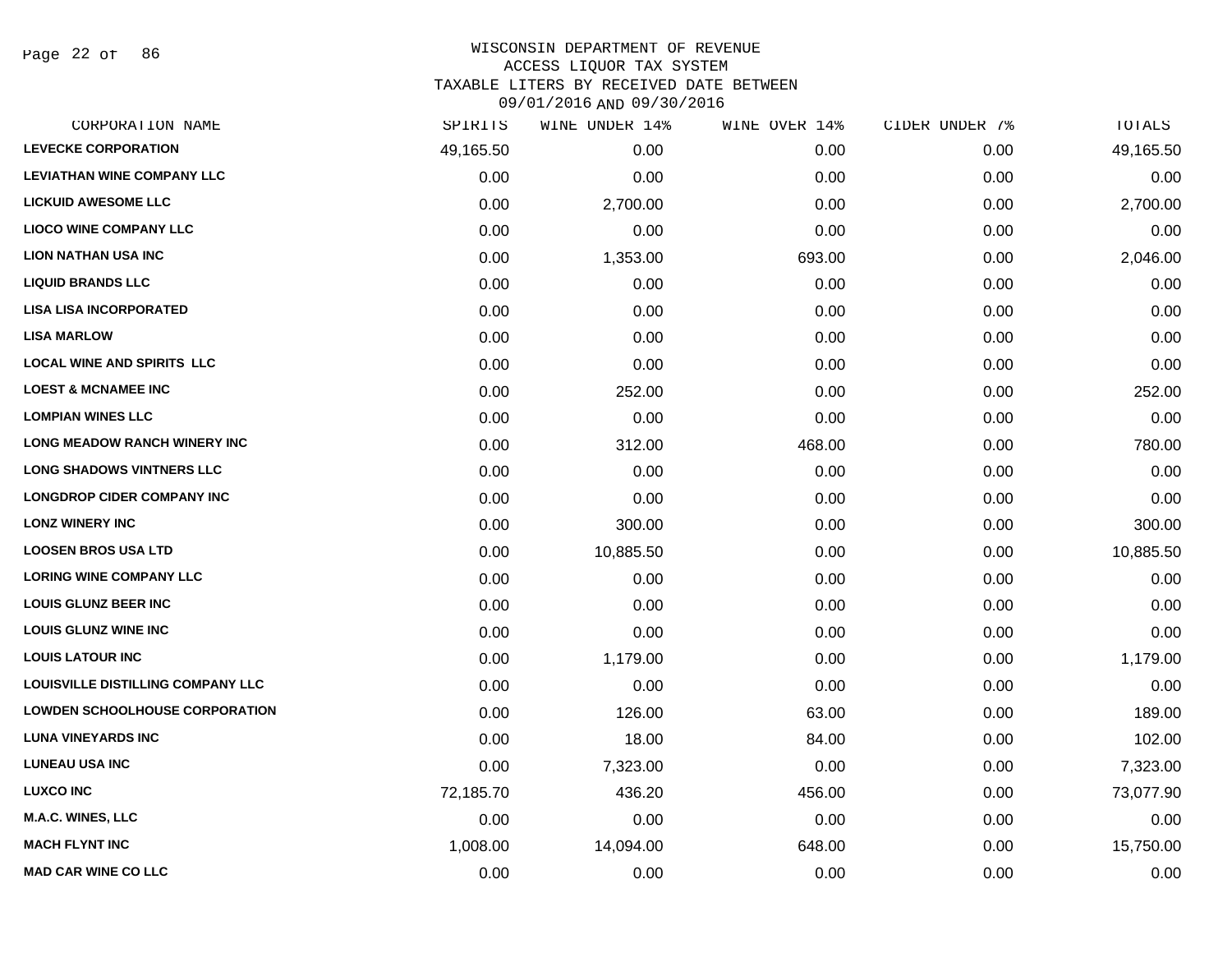Page 22 of 86

# WISCONSIN DEPARTMENT OF REVENUE ACCESS LIQUOR TAX SYSTEM TAXABLE LITERS BY RECEIVED DATE BETWEEN

| CORPORATION NAME                         | SPIRITS   | WINE UNDER 14% | WINE OVER 14% | CIDER UNDER 7% | TOTALS    |
|------------------------------------------|-----------|----------------|---------------|----------------|-----------|
| <b>LEVECKE CORPORATION</b>               | 49,165.50 | 0.00           | 0.00          | 0.00           | 49,165.50 |
| <b>LEVIATHAN WINE COMPANY LLC</b>        | 0.00      | 0.00           | 0.00          | 0.00           | 0.00      |
| <b>LICKUID AWESOME LLC</b>               | 0.00      | 2,700.00       | 0.00          | 0.00           | 2,700.00  |
| <b>LIOCO WINE COMPANY LLC</b>            | 0.00      | 0.00           | 0.00          | 0.00           | 0.00      |
| <b>LION NATHAN USA INC</b>               | 0.00      | 1,353.00       | 693.00        | 0.00           | 2,046.00  |
| <b>LIQUID BRANDS LLC</b>                 | 0.00      | 0.00           | 0.00          | 0.00           | 0.00      |
| <b>LISA LISA INCORPORATED</b>            | 0.00      | 0.00           | 0.00          | 0.00           | 0.00      |
| <b>LISA MARLOW</b>                       | 0.00      | 0.00           | 0.00          | 0.00           | 0.00      |
| <b>LOCAL WINE AND SPIRITS LLC</b>        | 0.00      | 0.00           | 0.00          | 0.00           | 0.00      |
| <b>LOEST &amp; MCNAMEE INC</b>           | 0.00      | 252.00         | 0.00          | 0.00           | 252.00    |
| <b>LOMPIAN WINES LLC</b>                 | 0.00      | 0.00           | 0.00          | 0.00           | 0.00      |
| <b>LONG MEADOW RANCH WINERY INC</b>      | 0.00      | 312.00         | 468.00        | 0.00           | 780.00    |
| <b>LONG SHADOWS VINTNERS LLC</b>         | 0.00      | 0.00           | 0.00          | 0.00           | 0.00      |
| <b>LONGDROP CIDER COMPANY INC</b>        | 0.00      | 0.00           | 0.00          | 0.00           | 0.00      |
| <b>LONZ WINERY INC</b>                   | 0.00      | 300.00         | 0.00          | 0.00           | 300.00    |
| <b>LOOSEN BROS USA LTD</b>               | 0.00      | 10,885.50      | 0.00          | 0.00           | 10,885.50 |
| <b>LORING WINE COMPANY LLC</b>           | 0.00      | 0.00           | 0.00          | 0.00           | 0.00      |
| <b>LOUIS GLUNZ BEER INC</b>              | 0.00      | 0.00           | 0.00          | 0.00           | 0.00      |
| <b>LOUIS GLUNZ WINE INC</b>              | 0.00      | 0.00           | 0.00          | 0.00           | 0.00      |
| <b>LOUIS LATOUR INC</b>                  | 0.00      | 1,179.00       | 0.00          | 0.00           | 1,179.00  |
| <b>LOUISVILLE DISTILLING COMPANY LLC</b> | 0.00      | 0.00           | 0.00          | 0.00           | 0.00      |
| <b>LOWDEN SCHOOLHOUSE CORPORATION</b>    | 0.00      | 126.00         | 63.00         | 0.00           | 189.00    |
| <b>LUNA VINEYARDS INC</b>                | 0.00      | 18.00          | 84.00         | 0.00           | 102.00    |
| <b>LUNEAU USA INC</b>                    | 0.00      | 7,323.00       | 0.00          | 0.00           | 7,323.00  |
| <b>LUXCO INC</b>                         | 72,185.70 | 436.20         | 456.00        | 0.00           | 73,077.90 |
| <b>M.A.C. WINES, LLC</b>                 | 0.00      | 0.00           | 0.00          | 0.00           | 0.00      |
| <b>MACH FLYNT INC</b>                    | 1,008.00  | 14,094.00      | 648.00        | 0.00           | 15,750.00 |
| <b>MAD CAR WINE CO LLC</b>               | 0.00      | 0.00           | 0.00          | 0.00           | 0.00      |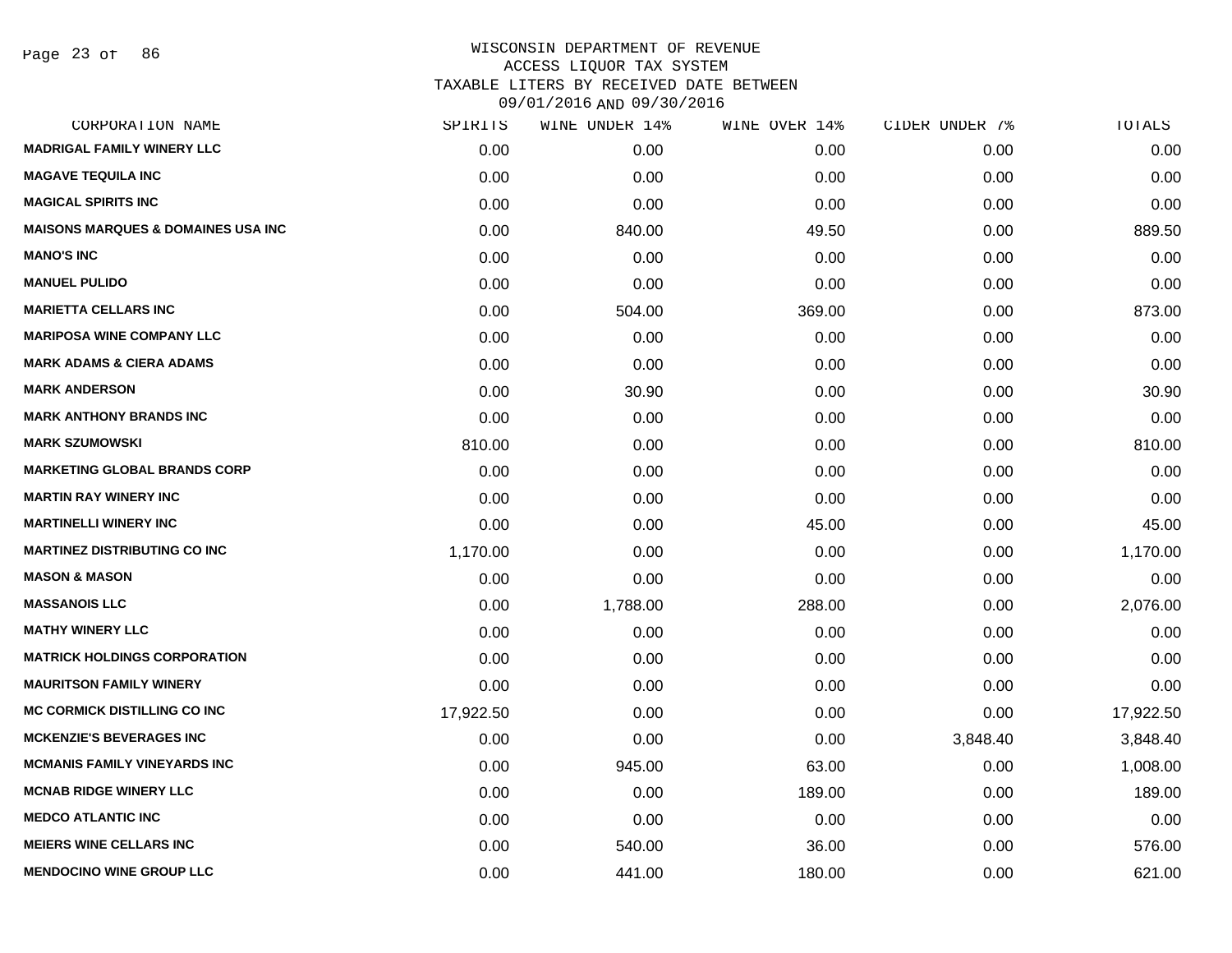| CORPORATION NAME                               | SPIRITS   | WINE UNDER 14% | WINE OVER 14% | CIDER UNDER 7% | TOTALS    |
|------------------------------------------------|-----------|----------------|---------------|----------------|-----------|
| <b>MADRIGAL FAMILY WINERY LLC</b>              | 0.00      | 0.00           | 0.00          | 0.00           | 0.00      |
| <b>MAGAVE TEQUILA INC</b>                      | 0.00      | 0.00           | 0.00          | 0.00           | 0.00      |
| <b>MAGICAL SPIRITS INC</b>                     | 0.00      | 0.00           | 0.00          | 0.00           | 0.00      |
| <b>MAISONS MARQUES &amp; DOMAINES USA INC.</b> | 0.00      | 840.00         | 49.50         | 0.00           | 889.50    |
| <b>MANO'S INC</b>                              | 0.00      | 0.00           | 0.00          | 0.00           | 0.00      |
| <b>MANUEL PULIDO</b>                           | 0.00      | 0.00           | 0.00          | 0.00           | 0.00      |
| <b>MARIETTA CELLARS INC</b>                    | 0.00      | 504.00         | 369.00        | 0.00           | 873.00    |
| <b>MARIPOSA WINE COMPANY LLC</b>               | 0.00      | 0.00           | 0.00          | 0.00           | 0.00      |
| <b>MARK ADAMS &amp; CIERA ADAMS</b>            | 0.00      | 0.00           | 0.00          | 0.00           | 0.00      |
| <b>MARK ANDERSON</b>                           | 0.00      | 30.90          | 0.00          | 0.00           | 30.90     |
| <b>MARK ANTHONY BRANDS INC</b>                 | 0.00      | 0.00           | 0.00          | 0.00           | 0.00      |
| <b>MARK SZUMOWSKI</b>                          | 810.00    | 0.00           | 0.00          | 0.00           | 810.00    |
| <b>MARKETING GLOBAL BRANDS CORP</b>            | 0.00      | 0.00           | 0.00          | 0.00           | 0.00      |
| <b>MARTIN RAY WINERY INC</b>                   | 0.00      | 0.00           | 0.00          | 0.00           | 0.00      |
| <b>MARTINELLI WINERY INC</b>                   | 0.00      | 0.00           | 45.00         | 0.00           | 45.00     |
| <b>MARTINEZ DISTRIBUTING CO INC</b>            | 1,170.00  | 0.00           | 0.00          | 0.00           | 1,170.00  |
| <b>MASON &amp; MASON</b>                       | 0.00      | 0.00           | 0.00          | 0.00           | 0.00      |
| <b>MASSANOIS LLC</b>                           | 0.00      | 1,788.00       | 288.00        | 0.00           | 2,076.00  |
| <b>MATHY WINERY LLC</b>                        | 0.00      | 0.00           | 0.00          | 0.00           | 0.00      |
| <b>MATRICK HOLDINGS CORPORATION</b>            | 0.00      | 0.00           | 0.00          | 0.00           | 0.00      |
| <b>MAURITSON FAMILY WINERY</b>                 | 0.00      | 0.00           | 0.00          | 0.00           | 0.00      |
| <b>MC CORMICK DISTILLING CO INC</b>            | 17,922.50 | 0.00           | 0.00          | 0.00           | 17,922.50 |
| <b>MCKENZIE'S BEVERAGES INC</b>                | 0.00      | 0.00           | 0.00          | 3,848.40       | 3,848.40  |
| <b>MCMANIS FAMILY VINEYARDS INC</b>            | 0.00      | 945.00         | 63.00         | 0.00           | 1,008.00  |
| <b>MCNAB RIDGE WINERY LLC</b>                  | 0.00      | 0.00           | 189.00        | 0.00           | 189.00    |
| <b>MEDCO ATLANTIC INC</b>                      | 0.00      | 0.00           | 0.00          | 0.00           | 0.00      |
| <b>MEIERS WINE CELLARS INC</b>                 | 0.00      | 540.00         | 36.00         | 0.00           | 576.00    |
| <b>MENDOCINO WINE GROUP LLC</b>                | 0.00      | 441.00         | 180.00        | 0.00           | 621.00    |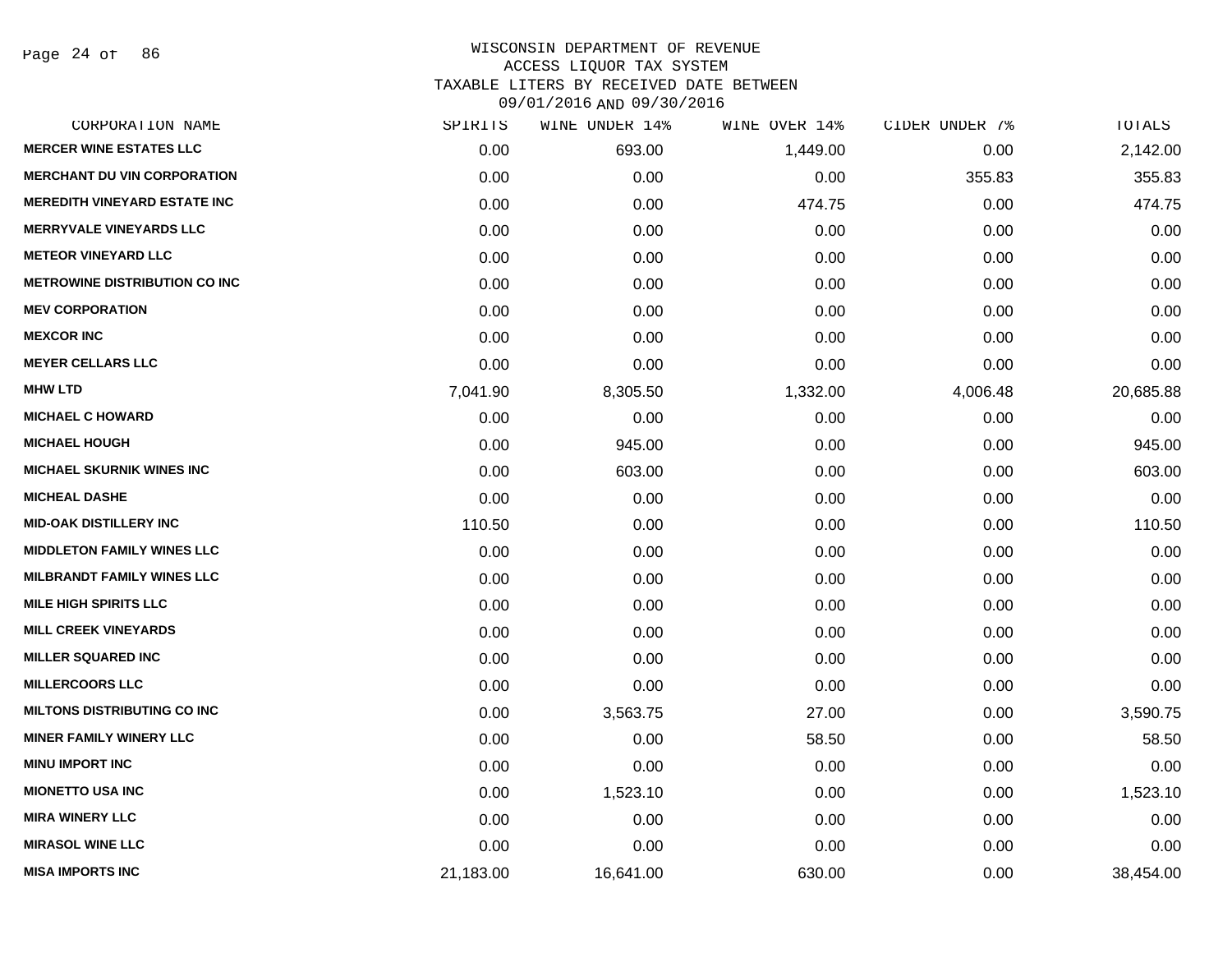Page 24 of 86

| CORPORATION NAME                     | SPIRITS   | WINE UNDER 14% | WINE OVER 14% | CIDER UNDER 7% | TOTALS    |
|--------------------------------------|-----------|----------------|---------------|----------------|-----------|
| <b>MERCER WINE ESTATES LLC</b>       | 0.00      | 693.00         | 1,449.00      | 0.00           | 2,142.00  |
| <b>MERCHANT DU VIN CORPORATION</b>   | 0.00      | 0.00           | 0.00          | 355.83         | 355.83    |
| <b>MEREDITH VINEYARD ESTATE INC</b>  | 0.00      | 0.00           | 474.75        | 0.00           | 474.75    |
| <b>MERRYVALE VINEYARDS LLC</b>       | 0.00      | 0.00           | 0.00          | 0.00           | 0.00      |
| <b>METEOR VINEYARD LLC</b>           | 0.00      | 0.00           | 0.00          | 0.00           | 0.00      |
| <b>METROWINE DISTRIBUTION CO INC</b> | 0.00      | 0.00           | 0.00          | 0.00           | 0.00      |
| <b>MEV CORPORATION</b>               | 0.00      | 0.00           | 0.00          | 0.00           | 0.00      |
| <b>MEXCOR INC</b>                    | 0.00      | 0.00           | 0.00          | 0.00           | 0.00      |
| <b>MEYER CELLARS LLC</b>             | 0.00      | 0.00           | 0.00          | 0.00           | 0.00      |
| <b>MHW LTD</b>                       | 7,041.90  | 8,305.50       | 1,332.00      | 4,006.48       | 20,685.88 |
| <b>MICHAEL C HOWARD</b>              | 0.00      | 0.00           | 0.00          | 0.00           | 0.00      |
| <b>MICHAEL HOUGH</b>                 | 0.00      | 945.00         | 0.00          | 0.00           | 945.00    |
| <b>MICHAEL SKURNIK WINES INC</b>     | 0.00      | 603.00         | 0.00          | 0.00           | 603.00    |
| <b>MICHEAL DASHE</b>                 | 0.00      | 0.00           | 0.00          | 0.00           | 0.00      |
| <b>MID-OAK DISTILLERY INC</b>        | 110.50    | 0.00           | 0.00          | 0.00           | 110.50    |
| <b>MIDDLETON FAMILY WINES LLC</b>    | 0.00      | 0.00           | 0.00          | 0.00           | 0.00      |
| MILBRANDT FAMILY WINES LLC           | 0.00      | 0.00           | 0.00          | 0.00           | 0.00      |
| <b>MILE HIGH SPIRITS LLC</b>         | 0.00      | 0.00           | 0.00          | 0.00           | 0.00      |
| <b>MILL CREEK VINEYARDS</b>          | 0.00      | 0.00           | 0.00          | 0.00           | 0.00      |
| <b>MILLER SQUARED INC</b>            | 0.00      | 0.00           | 0.00          | 0.00           | 0.00      |
| <b>MILLERCOORS LLC</b>               | 0.00      | 0.00           | 0.00          | 0.00           | 0.00      |
| <b>MILTONS DISTRIBUTING CO INC</b>   | 0.00      | 3,563.75       | 27.00         | 0.00           | 3,590.75  |
| <b>MINER FAMILY WINERY LLC</b>       | 0.00      | 0.00           | 58.50         | 0.00           | 58.50     |
| <b>MINU IMPORT INC</b>               | 0.00      | 0.00           | 0.00          | 0.00           | 0.00      |
| <b>MIONETTO USA INC</b>              | 0.00      | 1,523.10       | 0.00          | 0.00           | 1,523.10  |
| <b>MIRA WINERY LLC</b>               | 0.00      | 0.00           | 0.00          | 0.00           | 0.00      |
| <b>MIRASOL WINE LLC</b>              | 0.00      | 0.00           | 0.00          | 0.00           | 0.00      |
| <b>MISA IMPORTS INC</b>              | 21,183.00 | 16,641.00      | 630.00        | 0.00           | 38,454.00 |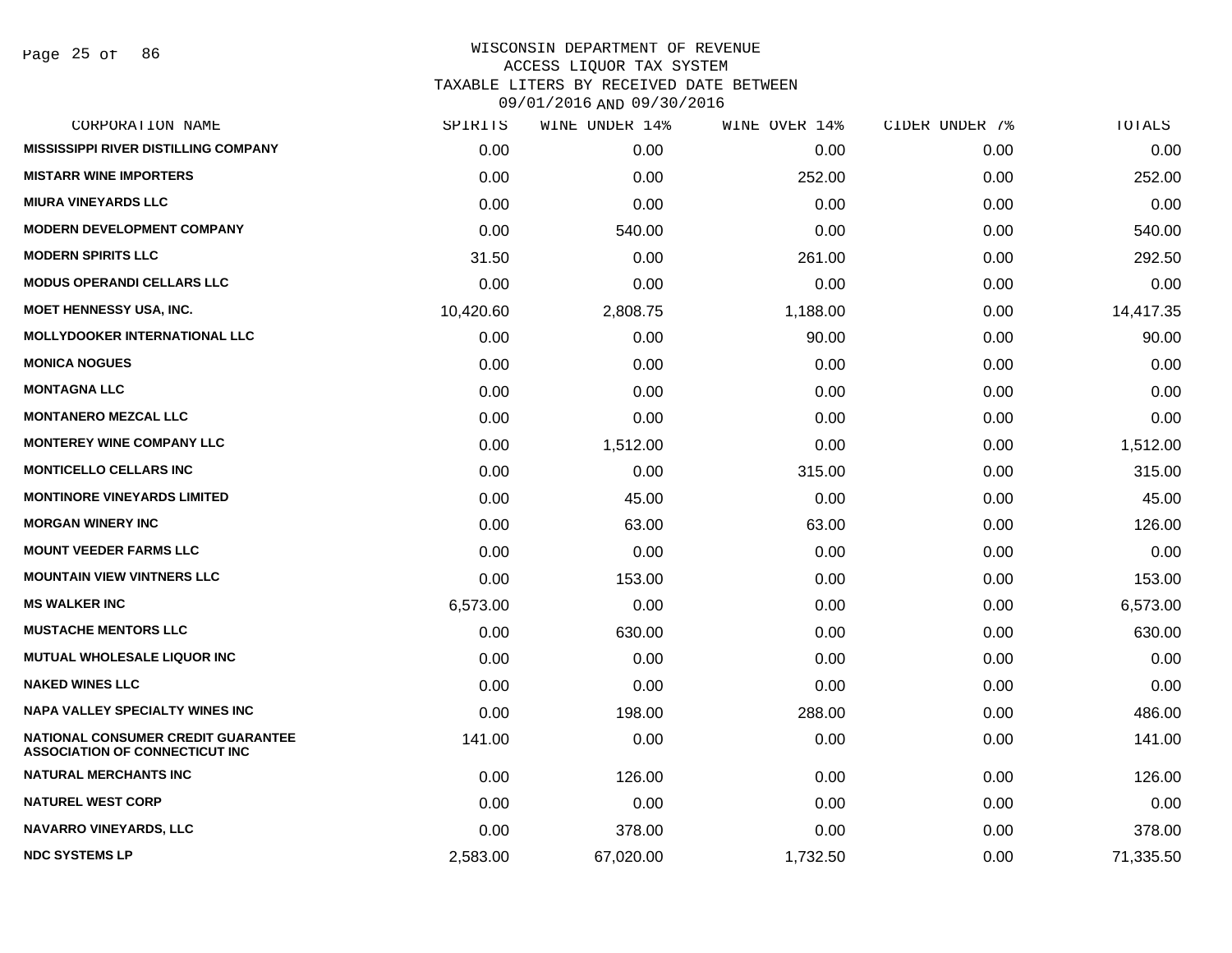Page 25 of 86

| CORPORATION NAME                                                                   | SPIRITS   | WINE UNDER 14% | WINE OVER 14% | CIDER UNDER 7% | TOTALS    |
|------------------------------------------------------------------------------------|-----------|----------------|---------------|----------------|-----------|
| <b>MISSISSIPPI RIVER DISTILLING COMPANY</b>                                        | 0.00      | 0.00           | 0.00          | 0.00           | 0.00      |
| <b>MISTARR WINE IMPORTERS</b>                                                      | 0.00      | 0.00           | 252.00        | 0.00           | 252.00    |
| <b>MIURA VINEYARDS LLC</b>                                                         | 0.00      | 0.00           | 0.00          | 0.00           | 0.00      |
| <b>MODERN DEVELOPMENT COMPANY</b>                                                  | 0.00      | 540.00         | 0.00          | 0.00           | 540.00    |
| <b>MODERN SPIRITS LLC</b>                                                          | 31.50     | 0.00           | 261.00        | 0.00           | 292.50    |
| <b>MODUS OPERANDI CELLARS LLC</b>                                                  | 0.00      | 0.00           | 0.00          | 0.00           | 0.00      |
| <b>MOET HENNESSY USA, INC.</b>                                                     | 10,420.60 | 2,808.75       | 1,188.00      | 0.00           | 14,417.35 |
| <b>MOLLYDOOKER INTERNATIONAL LLC</b>                                               | 0.00      | 0.00           | 90.00         | 0.00           | 90.00     |
| <b>MONICA NOGUES</b>                                                               | 0.00      | 0.00           | 0.00          | 0.00           | 0.00      |
| <b>MONTAGNA LLC</b>                                                                | 0.00      | 0.00           | 0.00          | 0.00           | 0.00      |
| <b>MONTANERO MEZCAL LLC</b>                                                        | 0.00      | 0.00           | 0.00          | 0.00           | 0.00      |
| <b>MONTEREY WINE COMPANY LLC</b>                                                   | 0.00      | 1,512.00       | 0.00          | 0.00           | 1,512.00  |
| <b>MONTICELLO CELLARS INC</b>                                                      | 0.00      | 0.00           | 315.00        | 0.00           | 315.00    |
| <b>MONTINORE VINEYARDS LIMITED</b>                                                 | 0.00      | 45.00          | 0.00          | 0.00           | 45.00     |
| <b>MORGAN WINERY INC</b>                                                           | 0.00      | 63.00          | 63.00         | 0.00           | 126.00    |
| <b>MOUNT VEEDER FARMS LLC</b>                                                      | 0.00      | 0.00           | 0.00          | 0.00           | 0.00      |
| <b>MOUNTAIN VIEW VINTNERS LLC</b>                                                  | 0.00      | 153.00         | 0.00          | 0.00           | 153.00    |
| <b>MS WALKER INC</b>                                                               | 6,573.00  | 0.00           | 0.00          | 0.00           | 6,573.00  |
| <b>MUSTACHE MENTORS LLC</b>                                                        | 0.00      | 630.00         | 0.00          | 0.00           | 630.00    |
| <b>MUTUAL WHOLESALE LIQUOR INC</b>                                                 | 0.00      | 0.00           | 0.00          | 0.00           | 0.00      |
| <b>NAKED WINES LLC</b>                                                             | 0.00      | 0.00           | 0.00          | 0.00           | 0.00      |
| <b>NAPA VALLEY SPECIALTY WINES INC</b>                                             | 0.00      | 198.00         | 288.00        | 0.00           | 486.00    |
| <b>NATIONAL CONSUMER CREDIT GUARANTEE</b><br><b>ASSOCIATION OF CONNECTICUT INC</b> | 141.00    | 0.00           | 0.00          | 0.00           | 141.00    |
| <b>NATURAL MERCHANTS INC</b>                                                       | 0.00      | 126.00         | 0.00          | 0.00           | 126.00    |
| <b>NATUREL WEST CORP</b>                                                           | 0.00      | 0.00           | 0.00          | 0.00           | 0.00      |
| <b>NAVARRO VINEYARDS, LLC</b>                                                      | 0.00      | 378.00         | 0.00          | 0.00           | 378.00    |
| <b>NDC SYSTEMS LP</b>                                                              | 2,583.00  | 67,020.00      | 1,732.50      | 0.00           | 71,335.50 |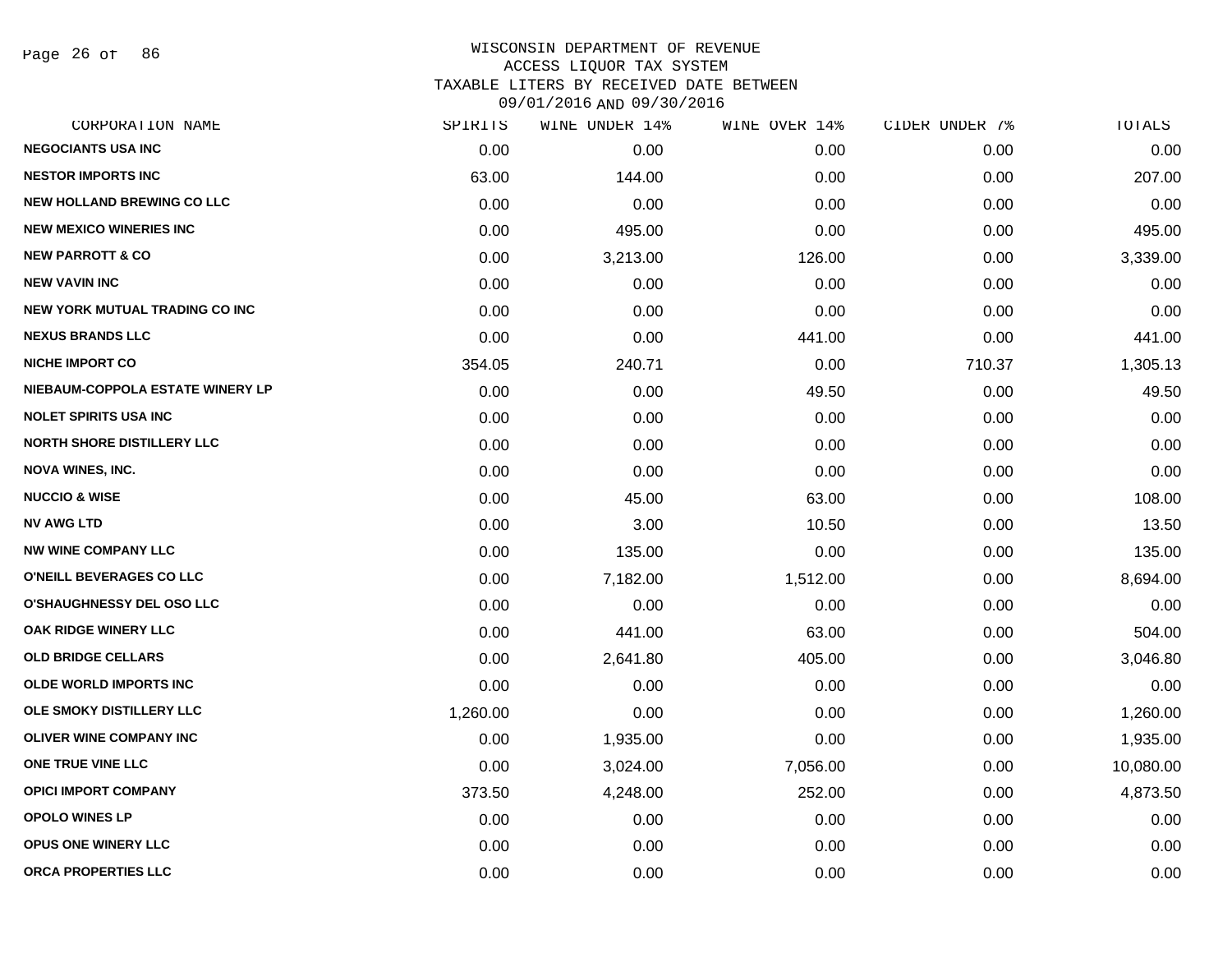Page 26 of 86

| CORPORATION NAME                  | SPIRITS  | WINE UNDER 14% | WINE OVER 14% | CIDER UNDER 7% | TOTALS    |
|-----------------------------------|----------|----------------|---------------|----------------|-----------|
| <b>NEGOCIANTS USA INC</b>         | 0.00     | 0.00           | 0.00          | 0.00           | 0.00      |
| <b>NESTOR IMPORTS INC</b>         | 63.00    | 144.00         | 0.00          | 0.00           | 207.00    |
| <b>NEW HOLLAND BREWING CO LLC</b> | 0.00     | 0.00           | 0.00          | 0.00           | 0.00      |
| <b>NEW MEXICO WINERIES INC</b>    | 0.00     | 495.00         | 0.00          | 0.00           | 495.00    |
| <b>NEW PARROTT &amp; CO</b>       | 0.00     | 3,213.00       | 126.00        | 0.00           | 3,339.00  |
| <b>NEW VAVIN INC</b>              | 0.00     | 0.00           | 0.00          | 0.00           | 0.00      |
| NEW YORK MUTUAL TRADING CO INC    | 0.00     | 0.00           | 0.00          | 0.00           | 0.00      |
| <b>NEXUS BRANDS LLC</b>           | 0.00     | 0.00           | 441.00        | 0.00           | 441.00    |
| <b>NICHE IMPORT CO</b>            | 354.05   | 240.71         | 0.00          | 710.37         | 1,305.13  |
| NIEBAUM-COPPOLA ESTATE WINERY LP  | 0.00     | 0.00           | 49.50         | 0.00           | 49.50     |
| <b>NOLET SPIRITS USA INC</b>      | 0.00     | 0.00           | 0.00          | 0.00           | 0.00      |
| <b>NORTH SHORE DISTILLERY LLC</b> | 0.00     | 0.00           | 0.00          | 0.00           | 0.00      |
| <b>NOVA WINES, INC.</b>           | 0.00     | 0.00           | 0.00          | 0.00           | 0.00      |
| <b>NUCCIO &amp; WISE</b>          | 0.00     | 45.00          | 63.00         | 0.00           | 108.00    |
| <b>NV AWG LTD</b>                 | 0.00     | 3.00           | 10.50         | 0.00           | 13.50     |
| <b>NW WINE COMPANY LLC</b>        | 0.00     | 135.00         | 0.00          | 0.00           | 135.00    |
| <b>O'NEILL BEVERAGES CO LLC</b>   | 0.00     | 7,182.00       | 1,512.00      | 0.00           | 8,694.00  |
| <b>O'SHAUGHNESSY DEL OSO LLC</b>  | 0.00     | 0.00           | 0.00          | 0.00           | 0.00      |
| OAK RIDGE WINERY LLC              | 0.00     | 441.00         | 63.00         | 0.00           | 504.00    |
| <b>OLD BRIDGE CELLARS</b>         | 0.00     | 2,641.80       | 405.00        | 0.00           | 3,046.80  |
| <b>OLDE WORLD IMPORTS INC</b>     | 0.00     | 0.00           | 0.00          | 0.00           | 0.00      |
| OLE SMOKY DISTILLERY LLC          | 1,260.00 | 0.00           | 0.00          | 0.00           | 1,260.00  |
| <b>OLIVER WINE COMPANY INC</b>    | 0.00     | 1,935.00       | 0.00          | 0.00           | 1,935.00  |
| ONE TRUE VINE LLC                 | 0.00     | 3,024.00       | 7,056.00      | 0.00           | 10,080.00 |
| <b>OPICI IMPORT COMPANY</b>       | 373.50   | 4,248.00       | 252.00        | 0.00           | 4,873.50  |
| <b>OPOLO WINES LP</b>             | 0.00     | 0.00           | 0.00          | 0.00           | 0.00      |
| <b>OPUS ONE WINERY LLC</b>        | 0.00     | 0.00           | 0.00          | 0.00           | 0.00      |
| ORCA PROPERTIES LLC               | 0.00     | 0.00           | 0.00          | 0.00           | 0.00      |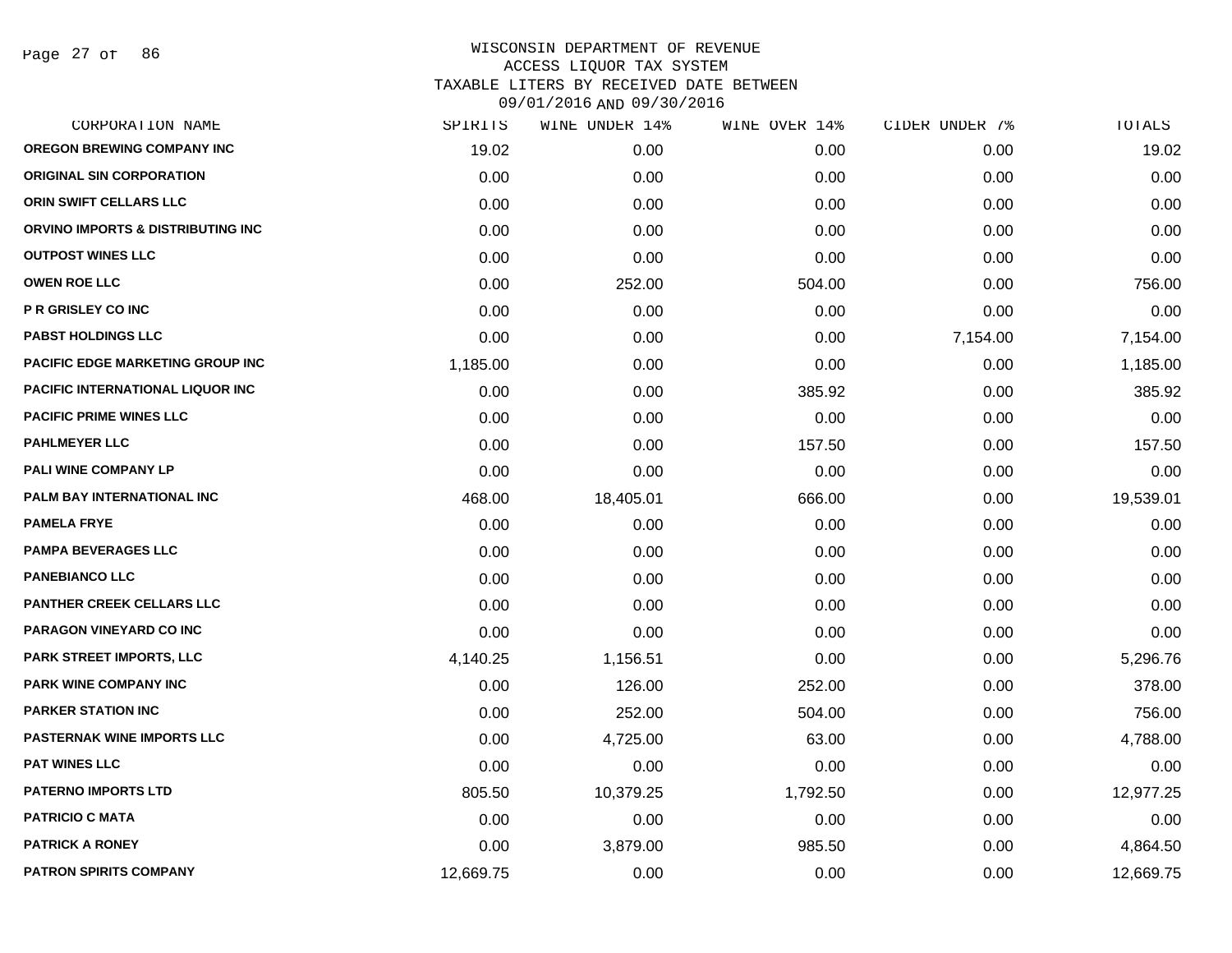Page 27 of 86

| SPIRITS   | WINE UNDER 14% |          |               | TOTALS         |
|-----------|----------------|----------|---------------|----------------|
| 19.02     | 0.00           | 0.00     | 0.00          | 19.02          |
| 0.00      | 0.00           | 0.00     | 0.00          | 0.00           |
| 0.00      | 0.00           | 0.00     | 0.00          | 0.00           |
| 0.00      | 0.00           | 0.00     | 0.00          | 0.00           |
| 0.00      | 0.00           | 0.00     | 0.00          | 0.00           |
| 0.00      | 252.00         | 504.00   | 0.00          | 756.00         |
| 0.00      | 0.00           | 0.00     | 0.00          | 0.00           |
| 0.00      | 0.00           | 0.00     | 7,154.00      | 7,154.00       |
| 1,185.00  | 0.00           | 0.00     | 0.00          | 1,185.00       |
| 0.00      | 0.00           | 385.92   | 0.00          | 385.92         |
| 0.00      | 0.00           | 0.00     | 0.00          | 0.00           |
| 0.00      | 0.00           | 157.50   | 0.00          | 157.50         |
| 0.00      | 0.00           | 0.00     | 0.00          | 0.00           |
| 468.00    | 18,405.01      | 666.00   | 0.00          | 19,539.01      |
| 0.00      | 0.00           | 0.00     | 0.00          | 0.00           |
| 0.00      | 0.00           | 0.00     | 0.00          | 0.00           |
| 0.00      | 0.00           | 0.00     | 0.00          | 0.00           |
| 0.00      | 0.00           | 0.00     | 0.00          | 0.00           |
| 0.00      | 0.00           | 0.00     | 0.00          | 0.00           |
| 4,140.25  | 1,156.51       | 0.00     | 0.00          | 5,296.76       |
| 0.00      | 126.00         | 252.00   | 0.00          | 378.00         |
| 0.00      | 252.00         | 504.00   | 0.00          | 756.00         |
| 0.00      | 4,725.00       | 63.00    | 0.00          | 4,788.00       |
| 0.00      | 0.00           | 0.00     | 0.00          | 0.00           |
| 805.50    | 10,379.25      | 1,792.50 | 0.00          | 12,977.25      |
| 0.00      | 0.00           | 0.00     | 0.00          | 0.00           |
| 0.00      | 3,879.00       | 985.50   | 0.00          | 4,864.50       |
| 12,669.75 | 0.00           | 0.00     | 0.00          | 12,669.75      |
|           |                |          | WINE OVER 14% | CIDER UNDER 7% |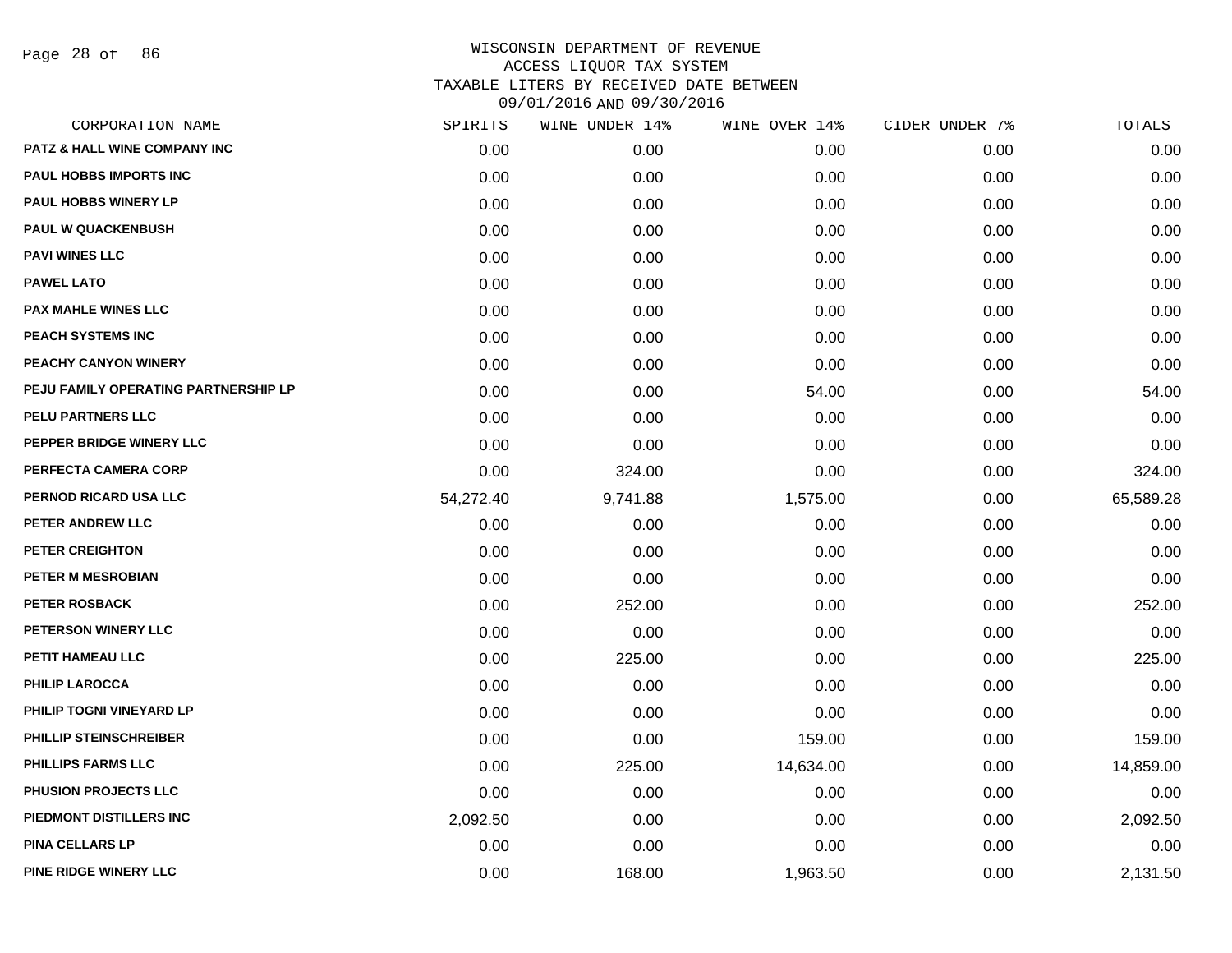Page 28 of 86

| SPIRITS   | WINE UNDER 14% | WINE OVER 14% | CIDER UNDER 7% | TOTALS    |
|-----------|----------------|---------------|----------------|-----------|
| 0.00      | 0.00           | 0.00          | 0.00           | 0.00      |
| 0.00      | 0.00           | 0.00          | 0.00           | 0.00      |
| 0.00      | 0.00           | 0.00          | 0.00           | 0.00      |
| 0.00      | 0.00           | 0.00          | 0.00           | 0.00      |
| 0.00      | 0.00           | 0.00          | 0.00           | 0.00      |
| 0.00      | 0.00           | 0.00          | 0.00           | 0.00      |
| 0.00      | 0.00           | 0.00          | 0.00           | 0.00      |
| 0.00      | 0.00           | 0.00          | 0.00           | 0.00      |
| 0.00      | 0.00           | 0.00          | 0.00           | 0.00      |
| 0.00      | 0.00           | 54.00         | 0.00           | 54.00     |
| 0.00      | 0.00           | 0.00          | 0.00           | 0.00      |
| 0.00      | 0.00           | 0.00          | 0.00           | 0.00      |
| 0.00      | 324.00         | 0.00          | 0.00           | 324.00    |
| 54,272.40 | 9,741.88       | 1,575.00      | 0.00           | 65,589.28 |
| 0.00      | 0.00           | 0.00          | 0.00           | 0.00      |
| 0.00      | 0.00           | 0.00          | 0.00           | 0.00      |
| 0.00      | 0.00           | 0.00          | 0.00           | 0.00      |
| 0.00      | 252.00         | 0.00          | 0.00           | 252.00    |
| 0.00      | 0.00           | 0.00          | 0.00           | 0.00      |
| 0.00      | 225.00         | 0.00          | 0.00           | 225.00    |
| 0.00      | 0.00           | 0.00          | 0.00           | 0.00      |
| 0.00      | 0.00           | 0.00          | 0.00           | 0.00      |
| 0.00      | 0.00           | 159.00        | 0.00           | 159.00    |
| 0.00      | 225.00         | 14,634.00     | 0.00           | 14,859.00 |
| 0.00      | 0.00           | 0.00          | 0.00           | 0.00      |
| 2,092.50  | 0.00           | 0.00          | 0.00           | 2,092.50  |
| 0.00      | 0.00           | 0.00          | 0.00           | 0.00      |
| 0.00      | 168.00         | 1,963.50      | 0.00           | 2,131.50  |
|           |                |               |                |           |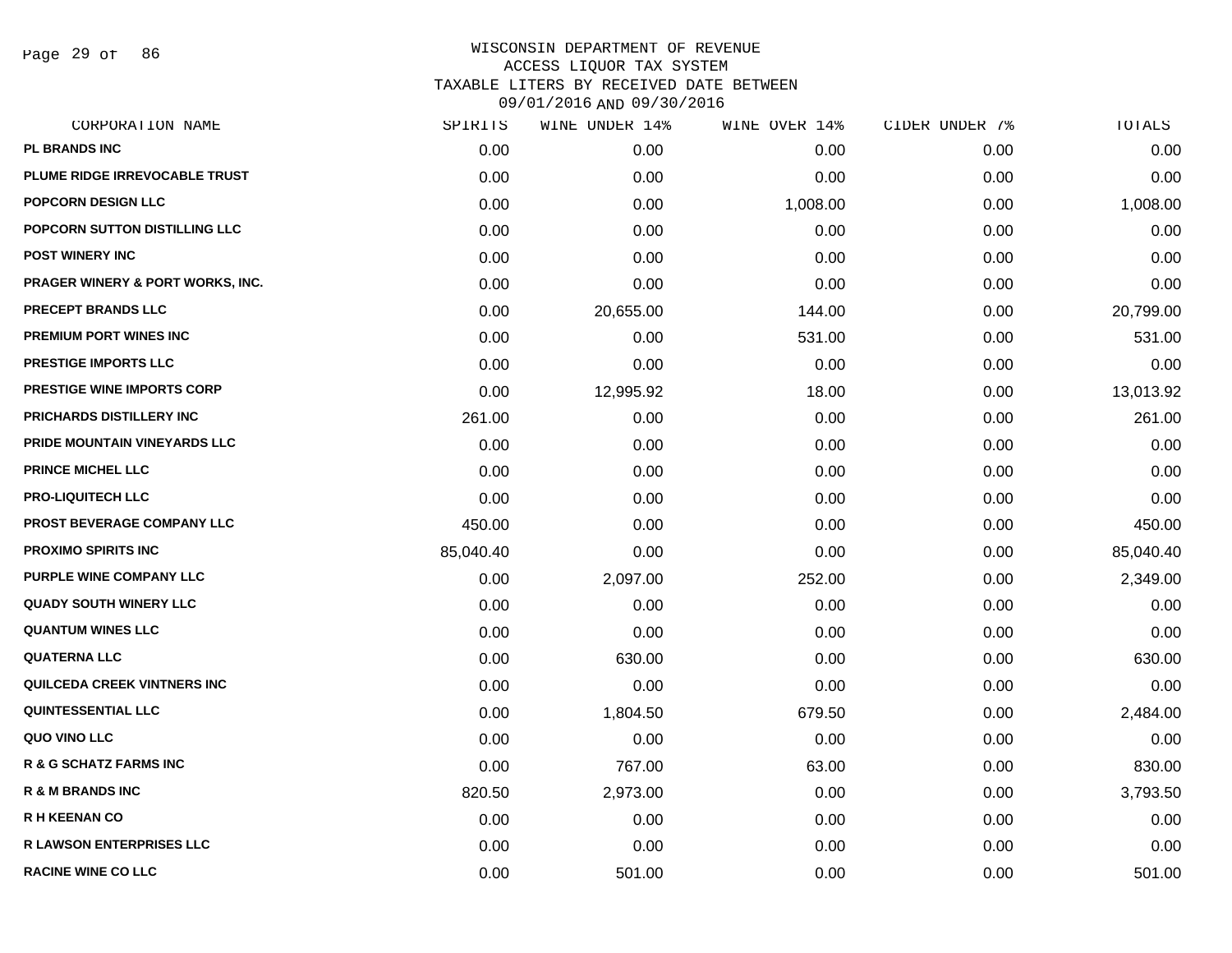Page 29 of 86

| SPIRITS   | WINE UNDER 14% |          |               | TOTALS         |
|-----------|----------------|----------|---------------|----------------|
| 0.00      | 0.00           | 0.00     | 0.00          | 0.00           |
| 0.00      | 0.00           | 0.00     | 0.00          | 0.00           |
| 0.00      | 0.00           | 1,008.00 | 0.00          | 1,008.00       |
| 0.00      | 0.00           | 0.00     | 0.00          | 0.00           |
| 0.00      | 0.00           | 0.00     | 0.00          | 0.00           |
| 0.00      | 0.00           | 0.00     | 0.00          | 0.00           |
| 0.00      | 20,655.00      | 144.00   | 0.00          | 20,799.00      |
| 0.00      | 0.00           | 531.00   | 0.00          | 531.00         |
| 0.00      | 0.00           | 0.00     | 0.00          | 0.00           |
| 0.00      | 12,995.92      | 18.00    | 0.00          | 13,013.92      |
| 261.00    | 0.00           | 0.00     | 0.00          | 261.00         |
| 0.00      | 0.00           | 0.00     | 0.00          | 0.00           |
| 0.00      | 0.00           | 0.00     | 0.00          | 0.00           |
| 0.00      | 0.00           | 0.00     | 0.00          | 0.00           |
| 450.00    | 0.00           | 0.00     | 0.00          | 450.00         |
| 85,040.40 | 0.00           | 0.00     | 0.00          | 85,040.40      |
| 0.00      | 2,097.00       | 252.00   | 0.00          | 2,349.00       |
| 0.00      | 0.00           | 0.00     | 0.00          | 0.00           |
| 0.00      | 0.00           | 0.00     | 0.00          | 0.00           |
| 0.00      | 630.00         | 0.00     | 0.00          | 630.00         |
| 0.00      | 0.00           | 0.00     | 0.00          | 0.00           |
| 0.00      | 1,804.50       | 679.50   | 0.00          | 2,484.00       |
| 0.00      | 0.00           | 0.00     | 0.00          | 0.00           |
| 0.00      | 767.00         | 63.00    | 0.00          | 830.00         |
| 820.50    | 2,973.00       | 0.00     | 0.00          | 3,793.50       |
| 0.00      | 0.00           | 0.00     | 0.00          | 0.00           |
| 0.00      | 0.00           | 0.00     | 0.00          | 0.00           |
| 0.00      | 501.00         | 0.00     | 0.00          | 501.00         |
|           |                |          | WINE OVER 14% | CIDER UNDER 7% |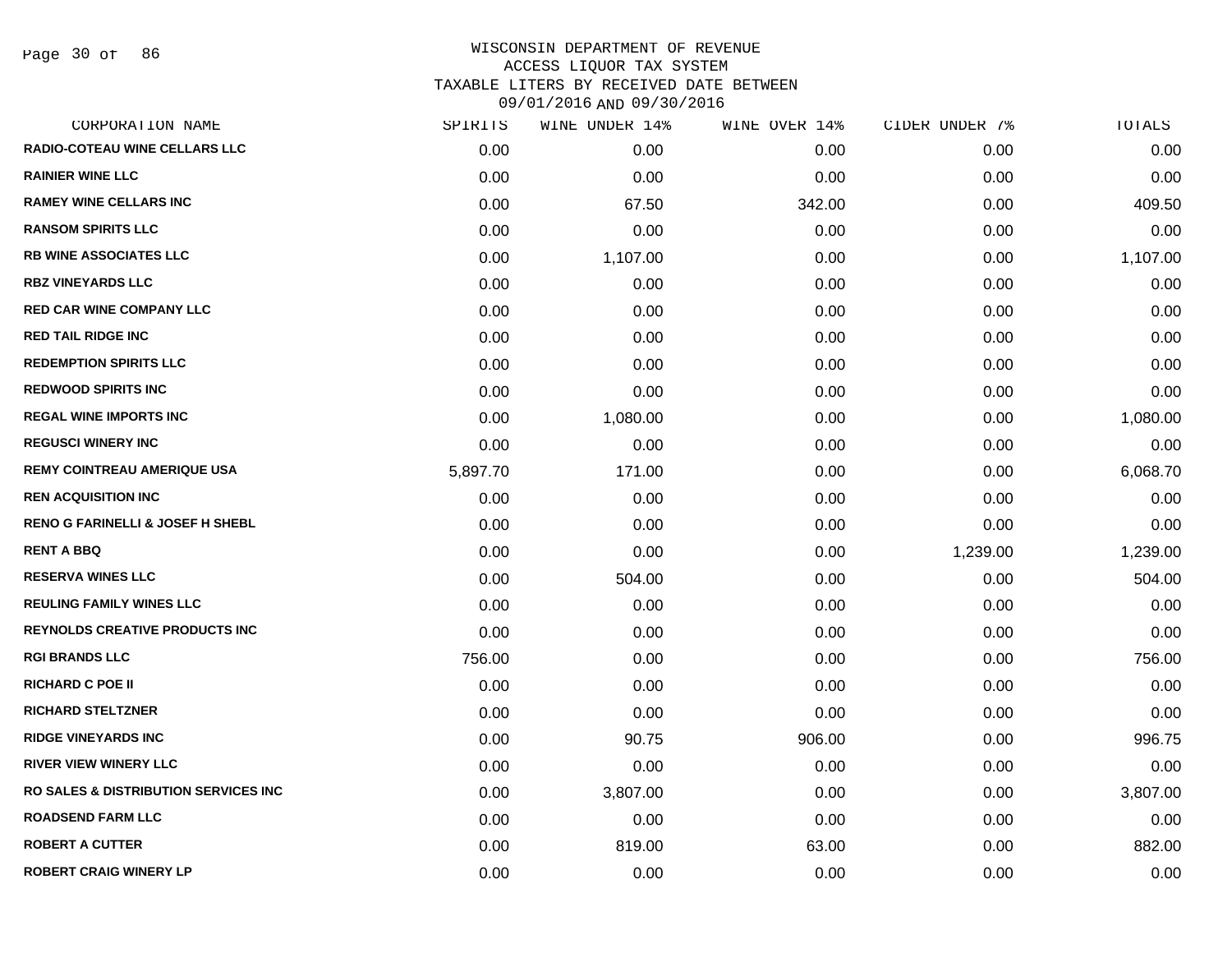Page 30 of 86

| CORPORATION NAME                                 | SPIRITS  | WINE UNDER 14% | WINE OVER 14% | CIDER UNDER 7% | TOTALS   |
|--------------------------------------------------|----------|----------------|---------------|----------------|----------|
| <b>RADIO-COTEAU WINE CELLARS LLC</b>             | 0.00     | 0.00           | 0.00          | 0.00           | 0.00     |
| <b>RAINIER WINE LLC</b>                          | 0.00     | 0.00           | 0.00          | 0.00           | 0.00     |
| <b>RAMEY WINE CELLARS INC</b>                    | 0.00     | 67.50          | 342.00        | 0.00           | 409.50   |
| <b>RANSOM SPIRITS LLC</b>                        | 0.00     | 0.00           | 0.00          | 0.00           | 0.00     |
| <b>RB WINE ASSOCIATES LLC</b>                    | 0.00     | 1,107.00       | 0.00          | 0.00           | 1,107.00 |
| <b>RBZ VINEYARDS LLC</b>                         | 0.00     | 0.00           | 0.00          | 0.00           | 0.00     |
| <b>RED CAR WINE COMPANY LLC</b>                  | 0.00     | 0.00           | 0.00          | 0.00           | 0.00     |
| <b>RED TAIL RIDGE INC</b>                        | 0.00     | 0.00           | 0.00          | 0.00           | 0.00     |
| <b>REDEMPTION SPIRITS LLC</b>                    | 0.00     | 0.00           | 0.00          | 0.00           | 0.00     |
| <b>REDWOOD SPIRITS INC</b>                       | 0.00     | 0.00           | 0.00          | 0.00           | 0.00     |
| <b>REGAL WINE IMPORTS INC</b>                    | 0.00     | 1,080.00       | 0.00          | 0.00           | 1,080.00 |
| <b>REGUSCI WINERY INC</b>                        | 0.00     | 0.00           | 0.00          | 0.00           | 0.00     |
| <b>REMY COINTREAU AMERIQUE USA</b>               | 5,897.70 | 171.00         | 0.00          | 0.00           | 6,068.70 |
| <b>REN ACQUISITION INC</b>                       | 0.00     | 0.00           | 0.00          | 0.00           | 0.00     |
| <b>RENO G FARINELLI &amp; JOSEF H SHEBL</b>      | 0.00     | 0.00           | 0.00          | 0.00           | 0.00     |
| <b>RENT A BBQ</b>                                | 0.00     | 0.00           | 0.00          | 1,239.00       | 1,239.00 |
| <b>RESERVA WINES LLC</b>                         | 0.00     | 504.00         | 0.00          | 0.00           | 504.00   |
| <b>REULING FAMILY WINES LLC</b>                  | 0.00     | 0.00           | 0.00          | 0.00           | 0.00     |
| <b>REYNOLDS CREATIVE PRODUCTS INC.</b>           | 0.00     | 0.00           | 0.00          | 0.00           | 0.00     |
| <b>RGI BRANDS LLC</b>                            | 756.00   | 0.00           | 0.00          | 0.00           | 756.00   |
| <b>RICHARD C POE II</b>                          | 0.00     | 0.00           | 0.00          | 0.00           | 0.00     |
| <b>RICHARD STELTZNER</b>                         | 0.00     | 0.00           | 0.00          | 0.00           | 0.00     |
| <b>RIDGE VINEYARDS INC</b>                       | 0.00     | 90.75          | 906.00        | 0.00           | 996.75   |
| <b>RIVER VIEW WINERY LLC</b>                     | 0.00     | 0.00           | 0.00          | 0.00           | 0.00     |
| <b>RO SALES &amp; DISTRIBUTION SERVICES INC.</b> | 0.00     | 3,807.00       | 0.00          | 0.00           | 3,807.00 |
| <b>ROADSEND FARM LLC</b>                         | 0.00     | 0.00           | 0.00          | 0.00           | 0.00     |
| <b>ROBERT A CUTTER</b>                           | 0.00     | 819.00         | 63.00         | 0.00           | 882.00   |
| <b>ROBERT CRAIG WINERY LP</b>                    | 0.00     | 0.00           | 0.00          | 0.00           | 0.00     |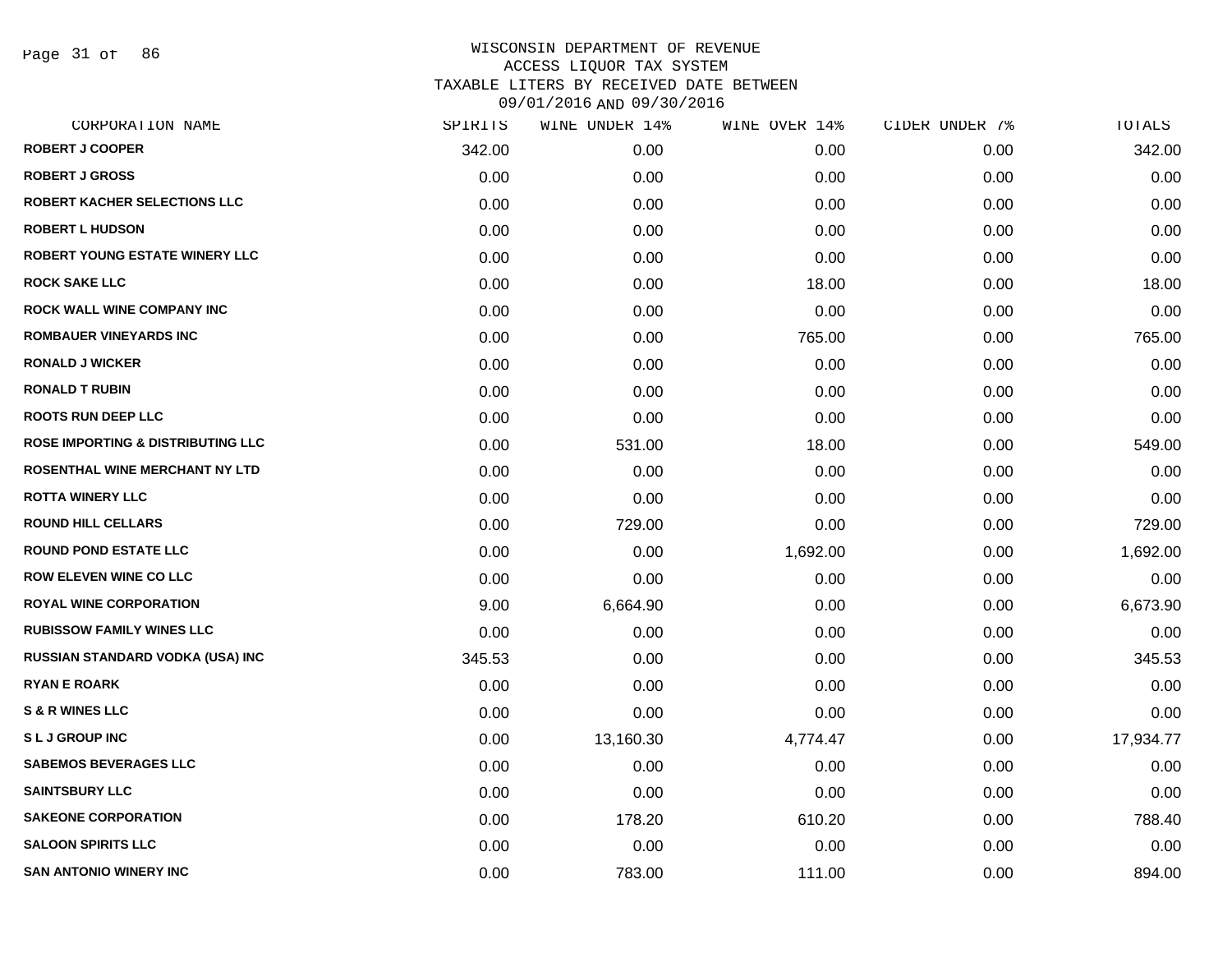Page 31 of 86

| CORPORATION NAME                             | SPIRITS | WINE UNDER 14% | WINE OVER 14% | CIDER UNDER 7% | TOTALS    |
|----------------------------------------------|---------|----------------|---------------|----------------|-----------|
| <b>ROBERT J COOPER</b>                       | 342.00  | 0.00           | 0.00          | 0.00           | 342.00    |
| <b>ROBERT J GROSS</b>                        | 0.00    | 0.00           | 0.00          | 0.00           | 0.00      |
| ROBERT KACHER SELECTIONS LLC                 | 0.00    | 0.00           | 0.00          | 0.00           | 0.00      |
| <b>ROBERT L HUDSON</b>                       | 0.00    | 0.00           | 0.00          | 0.00           | 0.00      |
| ROBERT YOUNG ESTATE WINERY LLC               | 0.00    | 0.00           | 0.00          | 0.00           | 0.00      |
| <b>ROCK SAKE LLC</b>                         | 0.00    | 0.00           | 18.00         | 0.00           | 18.00     |
| ROCK WALL WINE COMPANY INC                   | 0.00    | 0.00           | 0.00          | 0.00           | 0.00      |
| <b>ROMBAUER VINEYARDS INC</b>                | 0.00    | 0.00           | 765.00        | 0.00           | 765.00    |
| <b>RONALD J WICKER</b>                       | 0.00    | 0.00           | 0.00          | 0.00           | 0.00      |
| <b>RONALD T RUBIN</b>                        | 0.00    | 0.00           | 0.00          | 0.00           | 0.00      |
| <b>ROOTS RUN DEEP LLC</b>                    | 0.00    | 0.00           | 0.00          | 0.00           | 0.00      |
| <b>ROSE IMPORTING &amp; DISTRIBUTING LLC</b> | 0.00    | 531.00         | 18.00         | 0.00           | 549.00    |
| ROSENTHAL WINE MERCHANT NY LTD               | 0.00    | 0.00           | 0.00          | 0.00           | 0.00      |
| <b>ROTTA WINERY LLC</b>                      | 0.00    | 0.00           | 0.00          | 0.00           | 0.00      |
| <b>ROUND HILL CELLARS</b>                    | 0.00    | 729.00         | 0.00          | 0.00           | 729.00    |
| <b>ROUND POND ESTATE LLC</b>                 | 0.00    | 0.00           | 1,692.00      | 0.00           | 1,692.00  |
| <b>ROW ELEVEN WINE CO LLC</b>                | 0.00    | 0.00           | 0.00          | 0.00           | 0.00      |
| <b>ROYAL WINE CORPORATION</b>                | 9.00    | 6,664.90       | 0.00          | 0.00           | 6,673.90  |
| <b>RUBISSOW FAMILY WINES LLC</b>             | 0.00    | 0.00           | 0.00          | 0.00           | 0.00      |
| RUSSIAN STANDARD VODKA (USA) INC             | 345.53  | 0.00           | 0.00          | 0.00           | 345.53    |
| <b>RYAN E ROARK</b>                          | 0.00    | 0.00           | 0.00          | 0.00           | 0.00      |
| <b>S &amp; R WINES LLC</b>                   | 0.00    | 0.00           | 0.00          | 0.00           | 0.00      |
| <b>SLJGROUPINC</b>                           | 0.00    | 13,160.30      | 4,774.47      | 0.00           | 17,934.77 |
| <b>SABEMOS BEVERAGES LLC</b>                 | 0.00    | 0.00           | 0.00          | 0.00           | 0.00      |
| <b>SAINTSBURY LLC</b>                        | 0.00    | 0.00           | 0.00          | 0.00           | 0.00      |
| <b>SAKEONE CORPORATION</b>                   | 0.00    | 178.20         | 610.20        | 0.00           | 788.40    |
| <b>SALOON SPIRITS LLC</b>                    | 0.00    | 0.00           | 0.00          | 0.00           | 0.00      |
| <b>SAN ANTONIO WINERY INC</b>                | 0.00    | 783.00         | 111.00        | 0.00           | 894.00    |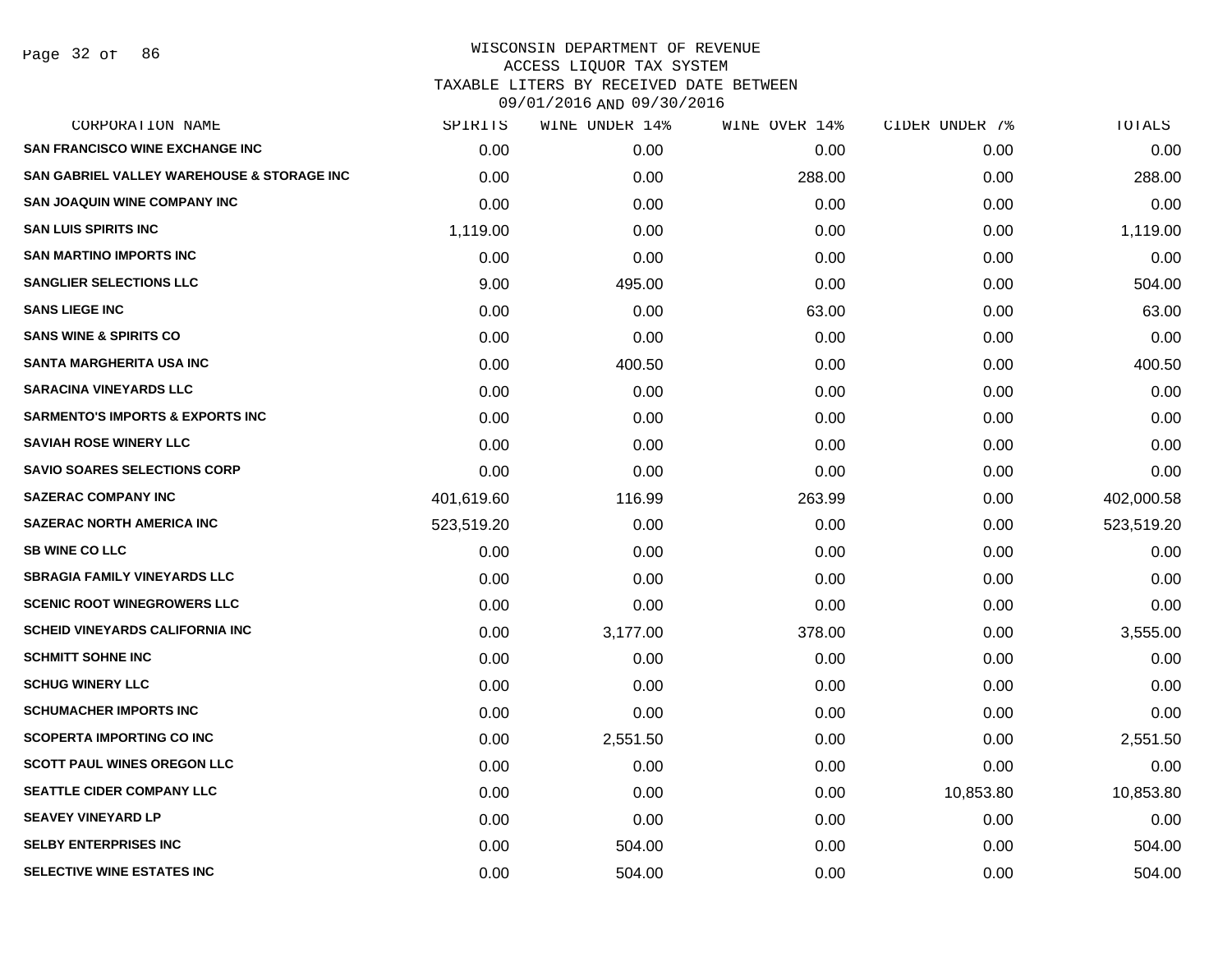| CORPORATION NAME                            | SPIRITS    | WINE UNDER 14% | WINE OVER 14% | CIDER UNDER 7% | TOTALS     |
|---------------------------------------------|------------|----------------|---------------|----------------|------------|
| <b>SAN FRANCISCO WINE EXCHANGE INC</b>      | 0.00       | 0.00           | 0.00          | 0.00           | 0.00       |
| SAN GABRIEL VALLEY WAREHOUSE & STORAGE INC  | 0.00       | 0.00           | 288.00        | 0.00           | 288.00     |
| <b>SAN JOAQUIN WINE COMPANY INC</b>         | 0.00       | 0.00           | 0.00          | 0.00           | 0.00       |
| <b>SAN LUIS SPIRITS INC</b>                 | 1,119.00   | 0.00           | 0.00          | 0.00           | 1,119.00   |
| <b>SAN MARTINO IMPORTS INC</b>              | 0.00       | 0.00           | 0.00          | 0.00           | 0.00       |
| <b>SANGLIER SELECTIONS LLC</b>              | 9.00       | 495.00         | 0.00          | 0.00           | 504.00     |
| <b>SANS LIEGE INC</b>                       | 0.00       | 0.00           | 63.00         | 0.00           | 63.00      |
| <b>SANS WINE &amp; SPIRITS CO</b>           | 0.00       | 0.00           | 0.00          | 0.00           | 0.00       |
| <b>SANTA MARGHERITA USA INC</b>             | 0.00       | 400.50         | 0.00          | 0.00           | 400.50     |
| <b>SARACINA VINEYARDS LLC</b>               | 0.00       | 0.00           | 0.00          | 0.00           | 0.00       |
| <b>SARMENTO'S IMPORTS &amp; EXPORTS INC</b> | 0.00       | 0.00           | 0.00          | 0.00           | 0.00       |
| <b>SAVIAH ROSE WINERY LLC</b>               | 0.00       | 0.00           | 0.00          | 0.00           | 0.00       |
| <b>SAVIO SOARES SELECTIONS CORP</b>         | 0.00       | 0.00           | 0.00          | 0.00           | 0.00       |
| <b>SAZERAC COMPANY INC</b>                  | 401,619.60 | 116.99         | 263.99        | 0.00           | 402,000.58 |
| <b>SAZERAC NORTH AMERICA INC</b>            | 523,519.20 | 0.00           | 0.00          | 0.00           | 523,519.20 |
| <b>SB WINE CO LLC</b>                       | 0.00       | 0.00           | 0.00          | 0.00           | 0.00       |
| <b>SBRAGIA FAMILY VINEYARDS LLC</b>         | 0.00       | 0.00           | 0.00          | 0.00           | 0.00       |
| <b>SCENIC ROOT WINEGROWERS LLC</b>          | 0.00       | 0.00           | 0.00          | 0.00           | 0.00       |
| <b>SCHEID VINEYARDS CALIFORNIA INC</b>      | 0.00       | 3,177.00       | 378.00        | 0.00           | 3,555.00   |
| <b>SCHMITT SOHNE INC</b>                    | 0.00       | 0.00           | 0.00          | 0.00           | 0.00       |
| <b>SCHUG WINERY LLC</b>                     | 0.00       | 0.00           | 0.00          | 0.00           | 0.00       |
| <b>SCHUMACHER IMPORTS INC</b>               | 0.00       | 0.00           | 0.00          | 0.00           | 0.00       |
| <b>SCOPERTA IMPORTING CO INC</b>            | 0.00       | 2,551.50       | 0.00          | 0.00           | 2,551.50   |
| <b>SCOTT PAUL WINES OREGON LLC</b>          | 0.00       | 0.00           | 0.00          | 0.00           | 0.00       |
| <b>SEATTLE CIDER COMPANY LLC</b>            | 0.00       | 0.00           | 0.00          | 10,853.80      | 10,853.80  |
| <b>SEAVEY VINEYARD LP</b>                   | 0.00       | 0.00           | 0.00          | 0.00           | 0.00       |
| <b>SELBY ENTERPRISES INC</b>                | 0.00       | 504.00         | 0.00          | 0.00           | 504.00     |
| <b>SELECTIVE WINE ESTATES INC</b>           | 0.00       | 504.00         | 0.00          | 0.00           | 504.00     |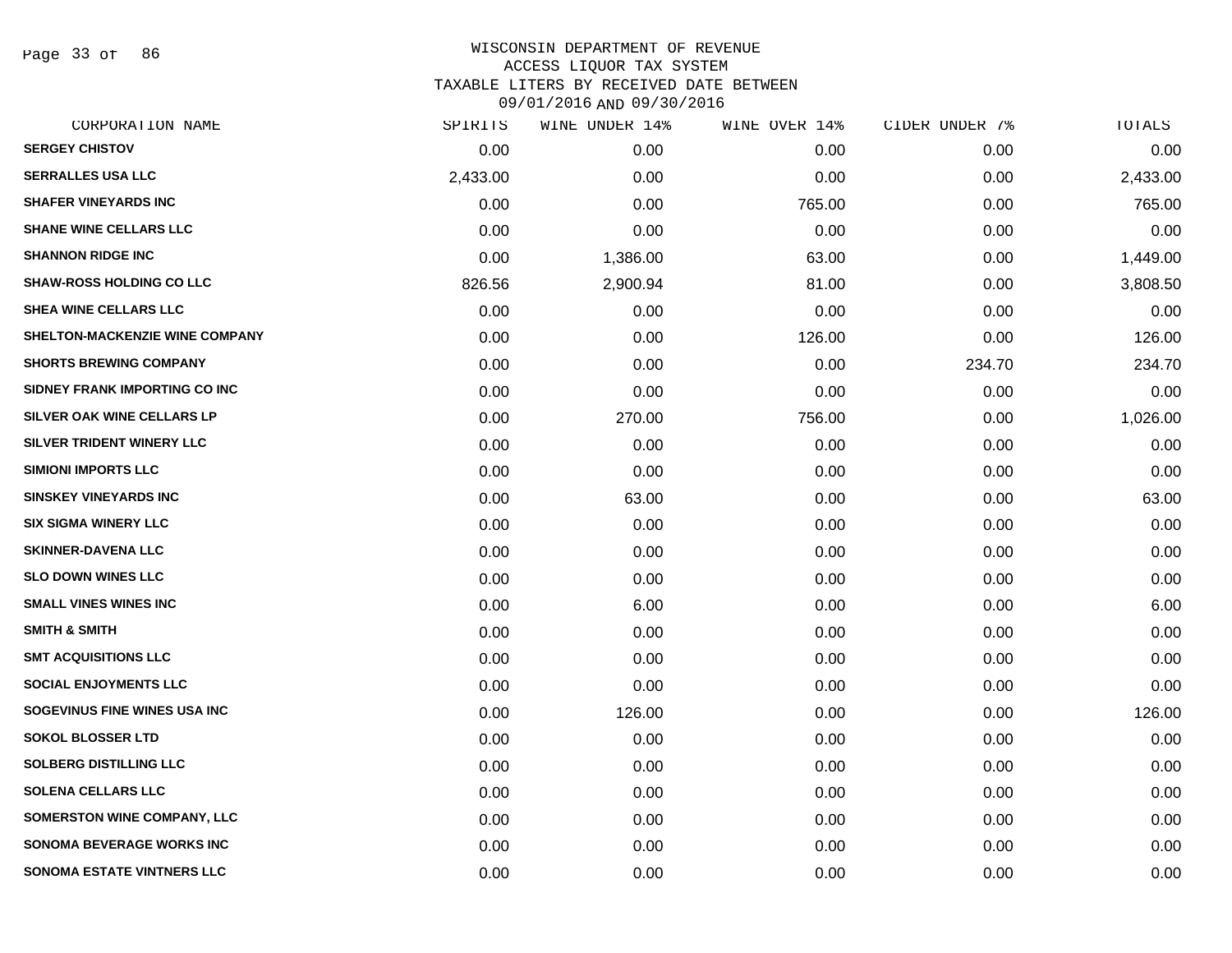Page 33 of 86

| CORPORATION NAME                  | SPIRITS  | WINE UNDER 14% | WINE OVER 14% | CIDER UNDER 7% | TOTALS   |
|-----------------------------------|----------|----------------|---------------|----------------|----------|
| <b>SERGEY CHISTOV</b>             | 0.00     | 0.00           | 0.00          | 0.00           | 0.00     |
| <b>SERRALLES USA LLC</b>          | 2,433.00 | 0.00           | 0.00          | 0.00           | 2,433.00 |
| <b>SHAFER VINEYARDS INC</b>       | 0.00     | 0.00           | 765.00        | 0.00           | 765.00   |
| <b>SHANE WINE CELLARS LLC</b>     | 0.00     | 0.00           | 0.00          | 0.00           | 0.00     |
| <b>SHANNON RIDGE INC</b>          | 0.00     | 1,386.00       | 63.00         | 0.00           | 1,449.00 |
| <b>SHAW-ROSS HOLDING CO LLC</b>   | 826.56   | 2,900.94       | 81.00         | 0.00           | 3,808.50 |
| SHEA WINE CELLARS LLC             | 0.00     | 0.00           | 0.00          | 0.00           | 0.00     |
| SHELTON-MACKENZIE WINE COMPANY    | 0.00     | 0.00           | 126.00        | 0.00           | 126.00   |
| <b>SHORTS BREWING COMPANY</b>     | 0.00     | 0.00           | 0.00          | 234.70         | 234.70   |
| SIDNEY FRANK IMPORTING CO INC     | 0.00     | 0.00           | 0.00          | 0.00           | 0.00     |
| SILVER OAK WINE CELLARS LP        | 0.00     | 270.00         | 756.00        | 0.00           | 1,026.00 |
| SILVER TRIDENT WINERY LLC         | 0.00     | 0.00           | 0.00          | 0.00           | 0.00     |
| <b>SIMIONI IMPORTS LLC</b>        | 0.00     | 0.00           | 0.00          | 0.00           | 0.00     |
| <b>SINSKEY VINEYARDS INC</b>      | 0.00     | 63.00          | 0.00          | 0.00           | 63.00    |
| <b>SIX SIGMA WINERY LLC</b>       | 0.00     | 0.00           | 0.00          | 0.00           | 0.00     |
| <b>SKINNER-DAVENA LLC</b>         | 0.00     | 0.00           | 0.00          | 0.00           | 0.00     |
| <b>SLO DOWN WINES LLC</b>         | 0.00     | 0.00           | 0.00          | 0.00           | 0.00     |
| <b>SMALL VINES WINES INC</b>      | 0.00     | 6.00           | 0.00          | 0.00           | 6.00     |
| <b>SMITH &amp; SMITH</b>          | 0.00     | 0.00           | 0.00          | 0.00           | 0.00     |
| <b>SMT ACQUISITIONS LLC</b>       | 0.00     | 0.00           | 0.00          | 0.00           | 0.00     |
| <b>SOCIAL ENJOYMENTS LLC</b>      | 0.00     | 0.00           | 0.00          | 0.00           | 0.00     |
| SOGEVINUS FINE WINES USA INC      | 0.00     | 126.00         | 0.00          | 0.00           | 126.00   |
| <b>SOKOL BLOSSER LTD</b>          | 0.00     | 0.00           | 0.00          | 0.00           | 0.00     |
| <b>SOLBERG DISTILLING LLC</b>     | 0.00     | 0.00           | 0.00          | 0.00           | 0.00     |
| <b>SOLENA CELLARS LLC</b>         | 0.00     | 0.00           | 0.00          | 0.00           | 0.00     |
| SOMERSTON WINE COMPANY, LLC       | 0.00     | 0.00           | 0.00          | 0.00           | 0.00     |
| <b>SONOMA BEVERAGE WORKS INC</b>  | 0.00     | 0.00           | 0.00          | 0.00           | 0.00     |
| <b>SONOMA ESTATE VINTNERS LLC</b> | 0.00     | 0.00           | 0.00          | 0.00           | 0.00     |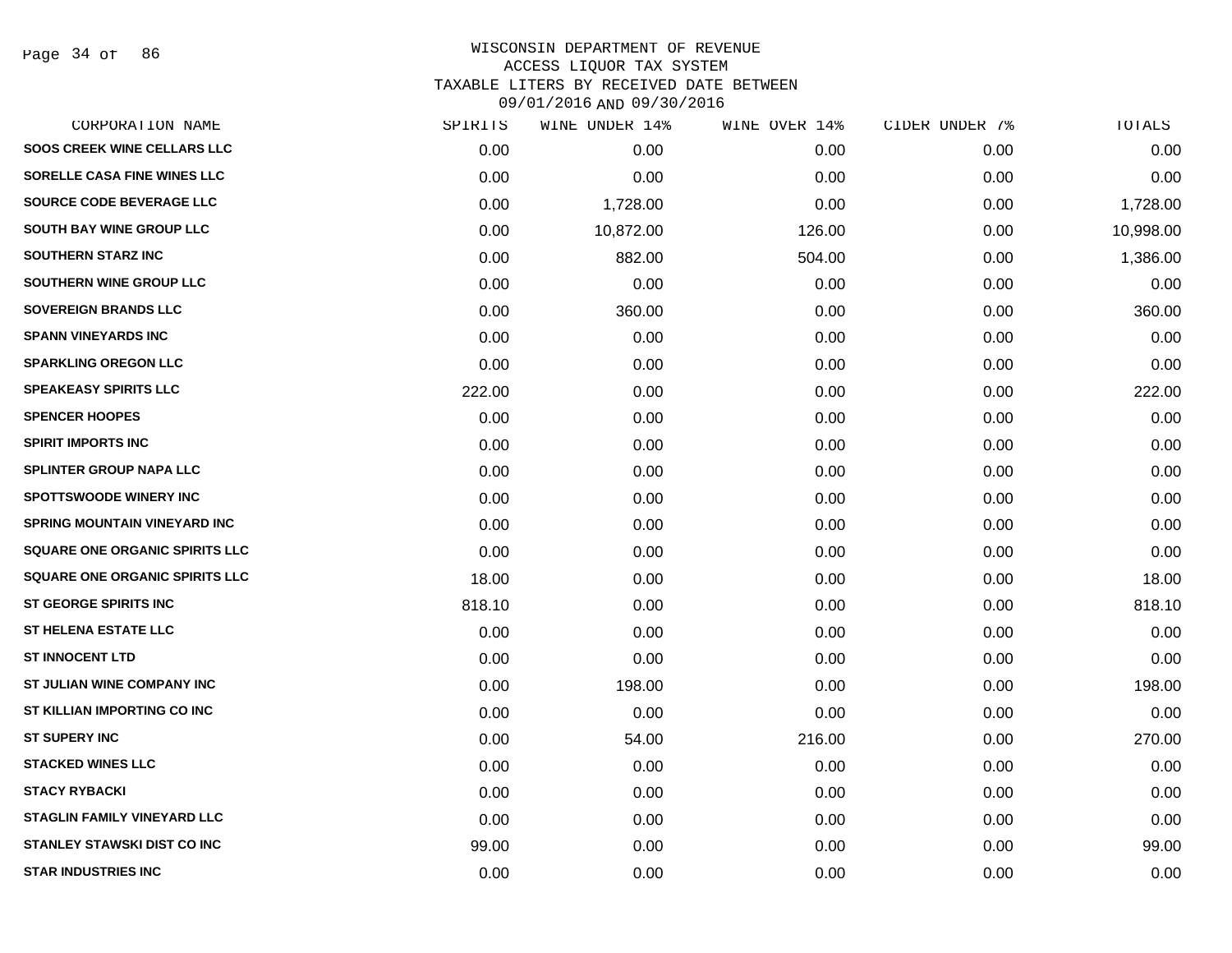Page 34 of 86

| SPIRITS | WINE UNDER 14% | WINE OVER 14% | CIDER UNDER 7% | TOTALS    |
|---------|----------------|---------------|----------------|-----------|
| 0.00    | 0.00           | 0.00          | 0.00           | 0.00      |
| 0.00    | 0.00           | 0.00          | 0.00           | 0.00      |
| 0.00    | 1,728.00       | 0.00          | 0.00           | 1,728.00  |
| 0.00    | 10,872.00      | 126.00        | 0.00           | 10,998.00 |
| 0.00    | 882.00         | 504.00        | 0.00           | 1,386.00  |
| 0.00    | 0.00           | 0.00          | 0.00           | 0.00      |
| 0.00    | 360.00         | 0.00          | 0.00           | 360.00    |
| 0.00    | 0.00           | 0.00          | 0.00           | 0.00      |
| 0.00    | 0.00           | 0.00          | 0.00           | 0.00      |
| 222.00  | 0.00           | 0.00          | 0.00           | 222.00    |
| 0.00    | 0.00           | 0.00          | 0.00           | 0.00      |
| 0.00    | 0.00           | 0.00          | 0.00           | 0.00      |
| 0.00    | 0.00           | 0.00          | 0.00           | 0.00      |
| 0.00    | 0.00           | 0.00          | 0.00           | 0.00      |
| 0.00    | 0.00           | 0.00          | 0.00           | 0.00      |
| 0.00    | 0.00           | 0.00          | 0.00           | 0.00      |
| 18.00   | 0.00           | 0.00          | 0.00           | 18.00     |
| 818.10  | 0.00           | 0.00          | 0.00           | 818.10    |
| 0.00    | 0.00           | 0.00          | 0.00           | 0.00      |
| 0.00    | 0.00           | 0.00          | 0.00           | 0.00      |
| 0.00    | 198.00         | 0.00          | 0.00           | 198.00    |
| 0.00    | 0.00           | 0.00          | 0.00           | 0.00      |
| 0.00    | 54.00          | 216.00        | 0.00           | 270.00    |
| 0.00    | 0.00           | 0.00          | 0.00           | 0.00      |
| 0.00    | 0.00           | 0.00          | 0.00           | 0.00      |
| 0.00    | 0.00           | 0.00          | 0.00           | 0.00      |
| 99.00   | 0.00           | 0.00          | 0.00           | 99.00     |
| 0.00    | 0.00           | 0.00          | 0.00           | 0.00      |
|         |                |               |                |           |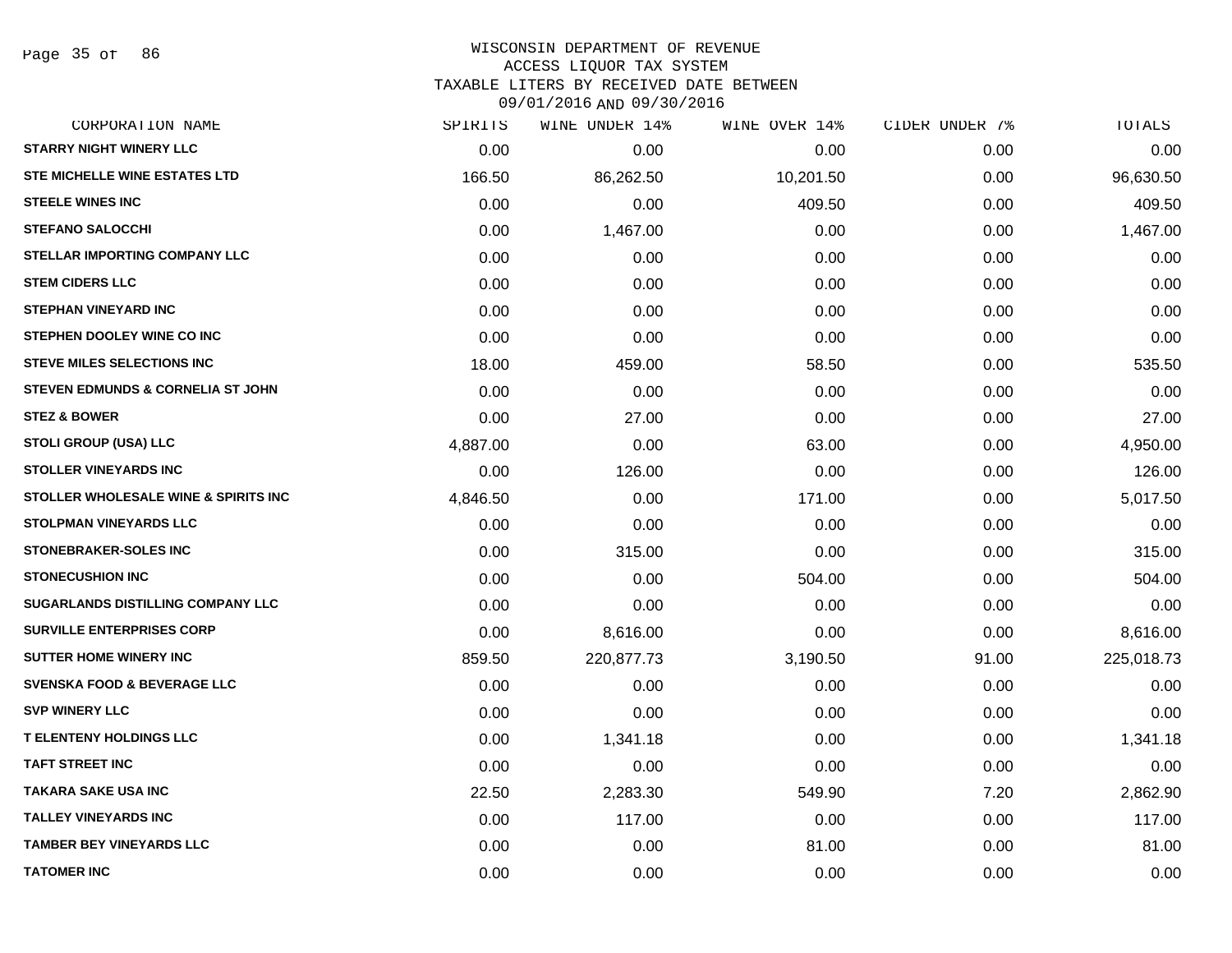#### WISCONSIN DEPARTMENT OF REVENUE ACCESS LIQUOR TAX SYSTEM TAXABLE LITERS BY RECEIVED DATE BETWEEN

| CORPORATION NAME                         | SPIRITS  | WINE UNDER 14% | WINE OVER 14% | CIDER UNDER 7% | TOTALS     |
|------------------------------------------|----------|----------------|---------------|----------------|------------|
| <b>STARRY NIGHT WINERY LLC</b>           | 0.00     | 0.00           | 0.00          | 0.00           | 0.00       |
| STE MICHELLE WINE ESTATES LTD            | 166.50   | 86,262.50      | 10,201.50     | 0.00           | 96,630.50  |
| <b>STEELE WINES INC</b>                  | 0.00     | 0.00           | 409.50        | 0.00           | 409.50     |
| <b>STEFANO SALOCCHI</b>                  | 0.00     | 1,467.00       | 0.00          | 0.00           | 1,467.00   |
| STELLAR IMPORTING COMPANY LLC            | 0.00     | 0.00           | 0.00          | 0.00           | 0.00       |
| <b>STEM CIDERS LLC</b>                   | 0.00     | 0.00           | 0.00          | 0.00           | 0.00       |
| <b>STEPHAN VINEYARD INC</b>              | 0.00     | 0.00           | 0.00          | 0.00           | 0.00       |
| STEPHEN DOOLEY WINE CO INC               | 0.00     | 0.00           | 0.00          | 0.00           | 0.00       |
| <b>STEVE MILES SELECTIONS INC</b>        | 18.00    | 459.00         | 58.50         | 0.00           | 535.50     |
| STEVEN EDMUNDS & CORNELIA ST JOHN        | 0.00     | 0.00           | 0.00          | 0.00           | 0.00       |
| <b>STEZ &amp; BOWER</b>                  | 0.00     | 27.00          | 0.00          | 0.00           | 27.00      |
| <b>STOLI GROUP (USA) LLC</b>             | 4,887.00 | 0.00           | 63.00         | 0.00           | 4,950.00   |
| <b>STOLLER VINEYARDS INC</b>             | 0.00     | 126.00         | 0.00          | 0.00           | 126.00     |
| STOLLER WHOLESALE WINE & SPIRITS INC     | 4,846.50 | 0.00           | 171.00        | 0.00           | 5,017.50   |
| <b>STOLPMAN VINEYARDS LLC</b>            | 0.00     | 0.00           | 0.00          | 0.00           | 0.00       |
| <b>STONEBRAKER-SOLES INC</b>             | 0.00     | 315.00         | 0.00          | 0.00           | 315.00     |
| <b>STONECUSHION INC</b>                  | 0.00     | 0.00           | 504.00        | 0.00           | 504.00     |
| <b>SUGARLANDS DISTILLING COMPANY LLC</b> | 0.00     | 0.00           | 0.00          | 0.00           | 0.00       |
| <b>SURVILLE ENTERPRISES CORP</b>         | 0.00     | 8,616.00       | 0.00          | 0.00           | 8,616.00   |
| <b>SUTTER HOME WINERY INC</b>            | 859.50   | 220,877.73     | 3,190.50      | 91.00          | 225,018.73 |
| <b>SVENSKA FOOD &amp; BEVERAGE LLC</b>   | 0.00     | 0.00           | 0.00          | 0.00           | 0.00       |
| <b>SVP WINERY LLC</b>                    | 0.00     | 0.00           | 0.00          | 0.00           | 0.00       |
| <b>T ELENTENY HOLDINGS LLC</b>           | 0.00     | 1,341.18       | 0.00          | 0.00           | 1,341.18   |
| <b>TAFT STREET INC</b>                   | 0.00     | 0.00           | 0.00          | 0.00           | 0.00       |
| <b>TAKARA SAKE USA INC</b>               | 22.50    | 2,283.30       | 549.90        | 7.20           | 2,862.90   |
| <b>TALLEY VINEYARDS INC</b>              | 0.00     | 117.00         | 0.00          | 0.00           | 117.00     |
| <b>TAMBER BEY VINEYARDS LLC</b>          | 0.00     | 0.00           | 81.00         | 0.00           | 81.00      |
| <b>TATOMER INC</b>                       | 0.00     | 0.00           | 0.00          | 0.00           | 0.00       |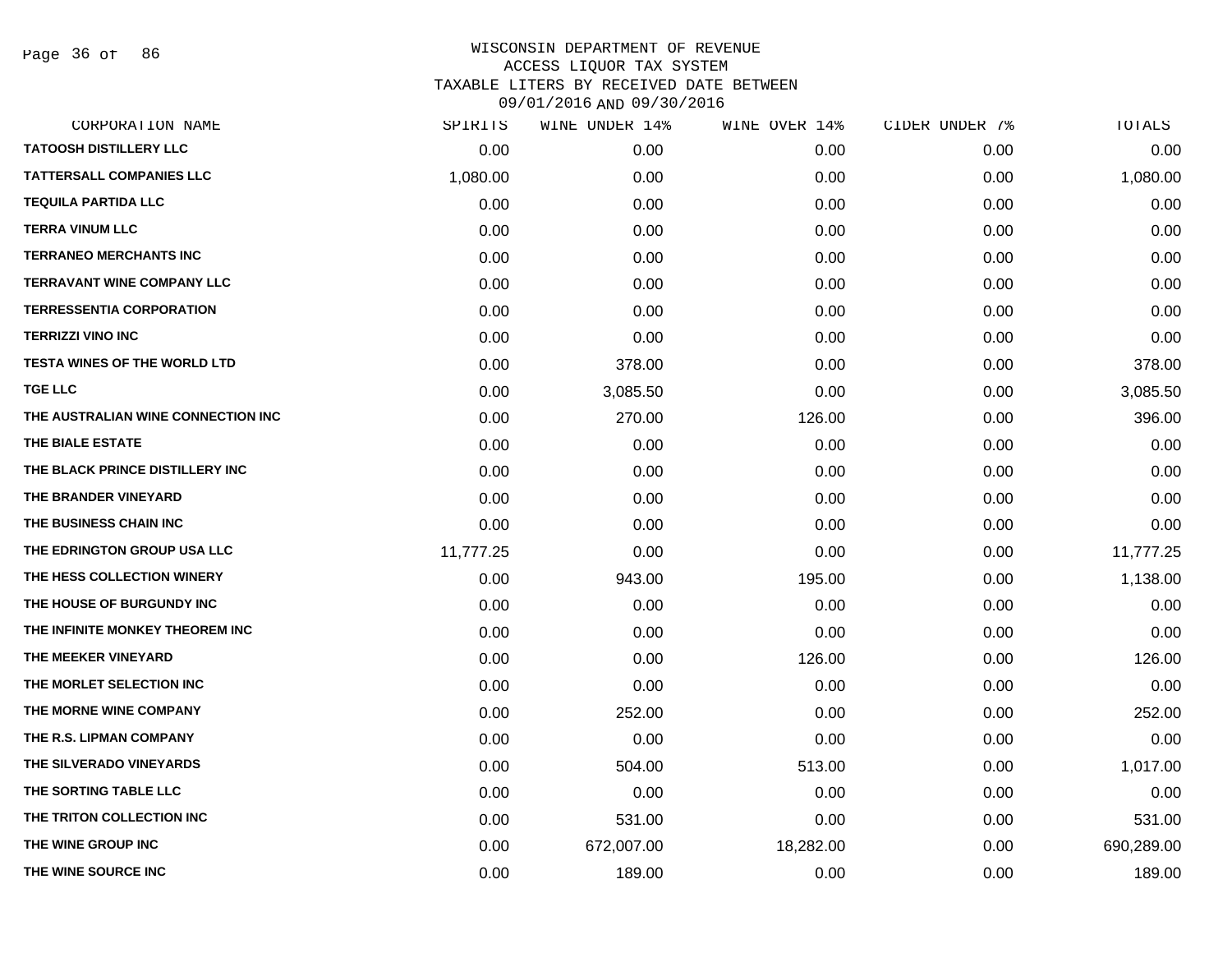Page 36 of 86

| CORPORATION NAME                    | SPIRITS   | WINE UNDER 14% | WINE OVER 14% | CIDER UNDER 7% | TOTALS     |
|-------------------------------------|-----------|----------------|---------------|----------------|------------|
| <b>TATOOSH DISTILLERY LLC</b>       | 0.00      | 0.00           | 0.00          | 0.00           | 0.00       |
| <b>TATTERSALL COMPANIES LLC</b>     | 1,080.00  | 0.00           | 0.00          | 0.00           | 1,080.00   |
| <b>TEQUILA PARTIDA LLC</b>          | 0.00      | 0.00           | 0.00          | 0.00           | 0.00       |
| <b>TERRA VINUM LLC</b>              | 0.00      | 0.00           | 0.00          | 0.00           | 0.00       |
| <b>TERRANEO MERCHANTS INC</b>       | 0.00      | 0.00           | 0.00          | 0.00           | 0.00       |
| <b>TERRAVANT WINE COMPANY LLC</b>   | 0.00      | 0.00           | 0.00          | 0.00           | 0.00       |
| <b>TERRESSENTIA CORPORATION</b>     | 0.00      | 0.00           | 0.00          | 0.00           | 0.00       |
| <b>TERRIZZI VINO INC</b>            | 0.00      | 0.00           | 0.00          | 0.00           | 0.00       |
| <b>TESTA WINES OF THE WORLD LTD</b> | 0.00      | 378.00         | 0.00          | 0.00           | 378.00     |
| <b>TGE LLC</b>                      | 0.00      | 3,085.50       | 0.00          | 0.00           | 3,085.50   |
| THE AUSTRALIAN WINE CONNECTION INC  | 0.00      | 270.00         | 126.00        | 0.00           | 396.00     |
| THE BIALE ESTATE                    | 0.00      | 0.00           | 0.00          | 0.00           | 0.00       |
| THE BLACK PRINCE DISTILLERY INC     | 0.00      | 0.00           | 0.00          | 0.00           | 0.00       |
| THE BRANDER VINEYARD                | 0.00      | 0.00           | 0.00          | 0.00           | 0.00       |
| THE BUSINESS CHAIN INC              | 0.00      | 0.00           | 0.00          | 0.00           | 0.00       |
| THE EDRINGTON GROUP USA LLC         | 11,777.25 | 0.00           | 0.00          | 0.00           | 11,777.25  |
| THE HESS COLLECTION WINERY          | 0.00      | 943.00         | 195.00        | 0.00           | 1,138.00   |
| THE HOUSE OF BURGUNDY INC           | 0.00      | 0.00           | 0.00          | 0.00           | 0.00       |
| THE INFINITE MONKEY THEOREM INC     | 0.00      | 0.00           | 0.00          | 0.00           | 0.00       |
| THE MEEKER VINEYARD                 | 0.00      | 0.00           | 126.00        | 0.00           | 126.00     |
| THE MORLET SELECTION INC            | 0.00      | 0.00           | 0.00          | 0.00           | 0.00       |
| THE MORNE WINE COMPANY              | 0.00      | 252.00         | 0.00          | 0.00           | 252.00     |
| THE R.S. LIPMAN COMPANY             | 0.00      | 0.00           | 0.00          | 0.00           | 0.00       |
| THE SILVERADO VINEYARDS             | 0.00      | 504.00         | 513.00        | 0.00           | 1,017.00   |
| THE SORTING TABLE LLC               | 0.00      | 0.00           | 0.00          | 0.00           | 0.00       |
| THE TRITON COLLECTION INC           | 0.00      | 531.00         | 0.00          | 0.00           | 531.00     |
| THE WINE GROUP INC                  | 0.00      | 672,007.00     | 18,282.00     | 0.00           | 690,289.00 |
| THE WINE SOURCE INC                 | 0.00      | 189.00         | 0.00          | 0.00           | 189.00     |
|                                     |           |                |               |                |            |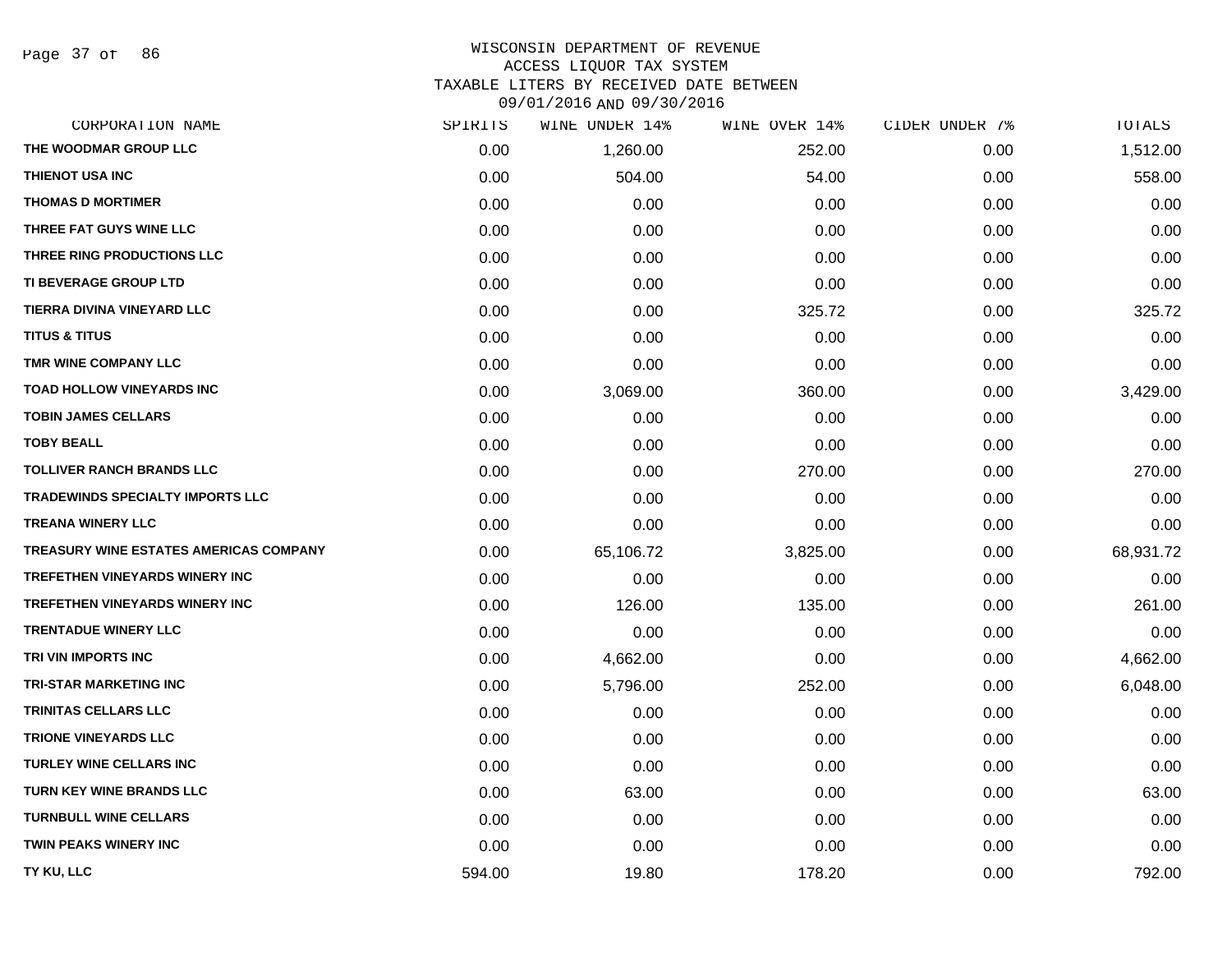| CORPORATION NAME                        | SPIRITS | WINE UNDER 14% | WINE OVER 14% | CIDER UNDER 7% | TOTALS    |
|-----------------------------------------|---------|----------------|---------------|----------------|-----------|
| THE WOODMAR GROUP LLC                   | 0.00    | 1,260.00       | 252.00        | 0.00           | 1,512.00  |
| THIENOT USA INC                         | 0.00    | 504.00         | 54.00         | 0.00           | 558.00    |
| <b>THOMAS D MORTIMER</b>                | 0.00    | 0.00           | 0.00          | 0.00           | 0.00      |
| THREE FAT GUYS WINE LLC                 | 0.00    | 0.00           | 0.00          | 0.00           | 0.00      |
| THREE RING PRODUCTIONS LLC              | 0.00    | 0.00           | 0.00          | 0.00           | 0.00      |
| TI BEVERAGE GROUP LTD                   | 0.00    | 0.00           | 0.00          | 0.00           | 0.00      |
| TIERRA DIVINA VINEYARD LLC              | 0.00    | 0.00           | 325.72        | 0.00           | 325.72    |
| <b>TITUS &amp; TITUS</b>                | 0.00    | 0.00           | 0.00          | 0.00           | 0.00      |
| TMR WINE COMPANY LLC                    | 0.00    | 0.00           | 0.00          | 0.00           | 0.00      |
| <b>TOAD HOLLOW VINEYARDS INC</b>        | 0.00    | 3,069.00       | 360.00        | 0.00           | 3,429.00  |
| <b>TOBIN JAMES CELLARS</b>              | 0.00    | 0.00           | 0.00          | 0.00           | 0.00      |
| <b>TOBY BEALL</b>                       | 0.00    | 0.00           | 0.00          | 0.00           | 0.00      |
| <b>TOLLIVER RANCH BRANDS LLC</b>        | 0.00    | 0.00           | 270.00        | 0.00           | 270.00    |
| <b>TRADEWINDS SPECIALTY IMPORTS LLC</b> | 0.00    | 0.00           | 0.00          | 0.00           | 0.00      |
| <b>TREANA WINERY LLC</b>                | 0.00    | 0.00           | 0.00          | 0.00           | 0.00      |
| TREASURY WINE ESTATES AMERICAS COMPANY  | 0.00    | 65,106.72      | 3,825.00      | 0.00           | 68,931.72 |
| <b>TREFETHEN VINEYARDS WINERY INC</b>   | 0.00    | 0.00           | 0.00          | 0.00           | 0.00      |
| <b>TREFETHEN VINEYARDS WINERY INC</b>   | 0.00    | 126.00         | 135.00        | 0.00           | 261.00    |
| <b>TRENTADUE WINERY LLC</b>             | 0.00    | 0.00           | 0.00          | 0.00           | 0.00      |
| TRI VIN IMPORTS INC                     | 0.00    | 4,662.00       | 0.00          | 0.00           | 4,662.00  |
| <b>TRI-STAR MARKETING INC</b>           | 0.00    | 5,796.00       | 252.00        | 0.00           | 6,048.00  |
| TRINITAS CELLARS LLC                    | 0.00    | 0.00           | 0.00          | 0.00           | 0.00      |
| <b>TRIONE VINEYARDS LLC</b>             | 0.00    | 0.00           | 0.00          | 0.00           | 0.00      |
| <b>TURLEY WINE CELLARS INC</b>          | 0.00    | 0.00           | 0.00          | 0.00           | 0.00      |
| TURN KEY WINE BRANDS LLC                | 0.00    | 63.00          | 0.00          | 0.00           | 63.00     |
| <b>TURNBULL WINE CELLARS</b>            | 0.00    | 0.00           | 0.00          | 0.00           | 0.00      |
| <b>TWIN PEAKS WINERY INC</b>            | 0.00    | 0.00           | 0.00          | 0.00           | 0.00      |
| TY KU, LLC                              | 594.00  | 19.80          | 178.20        | 0.00           | 792.00    |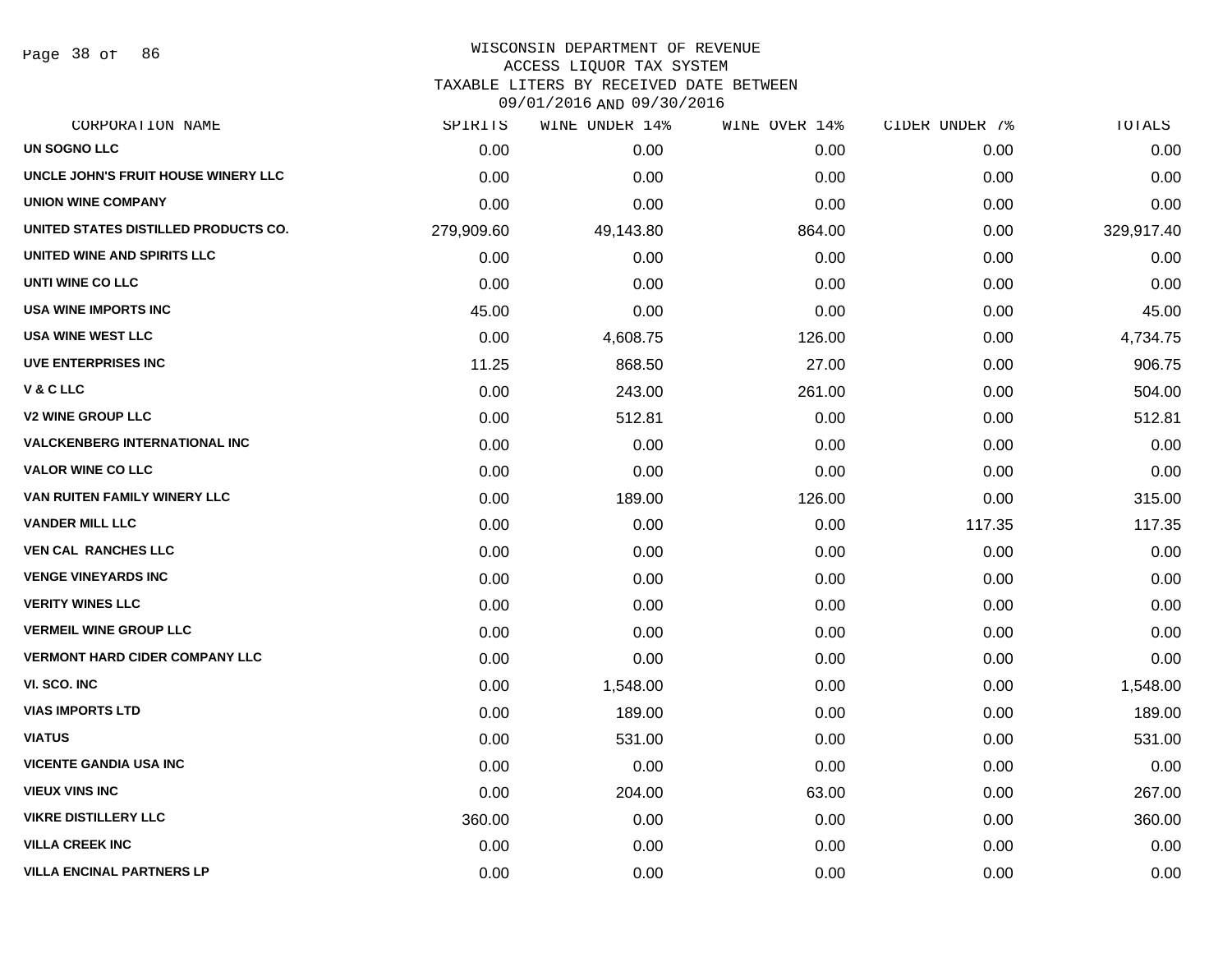Page 38 of 86

#### WISCONSIN DEPARTMENT OF REVENUE ACCESS LIQUOR TAX SYSTEM

TAXABLE LITERS BY RECEIVED DATE BETWEEN

| CORPORATION NAME                      | SPIRITS    | WINE UNDER 14% | WINE OVER 14% | CIDER UNDER 7% | TOTALS     |
|---------------------------------------|------------|----------------|---------------|----------------|------------|
| <b>UN SOGNO LLC</b>                   | 0.00       | 0.00           | 0.00          | 0.00           | 0.00       |
| UNCLE JOHN'S FRUIT HOUSE WINERY LLC   | 0.00       | 0.00           | 0.00          | 0.00           | 0.00       |
| <b>UNION WINE COMPANY</b>             | 0.00       | 0.00           | 0.00          | 0.00           | 0.00       |
| UNITED STATES DISTILLED PRODUCTS CO.  | 279,909.60 | 49,143.80      | 864.00        | 0.00           | 329,917.40 |
| UNITED WINE AND SPIRITS LLC           | 0.00       | 0.00           | 0.00          | 0.00           | 0.00       |
| UNTI WINE CO LLC                      | 0.00       | 0.00           | 0.00          | 0.00           | 0.00       |
| USA WINE IMPORTS INC                  | 45.00      | 0.00           | 0.00          | 0.00           | 45.00      |
| <b>USA WINE WEST LLC</b>              | 0.00       | 4,608.75       | 126.00        | 0.00           | 4,734.75   |
| UVE ENTERPRISES INC                   | 11.25      | 868.50         | 27.00         | 0.00           | 906.75     |
| V & C LLC                             | 0.00       | 243.00         | 261.00        | 0.00           | 504.00     |
| <b>V2 WINE GROUP LLC</b>              | 0.00       | 512.81         | 0.00          | 0.00           | 512.81     |
| <b>VALCKENBERG INTERNATIONAL INC</b>  | 0.00       | 0.00           | 0.00          | 0.00           | 0.00       |
| <b>VALOR WINE CO LLC</b>              | 0.00       | 0.00           | 0.00          | 0.00           | 0.00       |
| VAN RUITEN FAMILY WINERY LLC          | 0.00       | 189.00         | 126.00        | 0.00           | 315.00     |
| <b>VANDER MILL LLC</b>                | 0.00       | 0.00           | 0.00          | 117.35         | 117.35     |
| <b>VEN CAL RANCHES LLC</b>            | 0.00       | 0.00           | 0.00          | 0.00           | 0.00       |
| <b>VENGE VINEYARDS INC</b>            | 0.00       | 0.00           | 0.00          | 0.00           | 0.00       |
| <b>VERITY WINES LLC</b>               | 0.00       | 0.00           | 0.00          | 0.00           | 0.00       |
| <b>VERMEIL WINE GROUP LLC</b>         | 0.00       | 0.00           | 0.00          | 0.00           | 0.00       |
| <b>VERMONT HARD CIDER COMPANY LLC</b> | 0.00       | 0.00           | 0.00          | 0.00           | 0.00       |
| VI. SCO. INC                          | 0.00       | 1,548.00       | 0.00          | 0.00           | 1,548.00   |
| <b>VIAS IMPORTS LTD</b>               | 0.00       | 189.00         | 0.00          | 0.00           | 189.00     |
| VIATUS                                | 0.00       | 531.00         | 0.00          | 0.00           | 531.00     |
| <b>VICENTE GANDIA USA INC</b>         | 0.00       | 0.00           | 0.00          | 0.00           | 0.00       |
| <b>VIEUX VINS INC</b>                 | 0.00       | 204.00         | 63.00         | 0.00           | 267.00     |
| <b>VIKRE DISTILLERY LLC</b>           | 360.00     | 0.00           | 0.00          | 0.00           | 360.00     |
| <b>VILLA CREEK INC</b>                | 0.00       | 0.00           | 0.00          | 0.00           | 0.00       |
| <b>VILLA ENCINAL PARTNERS LP</b>      | 0.00       | 0.00           | 0.00          | 0.00           | 0.00       |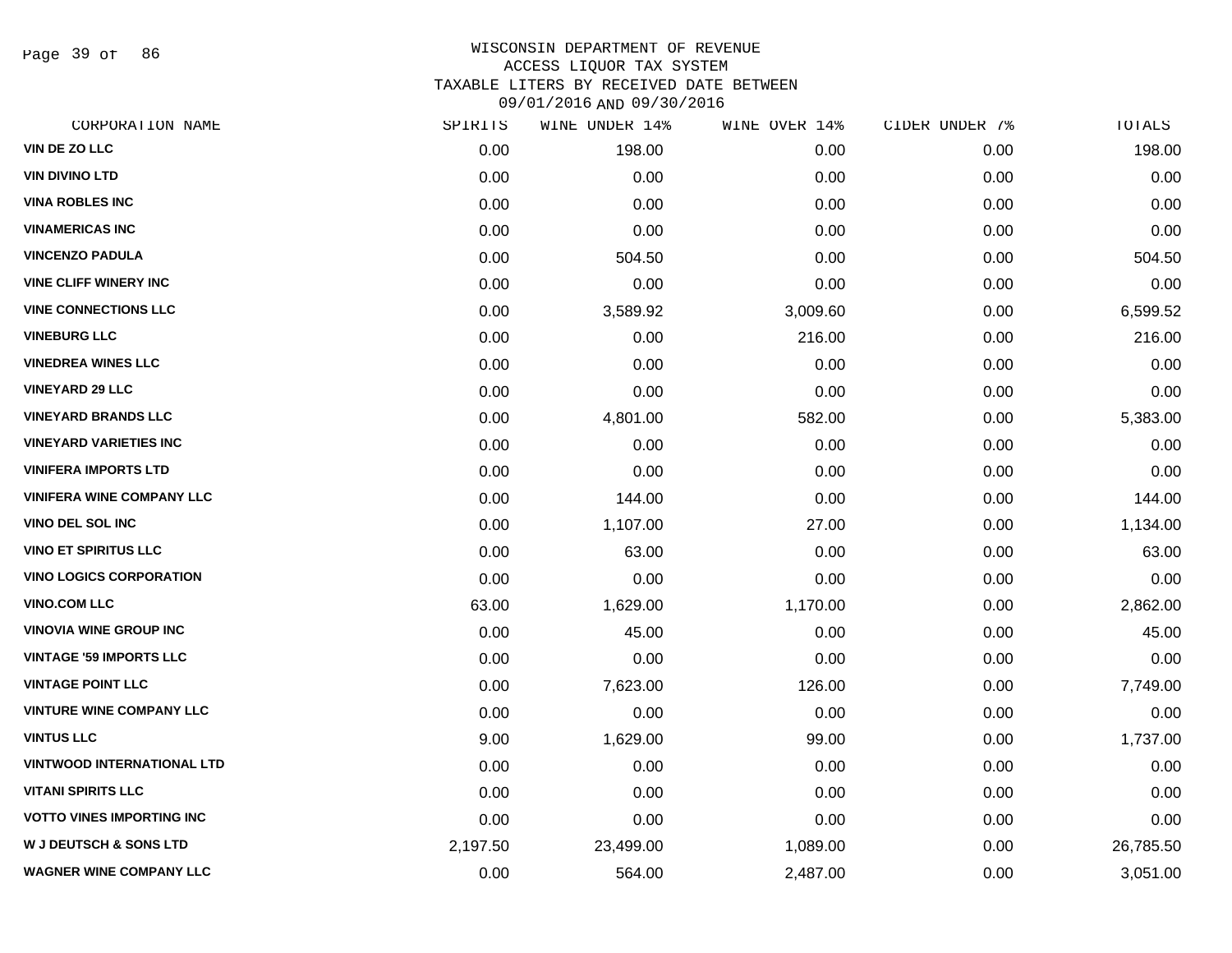Page 39 of 86

# WISCONSIN DEPARTMENT OF REVENUE ACCESS LIQUOR TAX SYSTEM TAXABLE LITERS BY RECEIVED DATE BETWEEN

| CORPORATION NAME                  | SPIRITS  | WINE UNDER 14% | WINE OVER 14% | CIDER UNDER 7% | TOTALS    |
|-----------------------------------|----------|----------------|---------------|----------------|-----------|
| VIN DE ZO LLC                     | 0.00     | 198.00         | 0.00          | 0.00           | 198.00    |
| <b>VIN DIVINO LTD</b>             | 0.00     | 0.00           | 0.00          | 0.00           | 0.00      |
| <b>VINA ROBLES INC</b>            | 0.00     | 0.00           | 0.00          | 0.00           | 0.00      |
| <b>VINAMERICAS INC</b>            | 0.00     | 0.00           | 0.00          | 0.00           | 0.00      |
| <b>VINCENZO PADULA</b>            | 0.00     | 504.50         | 0.00          | 0.00           | 504.50    |
| <b>VINE CLIFF WINERY INC</b>      | 0.00     | 0.00           | 0.00          | 0.00           | 0.00      |
| <b>VINE CONNECTIONS LLC</b>       | 0.00     | 3,589.92       | 3,009.60      | 0.00           | 6,599.52  |
| <b>VINEBURG LLC</b>               | 0.00     | 0.00           | 216.00        | 0.00           | 216.00    |
| <b>VINEDREA WINES LLC</b>         | 0.00     | 0.00           | 0.00          | 0.00           | 0.00      |
| <b>VINEYARD 29 LLC</b>            | 0.00     | 0.00           | 0.00          | 0.00           | 0.00      |
| <b>VINEYARD BRANDS LLC</b>        | 0.00     | 4,801.00       | 582.00        | 0.00           | 5,383.00  |
| <b>VINEYARD VARIETIES INC</b>     | 0.00     | 0.00           | 0.00          | 0.00           | 0.00      |
| <b>VINIFERA IMPORTS LTD</b>       | 0.00     | 0.00           | 0.00          | 0.00           | 0.00      |
| <b>VINIFERA WINE COMPANY LLC</b>  | 0.00     | 144.00         | 0.00          | 0.00           | 144.00    |
| <b>VINO DEL SOL INC</b>           | 0.00     | 1,107.00       | 27.00         | 0.00           | 1,134.00  |
| <b>VINO ET SPIRITUS LLC</b>       | 0.00     | 63.00          | 0.00          | 0.00           | 63.00     |
| <b>VINO LOGICS CORPORATION</b>    | 0.00     | 0.00           | 0.00          | 0.00           | 0.00      |
| <b>VINO.COM LLC</b>               | 63.00    | 1,629.00       | 1,170.00      | 0.00           | 2,862.00  |
| <b>VINOVIA WINE GROUP INC</b>     | 0.00     | 45.00          | 0.00          | 0.00           | 45.00     |
| <b>VINTAGE '59 IMPORTS LLC</b>    | 0.00     | 0.00           | 0.00          | 0.00           | 0.00      |
| <b>VINTAGE POINT LLC</b>          | 0.00     | 7,623.00       | 126.00        | 0.00           | 7,749.00  |
| <b>VINTURE WINE COMPANY LLC</b>   | 0.00     | 0.00           | 0.00          | 0.00           | 0.00      |
| <b>VINTUS LLC</b>                 | 9.00     | 1,629.00       | 99.00         | 0.00           | 1,737.00  |
| <b>VINTWOOD INTERNATIONAL LTD</b> | 0.00     | 0.00           | 0.00          | 0.00           | 0.00      |
| <b>VITANI SPIRITS LLC</b>         | 0.00     | 0.00           | 0.00          | 0.00           | 0.00      |
| <b>VOTTO VINES IMPORTING INC</b>  | 0.00     | 0.00           | 0.00          | 0.00           | 0.00      |
| <b>W J DEUTSCH &amp; SONS LTD</b> | 2,197.50 | 23,499.00      | 1,089.00      | 0.00           | 26,785.50 |
| <b>WAGNER WINE COMPANY LLC</b>    | 0.00     | 564.00         | 2,487.00      | 0.00           | 3,051.00  |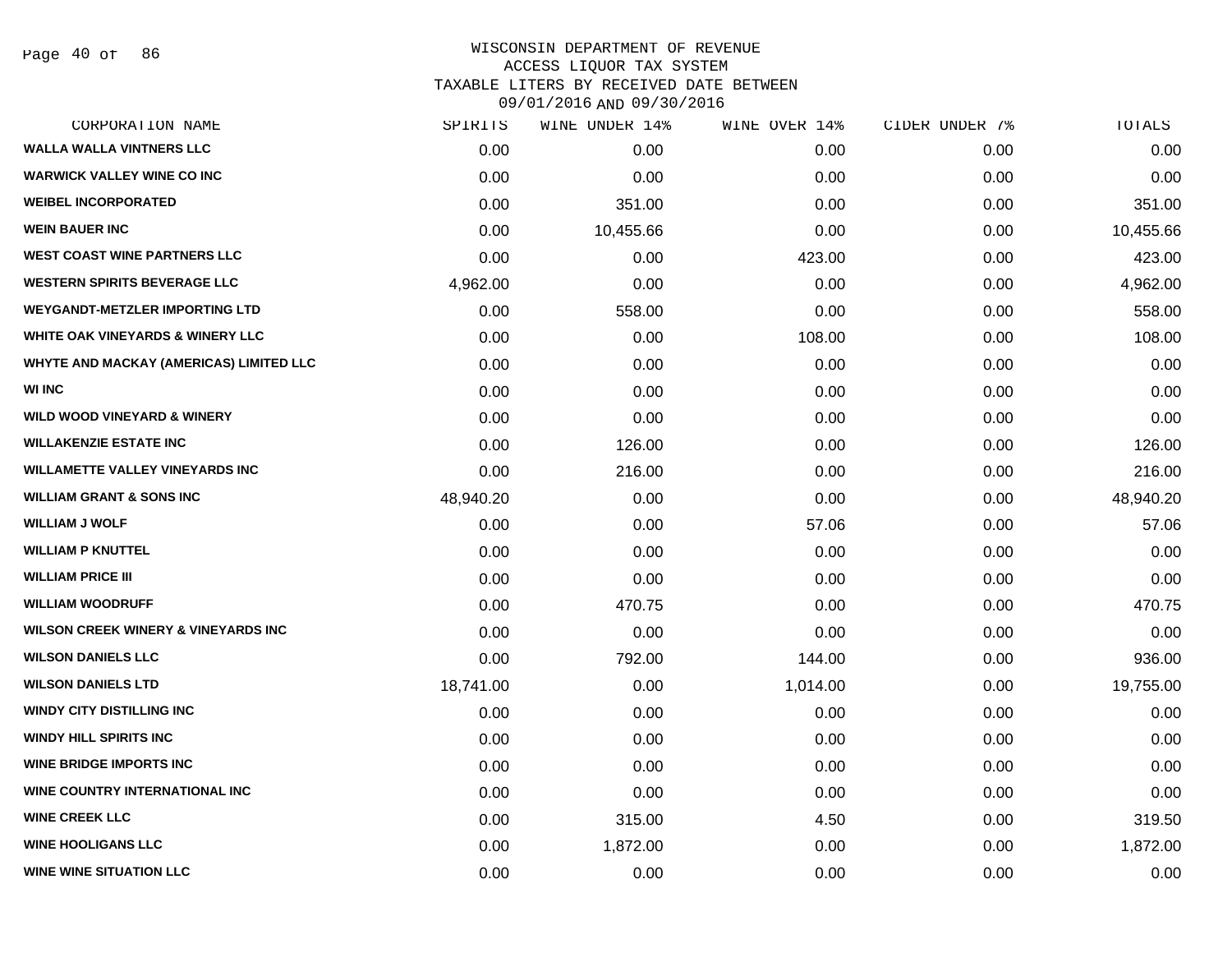| CORPORATION NAME                               | SPIRITS   | WINE UNDER 14% | WINE OVER 14% | CIDER UNDER 7% | TOTALS    |
|------------------------------------------------|-----------|----------------|---------------|----------------|-----------|
| <b>WALLA WALLA VINTNERS LLC</b>                | 0.00      | 0.00           | 0.00          | 0.00           | 0.00      |
| <b>WARWICK VALLEY WINE CO INC</b>              | 0.00      | 0.00           | 0.00          | 0.00           | 0.00      |
| <b>WEIBEL INCORPORATED</b>                     | 0.00      | 351.00         | 0.00          | 0.00           | 351.00    |
| <b>WEIN BAUER INC</b>                          | 0.00      | 10,455.66      | 0.00          | 0.00           | 10,455.66 |
| <b>WEST COAST WINE PARTNERS LLC</b>            | 0.00      | 0.00           | 423.00        | 0.00           | 423.00    |
| <b>WESTERN SPIRITS BEVERAGE LLC</b>            | 4,962.00  | 0.00           | 0.00          | 0.00           | 4,962.00  |
| <b>WEYGANDT-METZLER IMPORTING LTD</b>          | 0.00      | 558.00         | 0.00          | 0.00           | 558.00    |
| WHITE OAK VINEYARDS & WINERY LLC               | 0.00      | 0.00           | 108.00        | 0.00           | 108.00    |
| WHYTE AND MACKAY (AMERICAS) LIMITED LLC        | 0.00      | 0.00           | 0.00          | 0.00           | 0.00      |
| <b>WI INC</b>                                  | 0.00      | 0.00           | 0.00          | 0.00           | 0.00      |
| <b>WILD WOOD VINEYARD &amp; WINERY</b>         | 0.00      | 0.00           | 0.00          | 0.00           | 0.00      |
| <b>WILLAKENZIE ESTATE INC</b>                  | 0.00      | 126.00         | 0.00          | 0.00           | 126.00    |
| <b>WILLAMETTE VALLEY VINEYARDS INC</b>         | 0.00      | 216.00         | 0.00          | 0.00           | 216.00    |
| <b>WILLIAM GRANT &amp; SONS INC</b>            | 48,940.20 | 0.00           | 0.00          | 0.00           | 48,940.20 |
| <b>WILLIAM J WOLF</b>                          | 0.00      | 0.00           | 57.06         | 0.00           | 57.06     |
| <b>WILLIAM P KNUTTEL</b>                       | 0.00      | 0.00           | 0.00          | 0.00           | 0.00      |
| <b>WILLIAM PRICE III</b>                       | 0.00      | 0.00           | 0.00          | 0.00           | 0.00      |
| <b>WILLIAM WOODRUFF</b>                        | 0.00      | 470.75         | 0.00          | 0.00           | 470.75    |
| <b>WILSON CREEK WINERY &amp; VINEYARDS INC</b> | 0.00      | 0.00           | 0.00          | 0.00           | 0.00      |
| <b>WILSON DANIELS LLC</b>                      | 0.00      | 792.00         | 144.00        | 0.00           | 936.00    |
| <b>WILSON DANIELS LTD</b>                      | 18,741.00 | 0.00           | 1,014.00      | 0.00           | 19,755.00 |
| <b>WINDY CITY DISTILLING INC</b>               | 0.00      | 0.00           | 0.00          | 0.00           | 0.00      |
| <b>WINDY HILL SPIRITS INC</b>                  | 0.00      | 0.00           | 0.00          | 0.00           | 0.00      |
| <b>WINE BRIDGE IMPORTS INC</b>                 | 0.00      | 0.00           | 0.00          | 0.00           | 0.00      |
| WINE COUNTRY INTERNATIONAL INC                 | 0.00      | 0.00           | 0.00          | 0.00           | 0.00      |
| <b>WINE CREEK LLC</b>                          | 0.00      | 315.00         | 4.50          | 0.00           | 319.50    |
| <b>WINE HOOLIGANS LLC</b>                      | 0.00      | 1,872.00       | 0.00          | 0.00           | 1,872.00  |
| <b>WINE WINE SITUATION LLC</b>                 | 0.00      | 0.00           | 0.00          | 0.00           | 0.00      |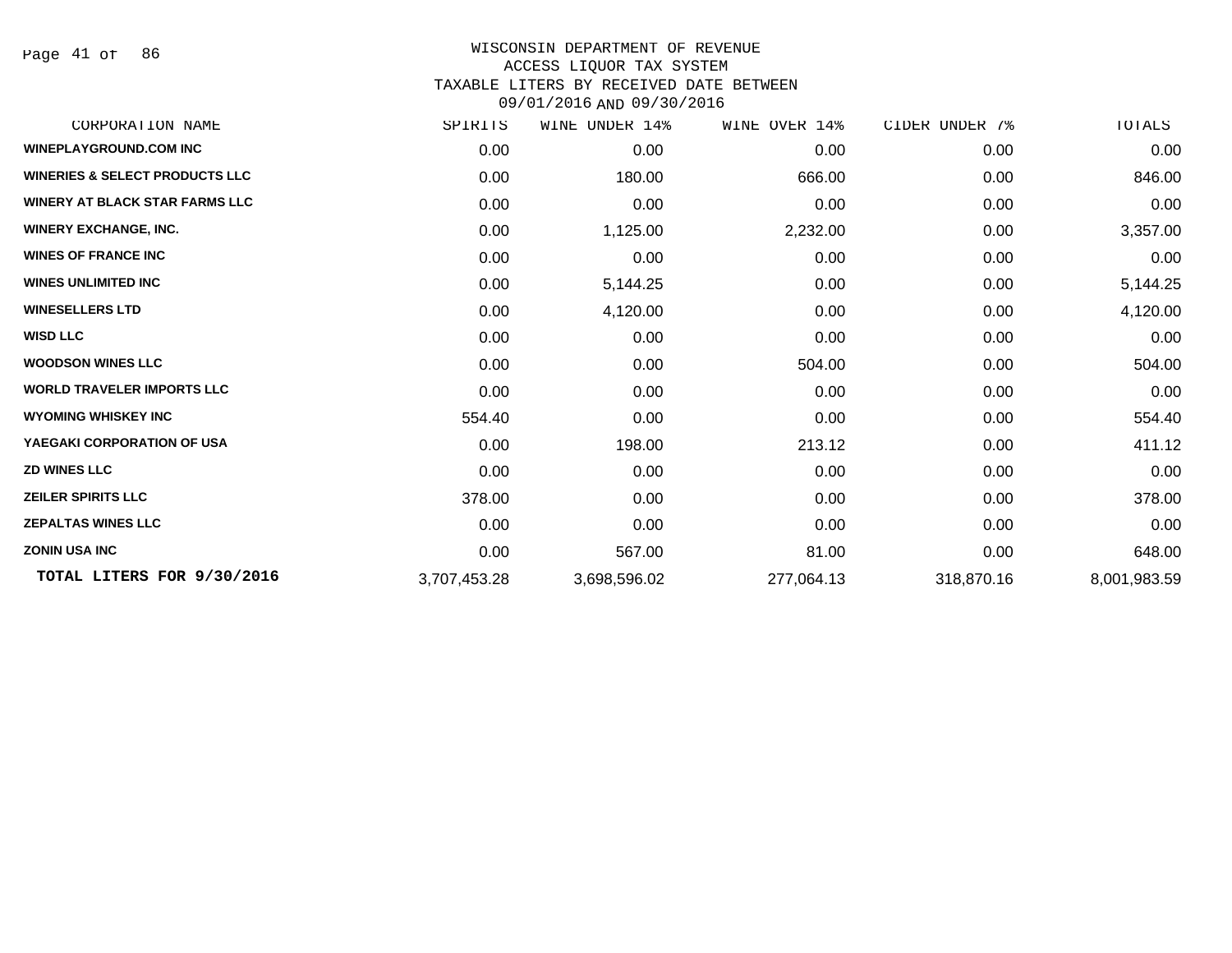Page 41 of 86

| CORPORATION NAME                          | SPIRITS      | UNDER 14%<br>WINE | WINE OVER 14% | CIDER UNDER 7% | TOTALS       |
|-------------------------------------------|--------------|-------------------|---------------|----------------|--------------|
| <b>WINEPLAYGROUND.COM INC</b>             | 0.00         | 0.00              | 0.00          | 0.00           | 0.00         |
| <b>WINERIES &amp; SELECT PRODUCTS LLC</b> | 0.00         | 180.00            | 666.00        | 0.00           | 846.00       |
| <b>WINERY AT BLACK STAR FARMS LLC</b>     | 0.00         | 0.00              | 0.00          | 0.00           | 0.00         |
| <b>WINERY EXCHANGE, INC.</b>              | 0.00         | 1,125.00          | 2,232.00      | 0.00           | 3,357.00     |
| <b>WINES OF FRANCE INC</b>                | 0.00         | 0.00              | 0.00          | 0.00           | 0.00         |
| <b>WINES UNLIMITED INC</b>                | 0.00         | 5,144.25          | 0.00          | 0.00           | 5,144.25     |
| <b>WINESELLERS LTD</b>                    | 0.00         | 4,120.00          | 0.00          | 0.00           | 4,120.00     |
| <b>WISD LLC</b>                           | 0.00         | 0.00              | 0.00          | 0.00           | 0.00         |
| <b>WOODSON WINES LLC</b>                  | 0.00         | 0.00              | 504.00        | 0.00           | 504.00       |
| <b>WORLD TRAVELER IMPORTS LLC</b>         | 0.00         | 0.00              | 0.00          | 0.00           | 0.00         |
| <b>WYOMING WHISKEY INC</b>                | 554.40       | 0.00              | 0.00          | 0.00           | 554.40       |
| YAEGAKI CORPORATION OF USA                | 0.00         | 198.00            | 213.12        | 0.00           | 411.12       |
| <b>ZD WINES LLC</b>                       | 0.00         | 0.00              | 0.00          | 0.00           | 0.00         |
| <b>ZEILER SPIRITS LLC</b>                 | 378.00       | 0.00              | 0.00          | 0.00           | 378.00       |
| <b>ZEPALTAS WINES LLC</b>                 | 0.00         | 0.00              | 0.00          | 0.00           | 0.00         |
| <b>ZONIN USA INC</b>                      | 0.00         | 567.00            | 81.00         | 0.00           | 648.00       |
| TOTAL LITERS FOR 9/30/2016                | 3,707,453.28 | 3,698,596.02      | 277,064.13    | 318,870.16     | 8,001,983.59 |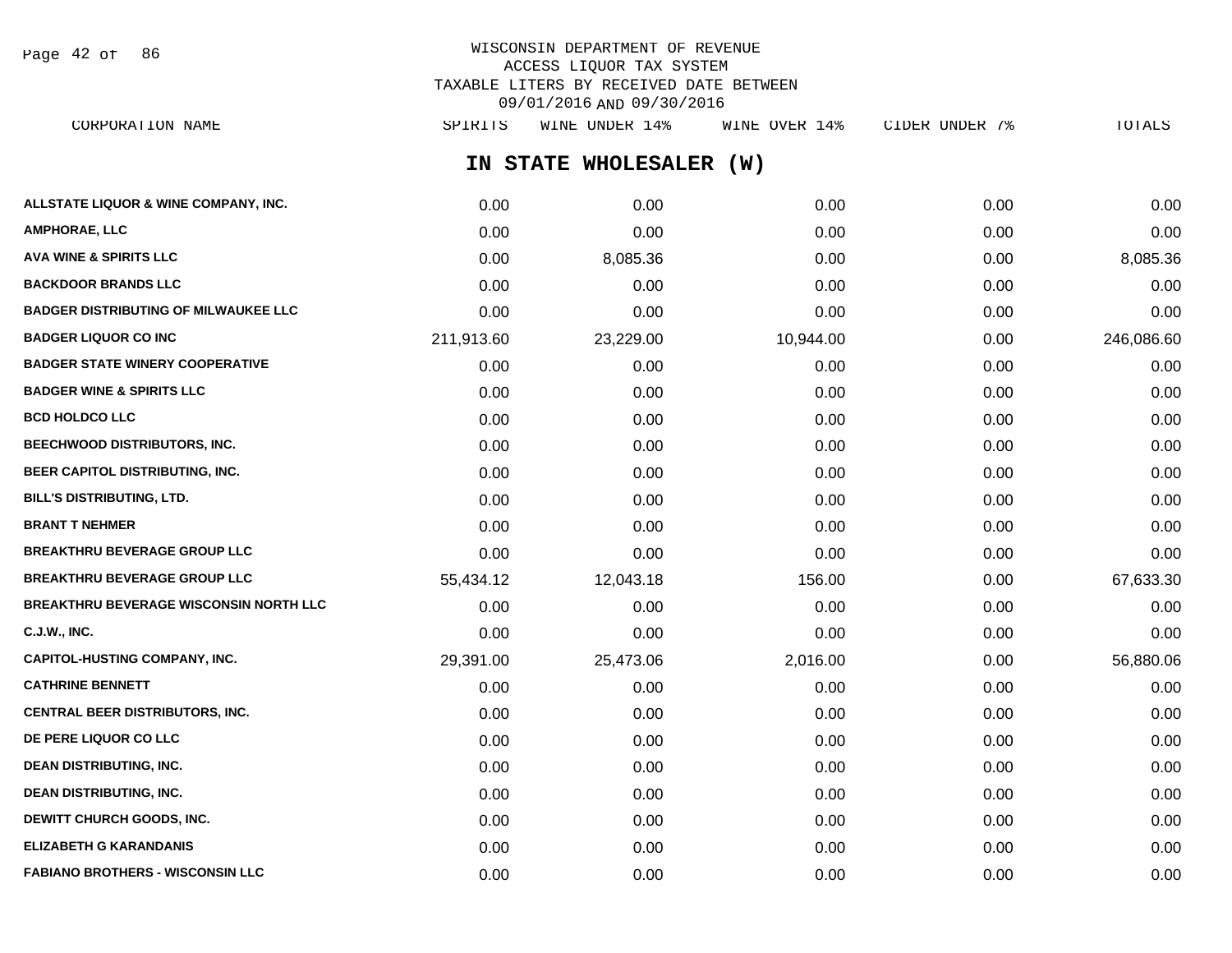Page 42 of 86

# WISCONSIN DEPARTMENT OF REVENUE ACCESS LIQUOR TAX SYSTEM TAXABLE LITERS BY RECEIVED DATE BETWEEN 09/01/2016 AND 09/30/2016

**IN STATE WHOLESALER (W) ALLSTATE LIQUOR & WINE COMPANY, INC.**  $0.00$   $0.00$   $0.00$   $0.00$   $0.00$   $0.00$   $0.00$   $0.00$   $0.00$   $0.00$   $0.00$   $0.00$ **AMPHORAE, LLC** 0.00 0.00 0.00 0.00 0.00 **AVA WINE & SPIRITS LLC** 0.00 8,085.36 0.00 0.00 8,085.36 **BACKDOOR BRANDS LLC** 0.00 0.00 0.00 0.00 0.00 **BADGER DISTRIBUTING OF MILWAUKEE LLC** 0.00 0.00 0.00 0.00 0.00 **BADGER LIQUOR CO INC** 211,913.60 23,229.00 10,944.00 0.00 246,086.60 **BADGER STATE WINERY COOPERATIVE** 0.00 0.00 0.00 0.00 0.00 **BADGER WINE & SPIRITS LLC**  $\begin{array}{ccc} 0.00 & 0.00 & 0.00 \\ 0.00 & 0.00 & 0.00 \end{array}$ **BCD HOLDCO LLC** 0.00 0.00 0.00 0.00 0.00 **BEECHWOOD DISTRIBUTORS, INC.** 0.00 0.00 0.00 0.00 0.00 **BEER CAPITOL DISTRIBUTING, INC.** 0.00 0.00 0.00 0.00 0.00 **BILL'S DISTRIBUTING, LTD.** 0.00 0.00 0.00 0.00 0.00 **BRANT T NEHMER** 0.00 0.00 0.00 0.00 0.00 **BREAKTHRU BEVERAGE GROUP LLC** 0.00 0.00 0.00 0.00 0.00 **BREAKTHRU BEVERAGE GROUP LLC** 55,434.12 12,043.18 156.00 0.00 67,633.30 **BREAKTHRU BEVERAGE WISCONSIN NORTH LLC** 0.00 0.00 0.00 0.00 0.00 **C.J.W., INC.** 0.00 0.00 0.00 0.00 0.00 **CAPITOL-HUSTING COMPANY, INC.** 29,391.00 25,473.06 2,016.00 0.00 56,880.06 **CATHRINE BENNETT** 0.00 0.00 0.00 0.00 0.00 **CENTRAL BEER DISTRIBUTORS, INC.** 0.00 0.00 0.00 0.00 0.00 **DE PERE LIQUOR CO LLC** 0.00 0.00 0.00 0.00 0.00 **DEAN DISTRIBUTING, INC.** 0.00 0.00 0.00 0.00 0.00 **DEAN DISTRIBUTING, INC.** 0.00 0.00 0.00 0.00 0.00 **DEWITT CHURCH GOODS, INC.** 0.00 0.00 0.00 0.00 0.00 **ELIZABETH G KARANDANIS** 0.00 0.00 0.00 0.00 0.00 CORPORATION NAME SPIRITS WINE UNDER 14% WINE OVER 14% CIDER UNDER 7% TOTALS

**FABIANO BROTHERS - WISCONSIN LLC** 0.00 0.00 0.00 0.00 0.00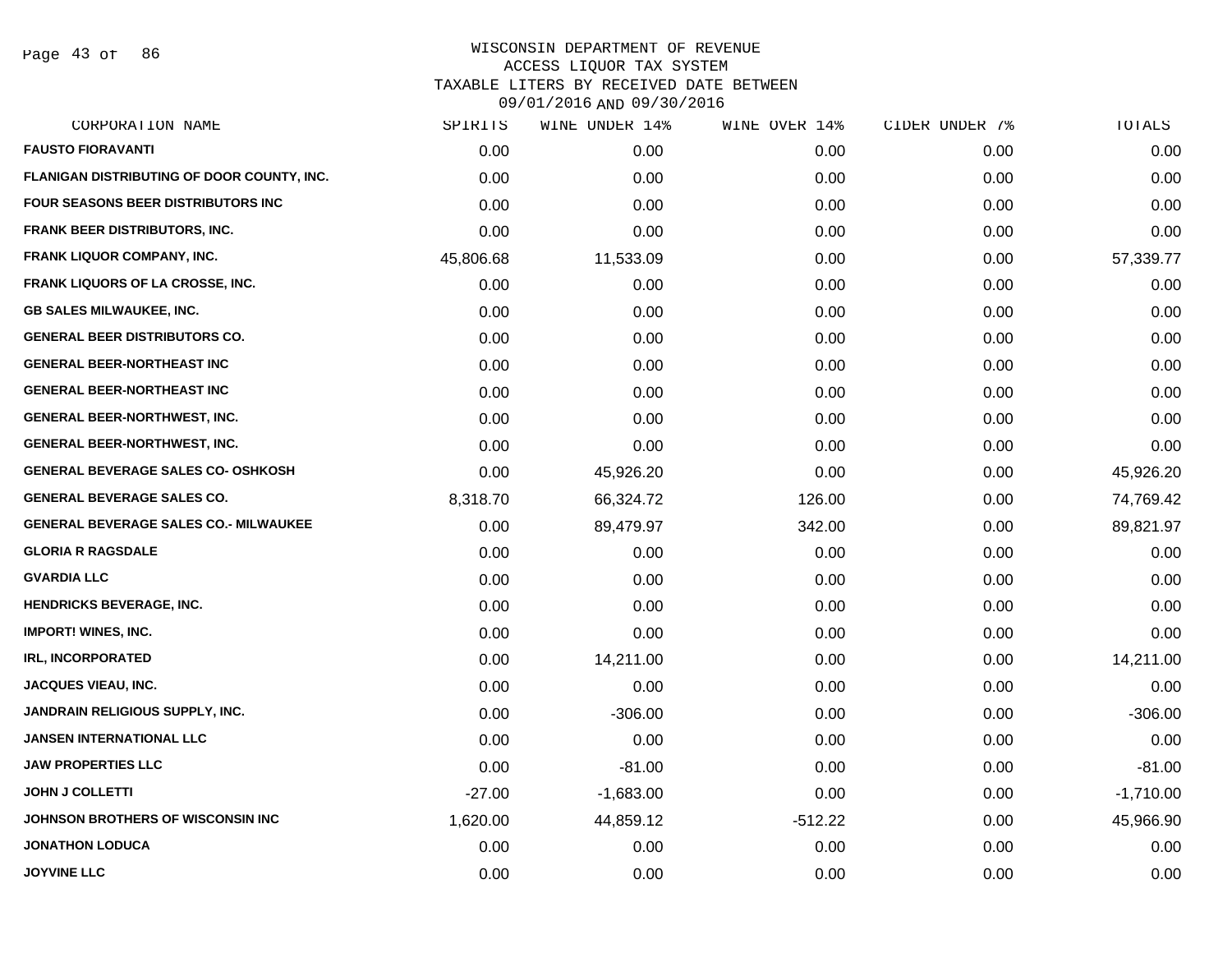Page 43 of 86

| SPIRITS   | WINE UNDER 14% | WINE OVER 14% | CIDER UNDER 7% | TOTALS      |
|-----------|----------------|---------------|----------------|-------------|
| 0.00      | 0.00           | 0.00          | 0.00           | 0.00        |
| 0.00      | 0.00           | 0.00          | 0.00           | 0.00        |
| 0.00      | 0.00           | 0.00          | 0.00           | 0.00        |
| 0.00      | 0.00           | 0.00          | 0.00           | 0.00        |
| 45,806.68 | 11,533.09      | 0.00          | 0.00           | 57,339.77   |
| 0.00      | 0.00           | 0.00          | 0.00           | 0.00        |
| 0.00      | 0.00           | 0.00          | 0.00           | 0.00        |
| 0.00      | 0.00           | 0.00          | 0.00           | 0.00        |
| 0.00      | 0.00           | 0.00          | 0.00           | 0.00        |
| 0.00      | 0.00           | 0.00          | 0.00           | 0.00        |
| 0.00      | 0.00           | 0.00          | 0.00           | 0.00        |
| 0.00      | 0.00           | 0.00          | 0.00           | 0.00        |
| 0.00      | 45,926.20      | 0.00          | 0.00           | 45,926.20   |
| 8,318.70  | 66,324.72      | 126.00        | 0.00           | 74,769.42   |
| 0.00      | 89,479.97      | 342.00        | 0.00           | 89,821.97   |
| 0.00      | 0.00           | 0.00          | 0.00           | 0.00        |
| 0.00      | 0.00           | 0.00          | 0.00           | 0.00        |
| 0.00      | 0.00           | 0.00          | 0.00           | 0.00        |
| 0.00      | 0.00           | 0.00          | 0.00           | 0.00        |
| 0.00      | 14,211.00      | 0.00          | 0.00           | 14,211.00   |
| 0.00      | 0.00           | 0.00          | 0.00           | 0.00        |
| 0.00      | $-306.00$      | 0.00          | 0.00           | $-306.00$   |
| 0.00      | 0.00           | 0.00          | 0.00           | 0.00        |
| 0.00      | $-81.00$       | 0.00          | 0.00           | $-81.00$    |
| $-27.00$  | $-1,683.00$    | 0.00          | 0.00           | $-1,710.00$ |
| 1,620.00  | 44,859.12      | $-512.22$     | 0.00           | 45,966.90   |
| 0.00      | 0.00           | 0.00          | 0.00           | 0.00        |
| 0.00      | 0.00           | 0.00          | 0.00           | 0.00        |
|           |                |               |                |             |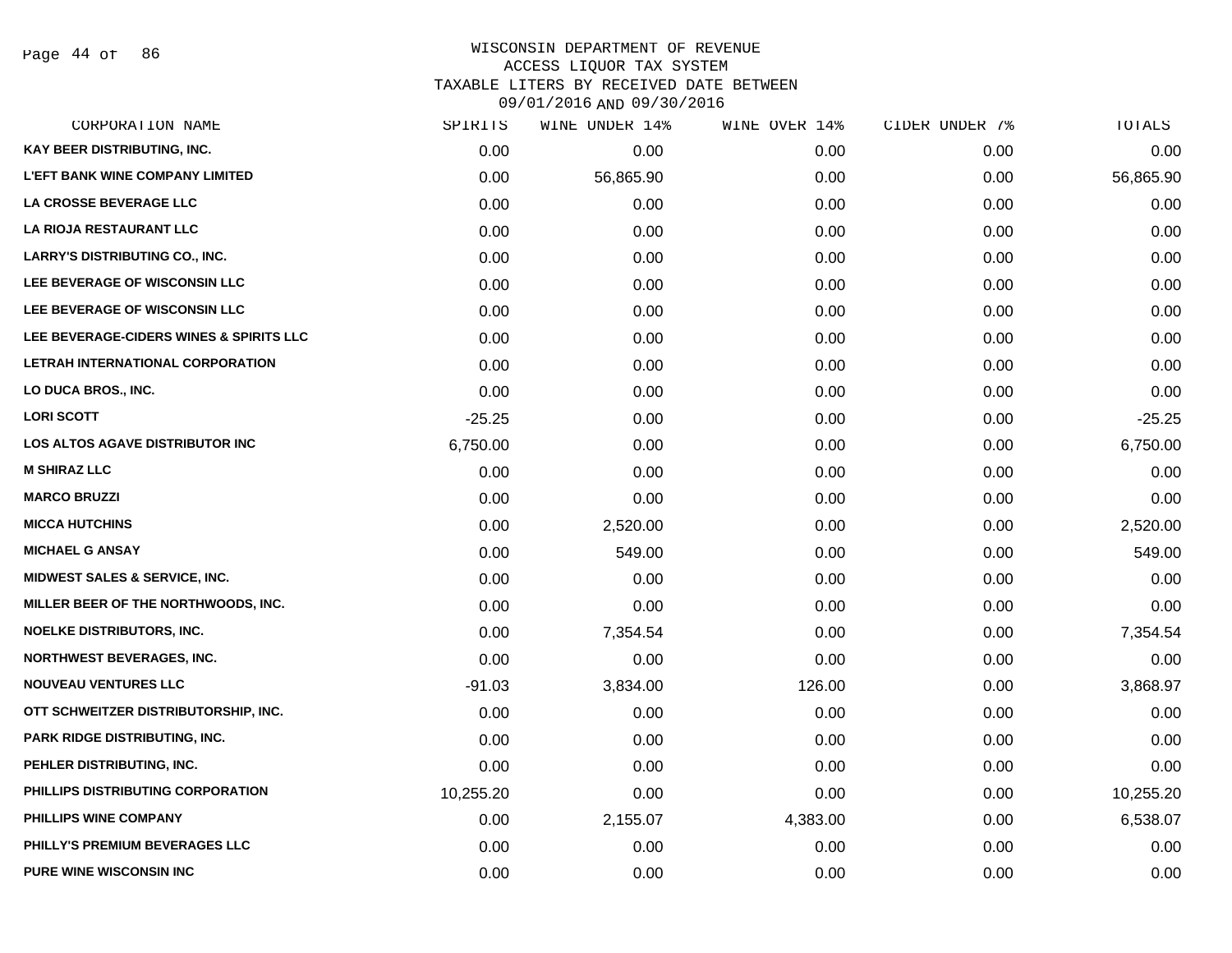Page 44 of 86

## WISCONSIN DEPARTMENT OF REVENUE ACCESS LIQUOR TAX SYSTEM TAXABLE LITERS BY RECEIVED DATE BETWEEN

| CORPORATION NAME                         | SPIRITS   | WINE UNDER 14% | WINE OVER 14% | CIDER UNDER 7% | TOTALS    |
|------------------------------------------|-----------|----------------|---------------|----------------|-----------|
| KAY BEER DISTRIBUTING, INC.              | 0.00      | 0.00           | 0.00          | 0.00           | 0.00      |
| <b>L'EFT BANK WINE COMPANY LIMITED</b>   | 0.00      | 56,865.90      | 0.00          | 0.00           | 56,865.90 |
| LA CROSSE BEVERAGE LLC                   | 0.00      | 0.00           | 0.00          | 0.00           | 0.00      |
| <b>LA RIOJA RESTAURANT LLC</b>           | 0.00      | 0.00           | 0.00          | 0.00           | 0.00      |
| <b>LARRY'S DISTRIBUTING CO., INC.</b>    | 0.00      | 0.00           | 0.00          | 0.00           | 0.00      |
| LEE BEVERAGE OF WISCONSIN LLC            | 0.00      | 0.00           | 0.00          | 0.00           | 0.00      |
| LEE BEVERAGE OF WISCONSIN LLC            | 0.00      | 0.00           | 0.00          | 0.00           | 0.00      |
| LEE BEVERAGE-CIDERS WINES & SPIRITS LLC  | 0.00      | 0.00           | 0.00          | 0.00           | 0.00      |
| LETRAH INTERNATIONAL CORPORATION         | 0.00      | 0.00           | 0.00          | 0.00           | 0.00      |
| LO DUCA BROS., INC.                      | 0.00      | 0.00           | 0.00          | 0.00           | 0.00      |
| <b>LORI SCOTT</b>                        | $-25.25$  | 0.00           | 0.00          | 0.00           | $-25.25$  |
| <b>LOS ALTOS AGAVE DISTRIBUTOR INC</b>   | 6,750.00  | 0.00           | 0.00          | 0.00           | 6,750.00  |
| <b>M SHIRAZ LLC</b>                      | 0.00      | 0.00           | 0.00          | 0.00           | 0.00      |
| <b>MARCO BRUZZI</b>                      | 0.00      | 0.00           | 0.00          | 0.00           | 0.00      |
| <b>MICCA HUTCHINS</b>                    | 0.00      | 2,520.00       | 0.00          | 0.00           | 2,520.00  |
| <b>MICHAEL G ANSAY</b>                   | 0.00      | 549.00         | 0.00          | 0.00           | 549.00    |
| <b>MIDWEST SALES &amp; SERVICE, INC.</b> | 0.00      | 0.00           | 0.00          | 0.00           | 0.00      |
| MILLER BEER OF THE NORTHWOODS, INC.      | 0.00      | 0.00           | 0.00          | 0.00           | 0.00      |
| <b>NOELKE DISTRIBUTORS, INC.</b>         | 0.00      | 7,354.54       | 0.00          | 0.00           | 7,354.54  |
| <b>NORTHWEST BEVERAGES, INC.</b>         | 0.00      | 0.00           | 0.00          | 0.00           | 0.00      |
| <b>NOUVEAU VENTURES LLC</b>              | $-91.03$  | 3,834.00       | 126.00        | 0.00           | 3,868.97  |
| OTT SCHWEITZER DISTRIBUTORSHIP, INC.     | 0.00      | 0.00           | 0.00          | 0.00           | 0.00      |
| <b>PARK RIDGE DISTRIBUTING, INC.</b>     | 0.00      | 0.00           | 0.00          | 0.00           | 0.00      |
| PEHLER DISTRIBUTING, INC.                | 0.00      | 0.00           | 0.00          | 0.00           | 0.00      |
| PHILLIPS DISTRIBUTING CORPORATION        | 10,255.20 | 0.00           | 0.00          | 0.00           | 10,255.20 |
| PHILLIPS WINE COMPANY                    | 0.00      | 2,155.07       | 4,383.00      | 0.00           | 6,538.07  |
| PHILLY'S PREMIUM BEVERAGES LLC           | 0.00      | 0.00           | 0.00          | 0.00           | 0.00      |
| <b>PURE WINE WISCONSIN INC</b>           | 0.00      | 0.00           | 0.00          | 0.00           | 0.00      |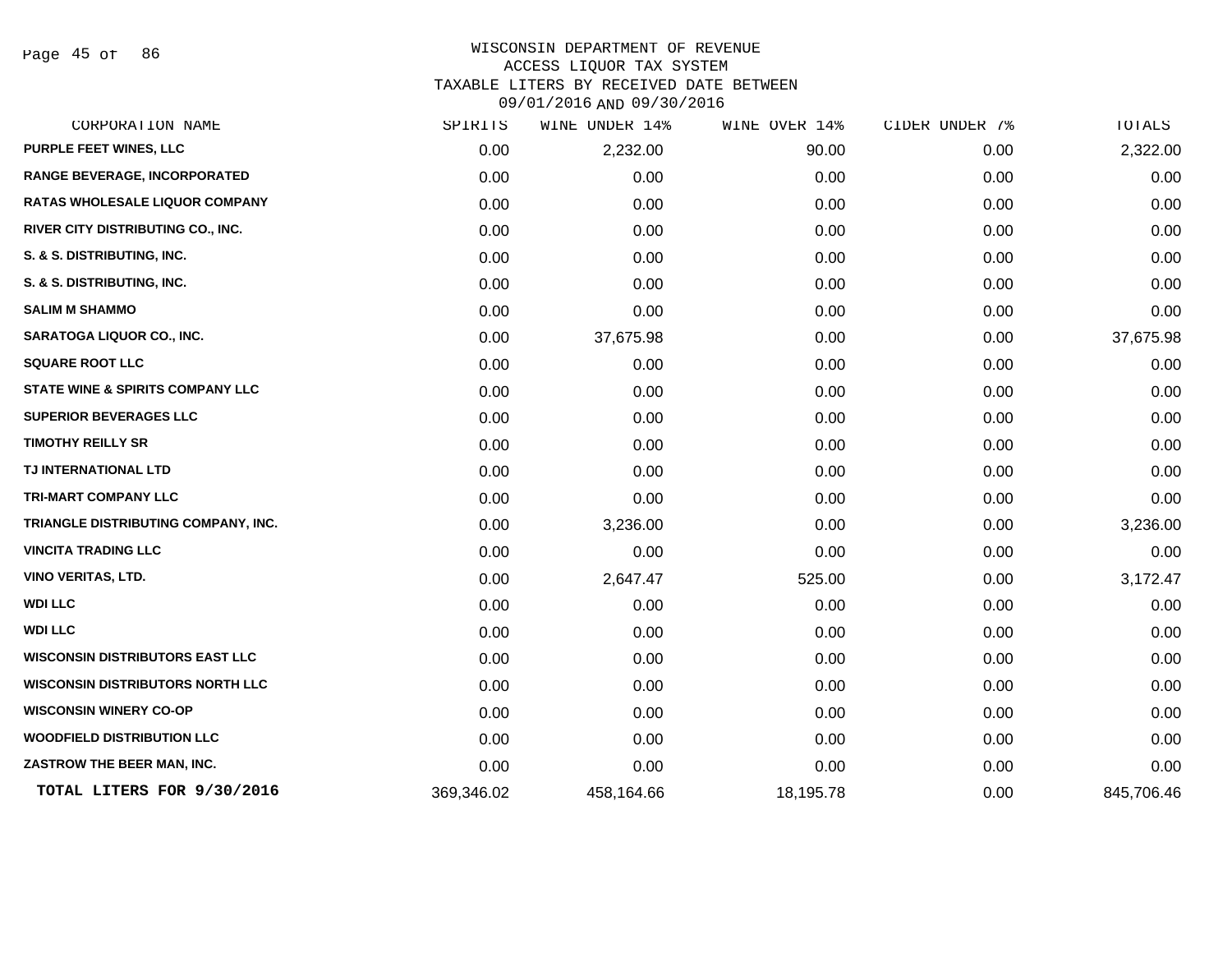Page 45 of 86

| CORPORATION NAME                            | SPIRITS    | WINE UNDER 14% | WINE OVER 14% | CIDER UNDER 7% | <b>TOTALS</b> |
|---------------------------------------------|------------|----------------|---------------|----------------|---------------|
| PURPLE FEET WINES, LLC                      | 0.00       | 2,232.00       | 90.00         | 0.00           | 2,322.00      |
| RANGE BEVERAGE, INCORPORATED                | 0.00       | 0.00           | 0.00          | 0.00           | 0.00          |
| <b>RATAS WHOLESALE LIQUOR COMPANY</b>       | 0.00       | 0.00           | 0.00          | 0.00           | 0.00          |
| RIVER CITY DISTRIBUTING CO., INC.           | 0.00       | 0.00           | 0.00          | 0.00           | 0.00          |
| S. & S. DISTRIBUTING, INC.                  | 0.00       | 0.00           | 0.00          | 0.00           | 0.00          |
| S. & S. DISTRIBUTING, INC.                  | 0.00       | 0.00           | 0.00          | 0.00           | 0.00          |
| <b>SALIM M SHAMMO</b>                       | 0.00       | 0.00           | 0.00          | 0.00           | 0.00          |
| SARATOGA LIQUOR CO., INC.                   | 0.00       | 37,675.98      | 0.00          | 0.00           | 37,675.98     |
| <b>SQUARE ROOT LLC</b>                      | 0.00       | 0.00           | 0.00          | 0.00           | 0.00          |
| <b>STATE WINE &amp; SPIRITS COMPANY LLC</b> | 0.00       | 0.00           | 0.00          | 0.00           | 0.00          |
| <b>SUPERIOR BEVERAGES LLC</b>               | 0.00       | 0.00           | 0.00          | 0.00           | 0.00          |
| <b>TIMOTHY REILLY SR</b>                    | 0.00       | 0.00           | 0.00          | 0.00           | 0.00          |
| TJ INTERNATIONAL LTD                        | 0.00       | 0.00           | 0.00          | 0.00           | 0.00          |
| <b>TRI-MART COMPANY LLC</b>                 | 0.00       | 0.00           | 0.00          | 0.00           | 0.00          |
| TRIANGLE DISTRIBUTING COMPANY, INC.         | 0.00       | 3,236.00       | 0.00          | 0.00           | 3,236.00      |
| <b>VINCITA TRADING LLC</b>                  | 0.00       | 0.00           | 0.00          | 0.00           | 0.00          |
| <b>VINO VERITAS, LTD.</b>                   | 0.00       | 2,647.47       | 525.00        | 0.00           | 3,172.47      |
| <b>WDI LLC</b>                              | 0.00       | 0.00           | 0.00          | 0.00           | 0.00          |
| <b>WDI LLC</b>                              | 0.00       | 0.00           | 0.00          | 0.00           | 0.00          |
| <b>WISCONSIN DISTRIBUTORS EAST LLC</b>      | 0.00       | 0.00           | 0.00          | 0.00           | 0.00          |
| <b>WISCONSIN DISTRIBUTORS NORTH LLC</b>     | 0.00       | 0.00           | 0.00          | 0.00           | 0.00          |
| <b>WISCONSIN WINERY CO-OP</b>               | 0.00       | 0.00           | 0.00          | 0.00           | 0.00          |
| <b>WOODFIELD DISTRIBUTION LLC</b>           | 0.00       | 0.00           | 0.00          | 0.00           | 0.00          |
| ZASTROW THE BEER MAN, INC.                  | 0.00       | 0.00           | 0.00          | 0.00           | 0.00          |
| TOTAL LITERS FOR 9/30/2016                  | 369,346.02 | 458,164.66     | 18,195.78     | 0.00           | 845,706.46    |
|                                             |            |                |               |                |               |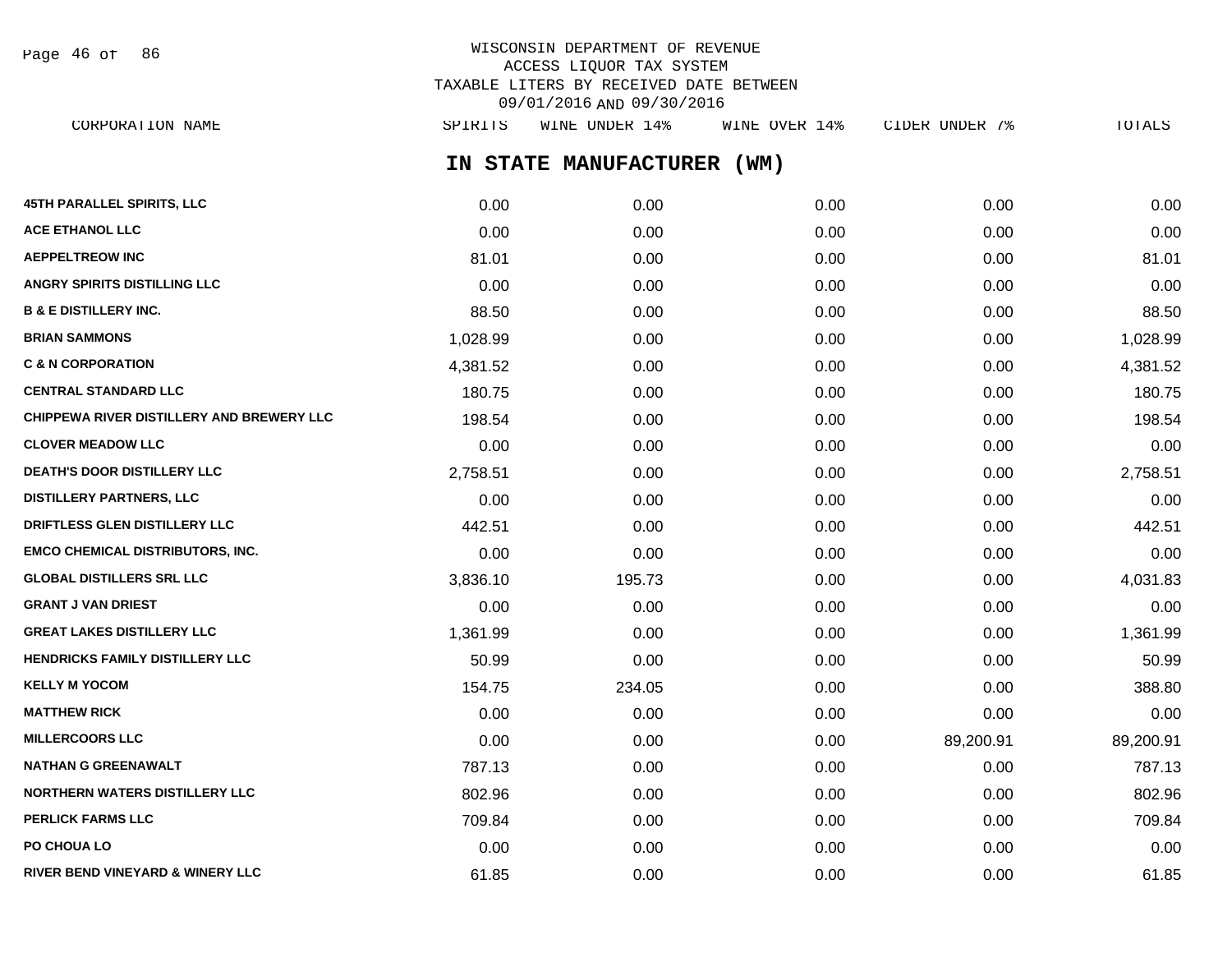| Page | 46 of |  | 86 |
|------|-------|--|----|
|------|-------|--|----|

# WISCONSIN DEPARTMENT OF REVENUE ACCESS LIQUOR TAX SYSTEM TAXABLE LITERS BY RECEIVED DATE BETWEEN 09/01/2016 AND 09/30/2016

**IN STATE MANUFACTURER (WM) 45TH PARALLEL SPIRITS, LLC** 0.00 0.00 0.00 0.00 0.00 **ACE ETHANOL LLC** 0.00 0.00 0.00 0.00 0.00 **AEPPELTREOW INC** 81.01 81.01 81.01 81.01 81.01 81.01 81.01 81.01 81.01 81.01 **ANGRY SPIRITS DISTILLING LLC** 0.00 0.00 0.00 0.00 0.00 **B & E DISTILLERY INC.** 88.50 0.00 0.00 0.00 88.50 **BRIAN SAMMONS** 1,028.99 0.00 0.00 0.00 1,028.99 **C & N CORPORATION** 4,381.52 0.00 0.00 0.00 4,381.52 **CENTRAL STANDARD LLC** 180.75 0.00 0.00 0.00 180.75 **CHIPPEWA RIVER DISTILLERY AND BREWERY LLC** 198.54 0.00 0.00 0.00 0.00 0.00 0.00 0.00 198.54 **CLOVER MEADOW LLC** 0.00 0.00 0.00 0.00 0.00 **DEATH'S DOOR DISTILLERY LLC** 2,758.51 0.00 0.00 0.00 2,758.51 **DISTILLERY PARTNERS, LLC** 0.00 0.00 0.00 0.00 0.00 **DRIFTLESS GLEN DISTILLERY LLC** 442.51 0.00 0.00 0.00 0.00 0.00 0.00 0.00 442.51 **EMCO CHEMICAL DISTRIBUTORS, INC.** 0.00 0.00 0.00 0.00 0.00 **GLOBAL DISTILLERS SRL LLC** 3,836.10 195.73 0.00 0.00 4,031.83 **GRANT J VAN DRIEST** 0.00 0.00 0.00 0.00 0.00 **GREAT LAKES DISTILLERY LLC** 1,361.99 0.00 0.00 0.00 1,361.99 **HENDRICKS FAMILY DISTILLERY LLC** 50.99 0.00 0.00 0.00 50.99 **KELLY M YOCOM** 238.80 234.05 234.05 0.00 0.00 0.00 0.00 388.80 **MATTHEW RICK** 0.00 0.00 0.00 0.00 0.00 **MILLERCOORS LLC** 0.00 0.00 0.00 89,200.91 89,200.91 **NATHAN G GREENAWALT** 787.13 0.00 0.00 0.00 787.13 **NORTHERN WATERS DISTILLERY LLC** 802.96 0.00 0.00 0.00 802.96 **PERLICK FARMS LLC** 709.84 0.00 0.00 0.00 709.84 **PO CHOUA LO** 0.00 0.00 0.00 0.00 0.00 CORPORATION NAME SPIRITS WINE UNDER 14% WINE OVER 14% CIDER UNDER 7% TOTALS

**RIVER BEND VINEYARD & WINERY LLC** 61.85 0.00 0.00 0.00 61.85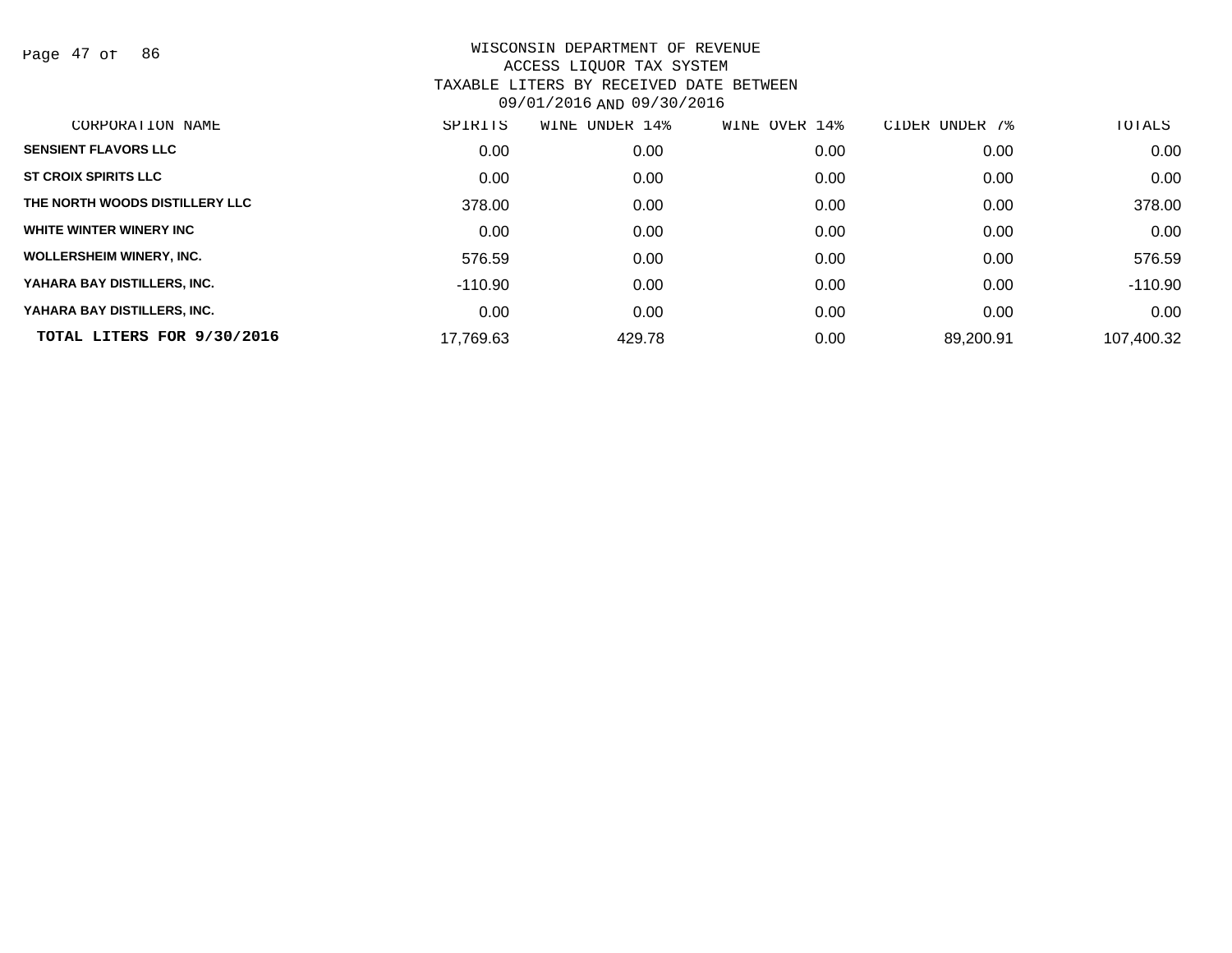Page 47 of 86

| CORPORATION NAME                | SPIRITS   | WINE UNDER 14% | WINE OVER 14% | CIDER UNDER 7% | TOTALS     |
|---------------------------------|-----------|----------------|---------------|----------------|------------|
| <b>SENSIENT FLAVORS LLC</b>     | 0.00      | 0.00           | 0.00          | 0.00           | 0.00       |
| <b>ST CROIX SPIRITS LLC</b>     | 0.00      | 0.00           | 0.00          | 0.00           | 0.00       |
| THE NORTH WOODS DISTILLERY LLC  | 378.00    | 0.00           | 0.00          | 0.00           | 378.00     |
| WHITE WINTER WINERY INC         | 0.00      | 0.00           | 0.00          | 0.00           | 0.00       |
| <b>WOLLERSHEIM WINERY, INC.</b> | 576.59    | 0.00           | 0.00          | 0.00           | 576.59     |
| YAHARA BAY DISTILLERS, INC.     | -110.90   | 0.00           | 0.00          | 0.00           | $-110.90$  |
| YAHARA BAY DISTILLERS, INC.     | 0.00      | 0.00           | 0.00          | 0.00           | 0.00       |
| TOTAL LITERS FOR 9/30/2016      | 17,769.63 | 429.78         | 0.00          | 89,200.91      | 107,400.32 |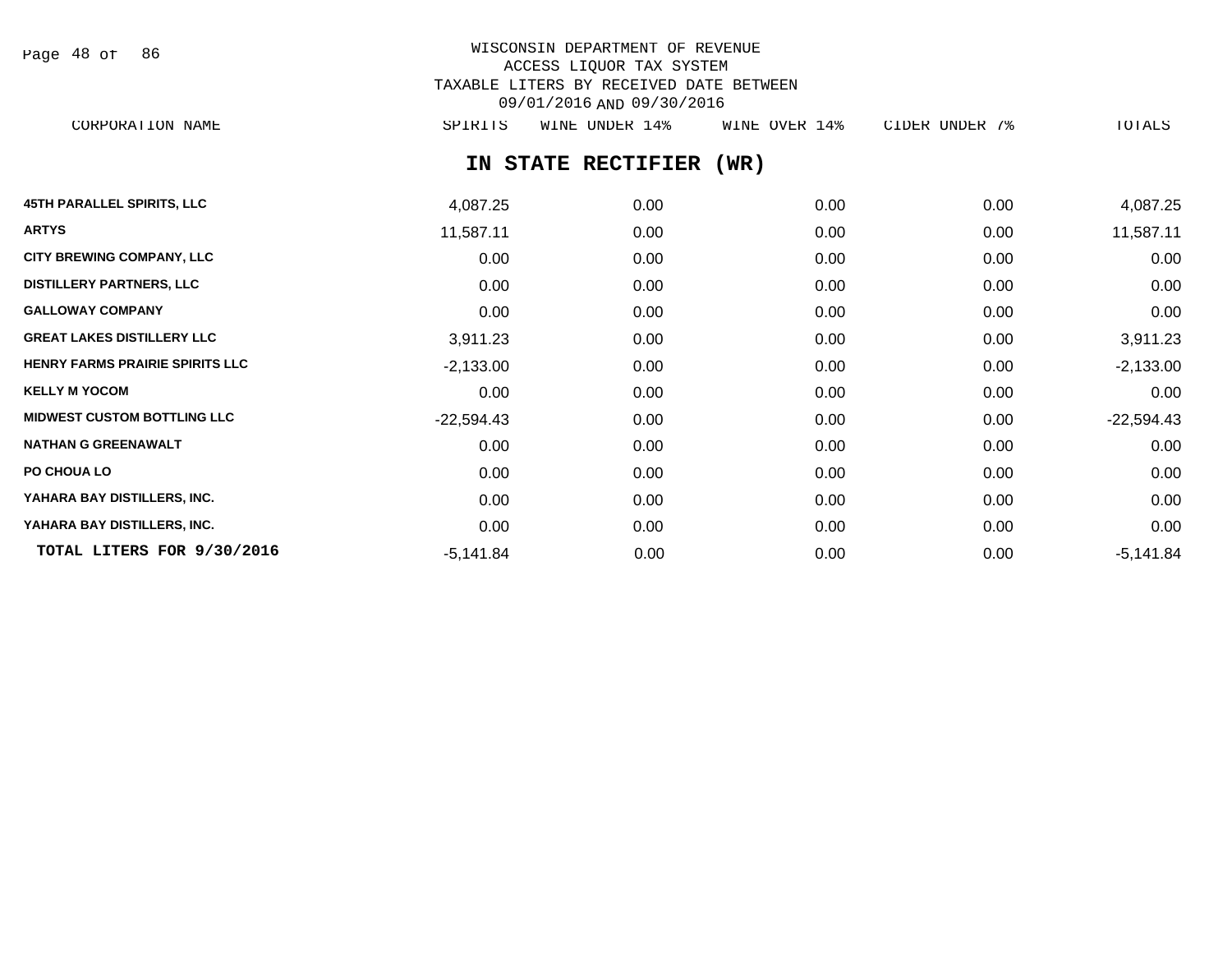Page 48 of 86

# WISCONSIN DEPARTMENT OF REVENUE ACCESS LIQUOR TAX SYSTEM TAXABLE LITERS BY RECEIVED DATE BETWEEN 09/01/2016 AND 09/30/2016

CORPORATION NAME SPIRITS WINE UNDER 14% WINE OVER 14% CIDER UNDER 7% TOTALS

# **IN STATE RECTIFIER (WR)**

| <b>45TH PARALLEL SPIRITS, LLC</b>      | 4,087.25     | 0.00 | 0.00 | 0.00 | 4,087.25     |
|----------------------------------------|--------------|------|------|------|--------------|
| <b>ARTYS</b>                           | 11,587.11    | 0.00 | 0.00 | 0.00 | 11,587.11    |
| <b>CITY BREWING COMPANY, LLC</b>       | 0.00         | 0.00 | 0.00 | 0.00 | 0.00         |
| <b>DISTILLERY PARTNERS, LLC</b>        | 0.00         | 0.00 | 0.00 | 0.00 | 0.00         |
| <b>GALLOWAY COMPANY</b>                | 0.00         | 0.00 | 0.00 | 0.00 | 0.00         |
| <b>GREAT LAKES DISTILLERY LLC</b>      | 3,911.23     | 0.00 | 0.00 | 0.00 | 3,911.23     |
| <b>HENRY FARMS PRAIRIE SPIRITS LLC</b> | $-2,133.00$  | 0.00 | 0.00 | 0.00 | $-2,133.00$  |
| <b>KELLY M YOCOM</b>                   | 0.00         | 0.00 | 0.00 | 0.00 | 0.00         |
| <b>MIDWEST CUSTOM BOTTLING LLC</b>     | $-22,594.43$ | 0.00 | 0.00 | 0.00 | $-22,594.43$ |
| <b>NATHAN G GREENAWALT</b>             | 0.00         | 0.00 | 0.00 | 0.00 | 0.00         |
| PO CHOUA LO                            | 0.00         | 0.00 | 0.00 | 0.00 | 0.00         |
| YAHARA BAY DISTILLERS, INC.            | 0.00         | 0.00 | 0.00 | 0.00 | 0.00         |
| YAHARA BAY DISTILLERS, INC.            | 0.00         | 0.00 | 0.00 | 0.00 | 0.00         |
| TOTAL LITERS FOR 9/30/2016             | $-5,141.84$  | 0.00 | 0.00 | 0.00 | $-5,141.84$  |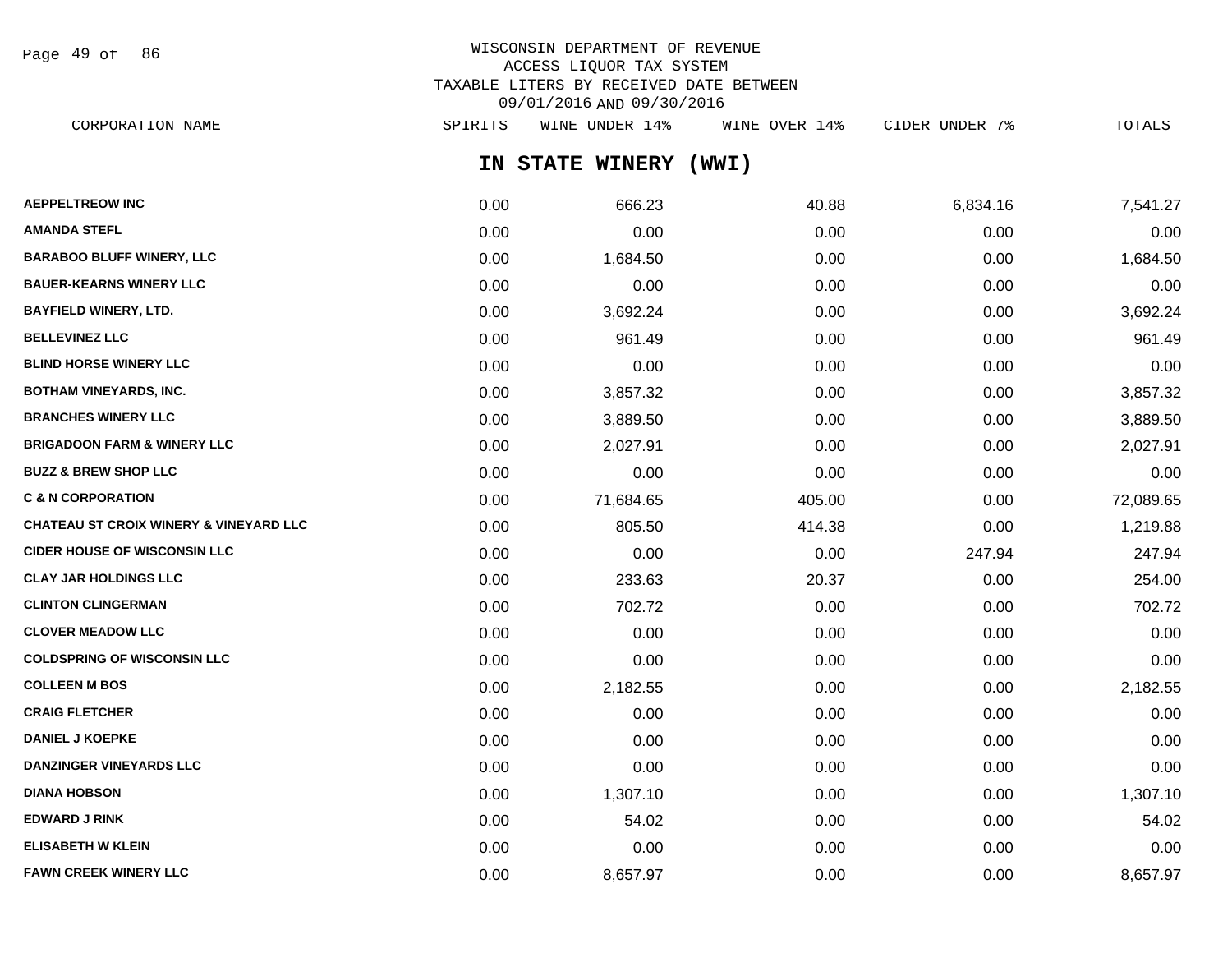Page 49 of 86

# WISCONSIN DEPARTMENT OF REVENUE ACCESS LIQUOR TAX SYSTEM TAXABLE LITERS BY RECEIVED DATE BETWEEN 09/01/2016 AND 09/30/2016

**IN STATE WINERY (WWI)** CORPORATION NAME SPIRITS WINE UNDER 14% WINE OVER 14% CIDER UNDER 7% TOTALS

| <b>AEPPELTREOW INC</b>                            | 0.00 | 666.23    | 40.88  | 6,834.16 | 7,541.27  |
|---------------------------------------------------|------|-----------|--------|----------|-----------|
| <b>AMANDA STEFL</b>                               | 0.00 | 0.00      | 0.00   | 0.00     | 0.00      |
| <b>BARABOO BLUFF WINERY, LLC</b>                  | 0.00 | 1,684.50  | 0.00   | 0.00     | 1,684.50  |
| <b>BAUER-KEARNS WINERY LLC</b>                    | 0.00 | 0.00      | 0.00   | 0.00     | 0.00      |
| <b>BAYFIELD WINERY, LTD.</b>                      | 0.00 | 3,692.24  | 0.00   | 0.00     | 3,692.24  |
| <b>BELLEVINEZ LLC</b>                             | 0.00 | 961.49    | 0.00   | 0.00     | 961.49    |
| <b>BLIND HORSE WINERY LLC</b>                     | 0.00 | 0.00      | 0.00   | 0.00     | 0.00      |
| <b>BOTHAM VINEYARDS, INC.</b>                     | 0.00 | 3,857.32  | 0.00   | 0.00     | 3,857.32  |
| <b>BRANCHES WINERY LLC</b>                        | 0.00 | 3,889.50  | 0.00   | 0.00     | 3,889.50  |
| <b>BRIGADOON FARM &amp; WINERY LLC</b>            | 0.00 | 2,027.91  | 0.00   | 0.00     | 2,027.91  |
| <b>BUZZ &amp; BREW SHOP LLC</b>                   | 0.00 | 0.00      | 0.00   | 0.00     | 0.00      |
| <b>C &amp; N CORPORATION</b>                      | 0.00 | 71,684.65 | 405.00 | 0.00     | 72,089.65 |
| <b>CHATEAU ST CROIX WINERY &amp; VINEYARD LLC</b> | 0.00 | 805.50    | 414.38 | 0.00     | 1,219.88  |
| <b>CIDER HOUSE OF WISCONSIN LLC</b>               | 0.00 | 0.00      | 0.00   | 247.94   | 247.94    |
| <b>CLAY JAR HOLDINGS LLC</b>                      | 0.00 | 233.63    | 20.37  | 0.00     | 254.00    |
| <b>CLINTON CLINGERMAN</b>                         | 0.00 | 702.72    | 0.00   | 0.00     | 702.72    |
| <b>CLOVER MEADOW LLC</b>                          | 0.00 | 0.00      | 0.00   | 0.00     | 0.00      |
| <b>COLDSPRING OF WISCONSIN LLC</b>                | 0.00 | 0.00      | 0.00   | 0.00     | 0.00      |
| <b>COLLEEN M BOS</b>                              | 0.00 | 2,182.55  | 0.00   | 0.00     | 2,182.55  |
| <b>CRAIG FLETCHER</b>                             | 0.00 | 0.00      | 0.00   | 0.00     | 0.00      |
| <b>DANIEL J KOEPKE</b>                            | 0.00 | 0.00      | 0.00   | 0.00     | 0.00      |
| <b>DANZINGER VINEYARDS LLC</b>                    | 0.00 | 0.00      | 0.00   | 0.00     | 0.00      |
| <b>DIANA HOBSON</b>                               | 0.00 | 1,307.10  | 0.00   | 0.00     | 1,307.10  |
| <b>EDWARD J RINK</b>                              | 0.00 | 54.02     | 0.00   | 0.00     | 54.02     |
| <b>ELISABETH W KLEIN</b>                          | 0.00 | 0.00      | 0.00   | 0.00     | 0.00      |
| <b>FAWN CREEK WINERY LLC</b>                      | 0.00 | 8,657.97  | 0.00   | 0.00     | 8,657.97  |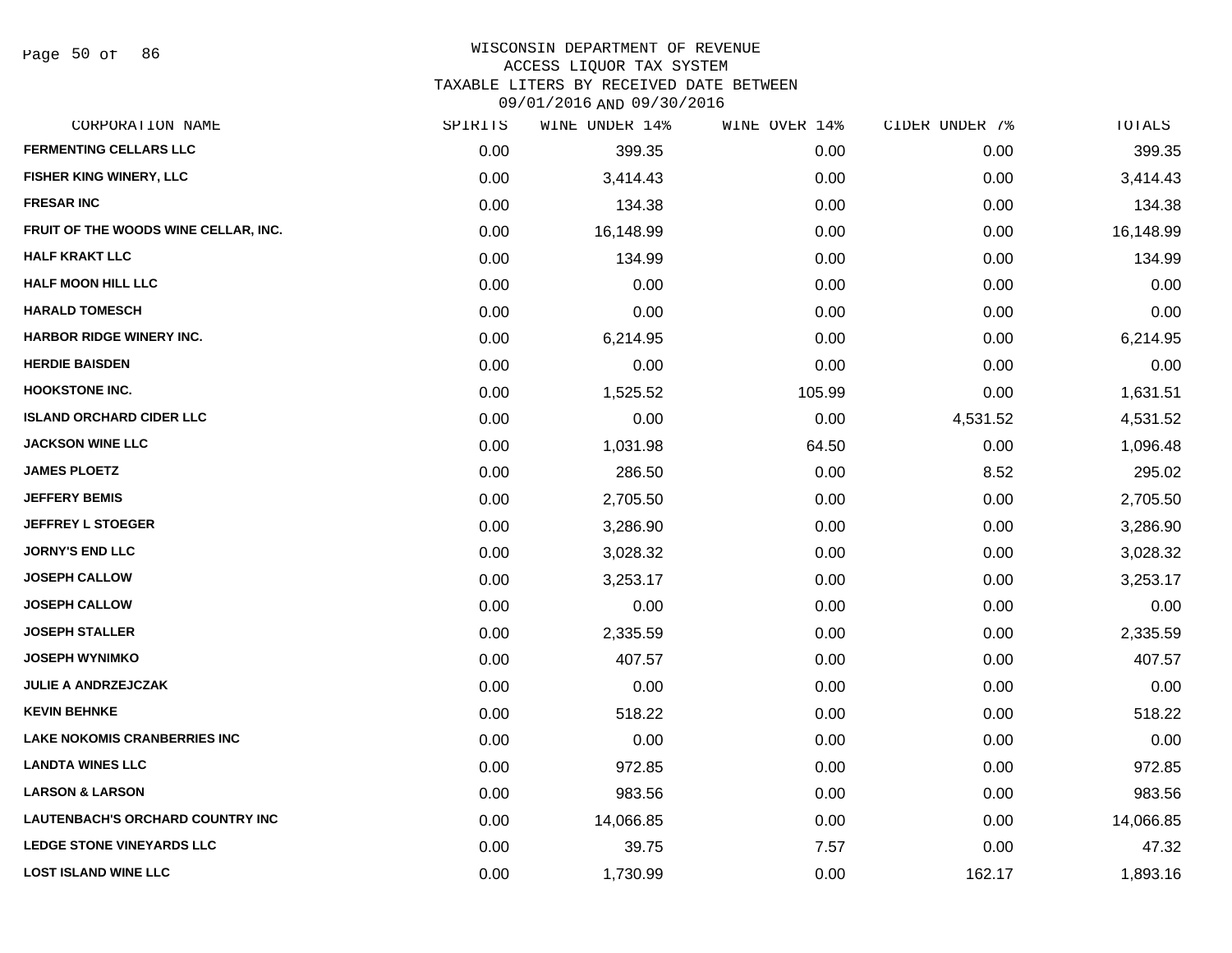#### WISCONSIN DEPARTMENT OF REVENUE

#### ACCESS LIQUOR TAX SYSTEM

TAXABLE LITERS BY RECEIVED DATE BETWEEN

| CORPORATION NAME                        | SPIRITS | WINE UNDER 14% | WINE OVER 14% | CIDER UNDER 7% | TOTALS    |
|-----------------------------------------|---------|----------------|---------------|----------------|-----------|
| <b>FERMENTING CELLARS LLC</b>           | 0.00    | 399.35         | 0.00          | 0.00           | 399.35    |
| FISHER KING WINERY, LLC                 | 0.00    | 3,414.43       | 0.00          | 0.00           | 3,414.43  |
| <b>FRESAR INC</b>                       | 0.00    | 134.38         | 0.00          | 0.00           | 134.38    |
| FRUIT OF THE WOODS WINE CELLAR, INC.    | 0.00    | 16,148.99      | 0.00          | 0.00           | 16,148.99 |
| <b>HALF KRAKT LLC</b>                   | 0.00    | 134.99         | 0.00          | 0.00           | 134.99    |
| <b>HALF MOON HILL LLC</b>               | 0.00    | 0.00           | 0.00          | 0.00           | 0.00      |
| <b>HARALD TOMESCH</b>                   | 0.00    | 0.00           | 0.00          | 0.00           | 0.00      |
| <b>HARBOR RIDGE WINERY INC.</b>         | 0.00    | 6,214.95       | 0.00          | 0.00           | 6,214.95  |
| <b>HERDIE BAISDEN</b>                   | 0.00    | 0.00           | 0.00          | 0.00           | 0.00      |
| <b>HOOKSTONE INC.</b>                   | 0.00    | 1,525.52       | 105.99        | 0.00           | 1,631.51  |
| <b>ISLAND ORCHARD CIDER LLC</b>         | 0.00    | 0.00           | 0.00          | 4,531.52       | 4,531.52  |
| <b>JACKSON WINE LLC</b>                 | 0.00    | 1,031.98       | 64.50         | 0.00           | 1,096.48  |
| <b>JAMES PLOETZ</b>                     | 0.00    | 286.50         | 0.00          | 8.52           | 295.02    |
| <b>JEFFERY BEMIS</b>                    | 0.00    | 2,705.50       | 0.00          | 0.00           | 2,705.50  |
| <b>JEFFREY L STOEGER</b>                | 0.00    | 3,286.90       | 0.00          | 0.00           | 3,286.90  |
| <b>JORNY'S END LLC</b>                  | 0.00    | 3,028.32       | 0.00          | 0.00           | 3,028.32  |
| <b>JOSEPH CALLOW</b>                    | 0.00    | 3,253.17       | 0.00          | 0.00           | 3,253.17  |
| <b>JOSEPH CALLOW</b>                    | 0.00    | 0.00           | 0.00          | 0.00           | 0.00      |
| <b>JOSEPH STALLER</b>                   | 0.00    | 2,335.59       | 0.00          | 0.00           | 2,335.59  |
| <b>JOSEPH WYNIMKO</b>                   | 0.00    | 407.57         | 0.00          | 0.00           | 407.57    |
| <b>JULIE A ANDRZEJCZAK</b>              | 0.00    | 0.00           | 0.00          | 0.00           | 0.00      |
| <b>KEVIN BEHNKE</b>                     | 0.00    | 518.22         | 0.00          | 0.00           | 518.22    |
| <b>LAKE NOKOMIS CRANBERRIES INC</b>     | 0.00    | 0.00           | 0.00          | 0.00           | 0.00      |
| <b>LANDTA WINES LLC</b>                 | 0.00    | 972.85         | 0.00          | 0.00           | 972.85    |
| <b>LARSON &amp; LARSON</b>              | 0.00    | 983.56         | 0.00          | 0.00           | 983.56    |
| <b>LAUTENBACH'S ORCHARD COUNTRY INC</b> | 0.00    | 14,066.85      | 0.00          | 0.00           | 14,066.85 |
| <b>LEDGE STONE VINEYARDS LLC</b>        | 0.00    | 39.75          | 7.57          | 0.00           | 47.32     |
| <b>LOST ISLAND WINE LLC</b>             | 0.00    | 1,730.99       | 0.00          | 162.17         | 1,893.16  |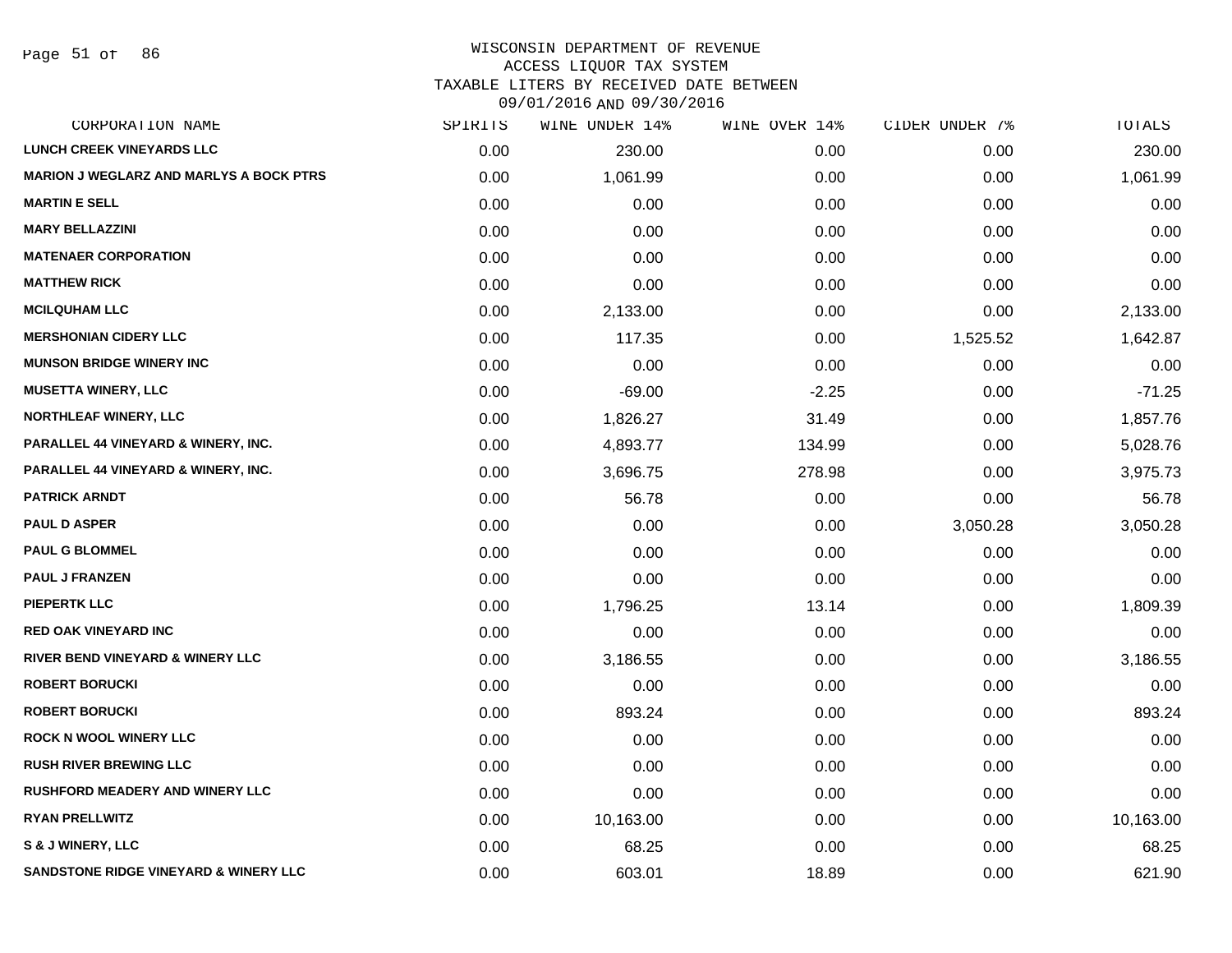#### WISCONSIN DEPARTMENT OF REVENUE ACCESS LIQUOR TAX SYSTEM

TAXABLE LITERS BY RECEIVED DATE BETWEEN

| CORPORATION NAME                                 | SPIRITS | WINE UNDER 14% | WINE OVER 14% | CIDER UNDER 7% | TOTALS    |
|--------------------------------------------------|---------|----------------|---------------|----------------|-----------|
| <b>LUNCH CREEK VINEYARDS LLC</b>                 | 0.00    | 230.00         | 0.00          | 0.00           | 230.00    |
| <b>MARION J WEGLARZ AND MARLYS A BOCK PTRS</b>   | 0.00    | 1,061.99       | 0.00          | 0.00           | 1,061.99  |
| <b>MARTIN E SELL</b>                             | 0.00    | 0.00           | 0.00          | 0.00           | 0.00      |
| <b>MARY BELLAZZINI</b>                           | 0.00    | 0.00           | 0.00          | 0.00           | 0.00      |
| <b>MATENAER CORPORATION</b>                      | 0.00    | 0.00           | 0.00          | 0.00           | 0.00      |
| <b>MATTHEW RICK</b>                              | 0.00    | 0.00           | 0.00          | 0.00           | 0.00      |
| <b>MCILQUHAM LLC</b>                             | 0.00    | 2,133.00       | 0.00          | 0.00           | 2,133.00  |
| <b>MERSHONIAN CIDERY LLC</b>                     | 0.00    | 117.35         | 0.00          | 1,525.52       | 1,642.87  |
| <b>MUNSON BRIDGE WINERY INC</b>                  | 0.00    | 0.00           | 0.00          | 0.00           | 0.00      |
| <b>MUSETTA WINERY, LLC</b>                       | 0.00    | $-69.00$       | $-2.25$       | 0.00           | $-71.25$  |
| <b>NORTHLEAF WINERY, LLC</b>                     | 0.00    | 1,826.27       | 31.49         | 0.00           | 1,857.76  |
| PARALLEL 44 VINEYARD & WINERY, INC.              | 0.00    | 4,893.77       | 134.99        | 0.00           | 5,028.76  |
| PARALLEL 44 VINEYARD & WINERY, INC.              | 0.00    | 3,696.75       | 278.98        | 0.00           | 3,975.73  |
| <b>PATRICK ARNDT</b>                             | 0.00    | 56.78          | 0.00          | 0.00           | 56.78     |
| <b>PAUL D ASPER</b>                              | 0.00    | 0.00           | 0.00          | 3,050.28       | 3,050.28  |
| <b>PAUL G BLOMMEL</b>                            | 0.00    | 0.00           | 0.00          | 0.00           | 0.00      |
| <b>PAUL J FRANZEN</b>                            | 0.00    | 0.00           | 0.00          | 0.00           | 0.00      |
| <b>PIEPERTK LLC</b>                              | 0.00    | 1,796.25       | 13.14         | 0.00           | 1,809.39  |
| <b>RED OAK VINEYARD INC</b>                      | 0.00    | 0.00           | 0.00          | 0.00           | 0.00      |
| RIVER BEND VINEYARD & WINERY LLC                 | 0.00    | 3,186.55       | 0.00          | 0.00           | 3,186.55  |
| <b>ROBERT BORUCKI</b>                            | 0.00    | 0.00           | 0.00          | 0.00           | 0.00      |
| <b>ROBERT BORUCKI</b>                            | 0.00    | 893.24         | 0.00          | 0.00           | 893.24    |
| <b>ROCK N WOOL WINERY LLC</b>                    | 0.00    | 0.00           | 0.00          | 0.00           | 0.00      |
| <b>RUSH RIVER BREWING LLC</b>                    | 0.00    | 0.00           | 0.00          | 0.00           | 0.00      |
| <b>RUSHFORD MEADERY AND WINERY LLC</b>           | 0.00    | 0.00           | 0.00          | 0.00           | 0.00      |
| <b>RYAN PRELLWITZ</b>                            | 0.00    | 10,163.00      | 0.00          | 0.00           | 10,163.00 |
| S & J WINERY, LLC                                | 0.00    | 68.25          | 0.00          | 0.00           | 68.25     |
| <b>SANDSTONE RIDGE VINEYARD &amp; WINERY LLC</b> | 0.00    | 603.01         | 18.89         | 0.00           | 621.90    |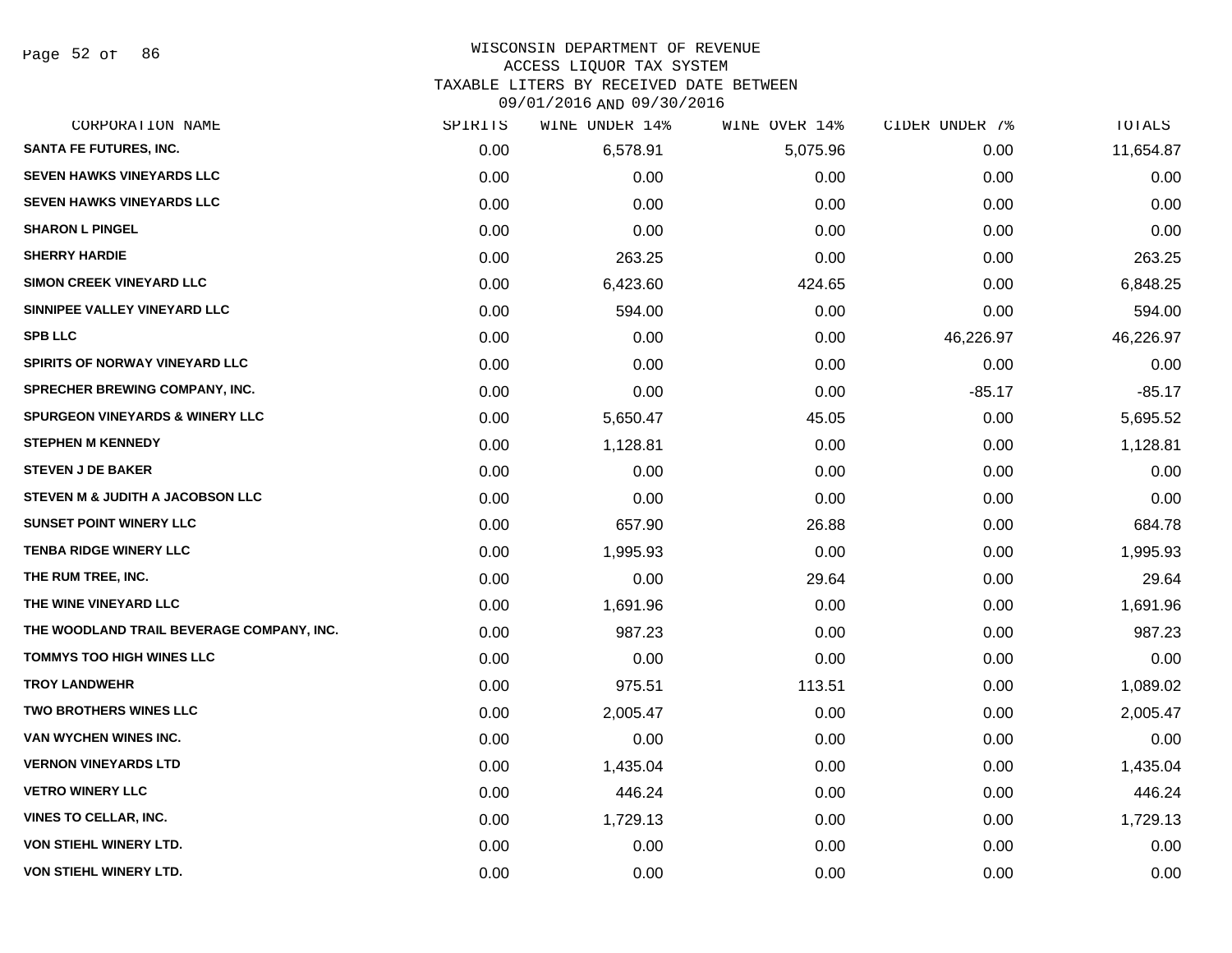Page 52 of 86

#### WISCONSIN DEPARTMENT OF REVENUE ACCESS LIQUOR TAX SYSTEM TAXABLE LITERS BY RECEIVED DATE BETWEEN

| CORPORATION NAME                           | SPIRITS | WINE UNDER 14% | WINE OVER 14% | CIDER UNDER 7% | TOTALS    |
|--------------------------------------------|---------|----------------|---------------|----------------|-----------|
| <b>SANTA FE FUTURES, INC.</b>              | 0.00    | 6,578.91       | 5,075.96      | 0.00           | 11,654.87 |
| <b>SEVEN HAWKS VINEYARDS LLC</b>           | 0.00    | 0.00           | 0.00          | 0.00           | 0.00      |
| <b>SEVEN HAWKS VINEYARDS LLC</b>           | 0.00    | 0.00           | 0.00          | 0.00           | 0.00      |
| <b>SHARON L PINGEL</b>                     | 0.00    | 0.00           | 0.00          | 0.00           | 0.00      |
| <b>SHERRY HARDIE</b>                       | 0.00    | 263.25         | 0.00          | 0.00           | 263.25    |
| <b>SIMON CREEK VINEYARD LLC</b>            | 0.00    | 6,423.60       | 424.65        | 0.00           | 6,848.25  |
| SINNIPEE VALLEY VINEYARD LLC               | 0.00    | 594.00         | 0.00          | 0.00           | 594.00    |
| <b>SPB LLC</b>                             | 0.00    | 0.00           | 0.00          | 46,226.97      | 46,226.97 |
| <b>SPIRITS OF NORWAY VINEYARD LLC</b>      | 0.00    | 0.00           | 0.00          | 0.00           | 0.00      |
| <b>SPRECHER BREWING COMPANY, INC.</b>      | 0.00    | 0.00           | 0.00          | $-85.17$       | $-85.17$  |
| <b>SPURGEON VINEYARDS &amp; WINERY LLC</b> | 0.00    | 5,650.47       | 45.05         | 0.00           | 5,695.52  |
| <b>STEPHEN M KENNEDY</b>                   | 0.00    | 1,128.81       | 0.00          | 0.00           | 1,128.81  |
| <b>STEVEN J DE BAKER</b>                   | 0.00    | 0.00           | 0.00          | 0.00           | 0.00      |
| STEVEN M & JUDITH A JACOBSON LLC           | 0.00    | 0.00           | 0.00          | 0.00           | 0.00      |
| <b>SUNSET POINT WINERY LLC</b>             | 0.00    | 657.90         | 26.88         | 0.00           | 684.78    |
| <b>TENBA RIDGE WINERY LLC</b>              | 0.00    | 1,995.93       | 0.00          | 0.00           | 1,995.93  |
| THE RUM TREE, INC.                         | 0.00    | 0.00           | 29.64         | 0.00           | 29.64     |
| THE WINE VINEYARD LLC                      | 0.00    | 1,691.96       | 0.00          | 0.00           | 1,691.96  |
| THE WOODLAND TRAIL BEVERAGE COMPANY, INC.  | 0.00    | 987.23         | 0.00          | 0.00           | 987.23    |
| <b>TOMMYS TOO HIGH WINES LLC</b>           | 0.00    | 0.00           | 0.00          | 0.00           | 0.00      |
| <b>TROY LANDWEHR</b>                       | 0.00    | 975.51         | 113.51        | 0.00           | 1,089.02  |
| <b>TWO BROTHERS WINES LLC</b>              | 0.00    | 2,005.47       | 0.00          | 0.00           | 2,005.47  |
| VAN WYCHEN WINES INC.                      | 0.00    | 0.00           | 0.00          | 0.00           | 0.00      |
| <b>VERNON VINEYARDS LTD</b>                | 0.00    | 1,435.04       | 0.00          | 0.00           | 1,435.04  |
| <b>VETRO WINERY LLC</b>                    | 0.00    | 446.24         | 0.00          | 0.00           | 446.24    |
| <b>VINES TO CELLAR, INC.</b>               | 0.00    | 1,729.13       | 0.00          | 0.00           | 1,729.13  |
| VON STIEHL WINERY LTD.                     | 0.00    | 0.00           | 0.00          | 0.00           | 0.00      |
| <b>VON STIEHL WINERY LTD.</b>              | 0.00    | 0.00           | 0.00          | 0.00           | 0.00      |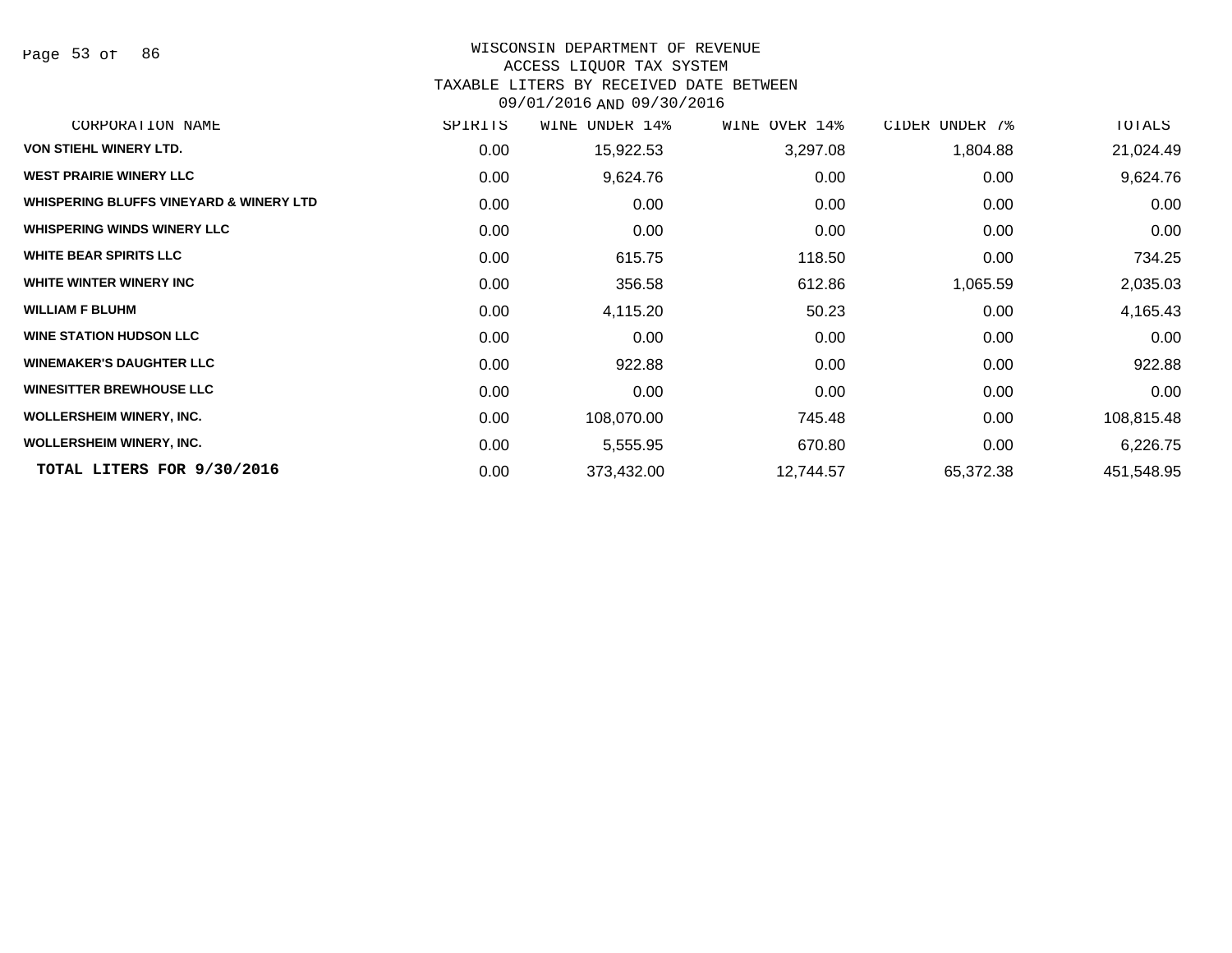Page 53 of 86

# WISCONSIN DEPARTMENT OF REVENUE

# ACCESS LIQUOR TAX SYSTEM

TAXABLE LITERS BY RECEIVED DATE BETWEEN

| CORPORATION NAME                                   | SPIRITS | WINE<br>UNDER 14% | WINE OVER 14% | CIDER UNDER 7% | TOTALS     |
|----------------------------------------------------|---------|-------------------|---------------|----------------|------------|
| <b>VON STIEHL WINERY LTD.</b>                      | 0.00    | 15,922.53         | 3,297.08      | 1,804.88       | 21,024.49  |
| <b>WEST PRAIRIE WINERY LLC</b>                     | 0.00    | 9,624.76          | 0.00          | 0.00           | 9,624.76   |
| <b>WHISPERING BLUFFS VINEYARD &amp; WINERY LTD</b> | 0.00    | 0.00              | 0.00          | 0.00           | 0.00       |
| <b>WHISPERING WINDS WINERY LLC</b>                 | 0.00    | 0.00              | 0.00          | 0.00           | 0.00       |
| <b>WHITE BEAR SPIRITS LLC</b>                      | 0.00    | 615.75            | 118.50        | 0.00           | 734.25     |
| WHITE WINTER WINERY INC                            | 0.00    | 356.58            | 612.86        | 1,065.59       | 2,035.03   |
| <b>WILLIAM F BLUHM</b>                             | 0.00    | 4,115.20          | 50.23         | 0.00           | 4,165.43   |
| <b>WINE STATION HUDSON LLC</b>                     | 0.00    | 0.00              | 0.00          | 0.00           | 0.00       |
| <b>WINEMAKER'S DAUGHTER LLC</b>                    | 0.00    | 922.88            | 0.00          | 0.00           | 922.88     |
| <b>WINESITTER BREWHOUSE LLC</b>                    | 0.00    | 0.00              | 0.00          | 0.00           | 0.00       |
| <b>WOLLERSHEIM WINERY, INC.</b>                    | 0.00    | 108,070.00        | 745.48        | 0.00           | 108,815.48 |
| <b>WOLLERSHEIM WINERY, INC.</b>                    | 0.00    | 5,555.95          | 670.80        | 0.00           | 6,226.75   |
| TOTAL LITERS FOR 9/30/2016                         | 0.00    | 373,432.00        | 12,744.57     | 65,372.38      | 451,548.95 |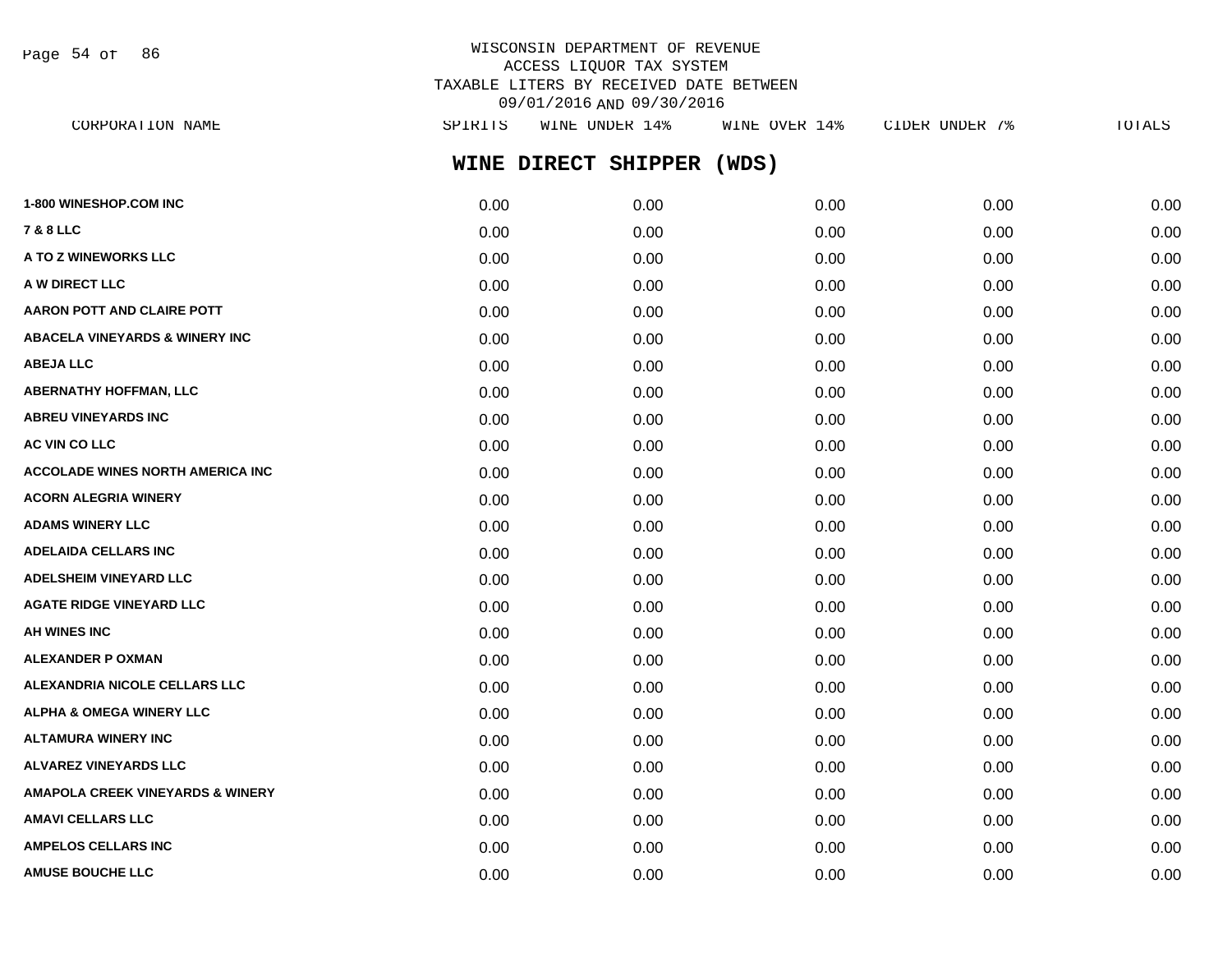Page 54 of 86

# WISCONSIN DEPARTMENT OF REVENUE ACCESS LIQUOR TAX SYSTEM TAXABLE LITERS BY RECEIVED DATE BETWEEN 09/01/2016 AND 09/30/2016

| CORPORATION NAME                    | SPIRITS | WINE UNDER 14%      | WINE OVER 14% | CIDER UNDER 7% | TOTALS |
|-------------------------------------|---------|---------------------|---------------|----------------|--------|
|                                     |         | WINE DIRECT SHIPPER | (WDS)         |                |        |
| <b>1-800 WINESHOP.COM INC</b>       | 0.00    | 0.00                | 0.00          | 0.00           | 0.00   |
| 7 & 8 LLC                           | 0.00    | 0.00                | 0.00          | 0.00           | 0.00   |
| A TO Z WINEWORKS LLC                | 0.00    | 0.00                | 0.00          | 0.00           | 0.00   |
| <b>A W DIRECT LLC</b>               | 0.00    | 0.00                | 0.00          | 0.00           | 0.00   |
| <b>AARON POTT AND CLAIRE POTT</b>   | 0.00    | 0.00                | 0.00          | 0.00           | 0.00   |
| ABACELA VINEYARDS & WINERY INC      | 0.00    | 0.00                | 0.00          | 0.00           | 0.00   |
| ABEJA LLC                           | 0.00    | 0.00                | 0.00          | 0.00           | 0.00   |
| <b>ABERNATHY HOFFMAN, LLC</b>       | 0.00    | 0.00                | 0.00          | 0.00           | 0.00   |
| <b>ABREU VINEYARDS INC</b>          | 0.00    | 0.00                | 0.00          | 0.00           | 0.00   |
| <b>AC VIN CO LLC</b>                | 0.00    | 0.00                | 0.00          | 0.00           | 0.00   |
| ACCOLADE WINES NORTH AMERICA INC    | 0.00    | 0.00                | 0.00          | 0.00           | 0.00   |
| <b>ACORN ALEGRIA WINERY</b>         | 0.00    | 0.00                | 0.00          | 0.00           | 0.00   |
| <b>ADAMS WINERY LLC</b>             | 0.00    | 0.00                | 0.00          | 0.00           | 0.00   |
| <b>ADELAIDA CELLARS INC</b>         | 0.00    | 0.00                | 0.00          | 0.00           | 0.00   |
| <b>ADELSHEIM VINEYARD LLC</b>       | 0.00    | 0.00                | 0.00          | 0.00           | 0.00   |
| <b>AGATE RIDGE VINEYARD LLC</b>     | 0.00    | 0.00                | 0.00          | 0.00           | 0.00   |
| AH WINES INC                        | 0.00    | 0.00                | 0.00          | 0.00           | 0.00   |
| ALEXANDER P OXMAN                   | 0.00    | 0.00                | 0.00          | 0.00           | 0.00   |
| ALEXANDRIA NICOLE CELLARS LLC       | 0.00    | 0.00                | 0.00          | 0.00           | 0.00   |
| <b>ALPHA &amp; OMEGA WINERY LLC</b> | 0.00    | 0.00                | 0.00          | 0.00           | 0.00   |
| ALTAMURA WINERY INC                 | 0.00    | 0.00                | 0.00          | 0.00           | 0.00   |
| ALVAREZ VINEYARDS LLC               | 0.00    | 0.00                | 0.00          | 0.00           | 0.00   |
| AMAPOLA CREEK VINEYARDS & WINERY    | 0.00    | 0.00                | 0.00          | 0.00           | 0.00   |
| AMAVI CELLARS LLC                   | 0.00    | 0.00                | 0.00          | 0.00           | 0.00   |
| <b>AMPELOS CELLARS INC</b>          | 0.00    | 0.00                | 0.00          | 0.00           | 0.00   |
|                                     |         |                     |               |                |        |

**AMUSE BOUCHE LLC** 0.00 0.00 0.00 0.00 0.00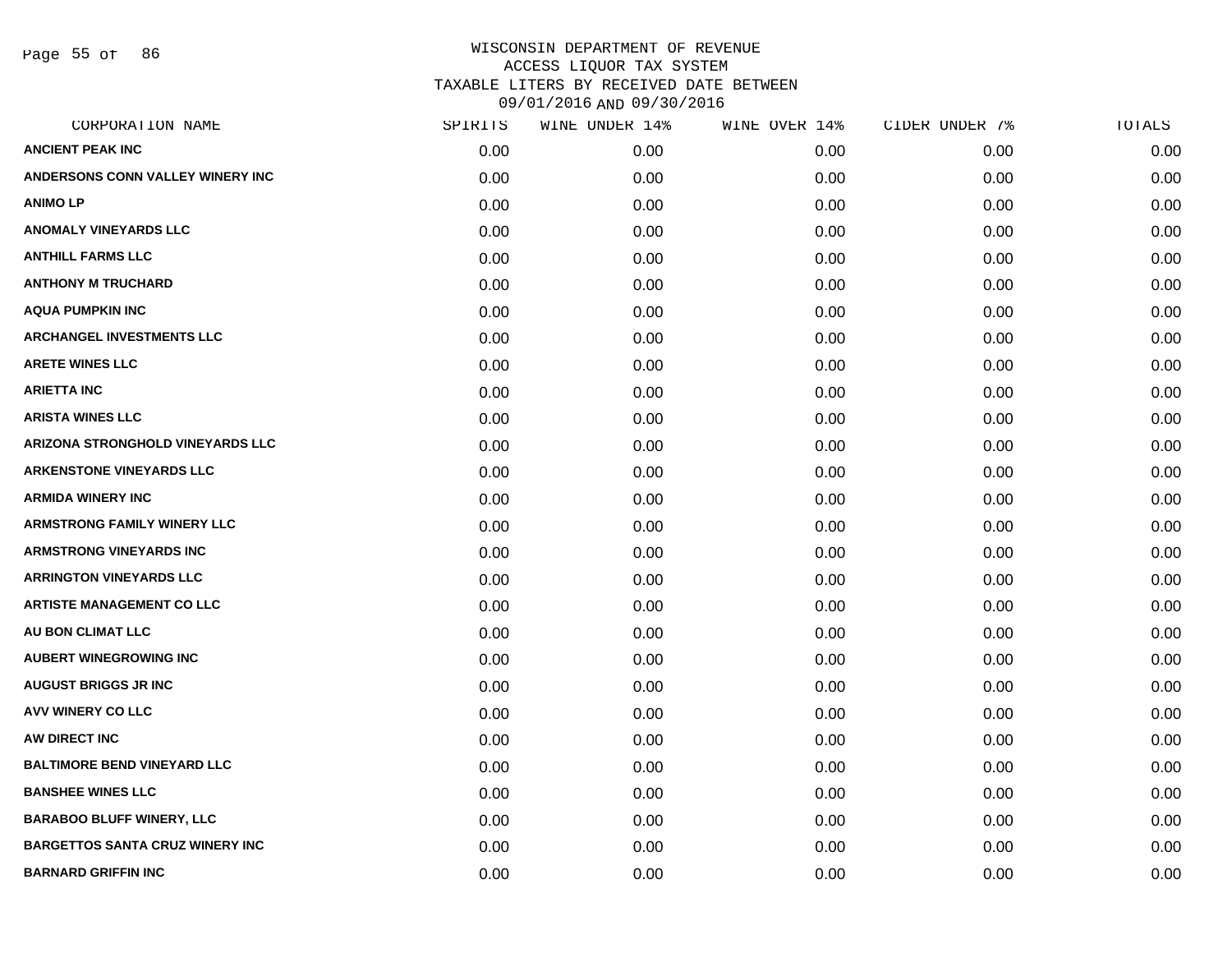Page 55 of 86

| CORPORATION NAME                       | SPIRITS | WINE UNDER 14% | WINE OVER 14% | CIDER UNDER 7% | TOTALS |
|----------------------------------------|---------|----------------|---------------|----------------|--------|
| <b>ANCIENT PEAK INC</b>                | 0.00    | 0.00           | 0.00          | 0.00           | 0.00   |
| ANDERSONS CONN VALLEY WINERY INC       | 0.00    | 0.00           | 0.00          | 0.00           | 0.00   |
| <b>ANIMOLP</b>                         | 0.00    | 0.00           | 0.00          | 0.00           | 0.00   |
| <b>ANOMALY VINEYARDS LLC</b>           | 0.00    | 0.00           | 0.00          | 0.00           | 0.00   |
| <b>ANTHILL FARMS LLC</b>               | 0.00    | 0.00           | 0.00          | 0.00           | 0.00   |
| <b>ANTHONY M TRUCHARD</b>              | 0.00    | 0.00           | 0.00          | 0.00           | 0.00   |
| <b>AQUA PUMPKIN INC</b>                | 0.00    | 0.00           | 0.00          | 0.00           | 0.00   |
| <b>ARCHANGEL INVESTMENTS LLC</b>       | 0.00    | 0.00           | 0.00          | 0.00           | 0.00   |
| <b>ARETE WINES LLC</b>                 | 0.00    | 0.00           | 0.00          | 0.00           | 0.00   |
| <b>ARIETTA INC</b>                     | 0.00    | 0.00           | 0.00          | 0.00           | 0.00   |
| <b>ARISTA WINES LLC</b>                | 0.00    | 0.00           | 0.00          | 0.00           | 0.00   |
| ARIZONA STRONGHOLD VINEYARDS LLC       | 0.00    | 0.00           | 0.00          | 0.00           | 0.00   |
| <b>ARKENSTONE VINEYARDS LLC</b>        | 0.00    | 0.00           | 0.00          | 0.00           | 0.00   |
| <b>ARMIDA WINERY INC</b>               | 0.00    | 0.00           | 0.00          | 0.00           | 0.00   |
| <b>ARMSTRONG FAMILY WINERY LLC</b>     | 0.00    | 0.00           | 0.00          | 0.00           | 0.00   |
| ARMSTRONG VINEYARDS INC                | 0.00    | 0.00           | 0.00          | 0.00           | 0.00   |
| <b>ARRINGTON VINEYARDS LLC</b>         | 0.00    | 0.00           | 0.00          | 0.00           | 0.00   |
| <b>ARTISTE MANAGEMENT CO LLC</b>       | 0.00    | 0.00           | 0.00          | 0.00           | 0.00   |
| AU BON CLIMAT LLC                      | 0.00    | 0.00           | 0.00          | 0.00           | 0.00   |
| <b>AUBERT WINEGROWING INC</b>          | 0.00    | 0.00           | 0.00          | 0.00           | 0.00   |
| <b>AUGUST BRIGGS JR INC</b>            | 0.00    | 0.00           | 0.00          | 0.00           | 0.00   |
| <b>AVV WINERY CO LLC</b>               | 0.00    | 0.00           | 0.00          | 0.00           | 0.00   |
| AW DIRECT INC                          | 0.00    | 0.00           | 0.00          | 0.00           | 0.00   |
| <b>BALTIMORE BEND VINEYARD LLC</b>     | 0.00    | 0.00           | 0.00          | 0.00           | 0.00   |
| <b>BANSHEE WINES LLC</b>               | 0.00    | 0.00           | 0.00          | 0.00           | 0.00   |
| <b>BARABOO BLUFF WINERY, LLC</b>       | 0.00    | 0.00           | 0.00          | 0.00           | 0.00   |
| <b>BARGETTOS SANTA CRUZ WINERY INC</b> | 0.00    | 0.00           | 0.00          | 0.00           | 0.00   |
| <b>BARNARD GRIFFIN INC</b>             | 0.00    | 0.00           | 0.00          | 0.00           | 0.00   |
|                                        |         |                |               |                |        |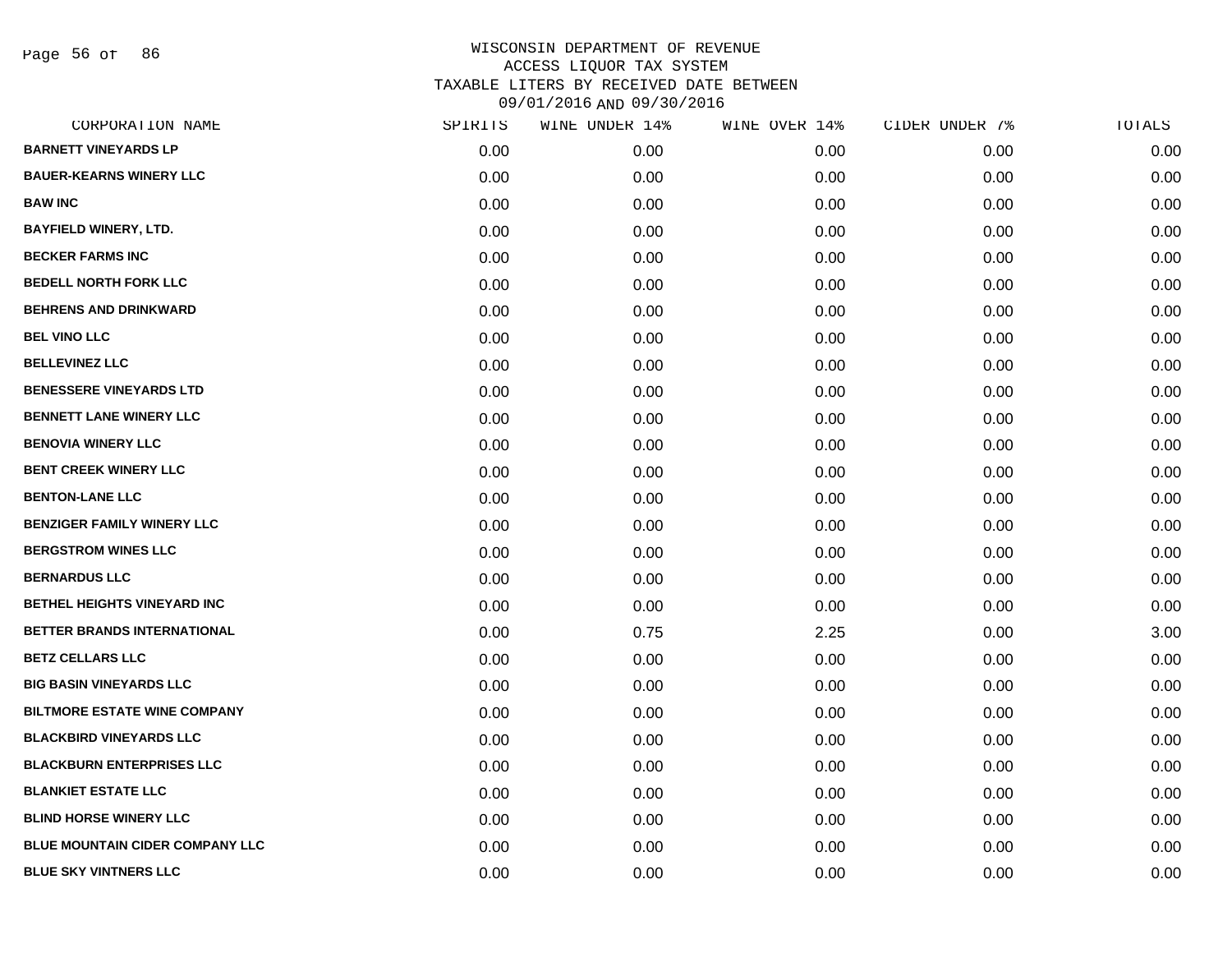Page 56 of 86

| CORPORATION NAME                       | SPIRITS | WINE UNDER 14% | WINE OVER 14% | CIDER UNDER 7% | TOTALS |
|----------------------------------------|---------|----------------|---------------|----------------|--------|
| <b>BARNETT VINEYARDS LP</b>            | 0.00    | 0.00           | 0.00          | 0.00           | 0.00   |
| <b>BAUER-KEARNS WINERY LLC</b>         | 0.00    | 0.00           | 0.00          | 0.00           | 0.00   |
| <b>BAW INC</b>                         | 0.00    | 0.00           | 0.00          | 0.00           | 0.00   |
| <b>BAYFIELD WINERY, LTD.</b>           | 0.00    | 0.00           | 0.00          | 0.00           | 0.00   |
| <b>BECKER FARMS INC</b>                | 0.00    | 0.00           | 0.00          | 0.00           | 0.00   |
| <b>BEDELL NORTH FORK LLC</b>           | 0.00    | 0.00           | 0.00          | 0.00           | 0.00   |
| <b>BEHRENS AND DRINKWARD</b>           | 0.00    | 0.00           | 0.00          | 0.00           | 0.00   |
| <b>BEL VINO LLC</b>                    | 0.00    | 0.00           | 0.00          | 0.00           | 0.00   |
| <b>BELLEVINEZ LLC</b>                  | 0.00    | 0.00           | 0.00          | 0.00           | 0.00   |
| <b>BENESSERE VINEYARDS LTD</b>         | 0.00    | 0.00           | 0.00          | 0.00           | 0.00   |
| <b>BENNETT LANE WINERY LLC</b>         | 0.00    | 0.00           | 0.00          | 0.00           | 0.00   |
| <b>BENOVIA WINERY LLC</b>              | 0.00    | 0.00           | 0.00          | 0.00           | 0.00   |
| <b>BENT CREEK WINERY LLC</b>           | 0.00    | 0.00           | 0.00          | 0.00           | 0.00   |
| <b>BENTON-LANE LLC</b>                 | 0.00    | 0.00           | 0.00          | 0.00           | 0.00   |
| <b>BENZIGER FAMILY WINERY LLC</b>      | 0.00    | 0.00           | 0.00          | 0.00           | 0.00   |
| <b>BERGSTROM WINES LLC</b>             | 0.00    | 0.00           | 0.00          | 0.00           | 0.00   |
| <b>BERNARDUS LLC</b>                   | 0.00    | 0.00           | 0.00          | 0.00           | 0.00   |
| <b>BETHEL HEIGHTS VINEYARD INC</b>     | 0.00    | 0.00           | 0.00          | 0.00           | 0.00   |
| BETTER BRANDS INTERNATIONAL            | 0.00    | 0.75           | 2.25          | 0.00           | 3.00   |
| <b>BETZ CELLARS LLC</b>                | 0.00    | 0.00           | 0.00          | 0.00           | 0.00   |
| <b>BIG BASIN VINEYARDS LLC</b>         | 0.00    | 0.00           | 0.00          | 0.00           | 0.00   |
| <b>BILTMORE ESTATE WINE COMPANY</b>    | 0.00    | 0.00           | 0.00          | 0.00           | 0.00   |
| <b>BLACKBIRD VINEYARDS LLC</b>         | 0.00    | 0.00           | 0.00          | 0.00           | 0.00   |
| <b>BLACKBURN ENTERPRISES LLC</b>       | 0.00    | 0.00           | 0.00          | 0.00           | 0.00   |
| <b>BLANKIET ESTATE LLC</b>             | 0.00    | 0.00           | 0.00          | 0.00           | 0.00   |
| <b>BLIND HORSE WINERY LLC</b>          | 0.00    | 0.00           | 0.00          | 0.00           | 0.00   |
| <b>BLUE MOUNTAIN CIDER COMPANY LLC</b> | 0.00    | 0.00           | 0.00          | 0.00           | 0.00   |
| <b>BLUE SKY VINTNERS LLC</b>           | 0.00    | 0.00           | 0.00          | 0.00           | 0.00   |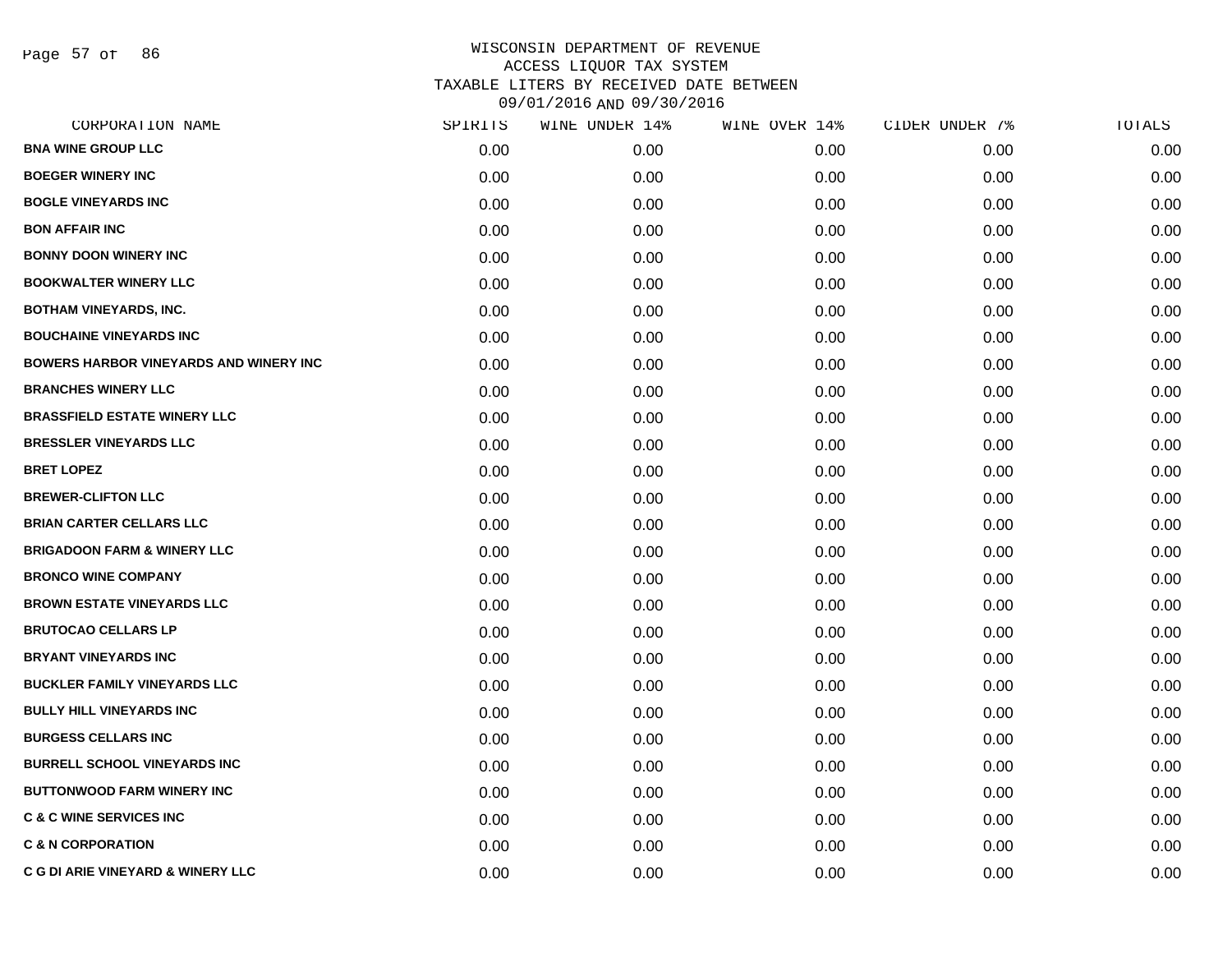Page 57 of 86

| CORPORATION NAME                             | SPIRITS | WINE UNDER 14% | WINE OVER 14% | CIDER UNDER 7% | TOTALS |
|----------------------------------------------|---------|----------------|---------------|----------------|--------|
| <b>BNA WINE GROUP LLC</b>                    | 0.00    | 0.00           | 0.00          | 0.00           | 0.00   |
| <b>BOEGER WINERY INC</b>                     | 0.00    | 0.00           | 0.00          | 0.00           | 0.00   |
| <b>BOGLE VINEYARDS INC</b>                   | 0.00    | 0.00           | 0.00          | 0.00           | 0.00   |
| <b>BON AFFAIR INC</b>                        | 0.00    | 0.00           | 0.00          | 0.00           | 0.00   |
| <b>BONNY DOON WINERY INC</b>                 | 0.00    | 0.00           | 0.00          | 0.00           | 0.00   |
| <b>BOOKWALTER WINERY LLC</b>                 | 0.00    | 0.00           | 0.00          | 0.00           | 0.00   |
| <b>BOTHAM VINEYARDS, INC.</b>                | 0.00    | 0.00           | 0.00          | 0.00           | 0.00   |
| <b>BOUCHAINE VINEYARDS INC</b>               | 0.00    | 0.00           | 0.00          | 0.00           | 0.00   |
| BOWERS HARBOR VINEYARDS AND WINERY INC       | 0.00    | 0.00           | 0.00          | 0.00           | 0.00   |
| <b>BRANCHES WINERY LLC</b>                   | 0.00    | 0.00           | 0.00          | 0.00           | 0.00   |
| <b>BRASSFIELD ESTATE WINERY LLC</b>          | 0.00    | 0.00           | 0.00          | 0.00           | 0.00   |
| <b>BRESSLER VINEYARDS LLC</b>                | 0.00    | 0.00           | 0.00          | 0.00           | 0.00   |
| <b>BRET LOPEZ</b>                            | 0.00    | 0.00           | 0.00          | 0.00           | 0.00   |
| <b>BREWER-CLIFTON LLC</b>                    | 0.00    | 0.00           | 0.00          | 0.00           | 0.00   |
| <b>BRIAN CARTER CELLARS LLC</b>              | 0.00    | 0.00           | 0.00          | 0.00           | 0.00   |
| <b>BRIGADOON FARM &amp; WINERY LLC</b>       | 0.00    | 0.00           | 0.00          | 0.00           | 0.00   |
| <b>BRONCO WINE COMPANY</b>                   | 0.00    | 0.00           | 0.00          | 0.00           | 0.00   |
| <b>BROWN ESTATE VINEYARDS LLC</b>            | 0.00    | 0.00           | 0.00          | 0.00           | 0.00   |
| <b>BRUTOCAO CELLARS LP</b>                   | 0.00    | 0.00           | 0.00          | 0.00           | 0.00   |
| <b>BRYANT VINEYARDS INC</b>                  | 0.00    | 0.00           | 0.00          | 0.00           | 0.00   |
| <b>BUCKLER FAMILY VINEYARDS LLC</b>          | 0.00    | 0.00           | 0.00          | 0.00           | 0.00   |
| <b>BULLY HILL VINEYARDS INC</b>              | 0.00    | 0.00           | 0.00          | 0.00           | 0.00   |
| <b>BURGESS CELLARS INC</b>                   | 0.00    | 0.00           | 0.00          | 0.00           | 0.00   |
| <b>BURRELL SCHOOL VINEYARDS INC</b>          | 0.00    | 0.00           | 0.00          | 0.00           | 0.00   |
| <b>BUTTONWOOD FARM WINERY INC</b>            | 0.00    | 0.00           | 0.00          | 0.00           | 0.00   |
| <b>C &amp; C WINE SERVICES INC</b>           | 0.00    | 0.00           | 0.00          | 0.00           | 0.00   |
| <b>C &amp; N CORPORATION</b>                 | 0.00    | 0.00           | 0.00          | 0.00           | 0.00   |
| <b>C G DI ARIE VINEYARD &amp; WINERY LLC</b> | 0.00    | 0.00           | 0.00          | 0.00           | 0.00   |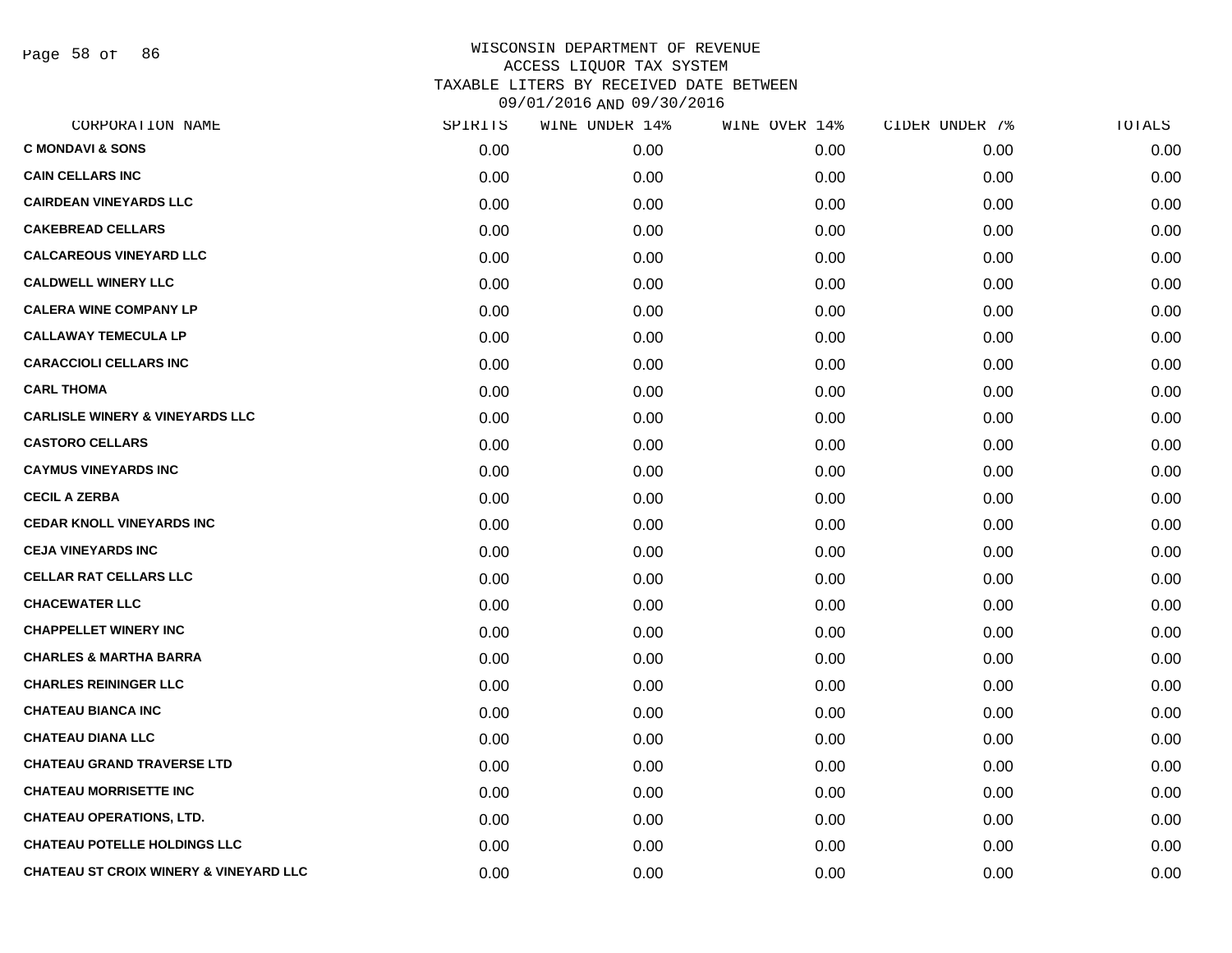Page 58 of 86

| CORPORATION NAME                                  | SPIRITS | WINE UNDER 14% | WINE OVER 14% | CIDER UNDER 7% | TOTALS |
|---------------------------------------------------|---------|----------------|---------------|----------------|--------|
| <b>C MONDAVI &amp; SONS</b>                       | 0.00    | 0.00           | 0.00          | 0.00           | 0.00   |
| <b>CAIN CELLARS INC</b>                           | 0.00    | 0.00           | 0.00          | 0.00           | 0.00   |
| <b>CAIRDEAN VINEYARDS LLC</b>                     | 0.00    | 0.00           | 0.00          | 0.00           | 0.00   |
| <b>CAKEBREAD CELLARS</b>                          | 0.00    | 0.00           | 0.00          | 0.00           | 0.00   |
| <b>CALCAREOUS VINEYARD LLC</b>                    | 0.00    | 0.00           | 0.00          | 0.00           | 0.00   |
| <b>CALDWELL WINERY LLC</b>                        | 0.00    | 0.00           | 0.00          | 0.00           | 0.00   |
| <b>CALERA WINE COMPANY LP</b>                     | 0.00    | 0.00           | 0.00          | 0.00           | 0.00   |
| <b>CALLAWAY TEMECULA LP</b>                       | 0.00    | 0.00           | 0.00          | 0.00           | 0.00   |
| <b>CARACCIOLI CELLARS INC</b>                     | 0.00    | 0.00           | 0.00          | 0.00           | 0.00   |
| <b>CARL THOMA</b>                                 | 0.00    | 0.00           | 0.00          | 0.00           | 0.00   |
| <b>CARLISLE WINERY &amp; VINEYARDS LLC</b>        | 0.00    | 0.00           | 0.00          | 0.00           | 0.00   |
| <b>CASTORO CELLARS</b>                            | 0.00    | 0.00           | 0.00          | 0.00           | 0.00   |
| <b>CAYMUS VINEYARDS INC</b>                       | 0.00    | 0.00           | 0.00          | 0.00           | 0.00   |
| <b>CECIL A ZERBA</b>                              | 0.00    | 0.00           | 0.00          | 0.00           | 0.00   |
| <b>CEDAR KNOLL VINEYARDS INC</b>                  | 0.00    | 0.00           | 0.00          | 0.00           | 0.00   |
| <b>CEJA VINEYARDS INC</b>                         | 0.00    | 0.00           | 0.00          | 0.00           | 0.00   |
| <b>CELLAR RAT CELLARS LLC</b>                     | 0.00    | 0.00           | 0.00          | 0.00           | 0.00   |
| <b>CHACEWATER LLC</b>                             | 0.00    | 0.00           | 0.00          | 0.00           | 0.00   |
| <b>CHAPPELLET WINERY INC</b>                      | 0.00    | 0.00           | 0.00          | 0.00           | 0.00   |
| <b>CHARLES &amp; MARTHA BARRA</b>                 | 0.00    | 0.00           | 0.00          | 0.00           | 0.00   |
| <b>CHARLES REININGER LLC</b>                      | 0.00    | 0.00           | 0.00          | 0.00           | 0.00   |
| <b>CHATEAU BIANCA INC</b>                         | 0.00    | 0.00           | 0.00          | 0.00           | 0.00   |
| <b>CHATEAU DIANA LLC</b>                          | 0.00    | 0.00           | 0.00          | 0.00           | 0.00   |
| <b>CHATEAU GRAND TRAVERSE LTD</b>                 | 0.00    | 0.00           | 0.00          | 0.00           | 0.00   |
| <b>CHATEAU MORRISETTE INC</b>                     | 0.00    | 0.00           | 0.00          | 0.00           | 0.00   |
| <b>CHATEAU OPERATIONS, LTD.</b>                   | 0.00    | 0.00           | 0.00          | 0.00           | 0.00   |
| <b>CHATEAU POTELLE HOLDINGS LLC</b>               | 0.00    | 0.00           | 0.00          | 0.00           | 0.00   |
| <b>CHATEAU ST CROIX WINERY &amp; VINEYARD LLC</b> | 0.00    | 0.00           | 0.00          | 0.00           | 0.00   |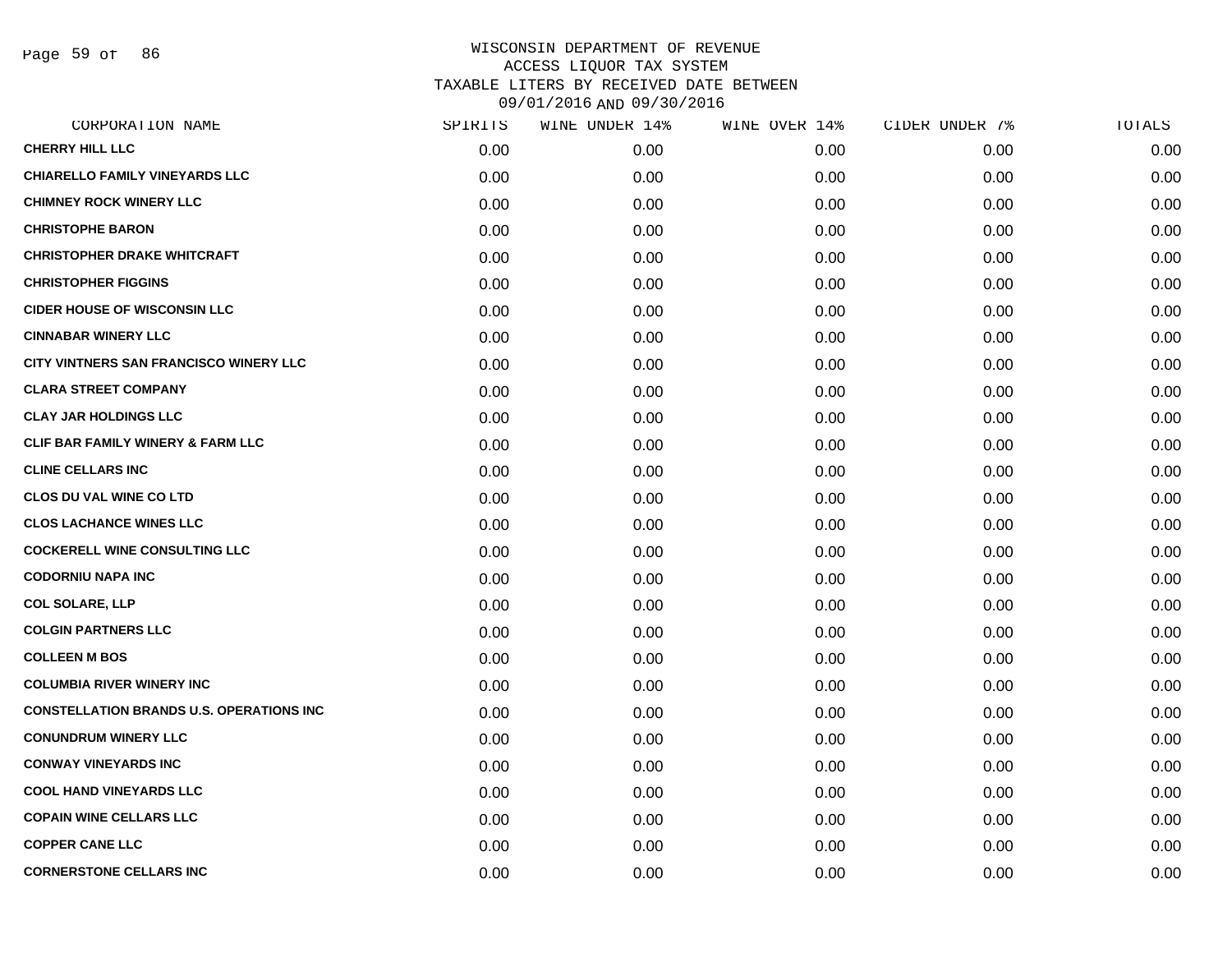Page 59 of 86

| CORPORATION NAME                                | SPIRITS | WINE UNDER 14% | WINE OVER 14% | CIDER UNDER 7% | TOTALS |
|-------------------------------------------------|---------|----------------|---------------|----------------|--------|
| <b>CHERRY HILL LLC</b>                          | 0.00    | 0.00           | 0.00          | 0.00           | 0.00   |
| <b>CHIARELLO FAMILY VINEYARDS LLC</b>           | 0.00    | 0.00           | 0.00          | 0.00           | 0.00   |
| <b>CHIMNEY ROCK WINERY LLC</b>                  | 0.00    | 0.00           | 0.00          | 0.00           | 0.00   |
| <b>CHRISTOPHE BARON</b>                         | 0.00    | 0.00           | 0.00          | 0.00           | 0.00   |
| <b>CHRISTOPHER DRAKE WHITCRAFT</b>              | 0.00    | 0.00           | 0.00          | 0.00           | 0.00   |
| <b>CHRISTOPHER FIGGINS</b>                      | 0.00    | 0.00           | 0.00          | 0.00           | 0.00   |
| <b>CIDER HOUSE OF WISCONSIN LLC</b>             | 0.00    | 0.00           | 0.00          | 0.00           | 0.00   |
| <b>CINNABAR WINERY LLC</b>                      | 0.00    | 0.00           | 0.00          | 0.00           | 0.00   |
| CITY VINTNERS SAN FRANCISCO WINERY LLC          | 0.00    | 0.00           | 0.00          | 0.00           | 0.00   |
| <b>CLARA STREET COMPANY</b>                     | 0.00    | 0.00           | 0.00          | 0.00           | 0.00   |
| <b>CLAY JAR HOLDINGS LLC</b>                    | 0.00    | 0.00           | 0.00          | 0.00           | 0.00   |
| CLIF BAR FAMILY WINERY & FARM LLC               | 0.00    | 0.00           | 0.00          | 0.00           | 0.00   |
| <b>CLINE CELLARS INC</b>                        | 0.00    | 0.00           | 0.00          | 0.00           | 0.00   |
| <b>CLOS DU VAL WINE CO LTD</b>                  | 0.00    | 0.00           | 0.00          | 0.00           | 0.00   |
| <b>CLOS LACHANCE WINES LLC</b>                  | 0.00    | 0.00           | 0.00          | 0.00           | 0.00   |
| <b>COCKERELL WINE CONSULTING LLC</b>            | 0.00    | 0.00           | 0.00          | 0.00           | 0.00   |
| <b>CODORNIU NAPA INC</b>                        | 0.00    | 0.00           | 0.00          | 0.00           | 0.00   |
| <b>COL SOLARE, LLP</b>                          | 0.00    | 0.00           | 0.00          | 0.00           | 0.00   |
| <b>COLGIN PARTNERS LLC</b>                      | 0.00    | 0.00           | 0.00          | 0.00           | 0.00   |
| <b>COLLEEN M BOS</b>                            | 0.00    | 0.00           | 0.00          | 0.00           | 0.00   |
| <b>COLUMBIA RIVER WINERY INC</b>                | 0.00    | 0.00           | 0.00          | 0.00           | 0.00   |
| <b>CONSTELLATION BRANDS U.S. OPERATIONS INC</b> | 0.00    | 0.00           | 0.00          | 0.00           | 0.00   |
| <b>CONUNDRUM WINERY LLC</b>                     | 0.00    | 0.00           | 0.00          | 0.00           | 0.00   |
| <b>CONWAY VINEYARDS INC</b>                     | 0.00    | 0.00           | 0.00          | 0.00           | 0.00   |
| <b>COOL HAND VINEYARDS LLC</b>                  | 0.00    | 0.00           | 0.00          | 0.00           | 0.00   |
| <b>COPAIN WINE CELLARS LLC</b>                  | 0.00    | 0.00           | 0.00          | 0.00           | 0.00   |
| <b>COPPER CANE LLC</b>                          | 0.00    | 0.00           | 0.00          | 0.00           | 0.00   |
| <b>CORNERSTONE CELLARS INC</b>                  | 0.00    | 0.00           | 0.00          | 0.00           | 0.00   |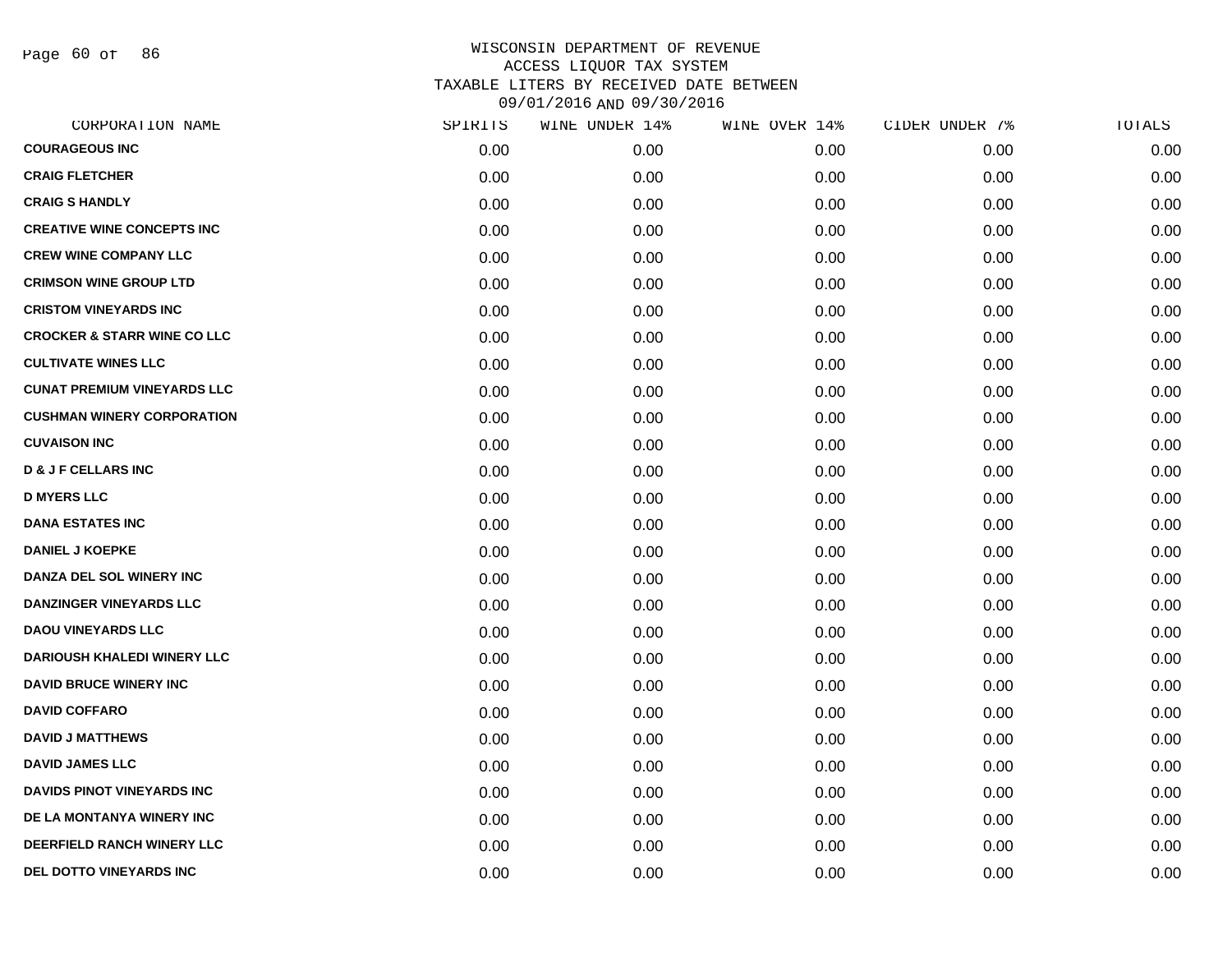Page 60 of 86

|      | WINE UNDER 14% |      | CIDER UNDER 7% | TOTALS |
|------|----------------|------|----------------|--------|
| 0.00 | 0.00           | 0.00 | 0.00           | 0.00   |
| 0.00 | 0.00           | 0.00 | 0.00           | 0.00   |
| 0.00 | 0.00           | 0.00 | 0.00           | 0.00   |
| 0.00 | 0.00           | 0.00 | 0.00           | 0.00   |
| 0.00 | 0.00           | 0.00 | 0.00           | 0.00   |
| 0.00 | 0.00           | 0.00 | 0.00           | 0.00   |
| 0.00 | 0.00           | 0.00 | 0.00           | 0.00   |
| 0.00 | 0.00           | 0.00 | 0.00           | 0.00   |
| 0.00 | 0.00           | 0.00 | 0.00           | 0.00   |
| 0.00 | 0.00           | 0.00 | 0.00           | 0.00   |
| 0.00 | 0.00           | 0.00 | 0.00           | 0.00   |
| 0.00 | 0.00           | 0.00 | 0.00           | 0.00   |
| 0.00 | 0.00           | 0.00 | 0.00           | 0.00   |
| 0.00 | 0.00           | 0.00 | 0.00           | 0.00   |
| 0.00 | 0.00           | 0.00 | 0.00           | 0.00   |
| 0.00 | 0.00           | 0.00 | 0.00           | 0.00   |
| 0.00 | 0.00           | 0.00 | 0.00           | 0.00   |
| 0.00 | 0.00           | 0.00 | 0.00           | 0.00   |
| 0.00 | 0.00           | 0.00 | 0.00           | 0.00   |
| 0.00 | 0.00           | 0.00 | 0.00           | 0.00   |
| 0.00 | 0.00           | 0.00 | 0.00           | 0.00   |
| 0.00 | 0.00           | 0.00 | 0.00           | 0.00   |
| 0.00 | 0.00           | 0.00 | 0.00           | 0.00   |
| 0.00 | 0.00           | 0.00 | 0.00           | 0.00   |
| 0.00 | 0.00           | 0.00 | 0.00           | 0.00   |
| 0.00 | 0.00           | 0.00 | 0.00           | 0.00   |
| 0.00 | 0.00           | 0.00 | 0.00           | 0.00   |
| 0.00 | 0.00           | 0.00 | 0.00           | 0.00   |
|      | SPIRITS        |      | WINE OVER 14%  |        |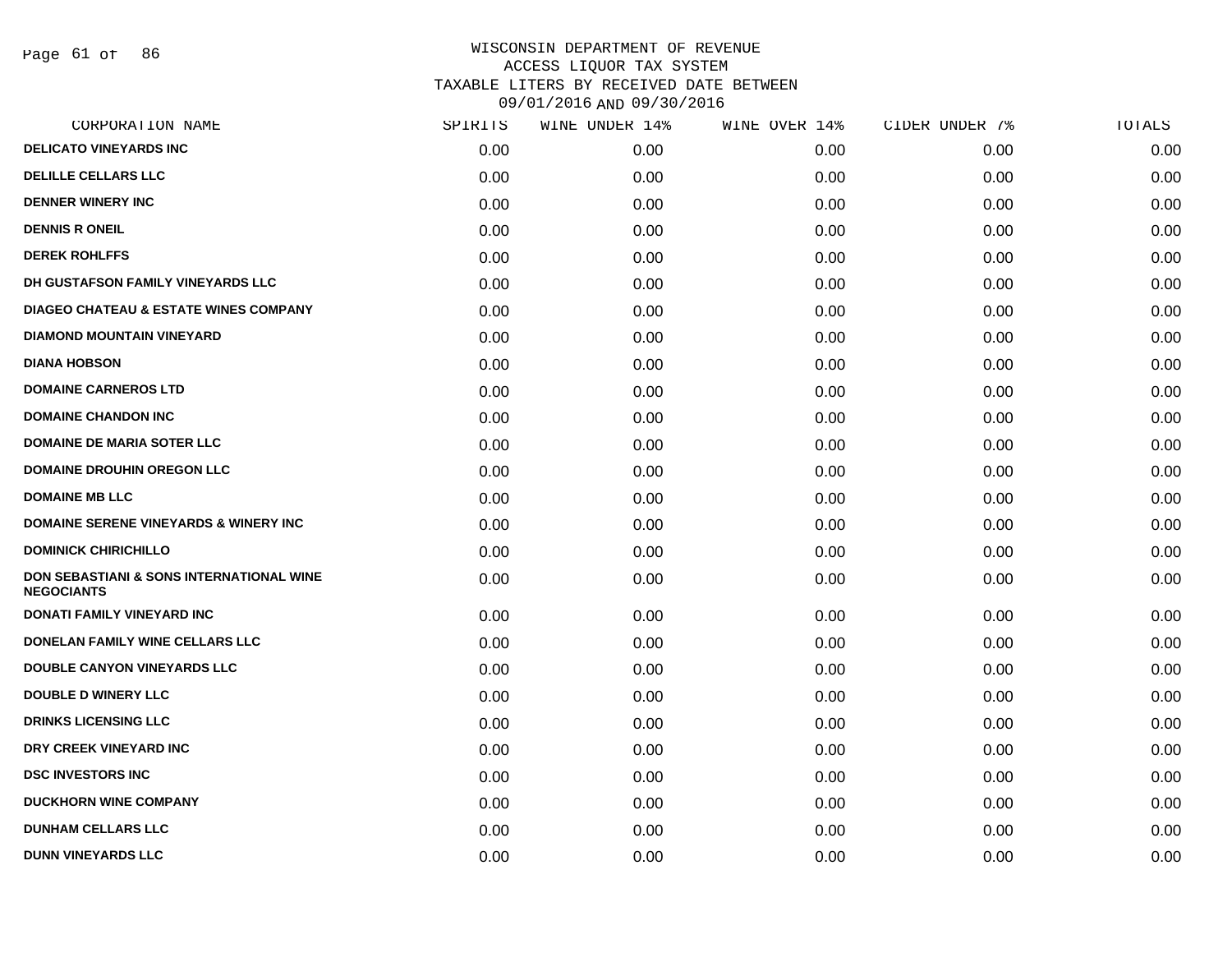Page 61 of 86

| CORPORATION NAME                                                         | SPIRITS | WINE UNDER 14% | WINE OVER 14% | CIDER UNDER 7% | TOTALS |
|--------------------------------------------------------------------------|---------|----------------|---------------|----------------|--------|
| <b>DELICATO VINEYARDS INC</b>                                            | 0.00    | 0.00           | 0.00          | 0.00           | 0.00   |
| <b>DELILLE CELLARS LLC</b>                                               | 0.00    | 0.00           | 0.00          | 0.00           | 0.00   |
| <b>DENNER WINERY INC</b>                                                 | 0.00    | 0.00           | 0.00          | 0.00           | 0.00   |
| <b>DENNIS R ONEIL</b>                                                    | 0.00    | 0.00           | 0.00          | 0.00           | 0.00   |
| <b>DEREK ROHLFFS</b>                                                     | 0.00    | 0.00           | 0.00          | 0.00           | 0.00   |
| DH GUSTAFSON FAMILY VINEYARDS LLC                                        | 0.00    | 0.00           | 0.00          | 0.00           | 0.00   |
| <b>DIAGEO CHATEAU &amp; ESTATE WINES COMPANY</b>                         | 0.00    | 0.00           | 0.00          | 0.00           | 0.00   |
| <b>DIAMOND MOUNTAIN VINEYARD</b>                                         | 0.00    | 0.00           | 0.00          | 0.00           | 0.00   |
| <b>DIANA HOBSON</b>                                                      | 0.00    | 0.00           | 0.00          | 0.00           | 0.00   |
| <b>DOMAINE CARNEROS LTD</b>                                              | 0.00    | 0.00           | 0.00          | 0.00           | 0.00   |
| <b>DOMAINE CHANDON INC</b>                                               | 0.00    | 0.00           | 0.00          | 0.00           | 0.00   |
| <b>DOMAINE DE MARIA SOTER LLC</b>                                        | 0.00    | 0.00           | 0.00          | 0.00           | 0.00   |
| <b>DOMAINE DROUHIN OREGON LLC</b>                                        | 0.00    | 0.00           | 0.00          | 0.00           | 0.00   |
| <b>DOMAINE MB LLC</b>                                                    | 0.00    | 0.00           | 0.00          | 0.00           | 0.00   |
| <b>DOMAINE SERENE VINEYARDS &amp; WINERY INC</b>                         | 0.00    | 0.00           | 0.00          | 0.00           | 0.00   |
| <b>DOMINICK CHIRICHILLO</b>                                              | 0.00    | 0.00           | 0.00          | 0.00           | 0.00   |
| <b>DON SEBASTIANI &amp; SONS INTERNATIONAL WINE</b><br><b>NEGOCIANTS</b> | 0.00    | 0.00           | 0.00          | 0.00           | 0.00   |
| <b>DONATI FAMILY VINEYARD INC</b>                                        | 0.00    | 0.00           | 0.00          | 0.00           | 0.00   |
| DONELAN FAMILY WINE CELLARS LLC                                          | 0.00    | 0.00           | 0.00          | 0.00           | 0.00   |
| <b>DOUBLE CANYON VINEYARDS LLC</b>                                       | 0.00    | 0.00           | 0.00          | 0.00           | 0.00   |
| <b>DOUBLE D WINERY LLC</b>                                               | 0.00    | 0.00           | 0.00          | 0.00           | 0.00   |
| <b>DRINKS LICENSING LLC</b>                                              | 0.00    | 0.00           | 0.00          | 0.00           | 0.00   |
| DRY CREEK VINEYARD INC                                                   | 0.00    | 0.00           | 0.00          | 0.00           | 0.00   |
| <b>DSC INVESTORS INC</b>                                                 | 0.00    | 0.00           | 0.00          | 0.00           | 0.00   |
| <b>DUCKHORN WINE COMPANY</b>                                             | 0.00    | 0.00           | 0.00          | 0.00           | 0.00   |
| <b>DUNHAM CELLARS LLC</b>                                                | 0.00    | 0.00           | 0.00          | 0.00           | 0.00   |
| <b>DUNN VINEYARDS LLC</b>                                                | 0.00    | 0.00           | 0.00          | 0.00           | 0.00   |
|                                                                          |         |                |               |                |        |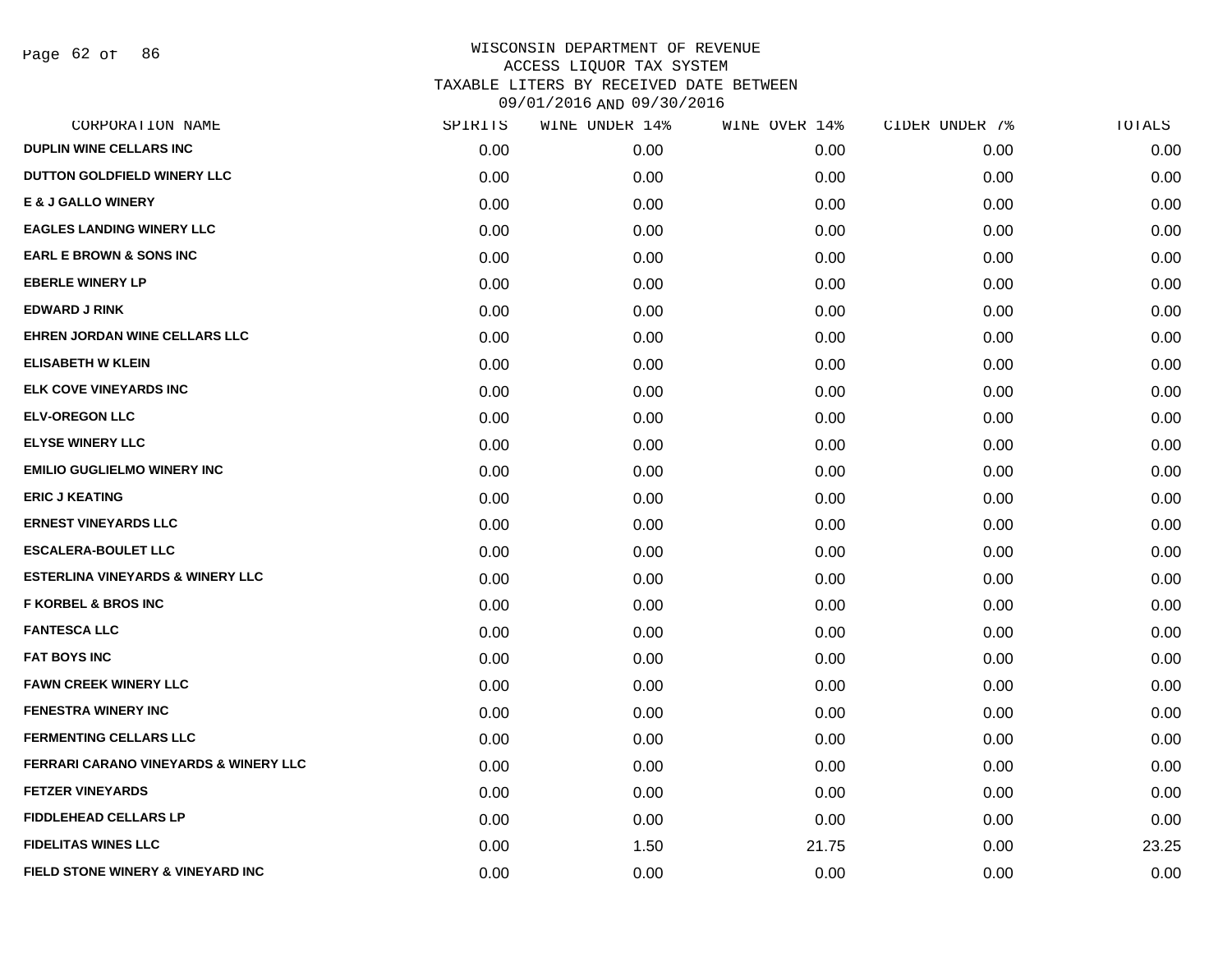Page 62 of 86

| SPIRITS | WINE UNDER 14% | WINE OVER 14% | CIDER UNDER 7% | TOTALS |
|---------|----------------|---------------|----------------|--------|
| 0.00    | 0.00           | 0.00          | 0.00           | 0.00   |
| 0.00    | 0.00           | 0.00          | 0.00           | 0.00   |
| 0.00    | 0.00           | 0.00          | 0.00           | 0.00   |
| 0.00    | 0.00           | 0.00          | 0.00           | 0.00   |
| 0.00    | 0.00           | 0.00          | 0.00           | 0.00   |
| 0.00    | 0.00           | 0.00          | 0.00           | 0.00   |
| 0.00    | 0.00           | 0.00          | 0.00           | 0.00   |
| 0.00    | 0.00           | 0.00          | 0.00           | 0.00   |
| 0.00    | 0.00           | 0.00          | 0.00           | 0.00   |
| 0.00    | 0.00           | 0.00          | 0.00           | 0.00   |
| 0.00    | 0.00           | 0.00          | 0.00           | 0.00   |
| 0.00    | 0.00           | 0.00          | 0.00           | 0.00   |
| 0.00    | 0.00           | 0.00          | 0.00           | 0.00   |
| 0.00    | 0.00           | 0.00          | 0.00           | 0.00   |
| 0.00    | 0.00           | 0.00          | 0.00           | 0.00   |
| 0.00    | 0.00           | 0.00          | 0.00           | 0.00   |
| 0.00    | 0.00           | 0.00          | 0.00           | 0.00   |
| 0.00    | 0.00           | 0.00          | 0.00           | 0.00   |
| 0.00    | 0.00           | 0.00          | 0.00           | 0.00   |
| 0.00    | 0.00           | 0.00          | 0.00           | 0.00   |
| 0.00    | 0.00           | 0.00          | 0.00           | 0.00   |
| 0.00    | 0.00           | 0.00          | 0.00           | 0.00   |
| 0.00    | 0.00           | 0.00          | 0.00           | 0.00   |
| 0.00    | 0.00           | 0.00          | 0.00           | 0.00   |
| 0.00    | 0.00           | 0.00          | 0.00           | 0.00   |
| 0.00    | 0.00           | 0.00          | 0.00           | 0.00   |
| 0.00    | 1.50           | 21.75         | 0.00           | 23.25  |
| 0.00    | 0.00           | 0.00          | 0.00           | 0.00   |
|         |                |               |                |        |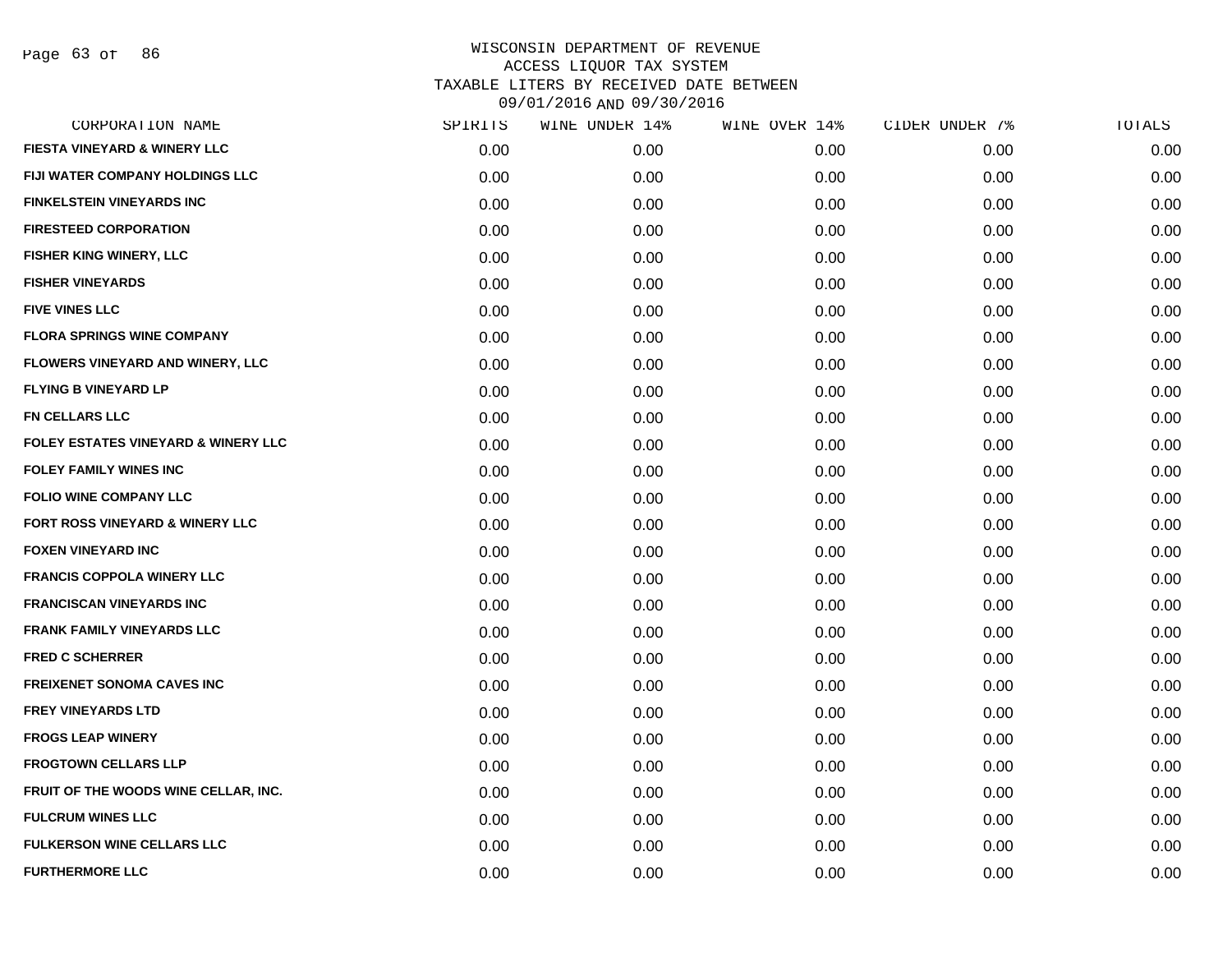Page 63 of 86

| CORPORATION NAME                               | SPIRITS | WINE UNDER 14% | WINE OVER 14% | CIDER UNDER 7% | TOTALS |
|------------------------------------------------|---------|----------------|---------------|----------------|--------|
| FIESTA VINEYARD & WINERY LLC                   | 0.00    | 0.00           | 0.00          | 0.00           | 0.00   |
| FIJI WATER COMPANY HOLDINGS LLC                | 0.00    | 0.00           | 0.00          | 0.00           | 0.00   |
| <b>FINKELSTEIN VINEYARDS INC</b>               | 0.00    | 0.00           | 0.00          | 0.00           | 0.00   |
| <b>FIRESTEED CORPORATION</b>                   | 0.00    | 0.00           | 0.00          | 0.00           | 0.00   |
| FISHER KING WINERY, LLC                        | 0.00    | 0.00           | 0.00          | 0.00           | 0.00   |
| <b>FISHER VINEYARDS</b>                        | 0.00    | 0.00           | 0.00          | 0.00           | 0.00   |
| <b>FIVE VINES LLC</b>                          | 0.00    | 0.00           | 0.00          | 0.00           | 0.00   |
| <b>FLORA SPRINGS WINE COMPANY</b>              | 0.00    | 0.00           | 0.00          | 0.00           | 0.00   |
| FLOWERS VINEYARD AND WINERY, LLC               | 0.00    | 0.00           | 0.00          | 0.00           | 0.00   |
| <b>FLYING B VINEYARD LP</b>                    | 0.00    | 0.00           | 0.00          | 0.00           | 0.00   |
| <b>FN CELLARS LLC</b>                          | 0.00    | 0.00           | 0.00          | 0.00           | 0.00   |
| <b>FOLEY ESTATES VINEYARD &amp; WINERY LLC</b> | 0.00    | 0.00           | 0.00          | 0.00           | 0.00   |
| <b>FOLEY FAMILY WINES INC</b>                  | 0.00    | 0.00           | 0.00          | 0.00           | 0.00   |
| <b>FOLIO WINE COMPANY LLC</b>                  | 0.00    | 0.00           | 0.00          | 0.00           | 0.00   |
| FORT ROSS VINEYARD & WINERY LLC                | 0.00    | 0.00           | 0.00          | 0.00           | 0.00   |
| <b>FOXEN VINEYARD INC</b>                      | 0.00    | 0.00           | 0.00          | 0.00           | 0.00   |
| <b>FRANCIS COPPOLA WINERY LLC</b>              | 0.00    | 0.00           | 0.00          | 0.00           | 0.00   |
| <b>FRANCISCAN VINEYARDS INC</b>                | 0.00    | 0.00           | 0.00          | 0.00           | 0.00   |
| <b>FRANK FAMILY VINEYARDS LLC</b>              | 0.00    | 0.00           | 0.00          | 0.00           | 0.00   |
| <b>FRED C SCHERRER</b>                         | 0.00    | 0.00           | 0.00          | 0.00           | 0.00   |
| <b>FREIXENET SONOMA CAVES INC</b>              | 0.00    | 0.00           | 0.00          | 0.00           | 0.00   |
| <b>FREY VINEYARDS LTD</b>                      | 0.00    | 0.00           | 0.00          | 0.00           | 0.00   |
| <b>FROGS LEAP WINERY</b>                       | 0.00    | 0.00           | 0.00          | 0.00           | 0.00   |
| <b>FROGTOWN CELLARS LLP</b>                    | 0.00    | 0.00           | 0.00          | 0.00           | 0.00   |
| FRUIT OF THE WOODS WINE CELLAR, INC.           | 0.00    | 0.00           | 0.00          | 0.00           | 0.00   |
| <b>FULCRUM WINES LLC</b>                       | 0.00    | 0.00           | 0.00          | 0.00           | 0.00   |
| <b>FULKERSON WINE CELLARS LLC</b>              | 0.00    | 0.00           | 0.00          | 0.00           | 0.00   |
| <b>FURTHERMORE LLC</b>                         | 0.00    | 0.00           | 0.00          | 0.00           | 0.00   |
|                                                |         |                |               |                |        |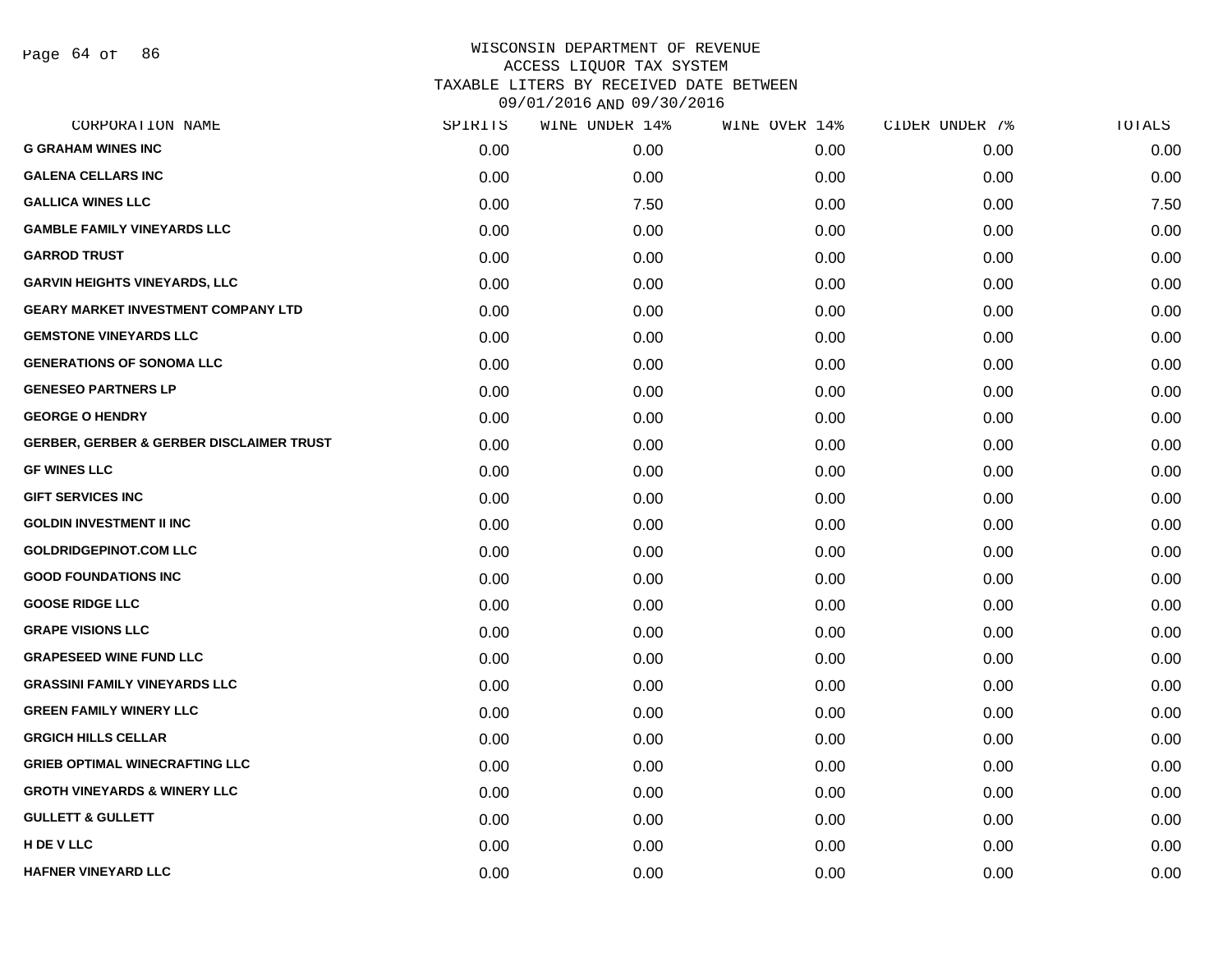Page 64 of 86

| CORPORATION NAME                                    | SPIRITS | WINE UNDER 14% | WINE OVER 14% | CIDER UNDER 7% | TOTALS |
|-----------------------------------------------------|---------|----------------|---------------|----------------|--------|
| <b>G GRAHAM WINES INC</b>                           | 0.00    | 0.00           | 0.00          | 0.00           | 0.00   |
| <b>GALENA CELLARS INC</b>                           | 0.00    | 0.00           | 0.00          | 0.00           | 0.00   |
| <b>GALLICA WINES LLC</b>                            | 0.00    | 7.50           | 0.00          | 0.00           | 7.50   |
| <b>GAMBLE FAMILY VINEYARDS LLC</b>                  | 0.00    | 0.00           | 0.00          | 0.00           | 0.00   |
| <b>GARROD TRUST</b>                                 | 0.00    | 0.00           | 0.00          | 0.00           | 0.00   |
| <b>GARVIN HEIGHTS VINEYARDS, LLC</b>                | 0.00    | 0.00           | 0.00          | 0.00           | 0.00   |
| <b>GEARY MARKET INVESTMENT COMPANY LTD</b>          | 0.00    | 0.00           | 0.00          | 0.00           | 0.00   |
| <b>GEMSTONE VINEYARDS LLC</b>                       | 0.00    | 0.00           | 0.00          | 0.00           | 0.00   |
| <b>GENERATIONS OF SONOMA LLC</b>                    | 0.00    | 0.00           | 0.00          | 0.00           | 0.00   |
| <b>GENESEO PARTNERS LP</b>                          | 0.00    | 0.00           | 0.00          | 0.00           | 0.00   |
| <b>GEORGE O HENDRY</b>                              | 0.00    | 0.00           | 0.00          | 0.00           | 0.00   |
| <b>GERBER, GERBER &amp; GERBER DISCLAIMER TRUST</b> | 0.00    | 0.00           | 0.00          | 0.00           | 0.00   |
| <b>GF WINES LLC</b>                                 | 0.00    | 0.00           | 0.00          | 0.00           | 0.00   |
| <b>GIFT SERVICES INC</b>                            | 0.00    | 0.00           | 0.00          | 0.00           | 0.00   |
| <b>GOLDIN INVESTMENT II INC</b>                     | 0.00    | 0.00           | 0.00          | 0.00           | 0.00   |
| <b>GOLDRIDGEPINOT.COM LLC</b>                       | 0.00    | 0.00           | 0.00          | 0.00           | 0.00   |
| <b>GOOD FOUNDATIONS INC</b>                         | 0.00    | 0.00           | 0.00          | 0.00           | 0.00   |
| <b>GOOSE RIDGE LLC</b>                              | 0.00    | 0.00           | 0.00          | 0.00           | 0.00   |
| <b>GRAPE VISIONS LLC</b>                            | 0.00    | 0.00           | 0.00          | 0.00           | 0.00   |
| <b>GRAPESEED WINE FUND LLC</b>                      | 0.00    | 0.00           | 0.00          | 0.00           | 0.00   |
| <b>GRASSINI FAMILY VINEYARDS LLC</b>                | 0.00    | 0.00           | 0.00          | 0.00           | 0.00   |
| <b>GREEN FAMILY WINERY LLC</b>                      | 0.00    | 0.00           | 0.00          | 0.00           | 0.00   |
| <b>GRGICH HILLS CELLAR</b>                          | 0.00    | 0.00           | 0.00          | 0.00           | 0.00   |
| <b>GRIEB OPTIMAL WINECRAFTING LLC</b>               | 0.00    | 0.00           | 0.00          | 0.00           | 0.00   |
| <b>GROTH VINEYARDS &amp; WINERY LLC</b>             | 0.00    | 0.00           | 0.00          | 0.00           | 0.00   |
| <b>GULLETT &amp; GULLETT</b>                        | 0.00    | 0.00           | 0.00          | 0.00           | 0.00   |
| <b>H DE V LLC</b>                                   | 0.00    | 0.00           | 0.00          | 0.00           | 0.00   |
| <b>HAFNER VINEYARD LLC</b>                          | 0.00    | 0.00           | 0.00          | 0.00           | 0.00   |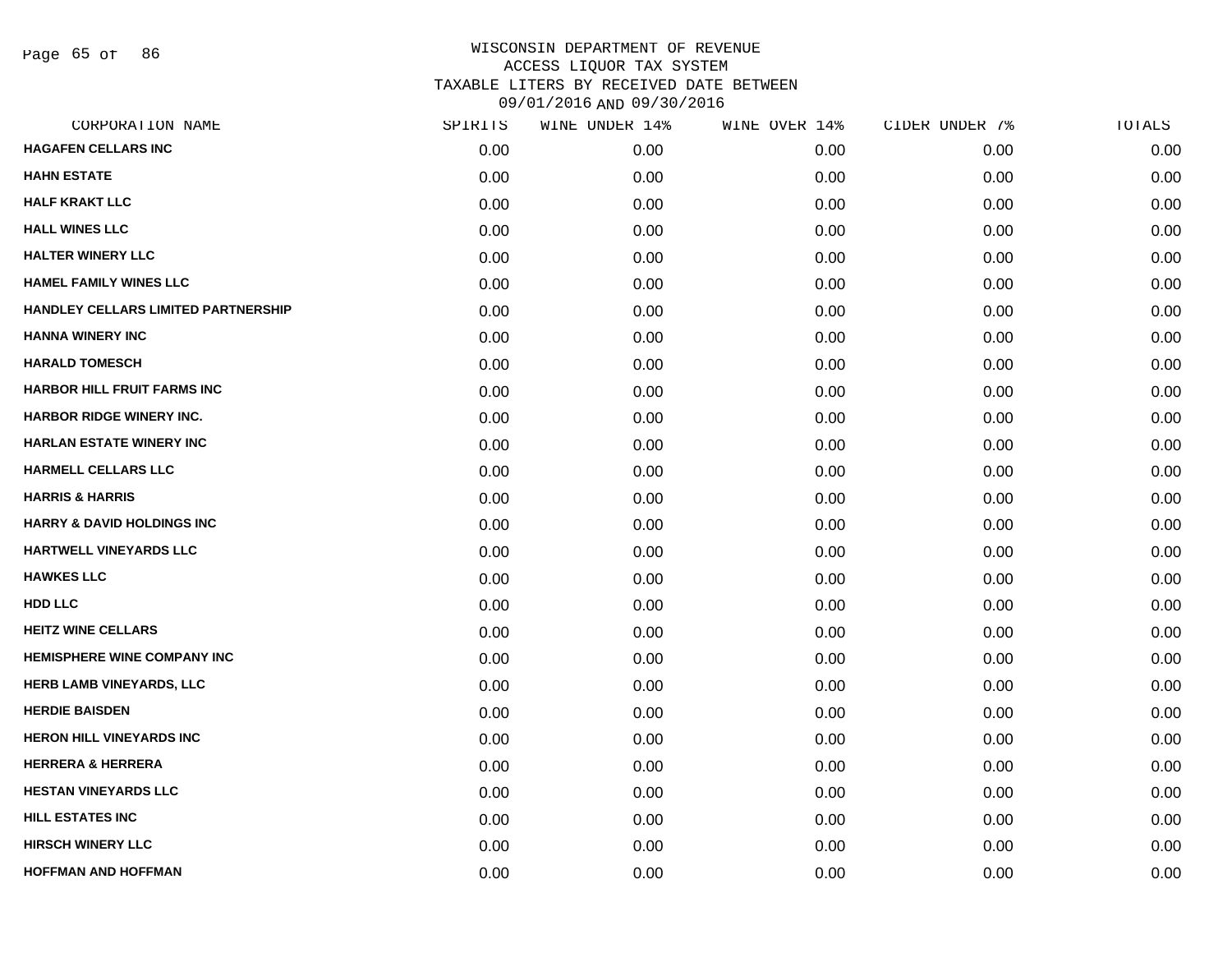Page 65 of 86

| CORPORATION NAME                      | SPIRITS | WINE UNDER 14% | WINE OVER 14% | CIDER UNDER 7% | TOTALS |
|---------------------------------------|---------|----------------|---------------|----------------|--------|
| <b>HAGAFEN CELLARS INC</b>            | 0.00    | 0.00           | 0.00          | 0.00           | 0.00   |
| <b>HAHN ESTATE</b>                    | 0.00    | 0.00           | 0.00          | 0.00           | 0.00   |
| <b>HALF KRAKT LLC</b>                 | 0.00    | 0.00           | 0.00          | 0.00           | 0.00   |
| <b>HALL WINES LLC</b>                 | 0.00    | 0.00           | 0.00          | 0.00           | 0.00   |
| <b>HALTER WINERY LLC</b>              | 0.00    | 0.00           | 0.00          | 0.00           | 0.00   |
| <b>HAMEL FAMILY WINES LLC</b>         | 0.00    | 0.00           | 0.00          | 0.00           | 0.00   |
| HANDLEY CELLARS LIMITED PARTNERSHIP   | 0.00    | 0.00           | 0.00          | 0.00           | 0.00   |
| <b>HANNA WINERY INC</b>               | 0.00    | 0.00           | 0.00          | 0.00           | 0.00   |
| <b>HARALD TOMESCH</b>                 | 0.00    | 0.00           | 0.00          | 0.00           | 0.00   |
| <b>HARBOR HILL FRUIT FARMS INC</b>    | 0.00    | 0.00           | 0.00          | 0.00           | 0.00   |
| <b>HARBOR RIDGE WINERY INC.</b>       | 0.00    | 0.00           | 0.00          | 0.00           | 0.00   |
| <b>HARLAN ESTATE WINERY INC</b>       | 0.00    | 0.00           | 0.00          | 0.00           | 0.00   |
| <b>HARMELL CELLARS LLC</b>            | 0.00    | 0.00           | 0.00          | 0.00           | 0.00   |
| <b>HARRIS &amp; HARRIS</b>            | 0.00    | 0.00           | 0.00          | 0.00           | 0.00   |
| <b>HARRY &amp; DAVID HOLDINGS INC</b> | 0.00    | 0.00           | 0.00          | 0.00           | 0.00   |
| <b>HARTWELL VINEYARDS LLC</b>         | 0.00    | 0.00           | 0.00          | 0.00           | 0.00   |
| <b>HAWKES LLC</b>                     | 0.00    | 0.00           | 0.00          | 0.00           | 0.00   |
| <b>HDD LLC</b>                        | 0.00    | 0.00           | 0.00          | 0.00           | 0.00   |
| <b>HEITZ WINE CELLARS</b>             | 0.00    | 0.00           | 0.00          | 0.00           | 0.00   |
| <b>HEMISPHERE WINE COMPANY INC</b>    | 0.00    | 0.00           | 0.00          | 0.00           | 0.00   |
| HERB LAMB VINEYARDS, LLC              | 0.00    | 0.00           | 0.00          | 0.00           | 0.00   |
| <b>HERDIE BAISDEN</b>                 | 0.00    | 0.00           | 0.00          | 0.00           | 0.00   |
| <b>HERON HILL VINEYARDS INC</b>       | 0.00    | 0.00           | 0.00          | 0.00           | 0.00   |
| <b>HERRERA &amp; HERRERA</b>          | 0.00    | 0.00           | 0.00          | 0.00           | 0.00   |
| <b>HESTAN VINEYARDS LLC</b>           | 0.00    | 0.00           | 0.00          | 0.00           | 0.00   |
| <b>HILL ESTATES INC</b>               | 0.00    | 0.00           | 0.00          | 0.00           | 0.00   |
| <b>HIRSCH WINERY LLC</b>              | 0.00    | 0.00           | 0.00          | 0.00           | 0.00   |
| <b>HOFFMAN AND HOFFMAN</b>            | 0.00    | 0.00           | 0.00          | 0.00           | 0.00   |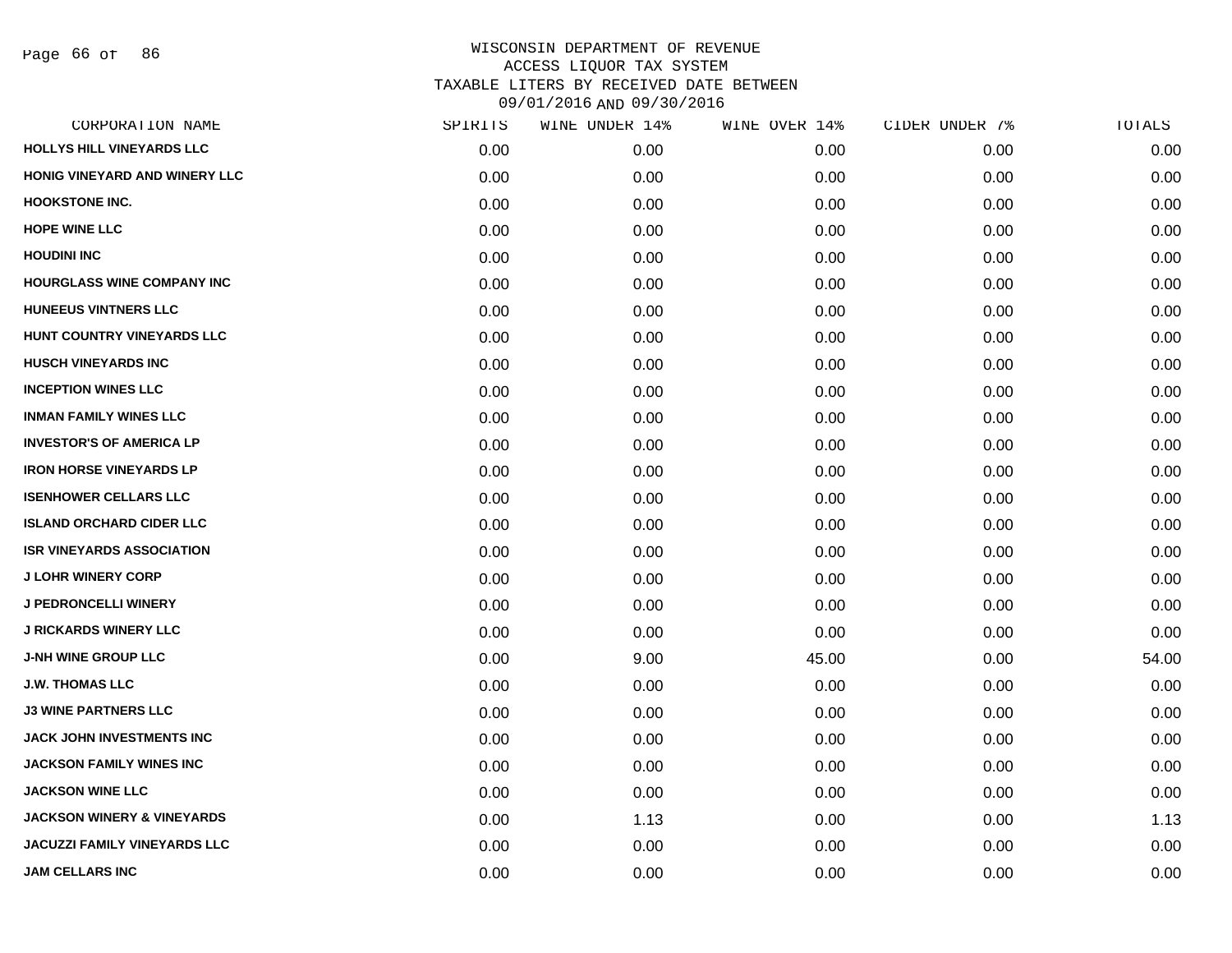| CORPORATION NAME                      | SPIRITS | WINE UNDER 14% | WINE OVER 14% | CIDER UNDER 7% | TOTALS |
|---------------------------------------|---------|----------------|---------------|----------------|--------|
| HOLLYS HILL VINEYARDS LLC             | 0.00    | 0.00           | 0.00          | 0.00           | 0.00   |
| HONIG VINEYARD AND WINERY LLC         | 0.00    | 0.00           | 0.00          | 0.00           | 0.00   |
| <b>HOOKSTONE INC.</b>                 | 0.00    | 0.00           | 0.00          | 0.00           | 0.00   |
| <b>HOPE WINE LLC</b>                  | 0.00    | 0.00           | 0.00          | 0.00           | 0.00   |
| <b>HOUDINI INC</b>                    | 0.00    | 0.00           | 0.00          | 0.00           | 0.00   |
| <b>HOURGLASS WINE COMPANY INC</b>     | 0.00    | 0.00           | 0.00          | 0.00           | 0.00   |
| <b>HUNEEUS VINTNERS LLC</b>           | 0.00    | 0.00           | 0.00          | 0.00           | 0.00   |
| HUNT COUNTRY VINEYARDS LLC            | 0.00    | 0.00           | 0.00          | 0.00           | 0.00   |
| <b>HUSCH VINEYARDS INC</b>            | 0.00    | 0.00           | 0.00          | 0.00           | 0.00   |
| <b>INCEPTION WINES LLC</b>            | 0.00    | 0.00           | 0.00          | 0.00           | 0.00   |
| <b>INMAN FAMILY WINES LLC</b>         | 0.00    | 0.00           | 0.00          | 0.00           | 0.00   |
| <b>INVESTOR'S OF AMERICA LP</b>       | 0.00    | 0.00           | 0.00          | 0.00           | 0.00   |
| <b>IRON HORSE VINEYARDS LP</b>        | 0.00    | 0.00           | 0.00          | 0.00           | 0.00   |
| <b>ISENHOWER CELLARS LLC</b>          | 0.00    | 0.00           | 0.00          | 0.00           | 0.00   |
| <b>ISLAND ORCHARD CIDER LLC</b>       | 0.00    | 0.00           | 0.00          | 0.00           | 0.00   |
| <b>ISR VINEYARDS ASSOCIATION</b>      | 0.00    | 0.00           | 0.00          | 0.00           | 0.00   |
| <b>J LOHR WINERY CORP</b>             | 0.00    | 0.00           | 0.00          | 0.00           | 0.00   |
| <b>J PEDRONCELLI WINERY</b>           | 0.00    | 0.00           | 0.00          | 0.00           | 0.00   |
| <b>J RICKARDS WINERY LLC</b>          | 0.00    | 0.00           | 0.00          | 0.00           | 0.00   |
| <b>J-NH WINE GROUP LLC</b>            | 0.00    | 9.00           | 45.00         | 0.00           | 54.00  |
| <b>J.W. THOMAS LLC</b>                | 0.00    | 0.00           | 0.00          | 0.00           | 0.00   |
| <b>J3 WINE PARTNERS LLC</b>           | 0.00    | 0.00           | 0.00          | 0.00           | 0.00   |
| JACK JOHN INVESTMENTS INC             | 0.00    | 0.00           | 0.00          | 0.00           | 0.00   |
| JACKSON FAMILY WINES INC              | 0.00    | 0.00           | 0.00          | 0.00           | 0.00   |
| <b>JACKSON WINE LLC</b>               | 0.00    | 0.00           | 0.00          | 0.00           | 0.00   |
| <b>JACKSON WINERY &amp; VINEYARDS</b> | 0.00    | 1.13           | 0.00          | 0.00           | 1.13   |
| <b>JACUZZI FAMILY VINEYARDS LLC</b>   | 0.00    | 0.00           | 0.00          | 0.00           | 0.00   |
| <b>JAM CELLARS INC</b>                | 0.00    | 0.00           | 0.00          | 0.00           | 0.00   |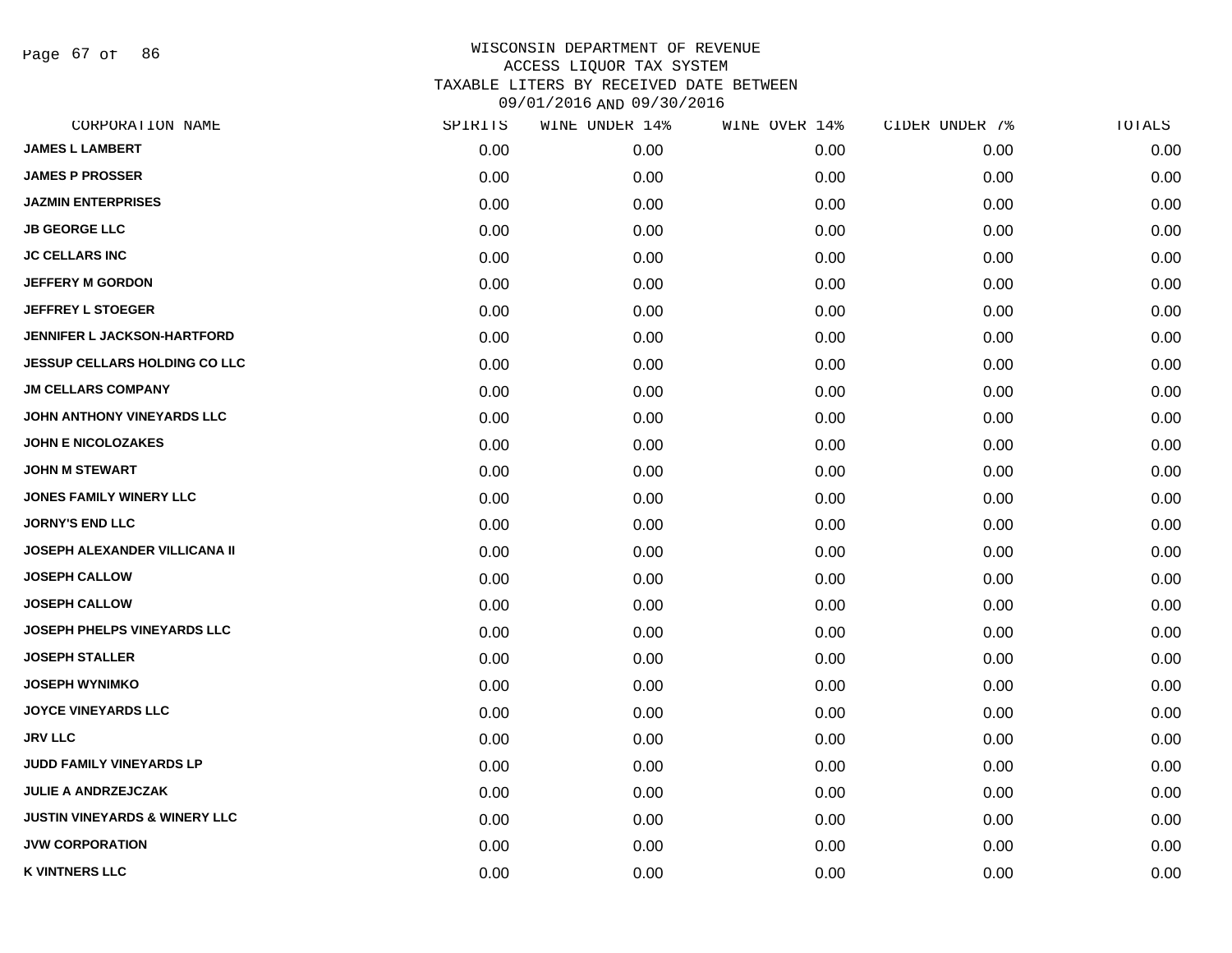Page 67 of 86

| CORPORATION NAME                         | SPIRITS | WINE UNDER 14% | WINE OVER 14% | CIDER UNDER 7% | TOTALS |
|------------------------------------------|---------|----------------|---------------|----------------|--------|
| <b>JAMES L LAMBERT</b>                   | 0.00    | 0.00           | 0.00          | 0.00           | 0.00   |
| <b>JAMES P PROSSER</b>                   | 0.00    | 0.00           | 0.00          | 0.00           | 0.00   |
| <b>JAZMIN ENTERPRISES</b>                | 0.00    | 0.00           | 0.00          | 0.00           | 0.00   |
| <b>JB GEORGE LLC</b>                     | 0.00    | 0.00           | 0.00          | 0.00           | 0.00   |
| <b>JC CELLARS INC</b>                    | 0.00    | 0.00           | 0.00          | 0.00           | 0.00   |
| <b>JEFFERY M GORDON</b>                  | 0.00    | 0.00           | 0.00          | 0.00           | 0.00   |
| <b>JEFFREY L STOEGER</b>                 | 0.00    | 0.00           | 0.00          | 0.00           | 0.00   |
| <b>JENNIFER L JACKSON-HARTFORD</b>       | 0.00    | 0.00           | 0.00          | 0.00           | 0.00   |
| <b>JESSUP CELLARS HOLDING CO LLC</b>     | 0.00    | 0.00           | 0.00          | 0.00           | 0.00   |
| <b>JM CELLARS COMPANY</b>                | 0.00    | 0.00           | 0.00          | 0.00           | 0.00   |
| JOHN ANTHONY VINEYARDS LLC               | 0.00    | 0.00           | 0.00          | 0.00           | 0.00   |
| <b>JOHN E NICOLOZAKES</b>                | 0.00    | 0.00           | 0.00          | 0.00           | 0.00   |
| <b>JOHN M STEWART</b>                    | 0.00    | 0.00           | 0.00          | 0.00           | 0.00   |
| <b>JONES FAMILY WINERY LLC</b>           | 0.00    | 0.00           | 0.00          | 0.00           | 0.00   |
| <b>JORNY'S END LLC</b>                   | 0.00    | 0.00           | 0.00          | 0.00           | 0.00   |
| <b>JOSEPH ALEXANDER VILLICANA II</b>     | 0.00    | 0.00           | 0.00          | 0.00           | 0.00   |
| <b>JOSEPH CALLOW</b>                     | 0.00    | 0.00           | 0.00          | 0.00           | 0.00   |
| <b>JOSEPH CALLOW</b>                     | 0.00    | 0.00           | 0.00          | 0.00           | 0.00   |
| JOSEPH PHELPS VINEYARDS LLC              | 0.00    | 0.00           | 0.00          | 0.00           | 0.00   |
| <b>JOSEPH STALLER</b>                    | 0.00    | 0.00           | 0.00          | 0.00           | 0.00   |
| <b>JOSEPH WYNIMKO</b>                    | 0.00    | 0.00           | 0.00          | 0.00           | 0.00   |
| <b>JOYCE VINEYARDS LLC</b>               | 0.00    | 0.00           | 0.00          | 0.00           | 0.00   |
| <b>JRV LLC</b>                           | 0.00    | 0.00           | 0.00          | 0.00           | 0.00   |
| JUDD FAMILY VINEYARDS LP                 | 0.00    | 0.00           | 0.00          | 0.00           | 0.00   |
| <b>JULIE A ANDRZEJCZAK</b>               | 0.00    | 0.00           | 0.00          | 0.00           | 0.00   |
| <b>JUSTIN VINEYARDS &amp; WINERY LLC</b> | 0.00    | 0.00           | 0.00          | 0.00           | 0.00   |
| <b>JVW CORPORATION</b>                   | 0.00    | 0.00           | 0.00          | 0.00           | 0.00   |
| <b>K VINTNERS LLC</b>                    | 0.00    | 0.00           | 0.00          | 0.00           | 0.00   |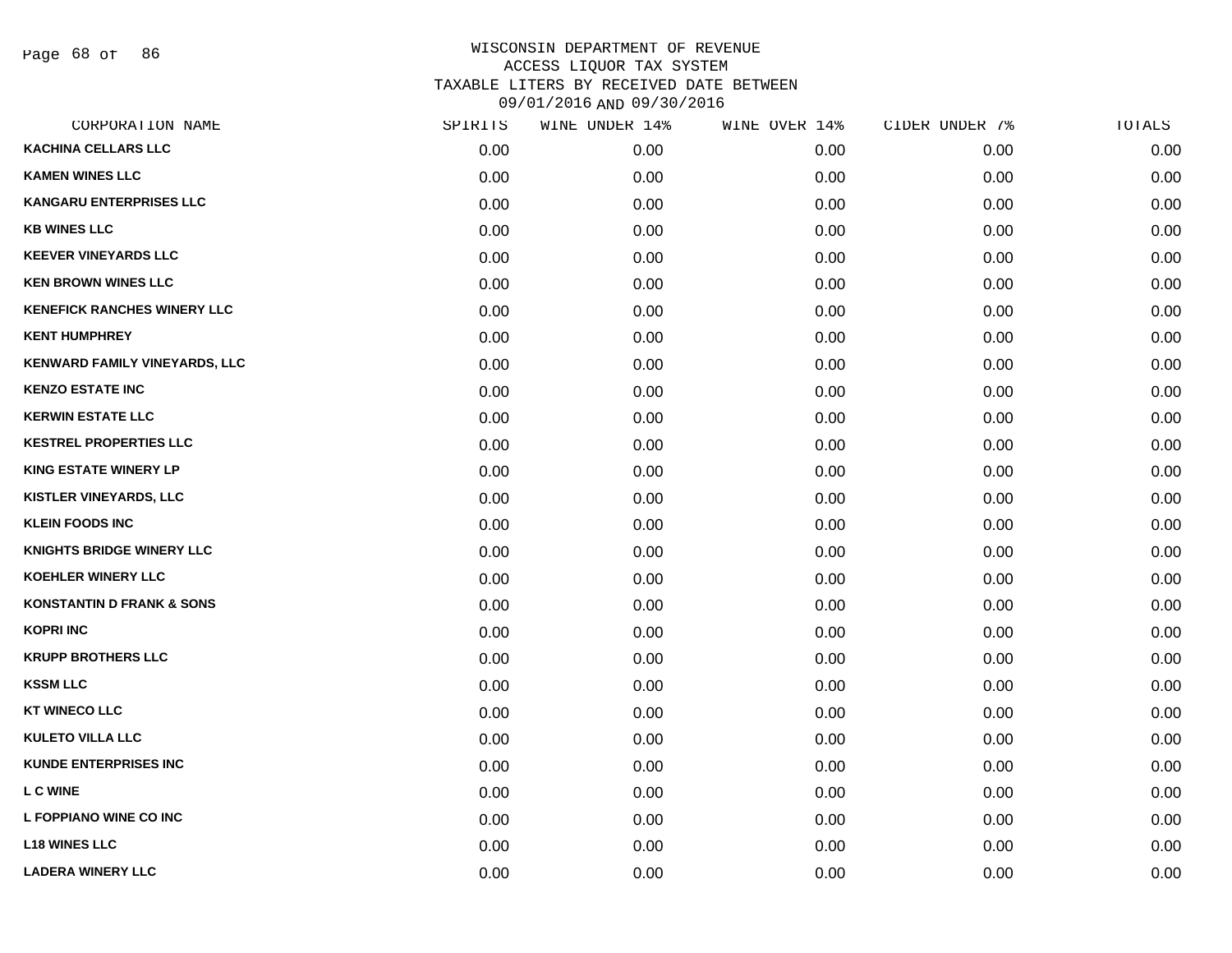Page 68 of 86

| CORPORATION NAME                     | SPIRITS | WINE UNDER 14% | WINE OVER 14% | CIDER UNDER 7% | TOTALS |
|--------------------------------------|---------|----------------|---------------|----------------|--------|
| <b>KACHINA CELLARS LLC</b>           | 0.00    | 0.00           | 0.00          | 0.00           | 0.00   |
| <b>KAMEN WINES LLC</b>               | 0.00    | 0.00           | 0.00          | 0.00           | 0.00   |
| <b>KANGARU ENTERPRISES LLC</b>       | 0.00    | 0.00           | 0.00          | 0.00           | 0.00   |
| <b>KB WINES LLC</b>                  | 0.00    | 0.00           | 0.00          | 0.00           | 0.00   |
| <b>KEEVER VINEYARDS LLC</b>          | 0.00    | 0.00           | 0.00          | 0.00           | 0.00   |
| <b>KEN BROWN WINES LLC</b>           | 0.00    | 0.00           | 0.00          | 0.00           | 0.00   |
| <b>KENEFICK RANCHES WINERY LLC</b>   | 0.00    | 0.00           | 0.00          | 0.00           | 0.00   |
| <b>KENT HUMPHREY</b>                 | 0.00    | 0.00           | 0.00          | 0.00           | 0.00   |
| KENWARD FAMILY VINEYARDS, LLC        | 0.00    | 0.00           | 0.00          | 0.00           | 0.00   |
| <b>KENZO ESTATE INC</b>              | 0.00    | 0.00           | 0.00          | 0.00           | 0.00   |
| <b>KERWIN ESTATE LLC</b>             | 0.00    | 0.00           | 0.00          | 0.00           | 0.00   |
| <b>KESTREL PROPERTIES LLC</b>        | 0.00    | 0.00           | 0.00          | 0.00           | 0.00   |
| <b>KING ESTATE WINERY LP</b>         | 0.00    | 0.00           | 0.00          | 0.00           | 0.00   |
| <b>KISTLER VINEYARDS, LLC</b>        | 0.00    | 0.00           | 0.00          | 0.00           | 0.00   |
| <b>KLEIN FOODS INC</b>               | 0.00    | 0.00           | 0.00          | 0.00           | 0.00   |
| <b>KNIGHTS BRIDGE WINERY LLC</b>     | 0.00    | 0.00           | 0.00          | 0.00           | 0.00   |
| <b>KOEHLER WINERY LLC</b>            | 0.00    | 0.00           | 0.00          | 0.00           | 0.00   |
| <b>KONSTANTIN D FRANK &amp; SONS</b> | 0.00    | 0.00           | 0.00          | 0.00           | 0.00   |
| <b>KOPRI INC</b>                     | 0.00    | 0.00           | 0.00          | 0.00           | 0.00   |
| <b>KRUPP BROTHERS LLC</b>            | 0.00    | 0.00           | 0.00          | 0.00           | 0.00   |
| <b>KSSM LLC</b>                      | 0.00    | 0.00           | 0.00          | 0.00           | 0.00   |
| <b>KT WINECO LLC</b>                 | 0.00    | 0.00           | 0.00          | 0.00           | 0.00   |
| <b>KULETO VILLA LLC</b>              | 0.00    | 0.00           | 0.00          | 0.00           | 0.00   |
| <b>KUNDE ENTERPRISES INC</b>         | 0.00    | 0.00           | 0.00          | 0.00           | 0.00   |
| <b>LC WINE</b>                       | 0.00    | 0.00           | 0.00          | 0.00           | 0.00   |
| L FOPPIANO WINE CO INC               | 0.00    | 0.00           | 0.00          | 0.00           | 0.00   |
| <b>L18 WINES LLC</b>                 | 0.00    | 0.00           | 0.00          | 0.00           | 0.00   |
| <b>LADERA WINERY LLC</b>             | 0.00    | 0.00           | 0.00          | 0.00           | 0.00   |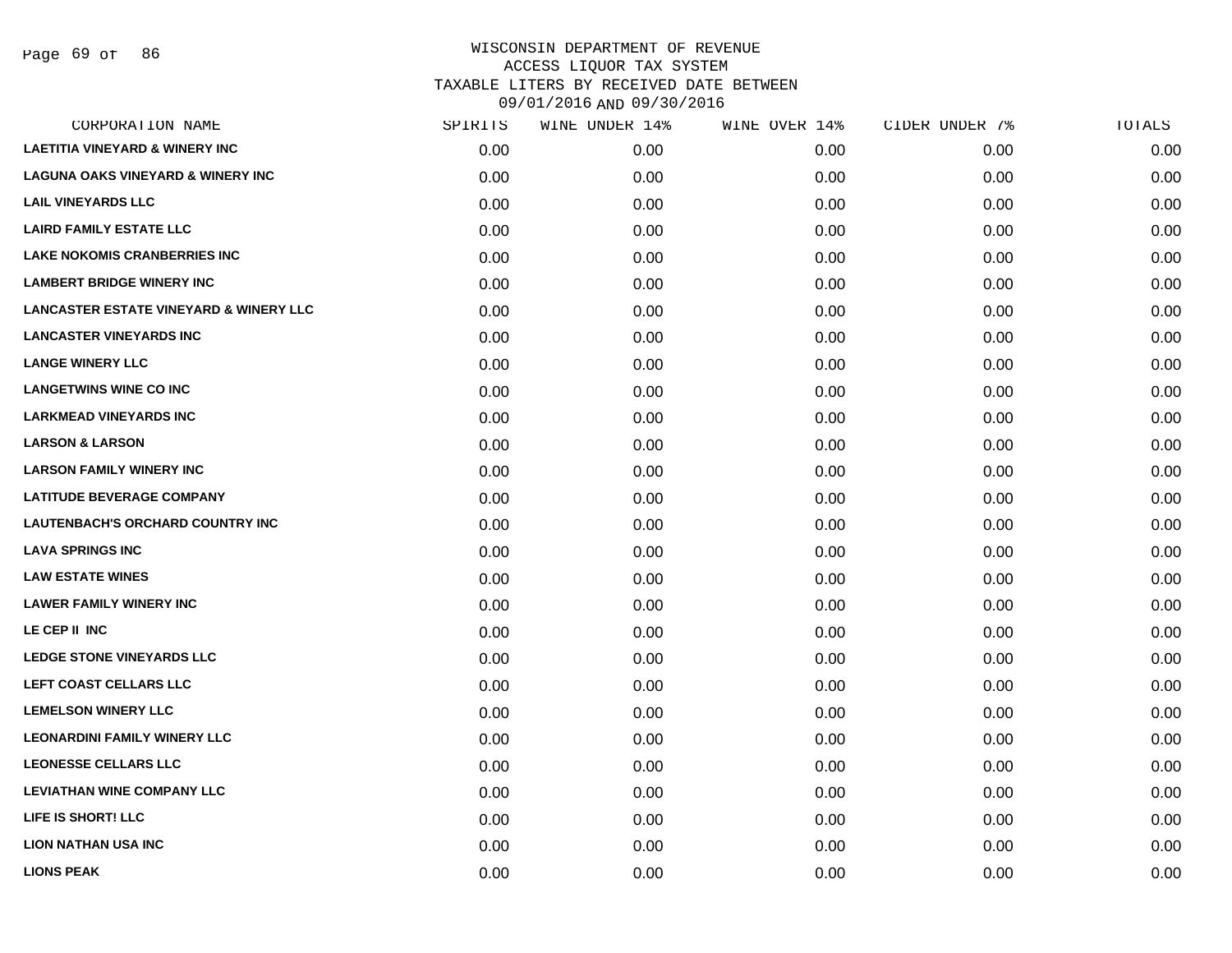| CORPORATION NAME                                  | SPIRITS | WINE UNDER 14% | WINE OVER 14% | CIDER UNDER 7% | TOTALS |
|---------------------------------------------------|---------|----------------|---------------|----------------|--------|
| <b>LAETITIA VINEYARD &amp; WINERY INC</b>         | 0.00    | 0.00           | 0.00          | 0.00           | 0.00   |
| <b>LAGUNA OAKS VINEYARD &amp; WINERY INC</b>      | 0.00    | 0.00           | 0.00          | 0.00           | 0.00   |
| <b>LAIL VINEYARDS LLC</b>                         | 0.00    | 0.00           | 0.00          | 0.00           | 0.00   |
| <b>LAIRD FAMILY ESTATE LLC</b>                    | 0.00    | 0.00           | 0.00          | 0.00           | 0.00   |
| <b>LAKE NOKOMIS CRANBERRIES INC</b>               | 0.00    | 0.00           | 0.00          | 0.00           | 0.00   |
| <b>LAMBERT BRIDGE WINERY INC</b>                  | 0.00    | 0.00           | 0.00          | 0.00           | 0.00   |
| <b>LANCASTER ESTATE VINEYARD &amp; WINERY LLC</b> | 0.00    | 0.00           | 0.00          | 0.00           | 0.00   |
| <b>LANCASTER VINEYARDS INC</b>                    | 0.00    | 0.00           | 0.00          | 0.00           | 0.00   |
| <b>LANGE WINERY LLC</b>                           | 0.00    | 0.00           | 0.00          | 0.00           | 0.00   |
| <b>LANGETWINS WINE CO INC</b>                     | 0.00    | 0.00           | 0.00          | 0.00           | 0.00   |
| <b>LARKMEAD VINEYARDS INC</b>                     | 0.00    | 0.00           | 0.00          | 0.00           | 0.00   |
| <b>LARSON &amp; LARSON</b>                        | 0.00    | 0.00           | 0.00          | 0.00           | 0.00   |
| <b>LARSON FAMILY WINERY INC</b>                   | 0.00    | 0.00           | 0.00          | 0.00           | 0.00   |
| <b>LATITUDE BEVERAGE COMPANY</b>                  | 0.00    | 0.00           | 0.00          | 0.00           | 0.00   |
| <b>LAUTENBACH'S ORCHARD COUNTRY INC</b>           | 0.00    | 0.00           | 0.00          | 0.00           | 0.00   |
| <b>LAVA SPRINGS INC</b>                           | 0.00    | 0.00           | 0.00          | 0.00           | 0.00   |
| <b>LAW ESTATE WINES</b>                           | 0.00    | 0.00           | 0.00          | 0.00           | 0.00   |
| <b>LAWER FAMILY WINERY INC</b>                    | 0.00    | 0.00           | 0.00          | 0.00           | 0.00   |
| LE CEP II INC                                     | 0.00    | 0.00           | 0.00          | 0.00           | 0.00   |
| <b>LEDGE STONE VINEYARDS LLC</b>                  | 0.00    | 0.00           | 0.00          | 0.00           | 0.00   |
| LEFT COAST CELLARS LLC                            | 0.00    | 0.00           | 0.00          | 0.00           | 0.00   |
| <b>LEMELSON WINERY LLC</b>                        | 0.00    | 0.00           | 0.00          | 0.00           | 0.00   |
| <b>LEONARDINI FAMILY WINERY LLC</b>               | 0.00    | 0.00           | 0.00          | 0.00           | 0.00   |
| <b>LEONESSE CELLARS LLC</b>                       | 0.00    | 0.00           | 0.00          | 0.00           | 0.00   |
| <b>LEVIATHAN WINE COMPANY LLC</b>                 | 0.00    | 0.00           | 0.00          | 0.00           | 0.00   |
| LIFE IS SHORT! LLC                                | 0.00    | 0.00           | 0.00          | 0.00           | 0.00   |
| <b>LION NATHAN USA INC</b>                        | 0.00    | 0.00           | 0.00          | 0.00           | 0.00   |
| <b>LIONS PEAK</b>                                 | 0.00    | 0.00           | 0.00          | 0.00           | 0.00   |
|                                                   |         |                |               |                |        |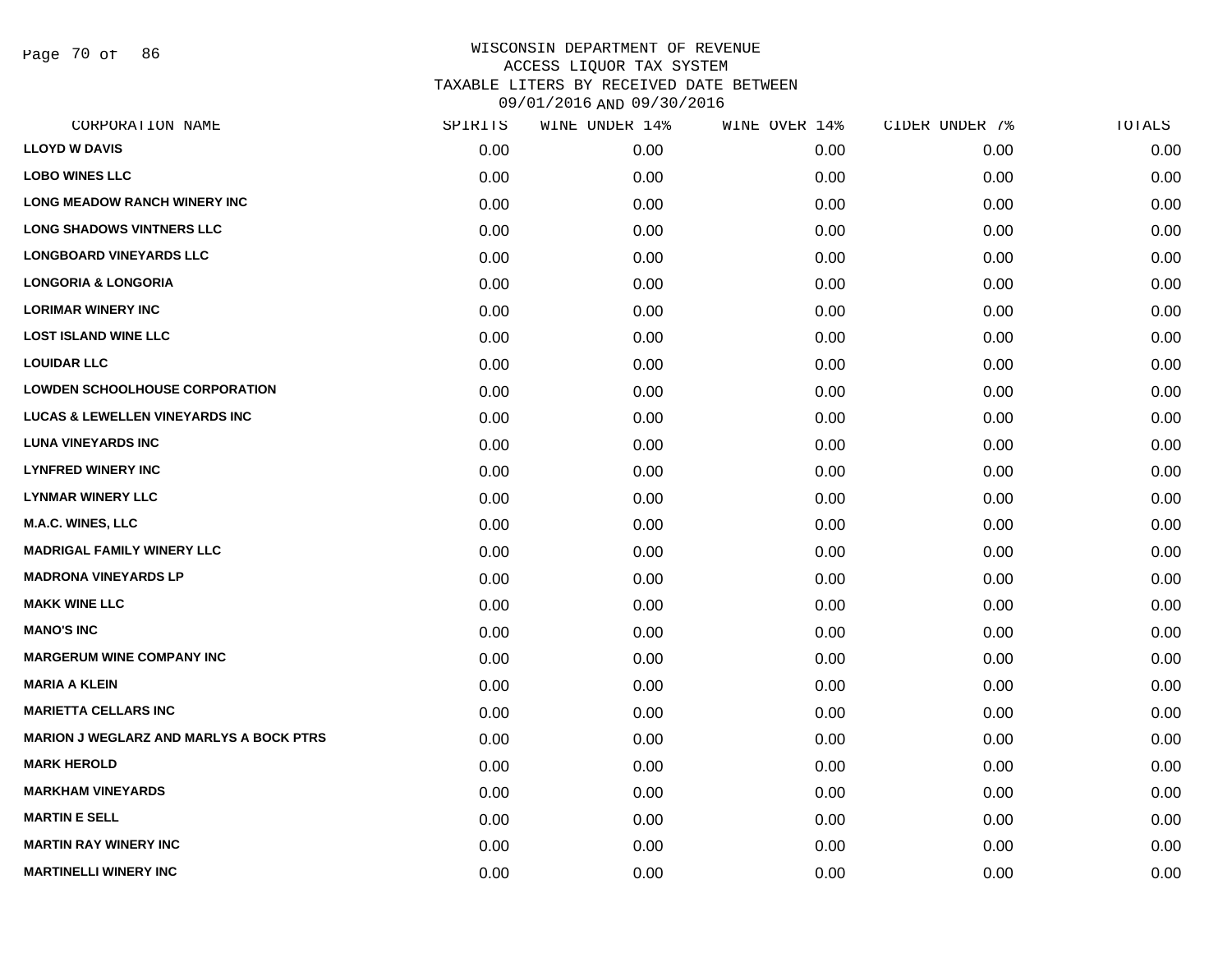Page 70 of 86

| CORPORATION NAME                               | SPIRITS | WINE UNDER 14% | WINE OVER 14% | CIDER UNDER 7% | TOTALS |
|------------------------------------------------|---------|----------------|---------------|----------------|--------|
| <b>LLOYD W DAVIS</b>                           | 0.00    | 0.00           | 0.00          | 0.00           | 0.00   |
| <b>LOBO WINES LLC</b>                          | 0.00    | 0.00           | 0.00          | 0.00           | 0.00   |
| <b>LONG MEADOW RANCH WINERY INC</b>            | 0.00    | 0.00           | 0.00          | 0.00           | 0.00   |
| <b>LONG SHADOWS VINTNERS LLC</b>               | 0.00    | 0.00           | 0.00          | 0.00           | 0.00   |
| <b>LONGBOARD VINEYARDS LLC</b>                 | 0.00    | 0.00           | 0.00          | 0.00           | 0.00   |
| <b>LONGORIA &amp; LONGORIA</b>                 | 0.00    | 0.00           | 0.00          | 0.00           | 0.00   |
| <b>LORIMAR WINERY INC</b>                      | 0.00    | 0.00           | 0.00          | 0.00           | 0.00   |
| <b>LOST ISLAND WINE LLC</b>                    | 0.00    | 0.00           | 0.00          | 0.00           | 0.00   |
| <b>LOUIDAR LLC</b>                             | 0.00    | 0.00           | 0.00          | 0.00           | 0.00   |
| <b>LOWDEN SCHOOLHOUSE CORPORATION</b>          | 0.00    | 0.00           | 0.00          | 0.00           | 0.00   |
| <b>LUCAS &amp; LEWELLEN VINEYARDS INC</b>      | 0.00    | 0.00           | 0.00          | 0.00           | 0.00   |
| <b>LUNA VINEYARDS INC</b>                      | 0.00    | 0.00           | 0.00          | 0.00           | 0.00   |
| <b>LYNFRED WINERY INC</b>                      | 0.00    | 0.00           | 0.00          | 0.00           | 0.00   |
| <b>LYNMAR WINERY LLC</b>                       | 0.00    | 0.00           | 0.00          | 0.00           | 0.00   |
| M.A.C. WINES, LLC                              | 0.00    | 0.00           | 0.00          | 0.00           | 0.00   |
| <b>MADRIGAL FAMILY WINERY LLC</b>              | 0.00    | 0.00           | 0.00          | 0.00           | 0.00   |
| <b>MADRONA VINEYARDS LP</b>                    | 0.00    | 0.00           | 0.00          | 0.00           | 0.00   |
| <b>MAKK WINE LLC</b>                           | 0.00    | 0.00           | 0.00          | 0.00           | 0.00   |
| <b>MANO'S INC</b>                              | 0.00    | 0.00           | 0.00          | 0.00           | 0.00   |
| <b>MARGERUM WINE COMPANY INC</b>               | 0.00    | 0.00           | 0.00          | 0.00           | 0.00   |
| <b>MARIA A KLEIN</b>                           | 0.00    | 0.00           | 0.00          | 0.00           | 0.00   |
| <b>MARIETTA CELLARS INC</b>                    | 0.00    | 0.00           | 0.00          | 0.00           | 0.00   |
| <b>MARION J WEGLARZ AND MARLYS A BOCK PTRS</b> | 0.00    | 0.00           | 0.00          | 0.00           | 0.00   |
| <b>MARK HEROLD</b>                             | 0.00    | 0.00           | 0.00          | 0.00           | 0.00   |
| <b>MARKHAM VINEYARDS</b>                       | 0.00    | 0.00           | 0.00          | 0.00           | 0.00   |
| <b>MARTIN E SELL</b>                           | 0.00    | 0.00           | 0.00          | 0.00           | 0.00   |
| <b>MARTIN RAY WINERY INC</b>                   | 0.00    | 0.00           | 0.00          | 0.00           | 0.00   |
| <b>MARTINELLI WINERY INC</b>                   | 0.00    | 0.00           | 0.00          | 0.00           | 0.00   |
|                                                |         |                |               |                |        |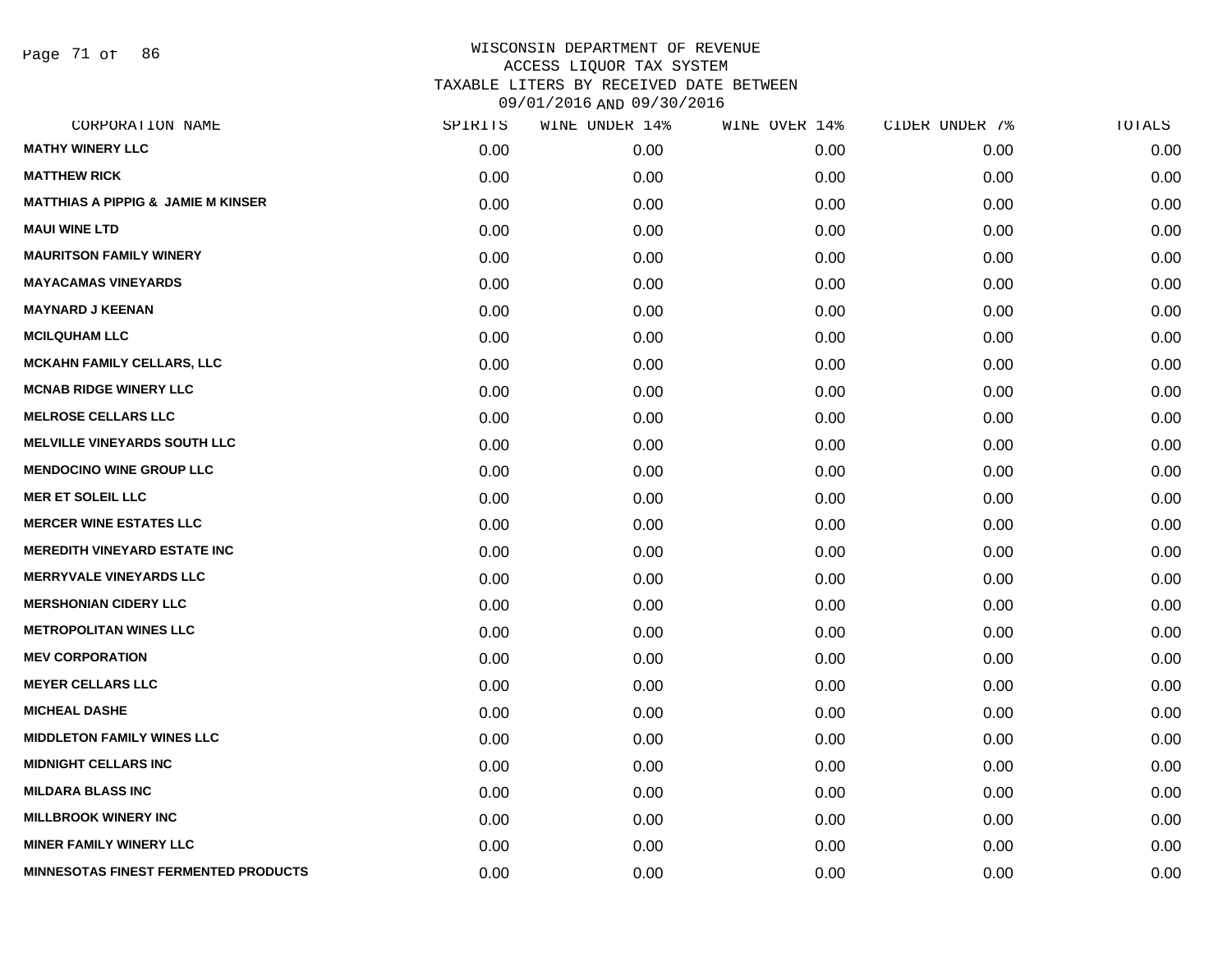Page 71 of 86

|      | WINE UNDER 14% |      |               | TOTALS         |
|------|----------------|------|---------------|----------------|
| 0.00 | 0.00           | 0.00 | 0.00          | 0.00           |
| 0.00 | 0.00           | 0.00 | 0.00          | 0.00           |
| 0.00 | 0.00           | 0.00 | 0.00          | 0.00           |
| 0.00 | 0.00           | 0.00 | 0.00          | 0.00           |
| 0.00 | 0.00           | 0.00 | 0.00          | 0.00           |
| 0.00 | 0.00           | 0.00 | 0.00          | 0.00           |
| 0.00 | 0.00           | 0.00 | 0.00          | 0.00           |
| 0.00 | 0.00           | 0.00 | 0.00          | 0.00           |
| 0.00 | 0.00           | 0.00 | 0.00          | 0.00           |
| 0.00 | 0.00           | 0.00 | 0.00          | 0.00           |
| 0.00 | 0.00           | 0.00 | 0.00          | 0.00           |
| 0.00 | 0.00           | 0.00 | 0.00          | 0.00           |
| 0.00 | 0.00           | 0.00 | 0.00          | 0.00           |
| 0.00 | 0.00           | 0.00 | 0.00          | 0.00           |
| 0.00 | 0.00           | 0.00 | 0.00          | 0.00           |
| 0.00 | 0.00           | 0.00 | 0.00          | 0.00           |
| 0.00 | 0.00           | 0.00 | 0.00          | 0.00           |
| 0.00 | 0.00           | 0.00 | 0.00          | 0.00           |
| 0.00 | 0.00           | 0.00 | 0.00          | 0.00           |
| 0.00 | 0.00           | 0.00 | 0.00          | 0.00           |
| 0.00 | 0.00           | 0.00 | 0.00          | 0.00           |
| 0.00 | 0.00           | 0.00 | 0.00          | 0.00           |
| 0.00 | 0.00           | 0.00 | 0.00          | 0.00           |
| 0.00 | 0.00           | 0.00 | 0.00          | 0.00           |
| 0.00 | 0.00           | 0.00 | 0.00          | 0.00           |
| 0.00 | 0.00           | 0.00 | 0.00          | 0.00           |
| 0.00 | 0.00           | 0.00 | 0.00          | 0.00           |
| 0.00 | 0.00           | 0.00 | 0.00          | 0.00           |
|      | SPIRITS        |      | WINE OVER 14% | CIDER UNDER 7% |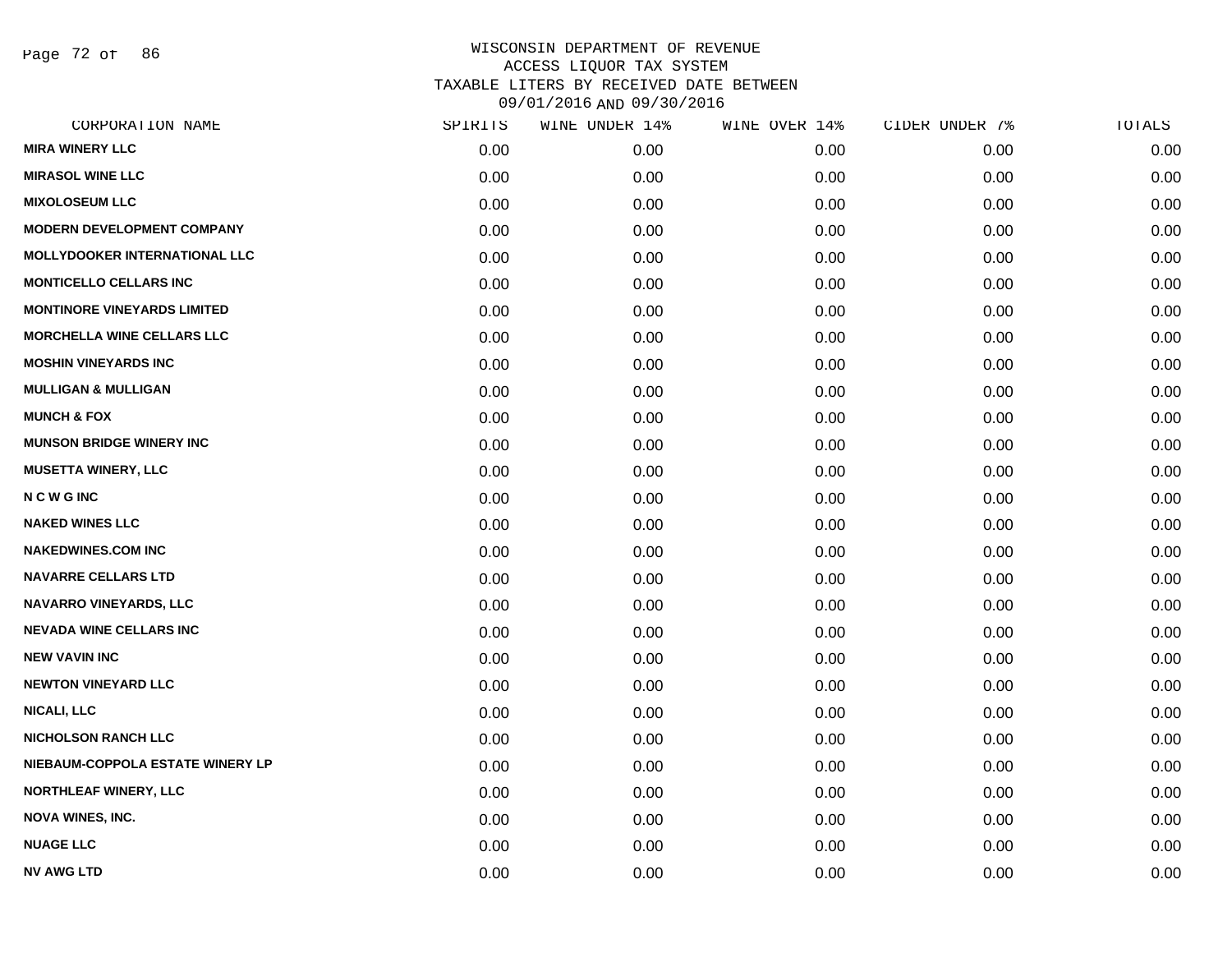Page 72 of 86

|      | WINE UNDER 14% |      | CIDER UNDER 7% | TOTALS |
|------|----------------|------|----------------|--------|
| 0.00 | 0.00           | 0.00 | 0.00           | 0.00   |
| 0.00 | 0.00           | 0.00 | 0.00           | 0.00   |
| 0.00 | 0.00           | 0.00 | 0.00           | 0.00   |
| 0.00 | 0.00           | 0.00 | 0.00           | 0.00   |
| 0.00 | 0.00           | 0.00 | 0.00           | 0.00   |
| 0.00 | 0.00           | 0.00 | 0.00           | 0.00   |
| 0.00 | 0.00           | 0.00 | 0.00           | 0.00   |
| 0.00 | 0.00           | 0.00 | 0.00           | 0.00   |
| 0.00 | 0.00           | 0.00 | 0.00           | 0.00   |
| 0.00 | 0.00           | 0.00 | 0.00           | 0.00   |
| 0.00 | 0.00           | 0.00 | 0.00           | 0.00   |
| 0.00 | 0.00           | 0.00 | 0.00           | 0.00   |
| 0.00 | 0.00           | 0.00 | 0.00           | 0.00   |
| 0.00 | 0.00           | 0.00 | 0.00           | 0.00   |
| 0.00 | 0.00           | 0.00 | 0.00           | 0.00   |
| 0.00 | 0.00           | 0.00 | 0.00           | 0.00   |
| 0.00 | 0.00           | 0.00 | 0.00           | 0.00   |
| 0.00 | 0.00           | 0.00 | 0.00           | 0.00   |
| 0.00 | 0.00           | 0.00 | 0.00           | 0.00   |
| 0.00 | 0.00           | 0.00 | 0.00           | 0.00   |
| 0.00 | 0.00           | 0.00 | 0.00           | 0.00   |
| 0.00 | 0.00           | 0.00 | 0.00           | 0.00   |
| 0.00 | 0.00           | 0.00 | 0.00           | 0.00   |
| 0.00 | 0.00           | 0.00 | 0.00           | 0.00   |
| 0.00 | 0.00           | 0.00 | 0.00           | 0.00   |
| 0.00 | 0.00           | 0.00 | 0.00           | 0.00   |
| 0.00 | 0.00           | 0.00 | 0.00           | 0.00   |
| 0.00 | 0.00           | 0.00 | 0.00           | 0.00   |
|      | SPIRITS        |      | WINE OVER 14%  |        |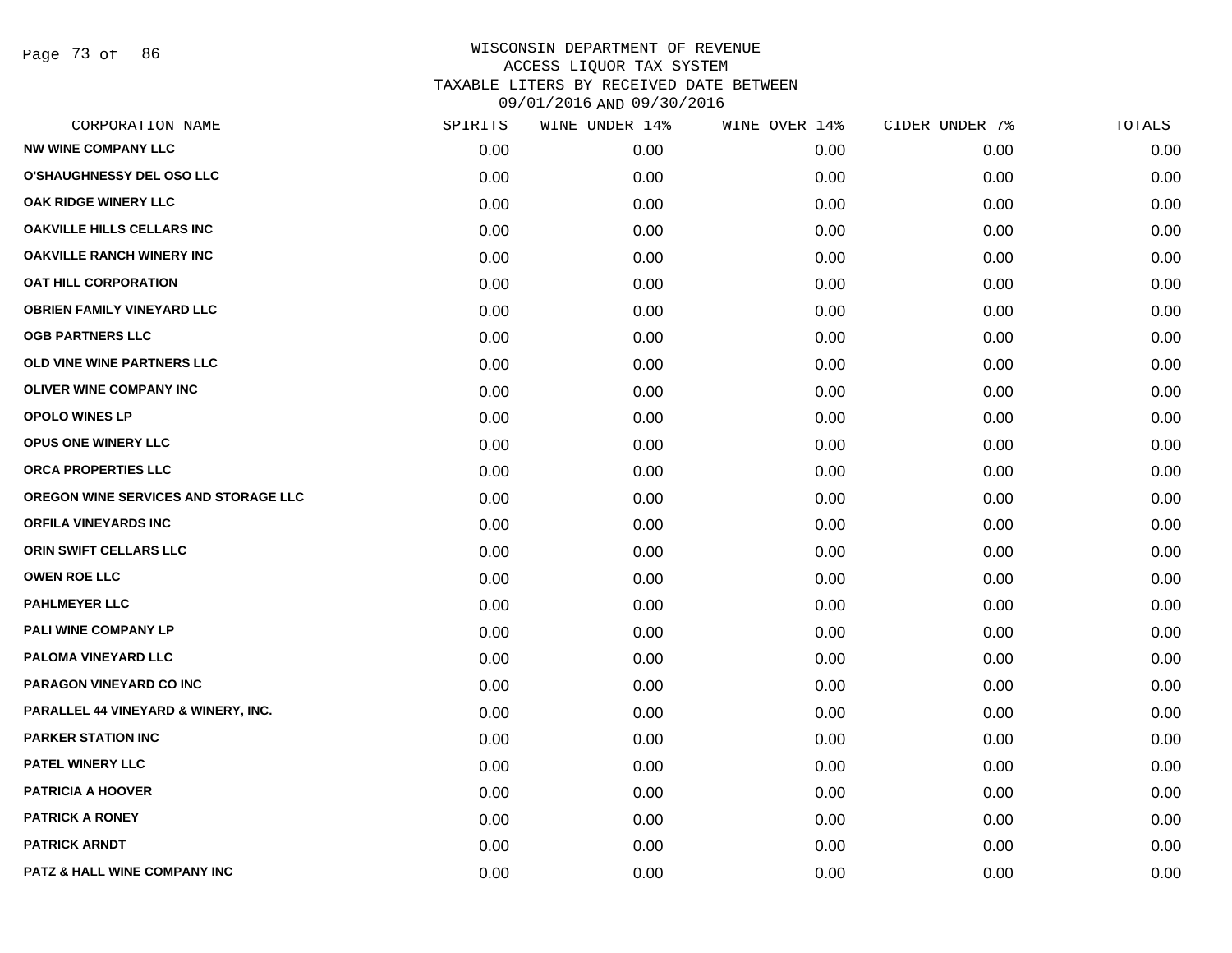Page 73 of 86

| CORPORATION NAME                     | SPIRITS | WINE UNDER 14% | WINE OVER 14% | CIDER UNDER 7% | TOTALS |
|--------------------------------------|---------|----------------|---------------|----------------|--------|
| <b>NW WINE COMPANY LLC</b>           | 0.00    | 0.00           | 0.00          | 0.00           | 0.00   |
| <b>O'SHAUGHNESSY DEL OSO LLC</b>     | 0.00    | 0.00           | 0.00          | 0.00           | 0.00   |
| OAK RIDGE WINERY LLC                 | 0.00    | 0.00           | 0.00          | 0.00           | 0.00   |
| <b>OAKVILLE HILLS CELLARS INC</b>    | 0.00    | 0.00           | 0.00          | 0.00           | 0.00   |
| <b>OAKVILLE RANCH WINERY INC</b>     | 0.00    | 0.00           | 0.00          | 0.00           | 0.00   |
| <b>OAT HILL CORPORATION</b>          | 0.00    | 0.00           | 0.00          | 0.00           | 0.00   |
| <b>OBRIEN FAMILY VINEYARD LLC</b>    | 0.00    | 0.00           | 0.00          | 0.00           | 0.00   |
| <b>OGB PARTNERS LLC</b>              | 0.00    | 0.00           | 0.00          | 0.00           | 0.00   |
| OLD VINE WINE PARTNERS LLC           | 0.00    | 0.00           | 0.00          | 0.00           | 0.00   |
| OLIVER WINE COMPANY INC              | 0.00    | 0.00           | 0.00          | 0.00           | 0.00   |
| <b>OPOLO WINES LP</b>                | 0.00    | 0.00           | 0.00          | 0.00           | 0.00   |
| <b>OPUS ONE WINERY LLC</b>           | 0.00    | 0.00           | 0.00          | 0.00           | 0.00   |
| ORCA PROPERTIES LLC                  | 0.00    | 0.00           | 0.00          | 0.00           | 0.00   |
| OREGON WINE SERVICES AND STORAGE LLC | 0.00    | 0.00           | 0.00          | 0.00           | 0.00   |
| <b>ORFILA VINEYARDS INC</b>          | 0.00    | 0.00           | 0.00          | 0.00           | 0.00   |
| ORIN SWIFT CELLARS LLC               | 0.00    | 0.00           | 0.00          | 0.00           | 0.00   |
| <b>OWEN ROE LLC</b>                  | 0.00    | 0.00           | 0.00          | 0.00           | 0.00   |
| <b>PAHLMEYER LLC</b>                 | 0.00    | 0.00           | 0.00          | 0.00           | 0.00   |
| PALI WINE COMPANY LP                 | 0.00    | 0.00           | 0.00          | 0.00           | 0.00   |
| <b>PALOMA VINEYARD LLC</b>           | 0.00    | 0.00           | 0.00          | 0.00           | 0.00   |
| PARAGON VINEYARD CO INC              | 0.00    | 0.00           | 0.00          | 0.00           | 0.00   |
| PARALLEL 44 VINEYARD & WINERY, INC.  | 0.00    | 0.00           | 0.00          | 0.00           | 0.00   |
| <b>PARKER STATION INC</b>            | 0.00    | 0.00           | 0.00          | 0.00           | 0.00   |
| <b>PATEL WINERY LLC</b>              | 0.00    | 0.00           | 0.00          | 0.00           | 0.00   |
| <b>PATRICIA A HOOVER</b>             | 0.00    | 0.00           | 0.00          | 0.00           | 0.00   |
| <b>PATRICK A RONEY</b>               | 0.00    | 0.00           | 0.00          | 0.00           | 0.00   |
| <b>PATRICK ARNDT</b>                 | 0.00    | 0.00           | 0.00          | 0.00           | 0.00   |
| PATZ & HALL WINE COMPANY INC         | 0.00    | 0.00           | 0.00          | 0.00           | 0.00   |
|                                      |         |                |               |                |        |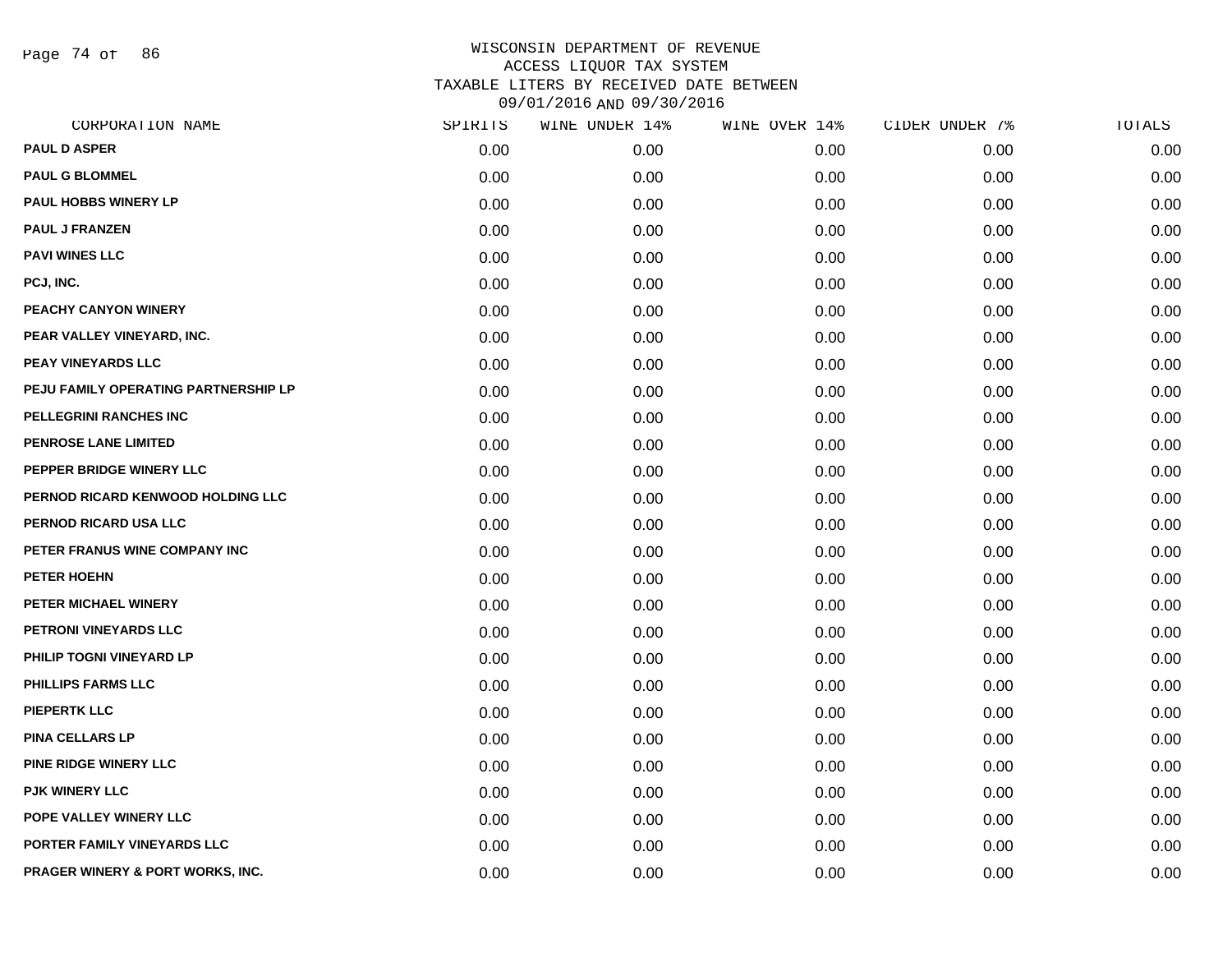Page 74 of 86

| CORPORATION NAME                     | SPIRITS | WINE UNDER 14% | WINE OVER 14% | CIDER UNDER 7% | TOTALS |
|--------------------------------------|---------|----------------|---------------|----------------|--------|
| <b>PAUL D ASPER</b>                  | 0.00    | 0.00           | 0.00          | 0.00           | 0.00   |
| <b>PAUL G BLOMMEL</b>                | 0.00    | 0.00           | 0.00          | 0.00           | 0.00   |
| PAUL HOBBS WINERY LP                 | 0.00    | 0.00           | 0.00          | 0.00           | 0.00   |
| <b>PAUL J FRANZEN</b>                | 0.00    | 0.00           | 0.00          | 0.00           | 0.00   |
| <b>PAVI WINES LLC</b>                | 0.00    | 0.00           | 0.00          | 0.00           | 0.00   |
| PCJ, INC.                            | 0.00    | 0.00           | 0.00          | 0.00           | 0.00   |
| PEACHY CANYON WINERY                 | 0.00    | 0.00           | 0.00          | 0.00           | 0.00   |
| PEAR VALLEY VINEYARD, INC.           | 0.00    | 0.00           | 0.00          | 0.00           | 0.00   |
| PEAY VINEYARDS LLC                   | 0.00    | 0.00           | 0.00          | 0.00           | 0.00   |
| PEJU FAMILY OPERATING PARTNERSHIP LP | 0.00    | 0.00           | 0.00          | 0.00           | 0.00   |
| PELLEGRINI RANCHES INC               | 0.00    | 0.00           | 0.00          | 0.00           | 0.00   |
| PENROSE LANE LIMITED                 | 0.00    | 0.00           | 0.00          | 0.00           | 0.00   |
| PEPPER BRIDGE WINERY LLC             | 0.00    | 0.00           | 0.00          | 0.00           | 0.00   |
| PERNOD RICARD KENWOOD HOLDING LLC    | 0.00    | 0.00           | 0.00          | 0.00           | 0.00   |
| PERNOD RICARD USA LLC                | 0.00    | 0.00           | 0.00          | 0.00           | 0.00   |
| PETER FRANUS WINE COMPANY INC        | 0.00    | 0.00           | 0.00          | 0.00           | 0.00   |
| PETER HOEHN                          | 0.00    | 0.00           | 0.00          | 0.00           | 0.00   |
| PETER MICHAEL WINERY                 | 0.00    | 0.00           | 0.00          | 0.00           | 0.00   |
| PETRONI VINEYARDS LLC                | 0.00    | 0.00           | 0.00          | 0.00           | 0.00   |
| PHILIP TOGNI VINEYARD LP             | 0.00    | 0.00           | 0.00          | 0.00           | 0.00   |
| <b>PHILLIPS FARMS LLC</b>            | 0.00    | 0.00           | 0.00          | 0.00           | 0.00   |
| <b>PIEPERTK LLC</b>                  | 0.00    | 0.00           | 0.00          | 0.00           | 0.00   |
| <b>PINA CELLARS LP</b>               | 0.00    | 0.00           | 0.00          | 0.00           | 0.00   |
| PINE RIDGE WINERY LLC                | 0.00    | 0.00           | 0.00          | 0.00           | 0.00   |
| PJK WINERY LLC                       | 0.00    | 0.00           | 0.00          | 0.00           | 0.00   |
| POPE VALLEY WINERY LLC               | 0.00    | 0.00           | 0.00          | 0.00           | 0.00   |
| PORTER FAMILY VINEYARDS LLC          | 0.00    | 0.00           | 0.00          | 0.00           | 0.00   |
| PRAGER WINERY & PORT WORKS, INC.     | 0.00    | 0.00           | 0.00          | 0.00           | 0.00   |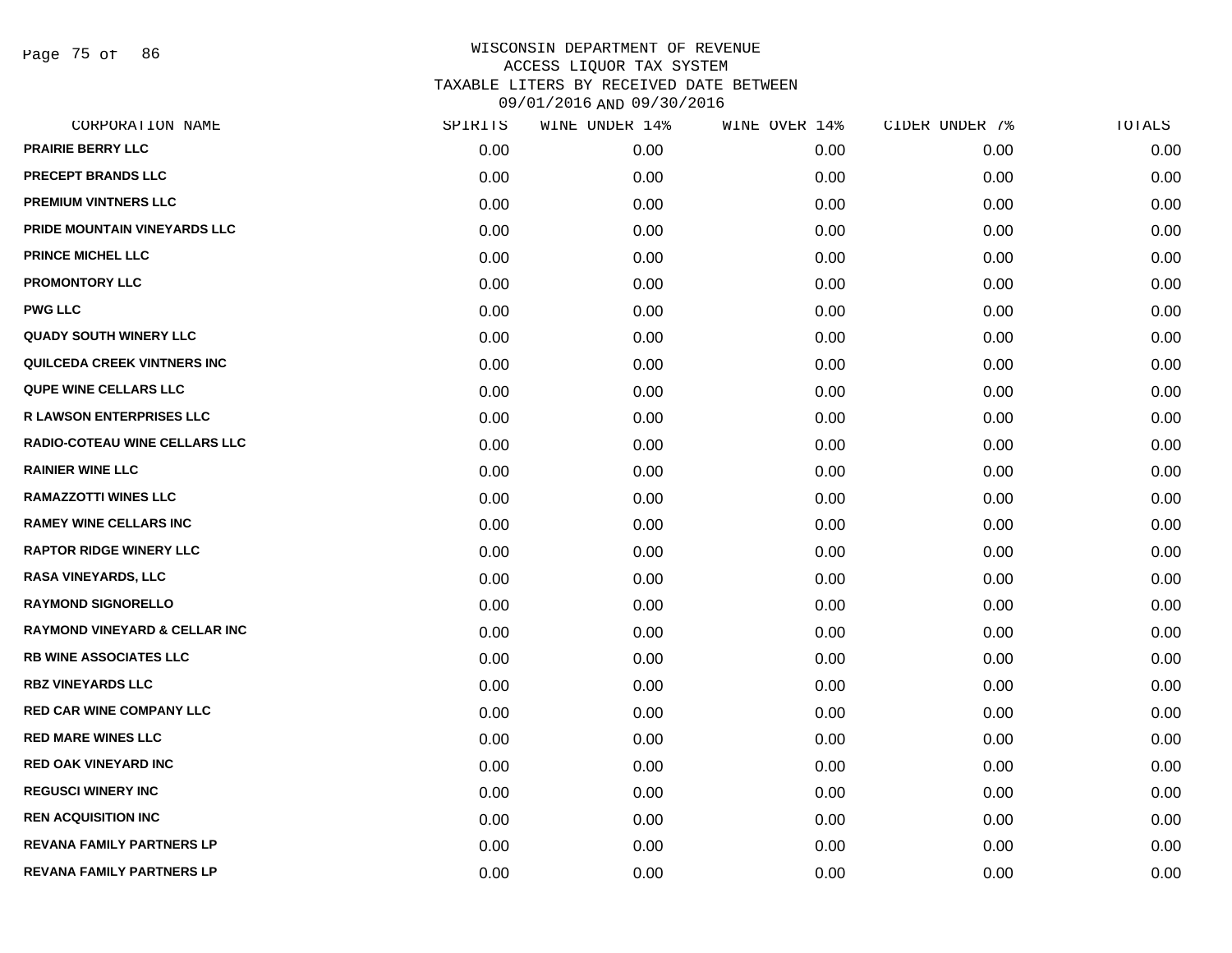Page 75 of 86

| CORPORATION NAME                         | SPIRITS | WINE UNDER 14% | WINE OVER 14% | CIDER UNDER 7% | TOTALS |
|------------------------------------------|---------|----------------|---------------|----------------|--------|
| <b>PRAIRIE BERRY LLC</b>                 | 0.00    | 0.00           | 0.00          | 0.00           | 0.00   |
| <b>PRECEPT BRANDS LLC</b>                | 0.00    | 0.00           | 0.00          | 0.00           | 0.00   |
| <b>PREMIUM VINTNERS LLC</b>              | 0.00    | 0.00           | 0.00          | 0.00           | 0.00   |
| PRIDE MOUNTAIN VINEYARDS LLC             | 0.00    | 0.00           | 0.00          | 0.00           | 0.00   |
| <b>PRINCE MICHEL LLC</b>                 | 0.00    | 0.00           | 0.00          | 0.00           | 0.00   |
| <b>PROMONTORY LLC</b>                    | 0.00    | 0.00           | 0.00          | 0.00           | 0.00   |
| <b>PWG LLC</b>                           | 0.00    | 0.00           | 0.00          | 0.00           | 0.00   |
| <b>QUADY SOUTH WINERY LLC</b>            | 0.00    | 0.00           | 0.00          | 0.00           | 0.00   |
| <b>QUILCEDA CREEK VINTNERS INC</b>       | 0.00    | 0.00           | 0.00          | 0.00           | 0.00   |
| <b>QUPE WINE CELLARS LLC</b>             | 0.00    | 0.00           | 0.00          | 0.00           | 0.00   |
| <b>R LAWSON ENTERPRISES LLC</b>          | 0.00    | 0.00           | 0.00          | 0.00           | 0.00   |
| RADIO-COTEAU WINE CELLARS LLC            | 0.00    | 0.00           | 0.00          | 0.00           | 0.00   |
| <b>RAINIER WINE LLC</b>                  | 0.00    | 0.00           | 0.00          | 0.00           | 0.00   |
| <b>RAMAZZOTTI WINES LLC</b>              | 0.00    | 0.00           | 0.00          | 0.00           | 0.00   |
| <b>RAMEY WINE CELLARS INC</b>            | 0.00    | 0.00           | 0.00          | 0.00           | 0.00   |
| <b>RAPTOR RIDGE WINERY LLC</b>           | 0.00    | 0.00           | 0.00          | 0.00           | 0.00   |
| <b>RASA VINEYARDS, LLC</b>               | 0.00    | 0.00           | 0.00          | 0.00           | 0.00   |
| <b>RAYMOND SIGNORELLO</b>                | 0.00    | 0.00           | 0.00          | 0.00           | 0.00   |
| <b>RAYMOND VINEYARD &amp; CELLAR INC</b> | 0.00    | 0.00           | 0.00          | 0.00           | 0.00   |
| <b>RB WINE ASSOCIATES LLC</b>            | 0.00    | 0.00           | 0.00          | 0.00           | 0.00   |
| <b>RBZ VINEYARDS LLC</b>                 | 0.00    | 0.00           | 0.00          | 0.00           | 0.00   |
| <b>RED CAR WINE COMPANY LLC</b>          | 0.00    | 0.00           | 0.00          | 0.00           | 0.00   |
| <b>RED MARE WINES LLC</b>                | 0.00    | 0.00           | 0.00          | 0.00           | 0.00   |
| <b>RED OAK VINEYARD INC</b>              | 0.00    | 0.00           | 0.00          | 0.00           | 0.00   |
| <b>REGUSCI WINERY INC</b>                | 0.00    | 0.00           | 0.00          | 0.00           | 0.00   |
| <b>REN ACQUISITION INC</b>               | 0.00    | 0.00           | 0.00          | 0.00           | 0.00   |
| <b>REVANA FAMILY PARTNERS LP</b>         | 0.00    | 0.00           | 0.00          | 0.00           | 0.00   |
| <b>REVANA FAMILY PARTNERS LP</b>         | 0.00    | 0.00           | 0.00          | 0.00           | 0.00   |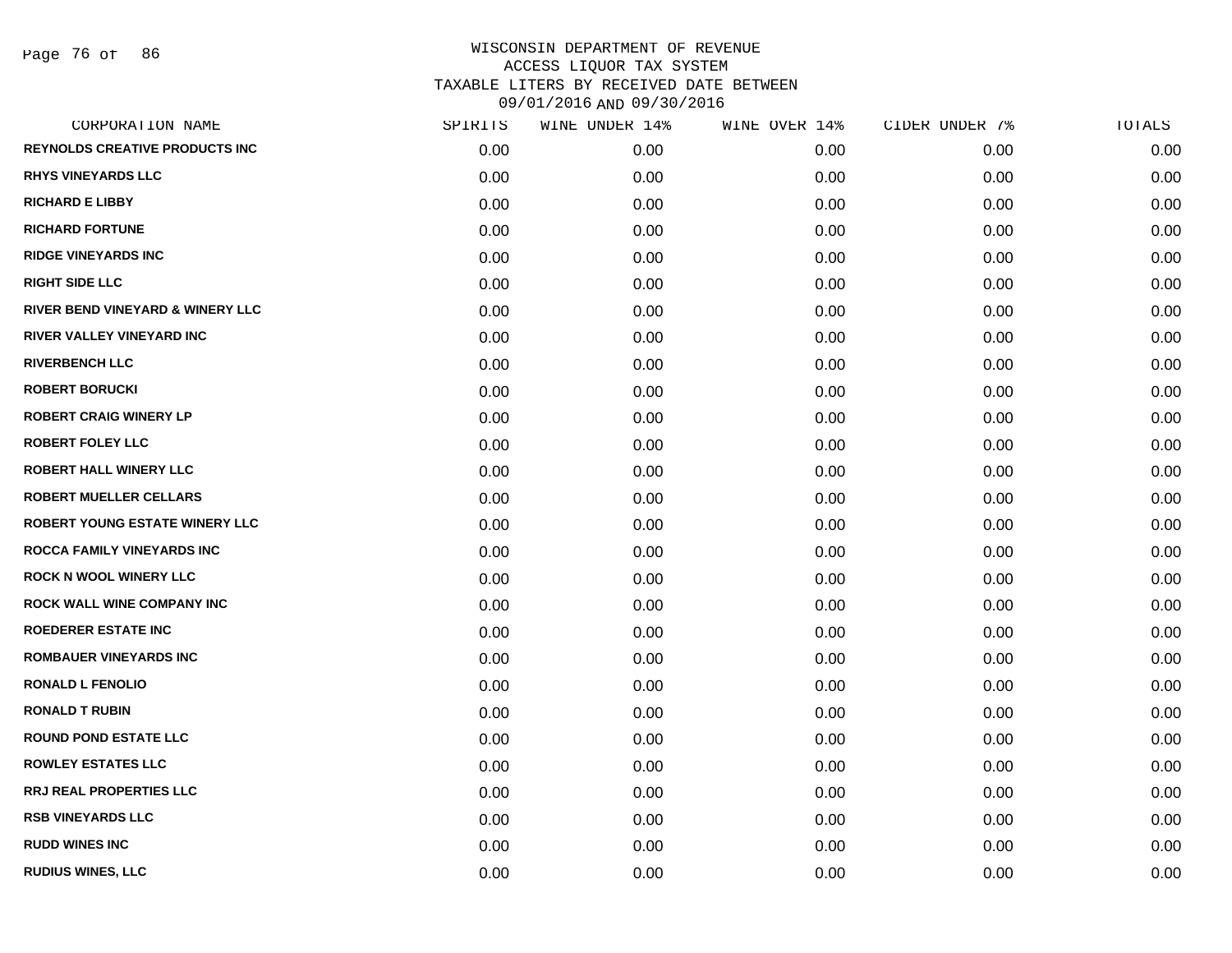Page 76 of 86

|      | WINE UNDER 14% | WINE OVER 14% |      | TOTALS         |
|------|----------------|---------------|------|----------------|
| 0.00 | 0.00           | 0.00          | 0.00 | 0.00           |
| 0.00 | 0.00           | 0.00          | 0.00 | 0.00           |
| 0.00 | 0.00           | 0.00          | 0.00 | 0.00           |
| 0.00 | 0.00           | 0.00          | 0.00 | 0.00           |
| 0.00 | 0.00           | 0.00          | 0.00 | 0.00           |
| 0.00 | 0.00           | 0.00          | 0.00 | 0.00           |
| 0.00 | 0.00           | 0.00          | 0.00 | 0.00           |
| 0.00 | 0.00           | 0.00          | 0.00 | 0.00           |
| 0.00 | 0.00           | 0.00          | 0.00 | 0.00           |
| 0.00 | 0.00           | 0.00          | 0.00 | 0.00           |
| 0.00 | 0.00           | 0.00          | 0.00 | 0.00           |
| 0.00 | 0.00           | 0.00          | 0.00 | 0.00           |
| 0.00 | 0.00           | 0.00          | 0.00 | 0.00           |
| 0.00 | 0.00           | 0.00          | 0.00 | 0.00           |
| 0.00 | 0.00           | 0.00          | 0.00 | 0.00           |
| 0.00 | 0.00           | 0.00          | 0.00 | 0.00           |
| 0.00 | 0.00           | 0.00          | 0.00 | 0.00           |
| 0.00 | 0.00           | 0.00          | 0.00 | 0.00           |
| 0.00 | 0.00           | 0.00          | 0.00 | 0.00           |
| 0.00 | 0.00           | 0.00          | 0.00 | 0.00           |
| 0.00 | 0.00           | 0.00          | 0.00 | 0.00           |
| 0.00 | 0.00           | 0.00          | 0.00 | 0.00           |
| 0.00 | 0.00           | 0.00          | 0.00 | 0.00           |
| 0.00 | 0.00           | 0.00          | 0.00 | 0.00           |
| 0.00 | 0.00           | 0.00          | 0.00 | 0.00           |
| 0.00 | 0.00           | 0.00          | 0.00 | 0.00           |
| 0.00 | 0.00           | 0.00          | 0.00 | 0.00           |
| 0.00 | 0.00           | 0.00          | 0.00 | 0.00           |
|      | SPIRITS        |               |      | CIDER UNDER 7% |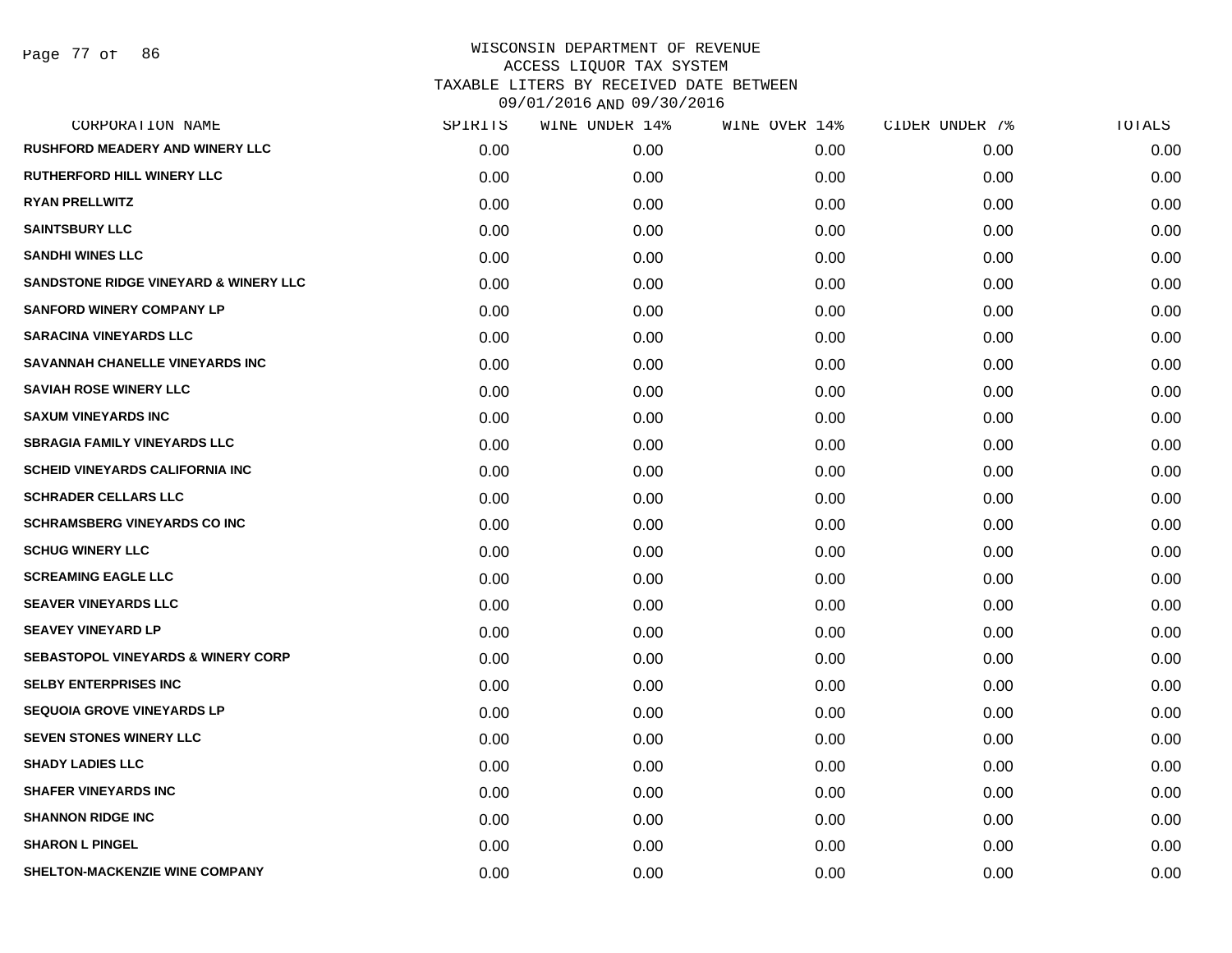| CORPORATION NAME                              | SPIRITS | WINE UNDER 14% | WINE OVER 14% | CIDER UNDER 7% | TOTALS |
|-----------------------------------------------|---------|----------------|---------------|----------------|--------|
| <b>RUSHFORD MEADERY AND WINERY LLC</b>        | 0.00    | 0.00           | 0.00          | 0.00           | 0.00   |
| <b>RUTHERFORD HILL WINERY LLC</b>             | 0.00    | 0.00           | 0.00          | 0.00           | 0.00   |
| <b>RYAN PRELLWITZ</b>                         | 0.00    | 0.00           | 0.00          | 0.00           | 0.00   |
| <b>SAINTSBURY LLC</b>                         | 0.00    | 0.00           | 0.00          | 0.00           | 0.00   |
| <b>SANDHI WINES LLC</b>                       | 0.00    | 0.00           | 0.00          | 0.00           | 0.00   |
| SANDSTONE RIDGE VINEYARD & WINERY LLC         | 0.00    | 0.00           | 0.00          | 0.00           | 0.00   |
| <b>SANFORD WINERY COMPANY LP</b>              | 0.00    | 0.00           | 0.00          | 0.00           | 0.00   |
| <b>SARACINA VINEYARDS LLC</b>                 | 0.00    | 0.00           | 0.00          | 0.00           | 0.00   |
| SAVANNAH CHANELLE VINEYARDS INC               | 0.00    | 0.00           | 0.00          | 0.00           | 0.00   |
| <b>SAVIAH ROSE WINERY LLC</b>                 | 0.00    | 0.00           | 0.00          | 0.00           | 0.00   |
| <b>SAXUM VINEYARDS INC</b>                    | 0.00    | 0.00           | 0.00          | 0.00           | 0.00   |
| <b>SBRAGIA FAMILY VINEYARDS LLC</b>           | 0.00    | 0.00           | 0.00          | 0.00           | 0.00   |
| <b>SCHEID VINEYARDS CALIFORNIA INC</b>        | 0.00    | 0.00           | 0.00          | 0.00           | 0.00   |
| <b>SCHRADER CELLARS LLC</b>                   | 0.00    | 0.00           | 0.00          | 0.00           | 0.00   |
| <b>SCHRAMSBERG VINEYARDS CO INC</b>           | 0.00    | 0.00           | 0.00          | 0.00           | 0.00   |
| <b>SCHUG WINERY LLC</b>                       | 0.00    | 0.00           | 0.00          | 0.00           | 0.00   |
| <b>SCREAMING EAGLE LLC</b>                    | 0.00    | 0.00           | 0.00          | 0.00           | 0.00   |
| <b>SEAVER VINEYARDS LLC</b>                   | 0.00    | 0.00           | 0.00          | 0.00           | 0.00   |
| <b>SEAVEY VINEYARD LP</b>                     | 0.00    | 0.00           | 0.00          | 0.00           | 0.00   |
| <b>SEBASTOPOL VINEYARDS &amp; WINERY CORP</b> | 0.00    | 0.00           | 0.00          | 0.00           | 0.00   |
| <b>SELBY ENTERPRISES INC</b>                  | 0.00    | 0.00           | 0.00          | 0.00           | 0.00   |
| <b>SEQUOIA GROVE VINEYARDS LP</b>             | 0.00    | 0.00           | 0.00          | 0.00           | 0.00   |
| <b>SEVEN STONES WINERY LLC</b>                | 0.00    | 0.00           | 0.00          | 0.00           | 0.00   |
| <b>SHADY LADIES LLC</b>                       | 0.00    | 0.00           | 0.00          | 0.00           | 0.00   |
| <b>SHAFER VINEYARDS INC</b>                   | 0.00    | 0.00           | 0.00          | 0.00           | 0.00   |
| <b>SHANNON RIDGE INC</b>                      | 0.00    | 0.00           | 0.00          | 0.00           | 0.00   |
| <b>SHARON L PINGEL</b>                        | 0.00    | 0.00           | 0.00          | 0.00           | 0.00   |
| SHELTON-MACKENZIE WINE COMPANY                | 0.00    | 0.00           | 0.00          | 0.00           | 0.00   |
|                                               |         |                |               |                |        |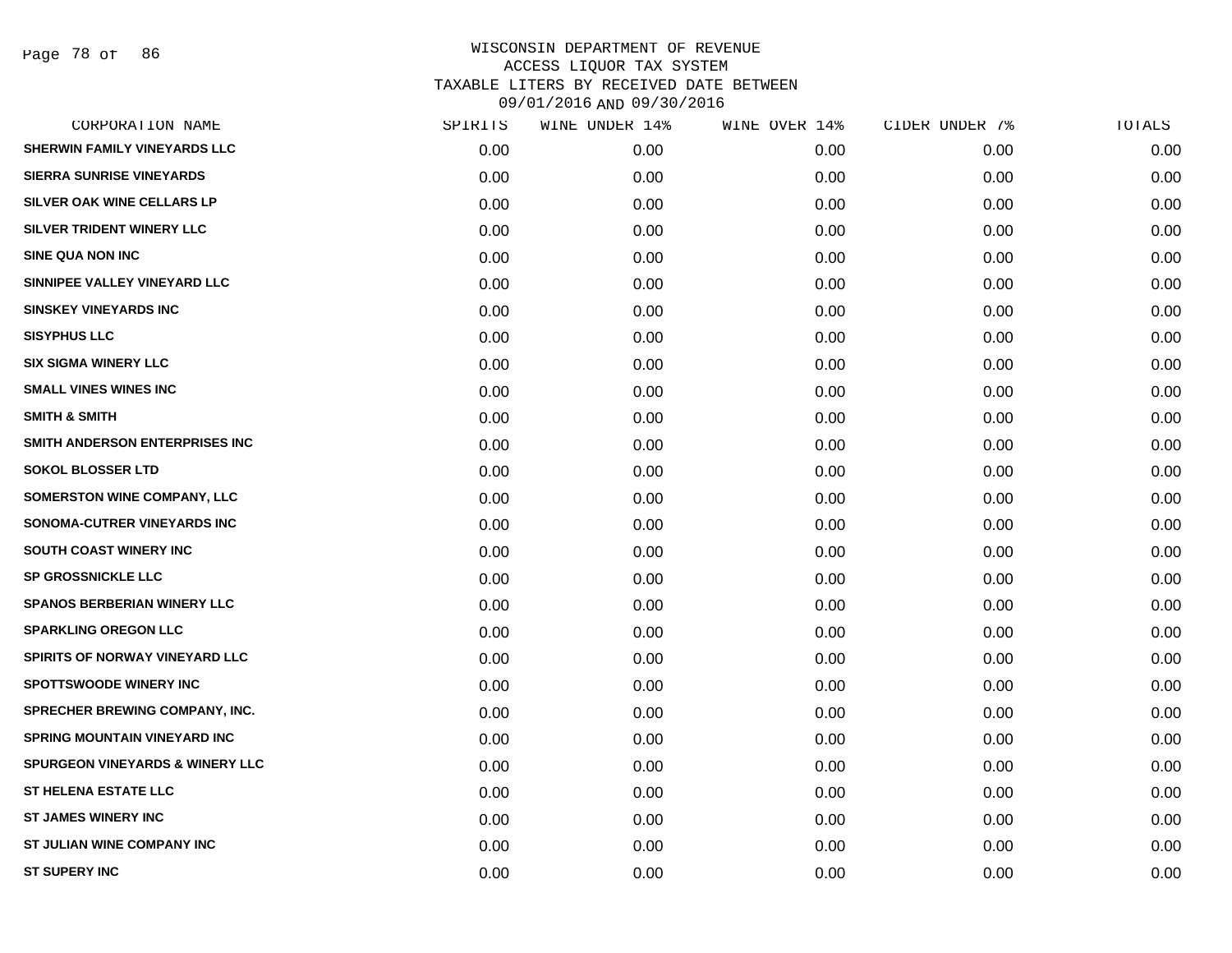Page 78 of 86

| CORPORATION NAME                           | SPIRITS | WINE UNDER 14% | WINE OVER 14% | CIDER UNDER 7% | TOTALS |
|--------------------------------------------|---------|----------------|---------------|----------------|--------|
| SHERWIN FAMILY VINEYARDS LLC               | 0.00    | 0.00           | 0.00          | 0.00           | 0.00   |
| <b>SIERRA SUNRISE VINEYARDS</b>            | 0.00    | 0.00           | 0.00          | 0.00           | 0.00   |
| SILVER OAK WINE CELLARS LP                 | 0.00    | 0.00           | 0.00          | 0.00           | 0.00   |
| SILVER TRIDENT WINERY LLC                  | 0.00    | 0.00           | 0.00          | 0.00           | 0.00   |
| <b>SINE QUA NON INC</b>                    | 0.00    | 0.00           | 0.00          | 0.00           | 0.00   |
| SINNIPEE VALLEY VINEYARD LLC               | 0.00    | 0.00           | 0.00          | 0.00           | 0.00   |
| <b>SINSKEY VINEYARDS INC</b>               | 0.00    | 0.00           | 0.00          | 0.00           | 0.00   |
| <b>SISYPHUS LLC</b>                        | 0.00    | 0.00           | 0.00          | 0.00           | 0.00   |
| <b>SIX SIGMA WINERY LLC</b>                | 0.00    | 0.00           | 0.00          | 0.00           | 0.00   |
| <b>SMALL VINES WINES INC</b>               | 0.00    | 0.00           | 0.00          | 0.00           | 0.00   |
| <b>SMITH &amp; SMITH</b>                   | 0.00    | 0.00           | 0.00          | 0.00           | 0.00   |
| SMITH ANDERSON ENTERPRISES INC             | 0.00    | 0.00           | 0.00          | 0.00           | 0.00   |
| <b>SOKOL BLOSSER LTD</b>                   | 0.00    | 0.00           | 0.00          | 0.00           | 0.00   |
| SOMERSTON WINE COMPANY, LLC                | 0.00    | 0.00           | 0.00          | 0.00           | 0.00   |
| SONOMA-CUTRER VINEYARDS INC                | 0.00    | 0.00           | 0.00          | 0.00           | 0.00   |
| SOUTH COAST WINERY INC                     | 0.00    | 0.00           | 0.00          | 0.00           | 0.00   |
| SP GROSSNICKLE LLC                         | 0.00    | 0.00           | 0.00          | 0.00           | 0.00   |
| <b>SPANOS BERBERIAN WINERY LLC</b>         | 0.00    | 0.00           | 0.00          | 0.00           | 0.00   |
| <b>SPARKLING OREGON LLC</b>                | 0.00    | 0.00           | 0.00          | 0.00           | 0.00   |
| SPIRITS OF NORWAY VINEYARD LLC             | 0.00    | 0.00           | 0.00          | 0.00           | 0.00   |
| <b>SPOTTSWOODE WINERY INC</b>              | 0.00    | 0.00           | 0.00          | 0.00           | 0.00   |
| SPRECHER BREWING COMPANY, INC.             | 0.00    | 0.00           | 0.00          | 0.00           | 0.00   |
| <b>SPRING MOUNTAIN VINEYARD INC</b>        | 0.00    | 0.00           | 0.00          | 0.00           | 0.00   |
| <b>SPURGEON VINEYARDS &amp; WINERY LLC</b> | 0.00    | 0.00           | 0.00          | 0.00           | 0.00   |
| <b>ST HELENA ESTATE LLC</b>                | 0.00    | 0.00           | 0.00          | 0.00           | 0.00   |
| <b>ST JAMES WINERY INC</b>                 | 0.00    | 0.00           | 0.00          | 0.00           | 0.00   |
| ST JULIAN WINE COMPANY INC                 | 0.00    | 0.00           | 0.00          | 0.00           | 0.00   |
| <b>ST SUPERY INC</b>                       | 0.00    | 0.00           | 0.00          | 0.00           | 0.00   |
|                                            |         |                |               |                |        |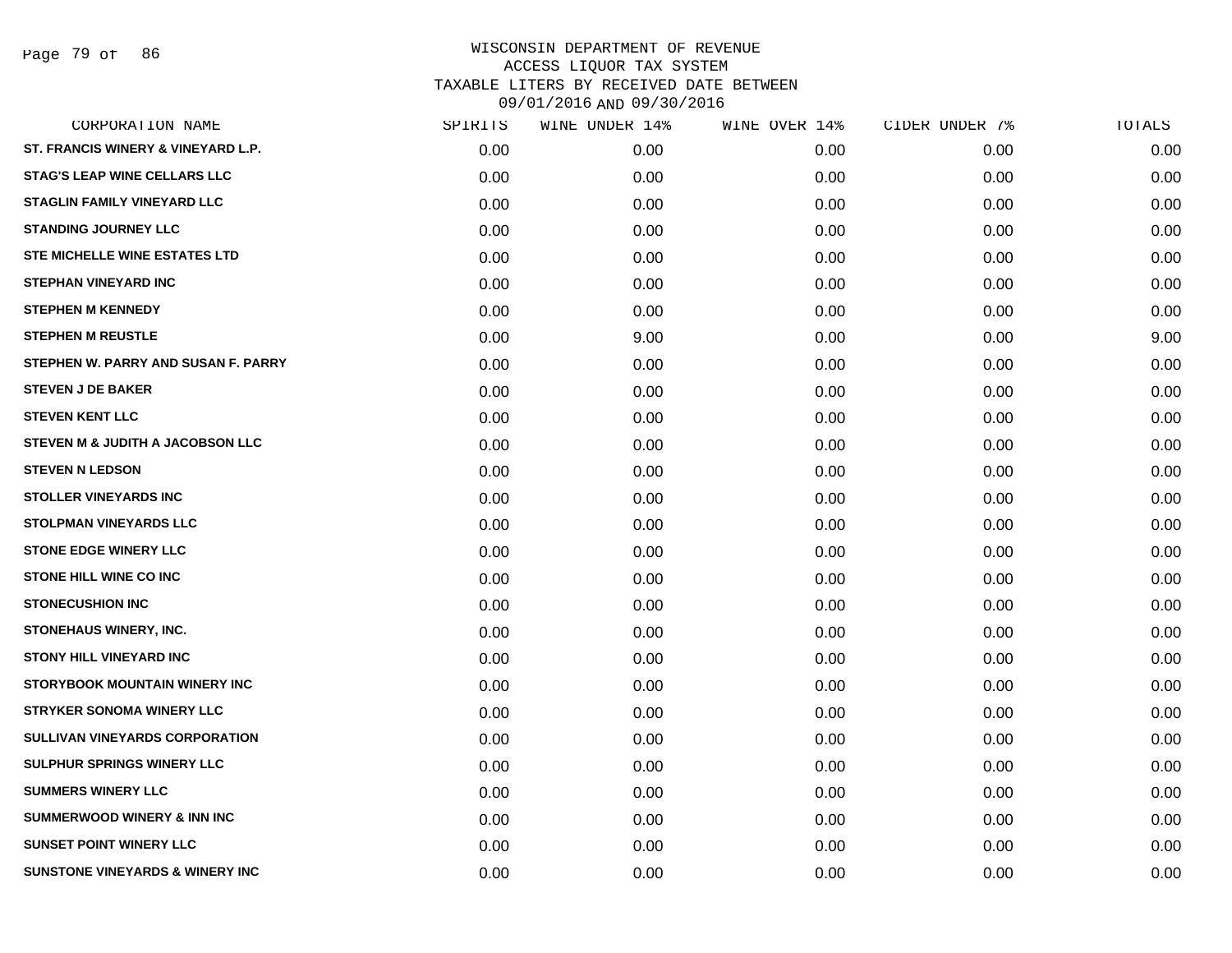Page 79 of 86

| CORPORATION NAME                           | SPIRITS | WINE UNDER 14% | WINE OVER 14% | CIDER UNDER 7% | TOTALS |
|--------------------------------------------|---------|----------------|---------------|----------------|--------|
| ST. FRANCIS WINERY & VINEYARD L.P.         | 0.00    | 0.00           | 0.00          | 0.00           | 0.00   |
| <b>STAG'S LEAP WINE CELLARS LLC</b>        | 0.00    | 0.00           | 0.00          | 0.00           | 0.00   |
| <b>STAGLIN FAMILY VINEYARD LLC</b>         | 0.00    | 0.00           | 0.00          | 0.00           | 0.00   |
| <b>STANDING JOURNEY LLC</b>                | 0.00    | 0.00           | 0.00          | 0.00           | 0.00   |
| STE MICHELLE WINE ESTATES LTD              | 0.00    | 0.00           | 0.00          | 0.00           | 0.00   |
| <b>STEPHAN VINEYARD INC</b>                | 0.00    | 0.00           | 0.00          | 0.00           | 0.00   |
| <b>STEPHEN M KENNEDY</b>                   | 0.00    | 0.00           | 0.00          | 0.00           | 0.00   |
| <b>STEPHEN M REUSTLE</b>                   | 0.00    | 9.00           | 0.00          | 0.00           | 9.00   |
| STEPHEN W. PARRY AND SUSAN F. PARRY        | 0.00    | 0.00           | 0.00          | 0.00           | 0.00   |
| <b>STEVEN J DE BAKER</b>                   | 0.00    | 0.00           | 0.00          | 0.00           | 0.00   |
| <b>STEVEN KENT LLC</b>                     | 0.00    | 0.00           | 0.00          | 0.00           | 0.00   |
| STEVEN M & JUDITH A JACOBSON LLC           | 0.00    | 0.00           | 0.00          | 0.00           | 0.00   |
| <b>STEVEN N LEDSON</b>                     | 0.00    | 0.00           | 0.00          | 0.00           | 0.00   |
| <b>STOLLER VINEYARDS INC</b>               | 0.00    | 0.00           | 0.00          | 0.00           | 0.00   |
| <b>STOLPMAN VINEYARDS LLC</b>              | 0.00    | 0.00           | 0.00          | 0.00           | 0.00   |
| <b>STONE EDGE WINERY LLC</b>               | 0.00    | 0.00           | 0.00          | 0.00           | 0.00   |
| <b>STONE HILL WINE CO INC</b>              | 0.00    | 0.00           | 0.00          | 0.00           | 0.00   |
| <b>STONECUSHION INC</b>                    | 0.00    | 0.00           | 0.00          | 0.00           | 0.00   |
| STONEHAUS WINERY, INC.                     | 0.00    | 0.00           | 0.00          | 0.00           | 0.00   |
| <b>STONY HILL VINEYARD INC</b>             | 0.00    | 0.00           | 0.00          | 0.00           | 0.00   |
| <b>STORYBOOK MOUNTAIN WINERY INC</b>       | 0.00    | 0.00           | 0.00          | 0.00           | 0.00   |
| <b>STRYKER SONOMA WINERY LLC</b>           | 0.00    | 0.00           | 0.00          | 0.00           | 0.00   |
| SULLIVAN VINEYARDS CORPORATION             | 0.00    | 0.00           | 0.00          | 0.00           | 0.00   |
| <b>SULPHUR SPRINGS WINERY LLC</b>          | 0.00    | 0.00           | 0.00          | 0.00           | 0.00   |
| <b>SUMMERS WINERY LLC</b>                  | 0.00    | 0.00           | 0.00          | 0.00           | 0.00   |
| <b>SUMMERWOOD WINERY &amp; INN INC</b>     | 0.00    | 0.00           | 0.00          | 0.00           | 0.00   |
| <b>SUNSET POINT WINERY LLC</b>             | 0.00    | 0.00           | 0.00          | 0.00           | 0.00   |
| <b>SUNSTONE VINEYARDS &amp; WINERY INC</b> | 0.00    | 0.00           | 0.00          | 0.00           | 0.00   |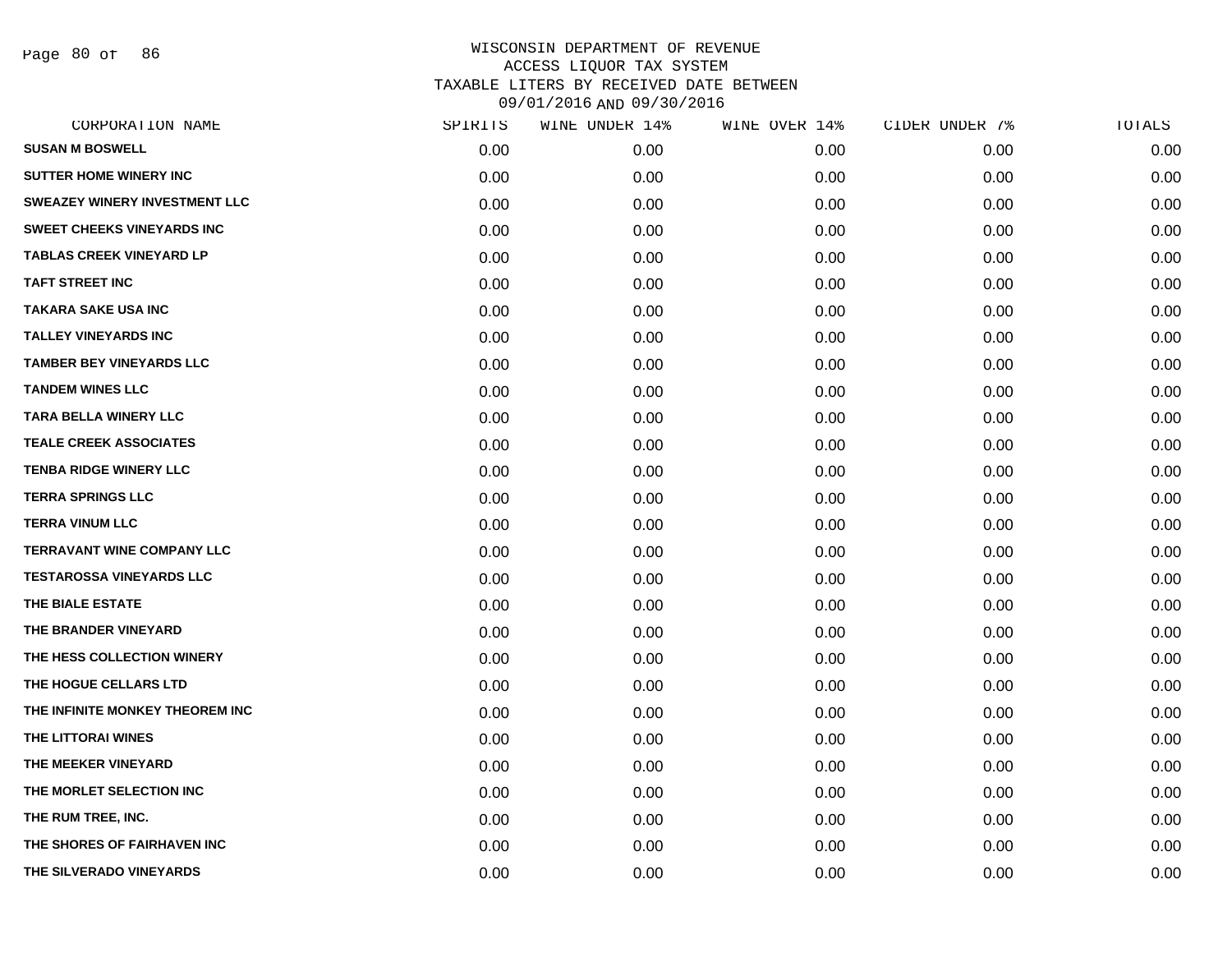Page 80 of 86

| CORPORATION NAME                     | SPIRITS | WINE UNDER 14% | WINE OVER 14% | CIDER UNDER 7% | TOTALS |
|--------------------------------------|---------|----------------|---------------|----------------|--------|
| <b>SUSAN M BOSWELL</b>               | 0.00    | 0.00           | 0.00          | 0.00           | 0.00   |
| <b>SUTTER HOME WINERY INC</b>        | 0.00    | 0.00           | 0.00          | 0.00           | 0.00   |
| <b>SWEAZEY WINERY INVESTMENT LLC</b> | 0.00    | 0.00           | 0.00          | 0.00           | 0.00   |
| <b>SWEET CHEEKS VINEYARDS INC</b>    | 0.00    | 0.00           | 0.00          | 0.00           | 0.00   |
| <b>TABLAS CREEK VINEYARD LP</b>      | 0.00    | 0.00           | 0.00          | 0.00           | 0.00   |
| <b>TAFT STREET INC</b>               | 0.00    | 0.00           | 0.00          | 0.00           | 0.00   |
| <b>TAKARA SAKE USA INC</b>           | 0.00    | 0.00           | 0.00          | 0.00           | 0.00   |
| <b>TALLEY VINEYARDS INC</b>          | 0.00    | 0.00           | 0.00          | 0.00           | 0.00   |
| <b>TAMBER BEY VINEYARDS LLC</b>      | 0.00    | 0.00           | 0.00          | 0.00           | 0.00   |
| <b>TANDEM WINES LLC</b>              | 0.00    | 0.00           | 0.00          | 0.00           | 0.00   |
| <b>TARA BELLA WINERY LLC</b>         | 0.00    | 0.00           | 0.00          | 0.00           | 0.00   |
| <b>TEALE CREEK ASSOCIATES</b>        | 0.00    | 0.00           | 0.00          | 0.00           | 0.00   |
| <b>TENBA RIDGE WINERY LLC</b>        | 0.00    | 0.00           | 0.00          | 0.00           | 0.00   |
| <b>TERRA SPRINGS LLC</b>             | 0.00    | 0.00           | 0.00          | 0.00           | 0.00   |
| <b>TERRA VINUM LLC</b>               | 0.00    | 0.00           | 0.00          | 0.00           | 0.00   |
| <b>TERRAVANT WINE COMPANY LLC</b>    | 0.00    | 0.00           | 0.00          | 0.00           | 0.00   |
| <b>TESTAROSSA VINEYARDS LLC</b>      | 0.00    | 0.00           | 0.00          | 0.00           | 0.00   |
| THE BIALE ESTATE                     | 0.00    | 0.00           | 0.00          | 0.00           | 0.00   |
| THE BRANDER VINEYARD                 | 0.00    | 0.00           | 0.00          | 0.00           | 0.00   |
| THE HESS COLLECTION WINERY           | 0.00    | 0.00           | 0.00          | 0.00           | 0.00   |
| THE HOGUE CELLARS LTD                | 0.00    | 0.00           | 0.00          | 0.00           | 0.00   |
| THE INFINITE MONKEY THEOREM INC      | 0.00    | 0.00           | 0.00          | 0.00           | 0.00   |
| THE LITTORAI WINES                   | 0.00    | 0.00           | 0.00          | 0.00           | 0.00   |
| THE MEEKER VINEYARD                  | 0.00    | 0.00           | 0.00          | 0.00           | 0.00   |
| THE MORLET SELECTION INC             | 0.00    | 0.00           | 0.00          | 0.00           | 0.00   |
| THE RUM TREE, INC.                   | 0.00    | 0.00           | 0.00          | 0.00           | 0.00   |
| THE SHORES OF FAIRHAVEN INC          | 0.00    | 0.00           | 0.00          | 0.00           | 0.00   |
| THE SILVERADO VINEYARDS              | 0.00    | 0.00           | 0.00          | 0.00           | 0.00   |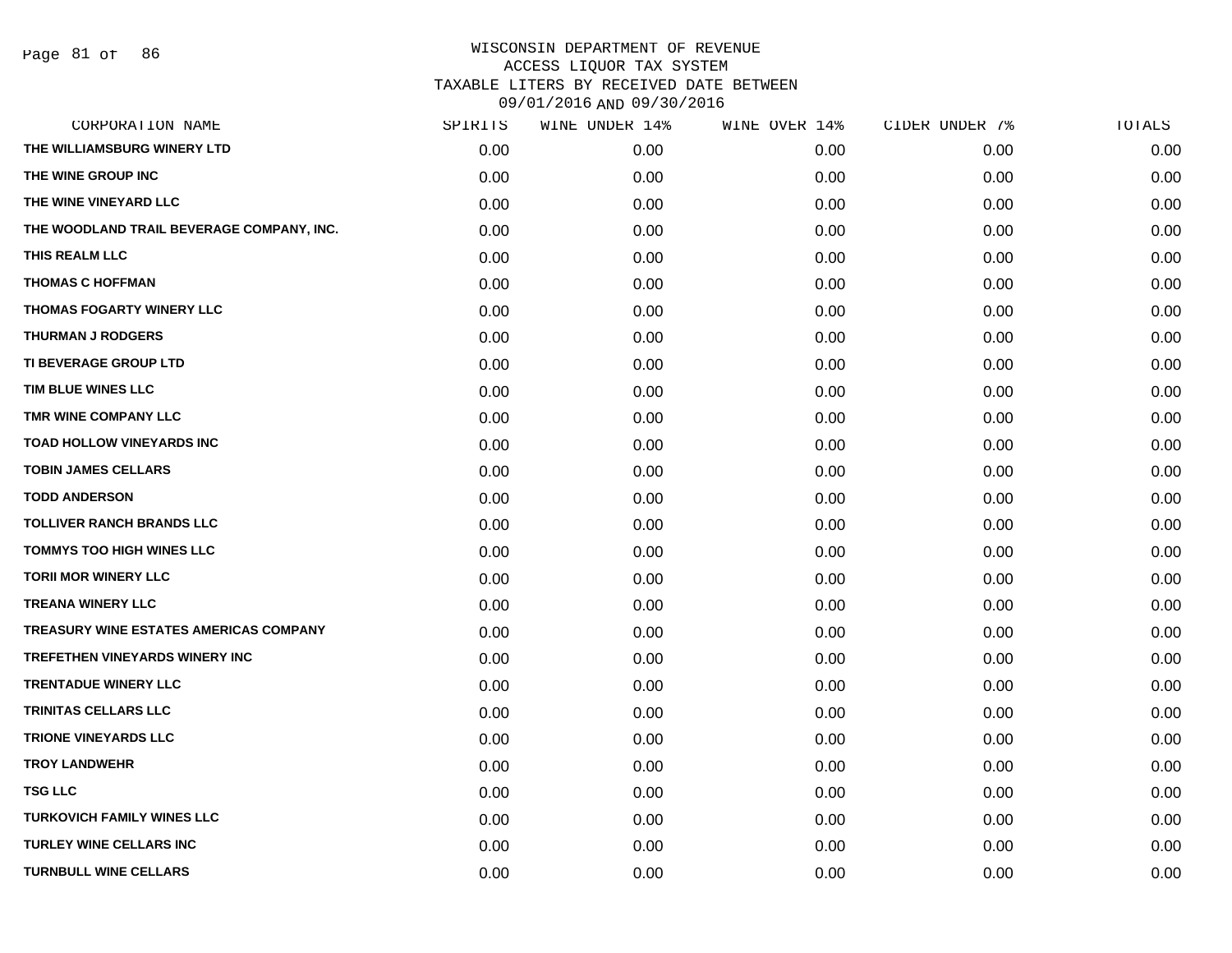| CORPORATION NAME                          | SPIRITS | WINE UNDER 14% | WINE OVER 14% | CIDER UNDER 7% | TOTALS |
|-------------------------------------------|---------|----------------|---------------|----------------|--------|
| THE WILLIAMSBURG WINERY LTD               | 0.00    | 0.00           | 0.00          | 0.00           | 0.00   |
| THE WINE GROUP INC                        | 0.00    | 0.00           | 0.00          | 0.00           | 0.00   |
| THE WINE VINEYARD LLC                     | 0.00    | 0.00           | 0.00          | 0.00           | 0.00   |
| THE WOODLAND TRAIL BEVERAGE COMPANY, INC. | 0.00    | 0.00           | 0.00          | 0.00           | 0.00   |
| THIS REALM LLC                            | 0.00    | 0.00           | 0.00          | 0.00           | 0.00   |
| <b>THOMAS C HOFFMAN</b>                   | 0.00    | 0.00           | 0.00          | 0.00           | 0.00   |
| THOMAS FOGARTY WINERY LLC                 | 0.00    | 0.00           | 0.00          | 0.00           | 0.00   |
| <b>THURMAN J RODGERS</b>                  | 0.00    | 0.00           | 0.00          | 0.00           | 0.00   |
| TI BEVERAGE GROUP LTD                     | 0.00    | 0.00           | 0.00          | 0.00           | 0.00   |
| TIM BLUE WINES LLC                        | 0.00    | 0.00           | 0.00          | 0.00           | 0.00   |
| TMR WINE COMPANY LLC                      | 0.00    | 0.00           | 0.00          | 0.00           | 0.00   |
| TOAD HOLLOW VINEYARDS INC                 | 0.00    | 0.00           | 0.00          | 0.00           | 0.00   |
| <b>TOBIN JAMES CELLARS</b>                | 0.00    | 0.00           | 0.00          | 0.00           | 0.00   |
| <b>TODD ANDERSON</b>                      | 0.00    | 0.00           | 0.00          | 0.00           | 0.00   |
| <b>TOLLIVER RANCH BRANDS LLC</b>          | 0.00    | 0.00           | 0.00          | 0.00           | 0.00   |
| TOMMYS TOO HIGH WINES LLC                 | 0.00    | 0.00           | 0.00          | 0.00           | 0.00   |
| <b>TORII MOR WINERY LLC</b>               | 0.00    | 0.00           | 0.00          | 0.00           | 0.00   |
| <b>TREANA WINERY LLC</b>                  | 0.00    | 0.00           | 0.00          | 0.00           | 0.00   |
| TREASURY WINE ESTATES AMERICAS COMPANY    | 0.00    | 0.00           | 0.00          | 0.00           | 0.00   |
| <b>TREFETHEN VINEYARDS WINERY INC</b>     | 0.00    | 0.00           | 0.00          | 0.00           | 0.00   |
| <b>TRENTADUE WINERY LLC</b>               | 0.00    | 0.00           | 0.00          | 0.00           | 0.00   |
| <b>TRINITAS CELLARS LLC</b>               | 0.00    | 0.00           | 0.00          | 0.00           | 0.00   |
| <b>TRIONE VINEYARDS LLC</b>               | 0.00    | 0.00           | 0.00          | 0.00           | 0.00   |
| <b>TROY LANDWEHR</b>                      | 0.00    | 0.00           | 0.00          | 0.00           | 0.00   |
| <b>TSG LLC</b>                            | 0.00    | 0.00           | 0.00          | 0.00           | 0.00   |
| <b>TURKOVICH FAMILY WINES LLC</b>         | 0.00    | 0.00           | 0.00          | 0.00           | 0.00   |
| <b>TURLEY WINE CELLARS INC</b>            | 0.00    | 0.00           | 0.00          | 0.00           | 0.00   |
| <b>TURNBULL WINE CELLARS</b>              | 0.00    | 0.00           | 0.00          | 0.00           | 0.00   |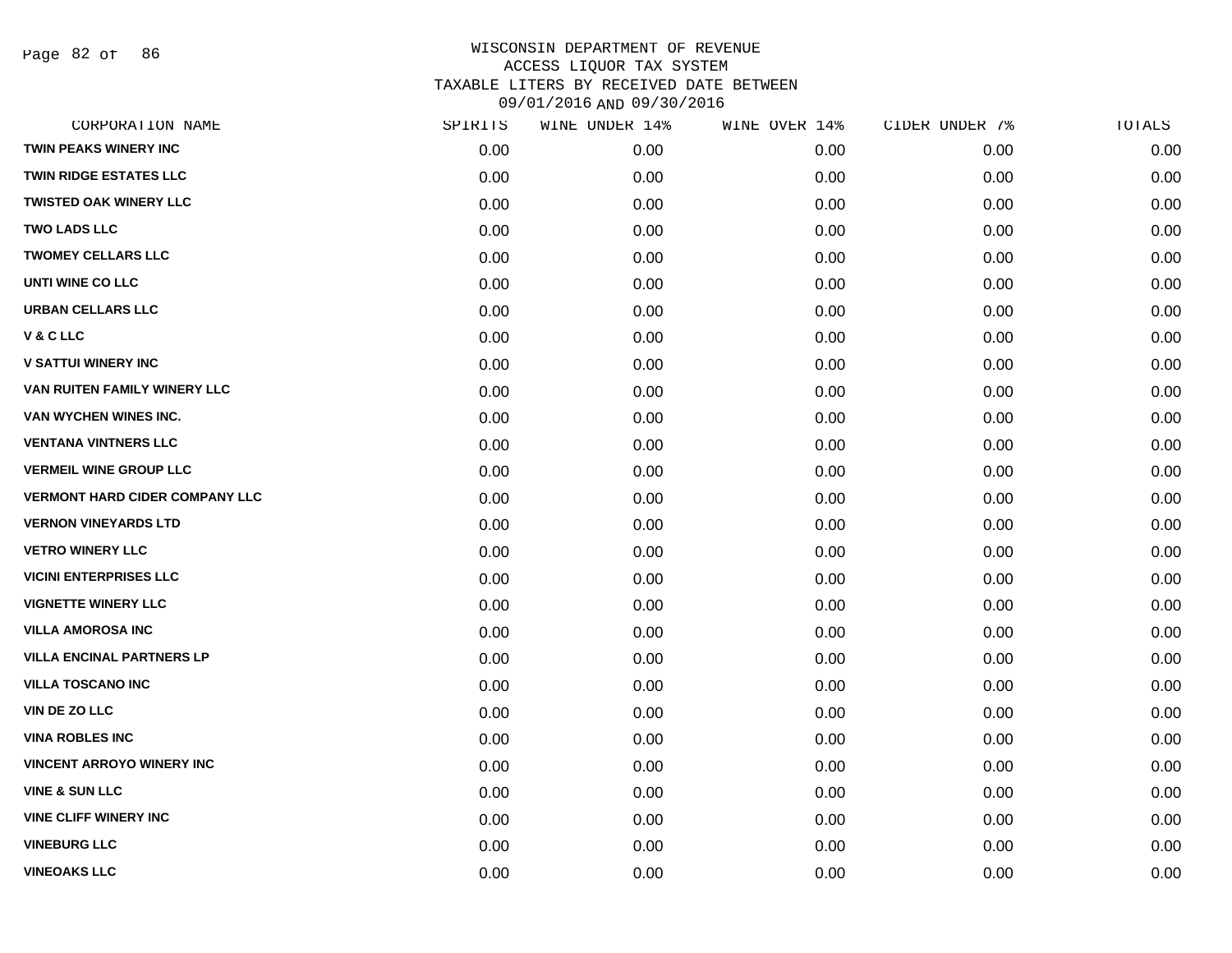Page 82 of 86

| CORPORATION NAME                      | SPIRITS | WINE UNDER 14% | WINE OVER 14% | CIDER UNDER 7% | TOTALS |
|---------------------------------------|---------|----------------|---------------|----------------|--------|
| <b>TWIN PEAKS WINERY INC</b>          | 0.00    | 0.00           | 0.00          | 0.00           | 0.00   |
| <b>TWIN RIDGE ESTATES LLC</b>         | 0.00    | 0.00           | 0.00          | 0.00           | 0.00   |
| <b>TWISTED OAK WINERY LLC</b>         | 0.00    | 0.00           | 0.00          | 0.00           | 0.00   |
| <b>TWO LADS LLC</b>                   | 0.00    | 0.00           | 0.00          | 0.00           | 0.00   |
| <b>TWOMEY CELLARS LLC</b>             | 0.00    | 0.00           | 0.00          | 0.00           | 0.00   |
| UNTI WINE CO LLC                      | 0.00    | 0.00           | 0.00          | 0.00           | 0.00   |
| <b>URBAN CELLARS LLC</b>              | 0.00    | 0.00           | 0.00          | 0.00           | 0.00   |
| V&CLLC                                | 0.00    | 0.00           | 0.00          | 0.00           | 0.00   |
| <b>V SATTUI WINERY INC</b>            | 0.00    | 0.00           | 0.00          | 0.00           | 0.00   |
| VAN RUITEN FAMILY WINERY LLC          | 0.00    | 0.00           | 0.00          | 0.00           | 0.00   |
| VAN WYCHEN WINES INC.                 | 0.00    | 0.00           | 0.00          | 0.00           | 0.00   |
| <b>VENTANA VINTNERS LLC</b>           | 0.00    | 0.00           | 0.00          | 0.00           | 0.00   |
| <b>VERMEIL WINE GROUP LLC</b>         | 0.00    | 0.00           | 0.00          | 0.00           | 0.00   |
| <b>VERMONT HARD CIDER COMPANY LLC</b> | 0.00    | 0.00           | 0.00          | 0.00           | 0.00   |
| <b>VERNON VINEYARDS LTD</b>           | 0.00    | 0.00           | 0.00          | 0.00           | 0.00   |
| <b>VETRO WINERY LLC</b>               | 0.00    | 0.00           | 0.00          | 0.00           | 0.00   |
| <b>VICINI ENTERPRISES LLC</b>         | 0.00    | 0.00           | 0.00          | 0.00           | 0.00   |
| <b>VIGNETTE WINERY LLC</b>            | 0.00    | 0.00           | 0.00          | 0.00           | 0.00   |
| <b>VILLA AMOROSA INC</b>              | 0.00    | 0.00           | 0.00          | 0.00           | 0.00   |
| <b>VILLA ENCINAL PARTNERS LP</b>      | 0.00    | 0.00           | 0.00          | 0.00           | 0.00   |
| <b>VILLA TOSCANO INC</b>              | 0.00    | 0.00           | 0.00          | 0.00           | 0.00   |
| VIN DE ZO LLC                         | 0.00    | 0.00           | 0.00          | 0.00           | 0.00   |
| <b>VINA ROBLES INC</b>                | 0.00    | 0.00           | 0.00          | 0.00           | 0.00   |
| <b>VINCENT ARROYO WINERY INC</b>      | 0.00    | 0.00           | 0.00          | 0.00           | 0.00   |
| <b>VINE &amp; SUN LLC</b>             | 0.00    | 0.00           | 0.00          | 0.00           | 0.00   |
| <b>VINE CLIFF WINERY INC</b>          | 0.00    | 0.00           | 0.00          | 0.00           | 0.00   |
| <b>VINEBURG LLC</b>                   | 0.00    | 0.00           | 0.00          | 0.00           | 0.00   |
| <b>VINEOAKS LLC</b>                   | 0.00    | 0.00           | 0.00          | 0.00           | 0.00   |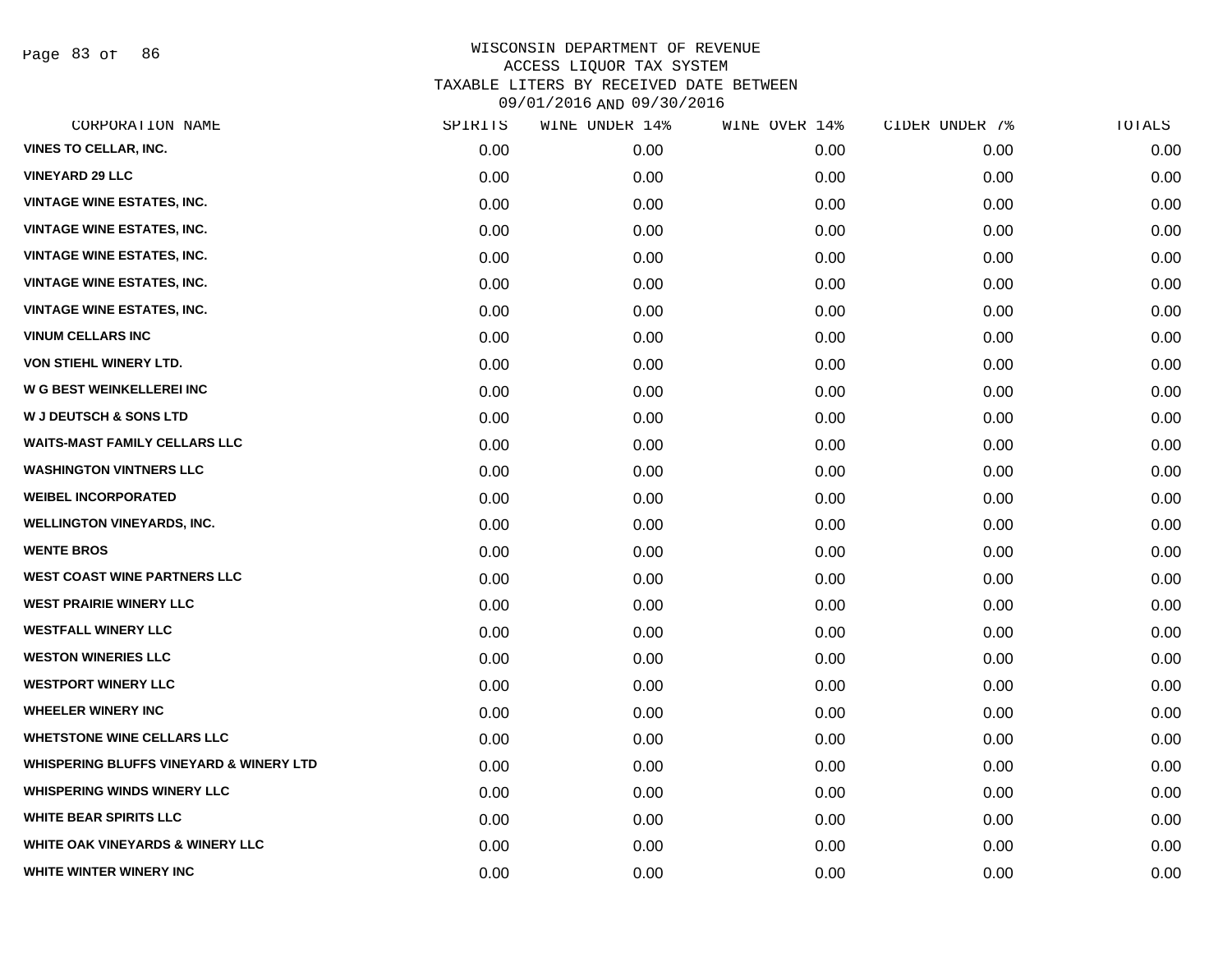Page 83 of 86

|      |         | WINE OVER 14%  | CIDER UNDER 7% | TOTALS |
|------|---------|----------------|----------------|--------|
| 0.00 | 0.00    | 0.00           | 0.00           | 0.00   |
| 0.00 | 0.00    | 0.00           | 0.00           | 0.00   |
| 0.00 | 0.00    | 0.00           | 0.00           | 0.00   |
| 0.00 | 0.00    | 0.00           | 0.00           | 0.00   |
| 0.00 | 0.00    | 0.00           | 0.00           | 0.00   |
| 0.00 | 0.00    | 0.00           | 0.00           | 0.00   |
| 0.00 | 0.00    | 0.00           | 0.00           | 0.00   |
| 0.00 | 0.00    | 0.00           | 0.00           | 0.00   |
| 0.00 | 0.00    | 0.00           | 0.00           | 0.00   |
| 0.00 | 0.00    | 0.00           | 0.00           | 0.00   |
| 0.00 | 0.00    | 0.00           | 0.00           | 0.00   |
| 0.00 | 0.00    | 0.00           | 0.00           | 0.00   |
| 0.00 | 0.00    | 0.00           | 0.00           | 0.00   |
| 0.00 | 0.00    | 0.00           | 0.00           | 0.00   |
| 0.00 | 0.00    | 0.00           | 0.00           | 0.00   |
| 0.00 | 0.00    | 0.00           | 0.00           | 0.00   |
| 0.00 | 0.00    | 0.00           | 0.00           | 0.00   |
| 0.00 | 0.00    | 0.00           | 0.00           | 0.00   |
| 0.00 | 0.00    | 0.00           | 0.00           | 0.00   |
| 0.00 | 0.00    | 0.00           | 0.00           | 0.00   |
| 0.00 | 0.00    | 0.00           | 0.00           | 0.00   |
| 0.00 | 0.00    | 0.00           | 0.00           | 0.00   |
| 0.00 | 0.00    | 0.00           | 0.00           | 0.00   |
| 0.00 | 0.00    | 0.00           | 0.00           | 0.00   |
| 0.00 | 0.00    | 0.00           | 0.00           | 0.00   |
| 0.00 | 0.00    | 0.00           | 0.00           | 0.00   |
| 0.00 | 0.00    | 0.00           | 0.00           | 0.00   |
| 0.00 | 0.00    | 0.00           | 0.00           | 0.00   |
|      | SPIRITS | WINE UNDER 14% |                |        |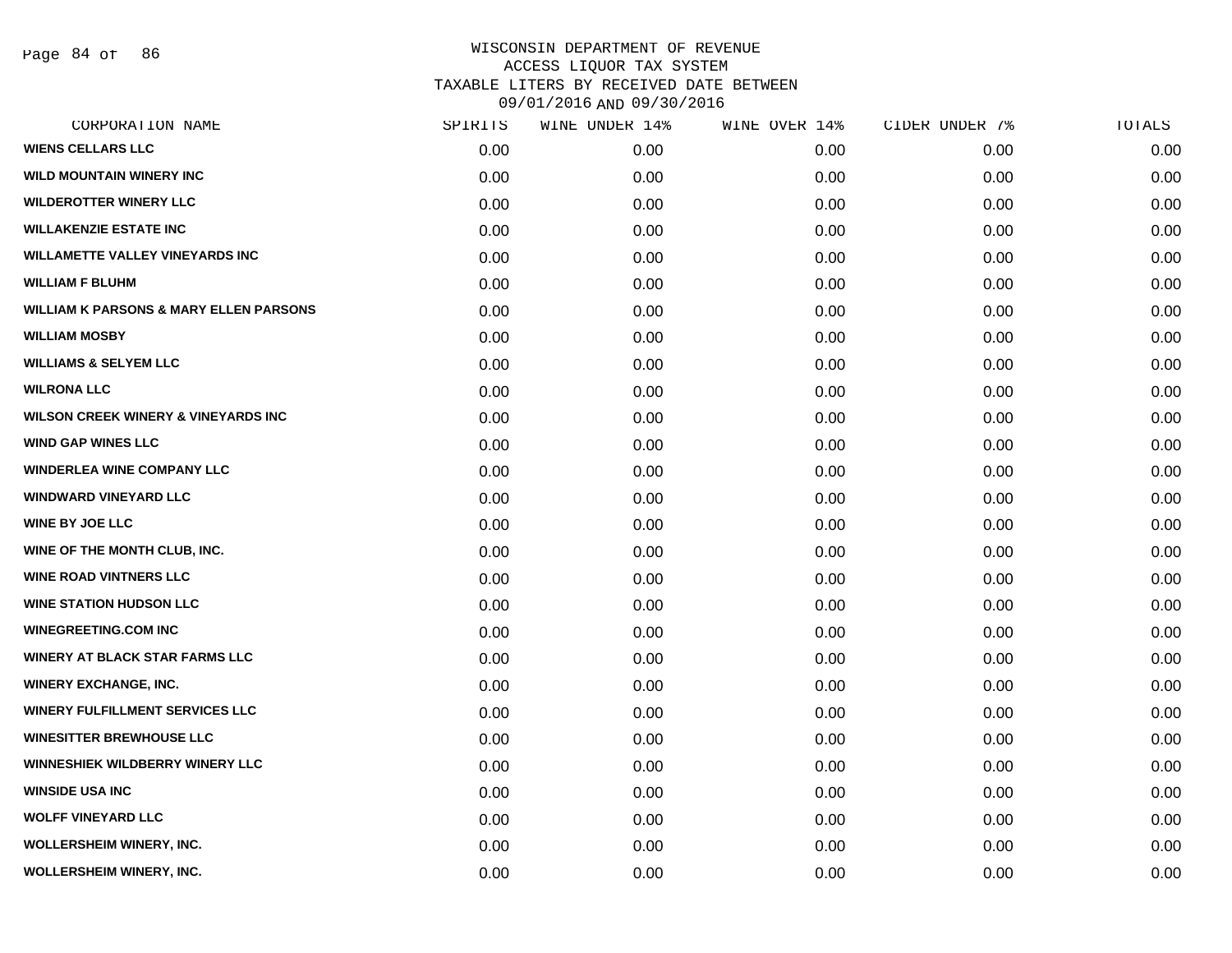Page 84 of 86

| CORPORATION NAME                                  | SPIRITS | WINE UNDER 14% | WINE OVER 14% | CIDER UNDER 7% | TOTALS |
|---------------------------------------------------|---------|----------------|---------------|----------------|--------|
| <b>WIENS CELLARS LLC</b>                          | 0.00    | 0.00           | 0.00          | 0.00           | 0.00   |
| <b>WILD MOUNTAIN WINERY INC</b>                   | 0.00    | 0.00           | 0.00          | 0.00           | 0.00   |
| <b>WILDEROTTER WINERY LLC</b>                     | 0.00    | 0.00           | 0.00          | 0.00           | 0.00   |
| <b>WILLAKENZIE ESTATE INC</b>                     | 0.00    | 0.00           | 0.00          | 0.00           | 0.00   |
| <b>WILLAMETTE VALLEY VINEYARDS INC</b>            | 0.00    | 0.00           | 0.00          | 0.00           | 0.00   |
| <b>WILLIAM F BLUHM</b>                            | 0.00    | 0.00           | 0.00          | 0.00           | 0.00   |
| <b>WILLIAM K PARSONS &amp; MARY ELLEN PARSONS</b> | 0.00    | 0.00           | 0.00          | 0.00           | 0.00   |
| <b>WILLIAM MOSBY</b>                              | 0.00    | 0.00           | 0.00          | 0.00           | 0.00   |
| <b>WILLIAMS &amp; SELYEM LLC</b>                  | 0.00    | 0.00           | 0.00          | 0.00           | 0.00   |
| <b>WILRONA LLC</b>                                | 0.00    | 0.00           | 0.00          | 0.00           | 0.00   |
| <b>WILSON CREEK WINERY &amp; VINEYARDS INC</b>    | 0.00    | 0.00           | 0.00          | 0.00           | 0.00   |
| <b>WIND GAP WINES LLC</b>                         | 0.00    | 0.00           | 0.00          | 0.00           | 0.00   |
| <b>WINDERLEA WINE COMPANY LLC</b>                 | 0.00    | 0.00           | 0.00          | 0.00           | 0.00   |
| <b>WINDWARD VINEYARD LLC</b>                      | 0.00    | 0.00           | 0.00          | 0.00           | 0.00   |
| <b>WINE BY JOE LLC</b>                            | 0.00    | 0.00           | 0.00          | 0.00           | 0.00   |
| WINE OF THE MONTH CLUB, INC.                      | 0.00    | 0.00           | 0.00          | 0.00           | 0.00   |
| <b>WINE ROAD VINTNERS LLC</b>                     | 0.00    | 0.00           | 0.00          | 0.00           | 0.00   |
| <b>WINE STATION HUDSON LLC</b>                    | 0.00    | 0.00           | 0.00          | 0.00           | 0.00   |
| <b>WINEGREETING.COM INC</b>                       | 0.00    | 0.00           | 0.00          | 0.00           | 0.00   |
| <b>WINERY AT BLACK STAR FARMS LLC</b>             | 0.00    | 0.00           | 0.00          | 0.00           | 0.00   |
| <b>WINERY EXCHANGE, INC.</b>                      | 0.00    | 0.00           | 0.00          | 0.00           | 0.00   |
| <b>WINERY FULFILLMENT SERVICES LLC</b>            | 0.00    | 0.00           | 0.00          | 0.00           | 0.00   |
| <b>WINESITTER BREWHOUSE LLC</b>                   | 0.00    | 0.00           | 0.00          | 0.00           | 0.00   |
| <b>WINNESHIEK WILDBERRY WINERY LLC</b>            | 0.00    | 0.00           | 0.00          | 0.00           | 0.00   |
| <b>WINSIDE USA INC</b>                            | 0.00    | 0.00           | 0.00          | 0.00           | 0.00   |
| <b>WOLFF VINEYARD LLC</b>                         | 0.00    | 0.00           | 0.00          | 0.00           | 0.00   |
| <b>WOLLERSHEIM WINERY, INC.</b>                   | 0.00    | 0.00           | 0.00          | 0.00           | 0.00   |
| WOLLERSHEIM WINERY, INC.                          | 0.00    | 0.00           | 0.00          | 0.00           | 0.00   |
|                                                   |         |                |               |                |        |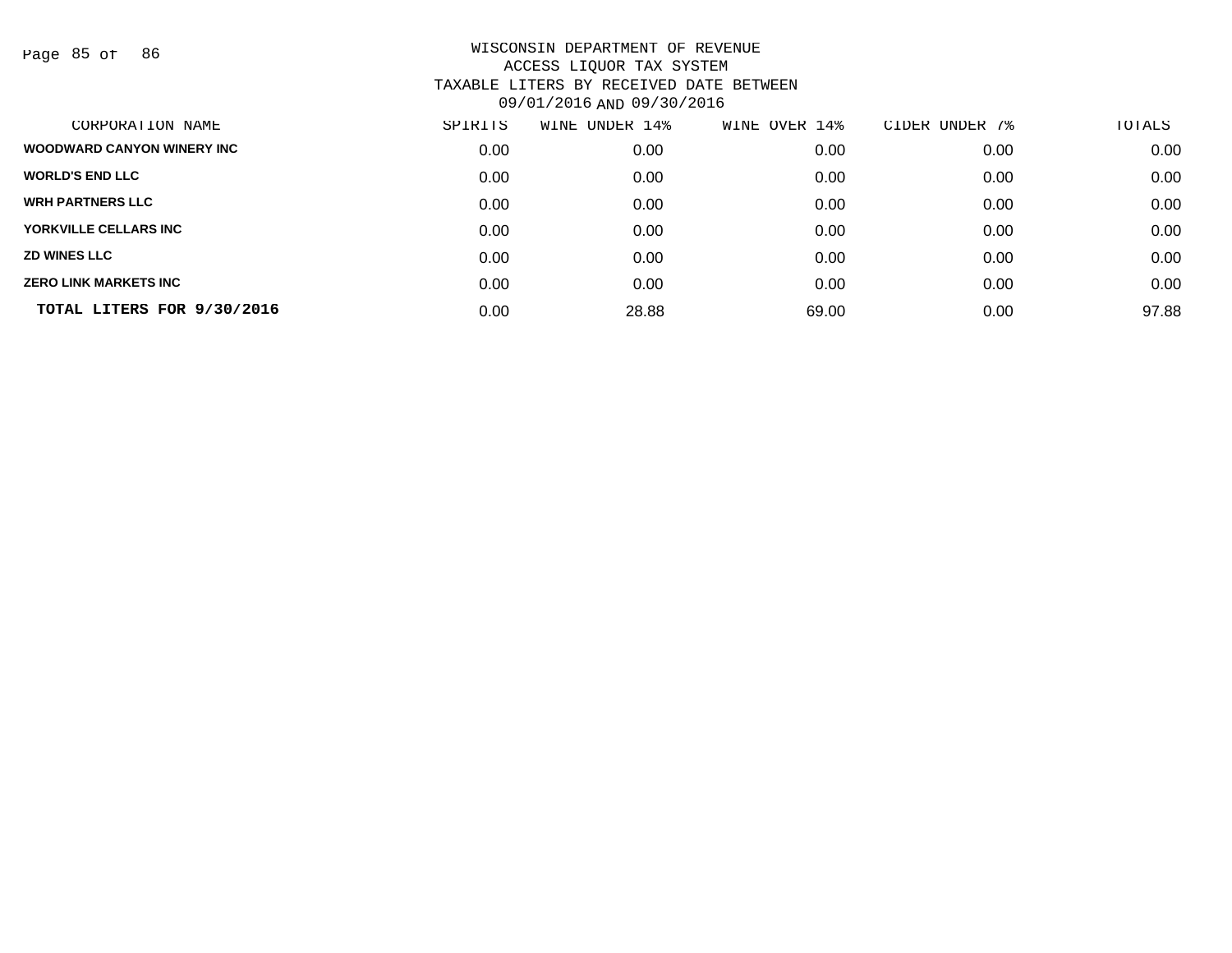Page 85 of 86

| CORPORATION NAME                  | SPIRITS | UNDER 14%<br>WINE | WINE OVER 14% | CIDER UNDER 7% | TOTALS |
|-----------------------------------|---------|-------------------|---------------|----------------|--------|
| <b>WOODWARD CANYON WINERY INC</b> | 0.00    | 0.00              | 0.00          | 0.00           | 0.00   |
| <b>WORLD'S END LLC</b>            | 0.00    | 0.00              | 0.00          | 0.00           | 0.00   |
| <b>WRH PARTNERS LLC</b>           | 0.00    | 0.00              | 0.00          | 0.00           | 0.00   |
| YORKVILLE CELLARS INC             | 0.00    | 0.00              | 0.00          | 0.00           | 0.00   |
| <b>ZD WINES LLC</b>               | 0.00    | 0.00              | 0.00          | 0.00           | 0.00   |
| <b>ZERO LINK MARKETS INC</b>      | 0.00    | 0.00              | 0.00          | 0.00           | 0.00   |
| TOTAL LITERS FOR 9/30/2016        | 0.00    | 28.88             | 69.00         | 0.00           | 97.88  |